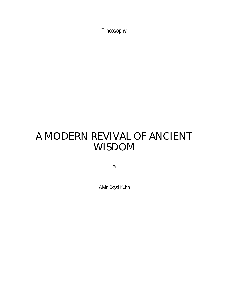Theosophy

# A MODERN REVIVAL OF ANCIENT WISDOM

by

Alvin Boyd Kuhn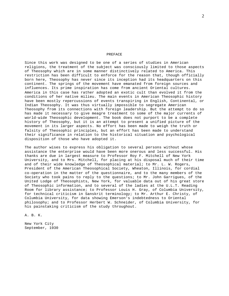#### PREFACE

Since this work was designed to be one of a series of studies in American religions, the treatment of the subject was consciously limited to those aspects of Theosophy which are in some manner distinctively related to America. This restriction has been difficult to enforce for the reason that, though officially born here, Theosophy has never since its inception had its headquarters on this continent. The springs of the movement have emanated from foreign sources and influences. Its prime inspiration has come from ancient Oriental cultures. America in this case has rather adopted an exotic cult than evolved it from the conditions of her native milieu. The main events in American Theosophic history have been mostly repercussions of events transpiring in English, Continental, or Indian Theosophy. It was thus virtually impossible to segregate American Theosophy from its connections with foreign leadership. But the attempt to do so has made it necessary to give meagre treatment to some of the major currents of world-wide Theosophic development. The book does not purport to be a complete history of Theosophy, but it is an attempt to present a unified picture of the movement in its larger aspects. No effort has been made to weigh the truth or falsity of Theosophic principles, but an effort has been made to understand their significance in relation to the historical situation and psychological disposition of those who have adopted it.

The author wises to express his obligation to several persons without whose assistance the enterprise would have been more onerous and less successful. His thanks are due in largest measure to Professor Roy F. Mitchell of New York University, and to Mrs. Mitchell, for placing at his disposal much of their time and of their wide knowledge of Theosophical material; to Mr. L. W. Rogers, President of the American Theosophical Society, Wheaton, Illinois, for cordial co-operation in the matter of the questionnaire, and to the many members of the Society who took pains to reply to the questions; to Mr. John Garrigues, of the United Lodge of Theosophists, New York, for valuable data out of his great store of Theosophic information, and to several of the ladies at the U.L.T. Reading Room for library assistance; to Professor Louis H. Gray, of Columbia University, for technical criticism in Sanskrit terminology; to Mr. Arthur E. Christy, of Columbia University, for data showing Emerson's indebtedness to Oriental philosophy; and to Professor Herbert W. Schneider, of Columbia University, for his painstaking criticism of the study throughout.

A. B. K.

New York City September, 1930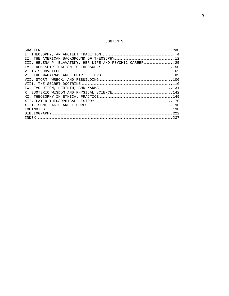# CONTENTS

| CHAPTER | PAGE |
|---------|------|
|         |      |
|         |      |
|         |      |
|         |      |
|         |      |
|         |      |
|         |      |
|         |      |
|         |      |
|         |      |
|         |      |
|         |      |
|         |      |
|         |      |
|         |      |
|         |      |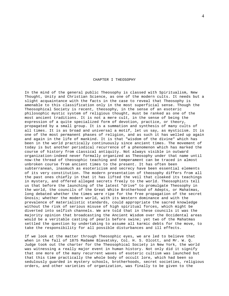## CHAPTER I THEOSOPHY

In the mind of the general public Theosophy is classed with Spiritualism, New Thought, Unity and Christian Science, as one of the modern cults. It needs but a slight acquaintance with the facts in the case to reveal that Theosophy is amenable to this classification only in the most superficial sense. Though the Theosophical Society is recent, theosophy, in the sense of an esoteric philosophic mystic system of religious thought, must be ranked as one of the most ancient traditions. It is not a mere cult, in the sense of being the expression of a quite specialized form of devotion, practice, or theory, propagated by a small group. It is a summation and synthesis of many cults of all times. It is as broad and universal a motif, let us say, as mysticism. It is one of the most permanent phases of religion, and as such it has welled up again and again in the life of mankind. It is that "wisdom of the divine" which has been in the world practically continuously since ancient times. The movement of today is but another periodical recurrence of a phenomenon which has marked the course of history from classical antiquity. Not always visible in outward organization-indeed never formally organized as Theosophy under that name until now-the thread of theosophic teaching and temperament can be traced in almost unbroken course from ancient times to the present. It has often been subterranean, inasmuch as esotericism and secrecy have been essential elements of its very constitution. The modern presentation of theosophy differs from all the past ones chiefly in that it has lifted the veil that cloaked its teachings in mystery, and offered alleged secrets freely to the world. Theosophists tell us that before the launching of the latest "drive" to promulgate Theosophy in the world, the councils of the Great White Brotherhood of Adepts, or Mahatmas, long debated whether the times were ripe for the free propagation of the secret Gnosis; whether the modern world, with its Western dominance and with the prevalence of materialistic standards, could appropriate the sacred knowledge without the risk of serious misuse of high spiritual forces, which might be diverted into selfish channels. We are told that in these councils it was the majority opinion that broadcasting the Ancient Wisdom over the Occidental areas would be a veritable casting of pearls before swine; yet two of the Mahatmas settled the question by undertaking to assume all karmic debts for the move, to take the responsibility for all possible disturbances and ill effects.

If we look at the matter through Theosophic eyes, we are led to believe that when in the fall of 1875 Madame Blavatsky, Col. H. S. Olcott, and Mr. W. Q. Judge took out the charter for the Theosophical Society in New York, the world was witnessing a really major event in human history. Not only did it signify that one more of the many recurrent waves of esoteric cultism was launched but that this time practically the whole body of occult lore, which had been so sedulously guarded in mystery schools, brotherhoods, secret societies, religious orders, and other varieties of organization, was finally to be given to the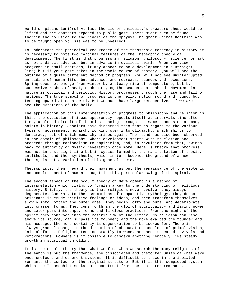world en pleine lumière! At last the lid of antiquity's treasure chest would be lifted and the contents exposed to public gaze. There might even be found therein the solution to the riddle of the Sphynx! The great Secret Doctrine was to be taught openly; Isis was to be unveiled!

To understand the periodical recurrence of the theosophic tendency in history it is necessary to note two cardinal features of the Theosophic theory of development. The first is that progress in religion, philosophy, science, or art is not a direct advance, but in advance in cyclical swirls. When you view progress in small sections, it may appear to be a development in a straight line; but if your gaze takes in the whole course of history, you will see the outline of a quite different method of progress. You will not see uninterrupted unfolding of human life, but advances and retreats, plunges and recessions. Spring does not emerge from winter by a steady rise of temperature, but by successive rushes of heat, each carrying the season a bit ahead. Movement in nature is cyclical and periodic. History progresses through the rise and fall of nations. The true symbol of progress is the helix, motion round and round, but tending upward at each swirl. But we must have large perspectives if we are to see the gyrations of the helix.

The application of this interpretation of progress to philosophy and religion is this: the evolution of ideas apparently repeats itself at intervals time after time, a closed circuit of theories running through the same succession at many points in history. Scholars have discerned this fact in regard to the various types of government: monarchy working over into oligarchy, which shifts to democracy, out of which monarchy arises again. The round has also been observed in the domain of philosophy, where development starts with revelation and proceeds through rationalism to empiricism, and, in revulsion from that, swings back to authority or mystic revelation once more. Hegel's theory that progress was not in a straight line but in cycles formed by the manifestation of thesis, antithesis, and then synthesis, which in turn becomes the ground of a new thesis, is but a variation of this general theme.

Theosophists, then, regard their movement as but the renaissance of the esoteric and occult aspect of human thought in this particular swing of the spiral.

The second aspect of the occult theory of development is a method of interpretation which claims to furnish a key to the understanding of religious history. Briefly, the theory is that religions never evolve; they always degenerate. Contrary to the assumptions of comparative mythology, they do not originate in crude primitive feelings or ideas, and then transform themselves slowly into loftier and purer ones. They begin lofty and pure, and deteriorate into crasser forms. They come forth in the glow of spirituality and living power and later pass into empty forms and lifeless practices. From the might of the spirit they contract into the materialism of the letter. No religion can rise above its source, can surpass its founder; and the more exalted the founder and his message, the more certainly is degeneration to be looked for. There is always gradual change in the direction of obscuration and loss of primal vision, initial force. Religions tend constantly to wane, and need repeated revivals and reformations. Nowhere is it possible to discern anything remotely like steady growth in spiritual unfolding.

It is the occult theory that what we find when we search the many religions of the earth is but the fragments, the dissociated and distorted units of what were once profound and coherent systems. It is difficult to trace in the isolated remnants the contour of the original structure. But it is this completed system which the Theosophist seeks to reconstruct from the scattered remnants.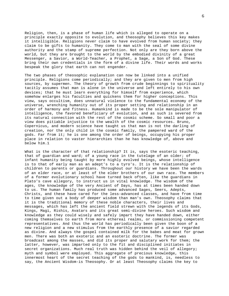Religion, then, is a phase of human life which is alleged to operate on a principle exactly opposite to evolution, and theosophy believes this key makes it intelligible. Religions never claim to have evolved from human society; they claim to be gifts to humanity. They come to man with the seal of some divine authority and the stamp of supreme perfection. Not only are they born above the world, but they are brought to the world by the embodied divinity of a great Messenger, a Savior, a World-Teacher, a Prophet, a Sage, a Son of God. These bring their own credentials in the form of a divine life. Their words and works bespeak the glory that earth can not engender.

The two phases of theosophic explanation can now be linked into a unified principle. Religions come periodically; and they are given to men from high sources, by supermen. The theory of growth from crude beginnings to spirituality tacitly assumes that man is alone in the universe and left entirely to his own devices; that he must learn everything for himself from experience, which somehow enlarges his faculties and quickens them for higher conceptions. This view, says occultism, does unnatural violence to the fundamental economy of the universe, wrenching humanity out of its proper setting and relationship in an order of harmony and fitness. Humankind is made to be the sole manipulator of intelligence, the favored beneficiary of evolution, and as such is severed from its natural connection with the rest of the cosmic scheme. So small and poor a view does pitiable injustice to the wealth of the cosmic resources. Bruno, Copernicus, and modern science have taught us that man is not the darling of creation, nor the only child in the cosmic family, the pampered ward of the gods. Far from it; he is one among the order of beings, occupying his proper place in relation to vaster hierarchies than he has knowledge of, above and below him.1

What is the character of that relationship? It is, says the esoteric teaching, that of guardian and ward; of a young race in the tutelage of an older; of infant humanity being taught by more highly evolved beings, whose intelligence is to that of early man as an adept's to a tyro's. It is the relationship of children to parents or guardians. Throughout our history we have been the wards of an elder race, or at least of the elder brothers of our own race. The members of a former evolutionary school have turned back often, like the guardians in Plato's cave allegory, to instruct us in vital knowledge. The wisdom of the ages, the knowledge of the very Ancient of Days, has at times been handed down to us. The human family has produced some advanced Sages, Seers, Adepts, Christs, and these have cared for the less-advanced classes, and have from time to time given out a body of deeper wisdom than man's own. Theosophy claims that it is the traditional memory of these noble characters, their lives and messages, which has left the ancient field strewn with the legends of its Gods, Kings, Magi, Rishis, Avatars and its great semi-divine heroes. Such wisdom and knowledge as they could wisely and safely impart they have handed down, either coming themselves to earth from more ethereal realms, or commissioning competent representatives. And thus the world has periodically been given the boon of a new religion and a new stimulus from the earthly presence of a savior regarded as divine. And always the gospel contained milk for the babes and meat for grown men. There was both an exoteric and an esoteric doctrine. The former was broadcast among the masses, and did its proper and salutary work for them; the latter, however, was imparted only to the fit and disciplined initiates in secret organizations. Much real truth was hidden behind the veil of allegory; myth and symbol were employed. This aggregate of precious knowledge, this innermost heart of the secret teaching of the gods to mankind, is, needless to say, the Ancient Wisdom-is Theosophy. Or at least Theosophy claims the key to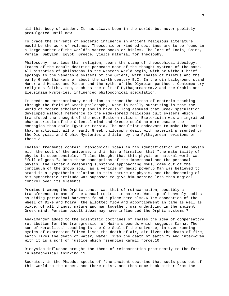all this body of wisdom. It has always been in the world, but never publicly promulgated until now.

To trace the currents of esoteric influence in ancient religious literature would be the work of volumes. Theosophic or kindred doctrines are to be found in a large number of the world's sacred books or bibles. The lore of India, China, Persia, Babylon, Egypt, Greece, yields material for Theosophy.

Philosophy, not less than religion, bears the stamp of theosophical ideology. Traces of the occult doctrine permeate most of the thought systems of the past. All histories of philosophy in the western world begin, with or without brief apology to the venerable systems of the Orient, with Thales of Miletus and the early Greek thinkers of about the sixth century B.C. In the dim background stand Homer and Hesiod and Pindar and the myths of the Olympian pantheon. Contemporary religious faiths, too, such as the cult of Pythagoreanism,2 and the Orphic and Eleusinian Mysteries, influenced philosophical speculation.

It needs no extraordinary erudition to trace the stream of esoteric teaching through the field of Greek philosophy. What is really surprising is that the world of modern scholarship should have so long assumed that Greek speculation developed without reference to the wide-spread religious cult systems which transfused the thought of the near-Eastern nations. Esotericism was an ingrained characteristic of the Oriental mind and Greece could no more escape the contagion than could Egypt or Persia. The occultist endeavors to make the point that practically all of early Greek philosophy dealt with material presented by the Dionysiac and Orphic Mysteries and later by the Pythagorean revisions of these.3

Thales' fragments contain Theosophical ideas in his identification of the physis with the soul of the universe, and in his affirmation that "the materiality of physis is supersensible." Thales thought that this physis or natural world was "full of gods."4 Both these conceptions of the impersonal and the personal physis, the latter a reasoning substance approaching Nous, came out of the continuum of the group soul, as a vehicle of magic power.5 Man was believed to stand in a sympathetic relation to this nature or physis, and the deepening of his sympathetic attitude was supposed to give him nothing less than magical control over its elements.

Prominent among the Orphic tenets was that of reincarnation, possibly a transference to man of the annual rebirth in nature. Worship of heavenly bodies as aiding periodical harvests found a place here also.6 The conception of the wheel of Dike and Moira, the allotted flow and apportionment in time as well as place, of all things, nature and man together, was underlying in the ancient Greek mind. Persian occult ideas may have influenced the Orphic systems.7

Anaximander added to the scientific doctrines of Thales the idea of compensatory retribution for the transgression of Moira's bounds which suggests Karma. The sum of Heraclitus' teaching is the One Soul of the universe, in ever-running cycles of expression-"Fire8 lives the death of air, air lives the death of fire; earth lives the death of water, water lives the death of earth."9 And interwoven with it is a sort of justice which resembles karmic force.10

Dionysiac influence brought the theme of reincarnation prominently to the fore in metaphysical thinking.11

Socrates, in the Phaedo, speaks of "the ancient doctrine that souls pass out of this world to the other, and there exist, and then come back hither from the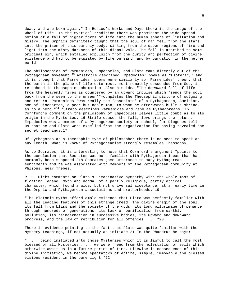dead, and are born again." In Hesiod's Works and Days there is the image of the Wheel of Life. In the mystical tradition there was prominent the wide-spread notion of a fall of higher forms of life into the human sphere of limitation and misery. The Orphics definitely taught that the soul of man fell from the stars into the prison of this earthly body, sinking from the upper regions of fire and light into the misty darkness of this dismal vale. The fall is ascribed to some original sin, which entailed expulsion from the purity and perfection of divine existence and had to be expiated by life on earth and by purgation in the nether world.

The philosophies of Parmenides, Empedocles, and Plato came directly out of the Pythagorean movement.<sup>13</sup> Aristotle described Empedocles' poems as "Esoteric," and it is thought that Parmenides' poems were similarly so. Parmenides' theory that the earth is the plane of life outermost, most remotely descended from God, is re-echoed in theosophic schematism. Also his idea-"The downward fall of life from the heavenly fires is countered by an upward impulse which 'sends the soul back from the seen to the unseen'"-completes the Theosophic picture of outgoing and return. Parmenides "was really the 'associate' of a Pythagorean, Ameinias, son of Diochartas, a poor but noble man, to whom he afterwards built a shrine, as to a hero."<sup>14</sup> "Strabo describes Parmenides and Zeno as Pythagoreans."15 Cornford's comment on the philosophy of Empedocles leaves little doubt as to its origin in the Mysteries. 16 Strife causes the fall, love brings the return. Empedocles was a member of a Pythagorean society or school, for Diogenes tells us that he and Plato were expelled from the organization for having revealed the secret teachings.17

Of Pythagoras as a Theosophic type of philosopher there is no need to speak at any length. What is known of Pythagoreanism strongly resembles Theosophy.

As to Socrates, it is interesting to note that Cornford's argument "points to the conclusion that Socrates was more familiar with Pythagorean ideas than has commonly been supposed."18 Socrates gave utterance to many Pythagorean sentiments and he was associated with members of the Pythagorean community at Phlious, near Thebes.

R. D. Hicks comments on Plato's "imaginative sympathy with the whole mass of floating legend, myth and dogma, of a partly religious, partly ethical character, which found a wide, but not universal acceptance, at an early time in the Orphic and Pythagorean associations and brotherhoods."19

"The Platonic myths afford ample evidence that Plato was perfectly familiar with all the leading features of this strange creed. The divine origin of the soul, its fall from bliss and the society of the gods, its long pilgrimage of penance through hundreds of generations, its task of purification from earthly pollution, its reincarnation in successive bodies, its upward and downward progress, and the law of retribution for all offences . . ."20

There is evidence pointing to the fact that Plato was quite familiar with the Mystery teachings, if not actually an initiate.21 In the Phaedrus he says:

". . . being initiated into those Mysteries which it is lawful to call the most blessed of all Mysteries . . . we were freed from the molestation of evils which otherwise await us in a future period of time. Likewise in consequence of this divine initiation, we become spectators of entire, simple, immovable and blessed visions resident in the pure light."22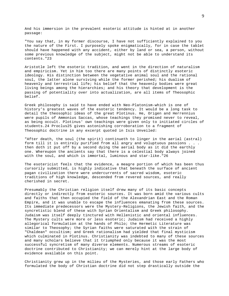And his immersion in the prevalent esoteric attitude is hinted at in another passage:

"You say that, in my former discourse, I have not sufficiently explained to you the nature of the First. I purposely spoke enigmatically, for in case the tablet should have happened with any accident, either by land or sea, a person, without some previous knowledge of the subject, might not be able to understand its contents."23

Aristotle left the esoteric tradition, and went in the direction of naturalism and empiricism. Yet in him too there are many points of distinctly esoteric ideology. His distinction between the vegetative animal soul and the rational soul, the latter alone surviving while the former perished; his dualism of heavenly and terrestrial life; his belief that the heavenly bodies were great living beings among the hierarchies; and his theory that development is the passing of potentiality over into actualization, are all items of Theosophic belief.

Greek philosophy is said to have ended with Neo-Platonism-which is one of history's greatest waves of the esoteric tendency. It would be a long task to detail the theosophic ideas of the great Plotinus. He, Origen and Herrennius were pupils of Ammonius Saccas, whose teachings they promised never to reveal, as being occult. Plotinus' own teachings were given only to initiated circles of students.24 Proclus25 gives astonishing corroboration to a fragment of Theosophic doctrine in any excerpt quoted in Isis Unveiled:

"After death, the soul (the spirit) continueth to linger in the aerial (astral) form till it is entirely purified from all angry and voluptuous passions . . . then doth it put off by a second dying the aerial body as it did the earthly one. Whereupon the ancients say that there is a celestial body always joined with the soul, and which is immortal, luminous and star-like."26

The esotericist feels that the evidence, a meagre portion of which has been thus cursorily submitted, is highly indicative that beneath the surface of ancient pagan civilization there were undercurrents of sacred wisdom, esoteric traditions of high knowledge, descended from revered sources, and really cherished in secret.

Presumably the Christian religion itself drew many of its basic concepts directly or indirectly from esoteric sources. It was born amid the various cults and faiths that then occupied the field of the Alexandrian East and the Roman Empire, and it was unable to escape the influences emanating from these sources. Its immediate predecessors were the Mystery-Religions, the Jewish faith, and the syncretistic blend of these with Syrian Orientalism and Greek philosophy. Judaism was itself deeply tinctured with Hellenistic and oriental influences. The Mystery cults were more or less esoteric; Judaism had received a highly allegorical formulation at the hands of Philo; the Hermetic Literature was similar to Theosophy; the Syrian faiths were saturated with the strain of "Chaldean" occultism; and Greek rationalism had yielded that final mysticism which culminated in Plotinus. Christianity was indebted to many of these sources and many scholars believe that it triumphed only because it was the most successful syncretism of many diverse elements. Numerous streams of esoteric doctrine contributed to Christianity; we can merely hint at the large body of evidence available on this point.

Christianity grew up in the milieu of the Mysteries, and those early Fathers who formulated the body of Christian doctrine did not step drastically outside the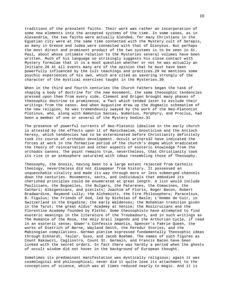traditions of the prevalent faiths. Their work was rather an incorporation of some new elements into the accepted systems of the time. In some cases, as in Alexandria, the two faiths were actually blended, for many Christians in the Egyptian city were at the same time connected with the Mystery cult of Serapis, as many in Greece and Judea were connected with that of Dionysus. But perhaps the most direct and prominent product of the two systems is to be seen in St. Paul, about whose intimate relation to the Mysteries several volumes have been written. Much of his language so strikingly suggests his close contact with Mystery formulae that it is a moot question whether or not he was actually an Initiate.28 At all events many are of the opinion that he must have been powerfully influenced by the cult teachings and practices.29 He mentions some psychic experiences of his own, which are cited as savoring strongly of the character of the mystical exercises taught in the Mysteries.30

When in the third and fourth centuries the Church Fathers began the task of shaping a body of doctrine for the new movement, the same theosophic tendencies pressed upon them from every side. Clement and Origen brought many phases of theosophic doctrine to prominence, a fact which tended later to exclude their writings from the canon. And when Augustine drew up the dogmatic schematism of the new religion, he was tremendously swayed by the work of the Neo-Platonist Plotinus, who, along with Ammonius Saccas, Numenius, Porphyry, and Proclus, had been a member of one or several of the Mystery bodies.31

The presence of powerful currents of Neo-Platonic idealism in the early church is attested by the effects upon it of Manichaeism, Gnosticism and the Antioch heresy, which tendencies had to be exterminated before Christianity definitely took its course of orthodox development. Occult writers32 have indicated the forces at work in the formative period of the church's dogma which eradicated the theory of reincarnation and other aspects of esoteric knowledge from the orthodox canons. The point remains true, nevertheless, that Christianity took its rise in an atmosphere saturated with ideas resembling those of Theosophy.

Theosophy, the Gnosis, having been to a large extant rejected from Catholic theology, nevertheless did not disappear from history. It possessed an unquenchable vitality and made its way through more or less submerged channels down the centuries. Movements, sects, and individuals that embodied its cherished principles could be enumerated at great length. A list would include Paulicians, the Bogomiles, the Bulgars, the Paterenes, the Comacines, the Cathari; Albigensians, and pietists; Joachim of Floris, Roger Bacon, Robert Bradwardine, Raymond Lully; the Alchemists, the Fire Philosophers; Paracelsus, B. Figulus; the Friends of God, led by Nicholas of Basle; L'Homme de Cuir, in Switzerland in the Engadine; the early Waldenses; the Bohemian tradition given in the Tarot; the great Aldus' Academy at Venice; the Rosicrucians and the Florentine Academy founded by Pletho. Some theosophists have attempted to find esoteric meanings in the literature of the Troubadours, and in such writings as The Romance of the Rose, the Holy Grail legends and the Arthurian Cycle, if read in an esoteric sense; Gower's Confessio Amantis, Spencer's Faërie Queen, the works of Dietrich of Berne, Wayland Smith, the Peredur Stories, and the Mabinogian compilations. German pietism expressed fundamentally Theosophic ideas through Eckhardt, Tauler, Suso, and Jacob Boehme. The names of such figures as Count Rakowczi, Cagliostro, Count St. Germain, and Francis Bacon have been linked with the secret orders. In fact there was hardly a period when the ghosts of occult wisdom did not hover in the background of European thought.

Sometimes its predominant manifestation was mystically religious; again it was cosmological and philosophical; never did it quite lose its attachment to the conceptions of science, which was at times reduced nearly to magic. And it is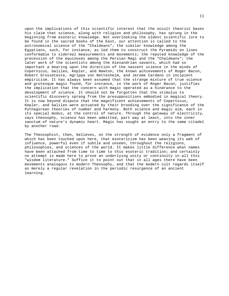upon the implications of this scientific interest that the occult theorist bases his claim that science, along with religion and philosophy, has sprung in the beginning from esoteric knowledge. Not overlooking the oldest scientific lore to be found in the sacred books of the East, our attention is called to the astronomical science of the "Chaldeans"; the similar knowledge among the Egyptians, such, for instance, as led them to construct the Pyramids on lines conformable to sidereal measurements and movements; the reputed knowledge of the precession of the equinoxes among the Persian Magi and the "Chaldeans"; the later work of the scientists among the Alexandrian savants, which had so important a bearing upon the direction of the nascent science in the minds of Copernicus, Galileo, Kepler, and Newton; the known achievements of Roger Bacon, Robert Grosseteste, Agrippa von Nettesheim, and Jerome Cardano in incipient empiricism. It has always been assumed that the strange mixture of true science and grotesque magic found, for instance, in the work of Roger Bacon, justifies the implication that the concern with magic operated as a hindrance to the development of science. It should not be forgotten that the stimulus to scientific discovery sprang from the presuppositions embodied in magical theory. It is now beyond dispute that the magnificent achievements of Copernicus, Kepler, and Galileo were actuated by their brooding over the significance of the Pythagorean theories of number and harmony. Both science and magic aim, each in its special modus, at the control of nature. Through the gateway of electricity, says theosophy, science has been admitted, part way at least, into the inner sanctum of nature's dynamic heart. Magic has sought an entry to the same citadel by another road.

The Theosophist, then, believes, on the strength of evidence only a fragment of which has been touched upon here, that esotericism has been weaving its web of influence, powerful even if subtle and unseen, throughout the religions, philosophies, and sciences of the world. It makes little difference what names have been attached from time to time to this esoteric tradition; and certainly no attempt is made here to prove an underlying unity or continuity in all this "wisdom literature." Suffice it to point out that in all ages there have been movements analogous to modern Theosophy, and that the modern cult regards itself as merely a regular revelation in the periodic resurgence of an ancient learning.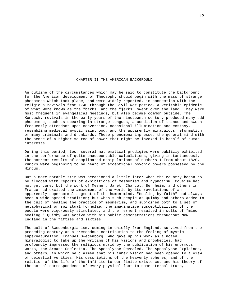## CHAPTER II THE AMERICAN BACKGROUND

An outline of the circumstances which may be said to constitute the background for the American development of Theosophy should begin with the mass of strange phenomena which took place, and were widely reported, in connection with the religious revivals from 1740 through the Civil War period. A veritable epidemic of what were known as the "barks" and the "jerks" swept over the land. They were most frequent in evangelical meetings, but also became common outside. The Kentucky revivals in the early years of the nineteenth century produced many odd phenomena, such as speaking in strange tongues, a condition of trance and swoon frequently attendant upon conversion, occasional illumination and ecstasy, resembling medieval mystic sainthood, and the apparently miraculous reformation of many criminals and drunkards. These phenomena impressed the general mind with the sense of a higher source of power that might be invoked in behalf of human interests.

During this period, too, several mathematical prodigies were publicly exhibited in the performance of quite unaccountable calculations, giving instantaneously the correct results of complicated manipulations of numbers.1 From about 1820, rumors were beginning to be heard of exceptional psychic powers possessed by the Hindus.

But a more notable stir was occasioned a little later when the country began to be flooded with reports of exhibitions of mesmerism and hypnotism. Couéism had not yet come, but the work of Mesmer, Janet, Charcot, Bernheim, and others in France had excited the amazement of the world by its revelations of an apparently supernormal segment of the human mind. "Healing by faith" had always been a wide-spread tradition; but when such people as Quimby and others added to the cult of healing the practice of mesmerism, and subjoined both to a set of metaphysical or spiritual formulae, the imaginative susceptibilities of the people were vigorously stimulated, and the ferment resulted in cults of "mind healing." Quimby was active with his public demonstrations throughout New England in the fifties and sixties.

The cult of Swedenborgianism, coming in chiefly from England, survived from the preceding century as a tremendous contribution to the feeling of mystic supernaturalism. Emanuel Swedenborg, who gave up his work as a noted mineralogist to take up the writing of his visions and prophecies, had profoundly impressed the religious world by the publication of his enormous works, the Arcana Coelestia, The Apocalypse Revealed, The Apocalypse Explained, and others, in which he claimed that his inner vision had been opened to a view of celestial verities. His descriptions of the heavenly spheres, and of the relation of the life of the Infinite to our finite existence, and his theory of the actual correspondence of every physical fact to some eternal truth,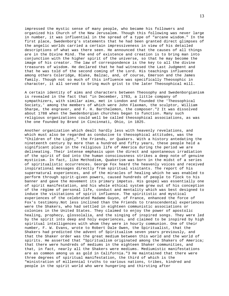impressed the mystic sense of many people, who became his followers and organized his Church of the New Jerusalem. Though this following was never large in number, it was influential in the spread of a type of "arcane wisdom." In the first place, Swedenborg's statements that he had been granted direct glimpses of the angelic worlds carried a certain impressiveness in view of his detailed descriptions of what was there seen. He announced that the causes of all things are in the Divine Mind. The end of existence and creation is to bring man into conjunction with the higher spirit of the universe, so that he may become the image of his creator. The law of correspondence is the key to all the divine treasures of wisdom. He declared that he had witnessed the Last Judgment and that he was told of the second coming of the Lord. His teachings influenced among others Coleridge, Blake, Balzac, and, of course, Emerson and the James family. Though not so much of this influence was specifically Theosophic in character, it all served to bring much grist to the later Theosophical mill.

A certain identity of aims and characters between Theosophy and Swedenborgianism is revealed in the fact that "in December, 1783, a little company of sympathizers, with similar aims, met in London and founded the 'Theosophical Society,' among the members of which were John Flaxman, the sculptor, William Sharpe, the engraver, and F. H. Barthelemon, the composer."2 It was dissolved about 1788 when the Swedenborgian churches began to function. Many such religious organizations could well be called theosophical associations, as was the one founded by Brand in Cincinnati, Ohio, in 1825.

Another organization which dealt hardly less with heavenly revelations, and which must also be regarded as conducive to theosophical attitudes, was the "Children of the Light," the Friends, or Quakers. With a history antedating the nineteenth century by more than a hundred and fifty years, these people held a significant place in the religious life of America during the period we are delineating. Their intense emphasis upon the direct and spontaneous irradiation of the spirit of God into the human consciousness strikes a deep note of genuine mysticism. In fact, like Methodism, Quakerism was born in the midst of a series of spiritualistic occurrences. George Fox heard the heavenly voices and received inspirational messages directly from spiritual visitants. The report of his supernatural experiences, and of the miracles of healing which he was enabled to perform through spirit-given powers, caused hundreds of people to flock to his banner and gave the movement its primary impetus. His gospel was essentially one of spirit manifestation, and his whole ethical system grew out of his conception of the régime of personal life, conduct and mentality which was best designed to induce the visitations of spirit influence. The spiritistic and mystical experiences of the celebrated Madame Guyon, of France, enhanced the force of Fox's testimony.Not less inclined than the Friends to transcendental experiences were the Shakers, who had settled in eighteen communistic associations or colonies in the United States. They claimed to enjoy the power of apostolic healing, prophecy, glossolalia, and the singing of inspired songs. They were led by the spirit into deep and holy experiences, and claimed to be inspired by high spiritual intelligences with whom they were in hourly communion. One of their number, F. W. Evans, wrote to Robert Dale Owen, the Spiritualist, that the Shakers had predicted the advent of Spiritualism seven years previously, and that the Shaker order was the great medium between this world and the world of spirits. He asserted that "Spiritualism originated among the Shakers of America; that there were hundreds of mediums in the eighteen Shaker communities, and that, in fact, nearly all the Shakers were mediums. Mediumistic manifestations are as common among us as gold in California."3 He maintained that there were three degrees of spiritual manifestation, the third of which is the "ministration of millennial truths to various nations, tribes, kindred and people in the spirit world who were hungering and thirsting after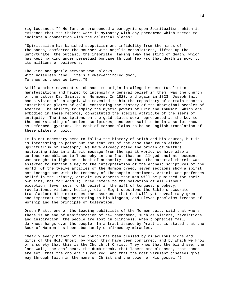righteousness."4 He further pronounced a panegyric upon Spiritualism, which is evidence that the Shakers were in sympathy with any phenomena which seemed to indicate a connection with the celestial planes:

"Spiritualism has banished scepticism and infidelity from the minds of thousands, comforted the mourner with angelic consolations, lifted up the unfortunate, the outcast, the inebriate, taking away the sting of death, which has kept mankind under perpetual bondage through fear-so that death is now, to its millions of believers,

The kind and gentle servant who unlocks, With noiseless hand, life's flower-encircled door, To show us those we loved."5

Still another movement which had its origin in alleged supernaturalistic manifestations and helped to intensify a general belief in them, was the Church of the Latter Day Saints, or Mormons. In 1820, and again in 1823, Joseph Smith had a vision of an angel, who revealed to him the repository of certain records inscribed on plates of gold, containing the history of the aboriginal peoples of America. The ability to employ the mystic powers of Urim and Thummim, which are embodied in these records, constituted the special attribute of the seers of antiquity. The inscriptions on the gold plates were represented as the key to the understanding of ancient scriptures, and were said to be in a script known as Reformed Egyptian. The Book of Mormon claims to be an English translation of these plates of gold.

It is not necessary here to follow the history of Smith and his church, but it is interesting to point out the features of the case that touch either Spiritualism or Theosophy. We have already noted the origin of Smith's motivating idea in a direct message from the spirit world. We have also a curious resemblance to Theosophy in the fact that an alleged ancient document was brought to light as a book of authority, and that the material therein was asserted to furnish a key to the interpretation of the archaic scriptures of the world. Of the twelve articles of the Mormon creed, seven sections show a spirit not incongruous with the tendency of Theosophic sentiment. Article One professes belief in the Trinity; article Two asserts that men will be punished for their own sins, not for Adam's; Three refers to the salvation of all without exception; Seven sets forth belief in the gift of tongues, prophecy, revelations, visions, healing, etc.; Eight questions the Bible's accurate translation; Nine expresses the assurance that God will yet reveal many great and important things pertaining to his kingdom; and Eleven proclaims freedom of worship and the principle of toleration.

Orson Pratt, one of the leading publicists of the Mormon cult, said that where there is an end of manifestation of new phenomena, such as visions, revelations and inspiration, the people are lost in blindness. When prophecies fail, darkness hangs over the people. In a tract issued by Pratt it is stated that the Book of Mormon has been abundantly confirmed by miracles.

"Nearly every branch of the church has been blessed by miraculous signs and gifts of the Holy Ghost, by which they have been confirmed, and by which we know of a surety that this is the Church of Christ. They know that the blind see, the lame walk, the deaf hear, the dumb speak, that lepers are cleansed, that bones are set, that the cholera is rebuked, and that the most virulent diseases give way through faith in the name of Christ and the power of His gospel."6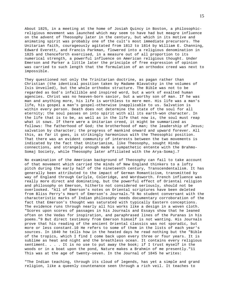About 1825, in a meeting at the home of Josiah Quincy in Boston, a philosophicreligious movement was launched which may seem to have had but meagre influence on the advent of Theosophy later in the century, but which in its motive and animating spirit was probably one of the cult's most immediate precursors. The Unitarian faith, courageously agitated from 1812 to 1814 by William E. Channing, Edward Everett, and Francis Parkman, flowered into a religious denomination in 1825 and thenceforth exercised, in a measure out of all proportion to its numerical strength, a powerful influence on American religious thought. Under Emerson and Parker a little later the principle of free expression of opinion was carried to such length that the formulation of an orthodox creed was next to impossible.

They questioned not only the Trinitarian doctrine, as pagan rather than Christian (the identical position taken by Madame Blavatsky in the volumes of Isis Unveiled), but the whole orthodox structure. The Bible was not to be regarded as God's infallible and inspired word, but a work of exalted human agencies. Christ was no heaven-born savior, but a worthy son of man. If he was man and anything more, his life is worthless to mere men. His life was a man's life, his gospel a man's gospel-otherwise inapplicable to us. Salvation is within every person. Death does not determine the state of the soul for all eternity; the soul passes on into spirit with all its earth-won character. In the life that is to be, as well as in the life that now is, the soul must reap what it sows. If there were a Unitarian creed, it might be summarized as follows: The fatherhood of God; the brotherhood of man; the leadership of Jesus; salvation by character; the progress of mankind onward and upward forever. All this, as far it goes, is strikingly harmonious with the Theosophic position. That there was an evident community of interests between the two movements is indicated by the fact that Unitarianism, like Theosophy, sought Hindu connections, and strangely enough made a sympathetic entente with the Brahmo-Somaj Society, while Theosophy later affiliated with the Arya-Somaj.7

No examination of the American background of Theosophy can fail to take account of that movement which carried the minds of New England thinkers to a lofty pitch during the early half of the nineteenth century, Transcendentalism. It has generally been attributed to the impact of German Romanticism, transmitted by way of England through Carlyle, Coleridge, and Wordsworth. French influence was really more direct and dominating, but the powerful effect of Oriental religion and philosophy on Emerson, hitherto not considered seriously, should not be overlooked. "All of Emerson's notes on Oriental scriptures have been deleted from Bliss Perry's Heart of Emerson's Journals."8 No student conversant with the characteristic marks of Indian philosophy needs documentary corroboration of the fact that Emerson's thought was saturated with typically Eastern conceptions. The evidence runs through nearly all his works like a design in a woven cloth. "Scores upon scores of passages in his Journals and Essays show that he leaned often on the Vedas for inspiration, and paraphrased lines of the Puranas in his poems."9 But direct testimony from Emerson himself is not wanting. His Journals prove that his reading of the ancient Oriental classics was not sporadic, but more or less constant.10 He refers to some of them in the lists of each year's sources. In 1840 he tells how in the heated days he read nothing but the "Bible of the tropics, which I find I come back upon every three or four years. It is sublime as heat and night and the breathless ocean. It contains every religious sentiment. . . . It is no use to put away the book; if I trust myself in the woods or in a boat upon the pond, Nature makes a Brahmin of me presently."11 This was at the age of twenty-seven. In the Journal of 1845 he writes:

"The Indian teaching, through its cloud of legends, has yet a simple and grand religion, like a queenly countenance seen through a rich veil. It teaches to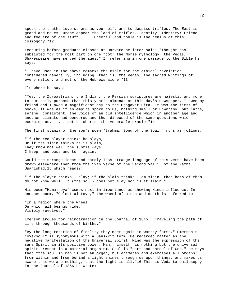speak the truth, love others as yourself, and to despise trifles. The East is grand-and makes Europe appear the land of trifles. Identity! Identity! Friend and foe are of one stuff . . . Cheerful and noble is the genius of this cosmogony."12

Lecturing before graduate classes at Harvard he later said: "Thought has subsisted for the most part on one root; the Norse mythology, the Vedas, Shakespeare have served the ages." In referring in one passage to the Bible he says:

"I have used in the above remarks the Bible for the ethical revelation considered generally, including, that is, the Vedas, the sacred writings of every nation, and not of the Hebrews alone."13

Elsewhere he says:

"Yes, the Zoroastrian, the Indian, the Persian scriptures are majestic and more to our daily purpose than this year's almanac or this day's newspaper. I owed-my friend and I owed-a magnificent day to the Bhagavat-Gita. It was the first of books; it was as if an empire spoke to us, nothing small or unworthy, but large, serene, consistent, the voice of an old intelligence which in another age and another climate had pondered and thus disposed of the same questions which exercise us. . . . Let us cherish the venerable oracle."14

The first stanza of Emerson's poem "Brahma, Song of the Soul," runs as follows:

"If the red slayer thinks he slays, Or if the slain thinks he is slain, They know not well the subtle ways I keep, and pass and turn again."

Could the strange ideas and hardly less strange language of this verse have been drawn elsewhere than from the 19th verse of the Second Valli, of the Katha Upanishad,15 which reads?:

"If the slayer thinks I slay; if the slain thinks I am slain, then both of them do not know well. It (the soul) does not slay nor is it slain."

His poem "Hamatreya" comes next in importance as showing Hindu influence. In another poem, "Celestial Love," the wheel of birth and death is referred to:

"In a region where the wheel On which all beings ride, Visibly revolves."

Emerson argues for reincarnation in the Journal of 1845. "Traveling the path of life through thousands of births."

"By the long rotation of fidelity they meet again in worthy forms." Emerson's "oversoul" is synonymous with a Sanskrit term. He regarded matter as the negative manifestation of the Universal Spirit. Mind was the expression of the same Spirit in its positive power. Man, himself, is nothing but the universal spirit present in a material organism. Soul is "part and parcel of God." He says that "the soul in man is not an organ, but animates and exercises all organs; from within and from behind a light shines through us upon things, and makes us aware that we are nothing, that the light is all."16 This is Vedanta philosophy. In the Journal of 1866 he wrote: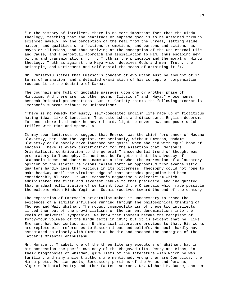"In the history of intellect, there is no more important fact than the Hindu theology, teaching that the beatitude or supreme good is to be attained through science: namely, by the perception of the real from the unreal, setting aside matter, and qualities or affections or emotions, and persons and actions, as mayas or illusions, and thus arriving at the conception of the One eternal Life and Cause, and a perpetual approach and assimilation to Him, thus escaping new births and transmigrations. . . . Truth is the principle and the moral of Hindu theology, Truth as against the Maya which deceives Gods and men; Truth, the principle, and Retirement and Self-denial the means of attaining it."17

Mr. Christy18 states that Emerson's concept of evolution must be thought of in terms of emanation; and a detailed examination of his concept of compensation reduces it to the doctrine of Karma.

The Journals are full of quotable passages upon one or another phase of Hinduism. And there are his other poems "Illusions" and "Maya," whose names bespeak Oriental presentations. But Mr. Christy thinks the following excerpt is Emerson's supreme tribute to Orientalism:

"There is no remedy for musty, self-conceited English life made up of fictitious hating ideas-like Orientalism. That astonishes and disconcerts English decorum. For once there is thunder he never heard, light he never saw, and power which trifles with time and space."19

It may seem ludicrous to suggest that Emerson was the chief forerunner of Madame Blavatsky, her John the Baptist. Yet seriously, without Emerson, Madame Blavatsky could hardly have launched her gospel when she did with equal hope of success. There is every justification for the assertion that Emerson's Orientalistic contribution to the general Transcendental trend of thought was preparatory to Theosophy. It must not be forgotten that his advocacy of Brahmanic ideas and doctrines came at a time when the expression of a laudatory opinion of the Asiatic religions called forth an opprobrium from evangelistic quarters hardly less than vicious in its bitterness. Theosophy could not hope to make headway until the virulent edge of that orthodox prejudice had been considerably blunted. It was Emerson's magnanimous eclecticism which administered the first and severest rebuke to that prejudice, and inaugurated that gradual mollification of sentiment toward the Orientals which made possible the welcome which Hindu Yogis and Swamis received toward the end of the century.

The exposition of Emerson's orientalism makes it unnecessary to trace the evidences of a similar influence running through the philosophical thinking of Thoreau and Walt Whitman. The robust cosmopolitanism of these two intellects lifted them out of the provincialisms of the current denominations into the realm of universal sympathies. We know that Thoreau became the recipient of forty-four volumes of the Hindu texts in 1854; but it is evident that he, like Emerson, had had contact with Brahmanical literature previous to that. His works are replete with references to Eastern ideas and beliefs. He could hardly have associated so closely with Emerson as he did and escaped the contagion of the latter's Oriental enthusiasm.

Mr. Horace L. Traubel, one of the three literary executors of Whitman, had in his possession the poet's own copy of the Bhagavad Gita. Perry and Binns, in their biographies of Whitman, give lists of the literature with which he was familiar; and many ancient authors are mentioned. Among them are Confucius, the Hindu poets, Persian poets, Zoroaster; portions of the Vedas and Puranas, Alger's Oriental Poetry and other Eastern sources. Dr. Richard M. Bucke, another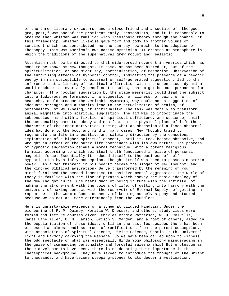of the three literary executors, and a close friend and associate of "the good gray poet," was one of the prominent early Theosophists, and it is reasonable to presume that Whitman was familiar with Theosophic theory through the channel of this friendship. Whitman likewise gave form and body to another volume of sentiment which has contributed, no one can say how much, to the adoption of Theosophy. This was America's own native mysticism. It created an atmosphere in which the traditions of the supernatural grew robust and realistic.

Attention must now be directed to that wide-spread movement in America which has come to be known as New Thought. It came, as has been hinted at, out of the spiritualization, or one might say, doctrinization, of mesmerism. Observation of the surprising effects of hypnotic control, indicating the presence of a psychic energy in man susceptible to external or self-generated suggestion, led to the inference that a linking of spiritual affirmation with the unconscious dynamism would conduce to invariably beneficent results, that might be made permanent for character. If a jocular suggestion by the stage mesmerist could lead the subject into a ludicrous performance; if a suggestion of illness, of pain, of a headache, could produce the veritable symptoms; why could not a suggestion of adequate strength and authority lead to the actualization of health, of personality, of well-being, of spirituality? The task was merely to transform animal magnetism into spiritual suggestion. The aim was to indoctrinate the subconscious mind with a fixation of spiritual sufficiency and opulence, until the personality came to embody and manifest on the physical plane of life the character of the inner motivation. Seeing what an obsession of a fixed abnormal idea had done to the body and mind in many cases, New Thought tried to regenerate the life in a positive and salutary direction by the conscious implantation of a higher spiritual concept, until it, too, became obsessive, and wrought an effect on the outer life coördinate with its own nature. The process of hypnotic suggestion became a moral technique, with a potent religious formula, according to which spiritual truth functioned in place of personal magnetic force. Essentially it reduced itself to the business of selfhypnotization by a lofty conception. Thought itself was seen to possess mesmeric power. "As a man thinketh in his heart" became the slogan of New Thought, and the kindred Biblical adjuration-"Be ye transformed by the renewing of your mind"-furnished the needed incentive to positive mental aggression. The world of today is familiar with the line of phrases which convey the basic ideology of the New Thought cults. One hears much of being in tune with the Infinite, of making the at-one-ment with the powers of life, of getting into harmony with the universe, of making contact with the reservoir of Eternal Supply, of getting en rapport with the Cosmic Consciousness, of keeping ourselves puny and stunted because we do not ask more determinedly from the Boundless.

Here is unmistakable evidence of a somewhat diluted Hinduism. Under the pioneering of P. P. Quimby, Horatio W. Dresser, and others, study clubs were formed and lecture courses given. Charles Brodie Patterson, W. J. Colville, James Lane Allen, C. D. Larson, Orison S. Marden, and a host of others, aided in the popularization of these ideas, until in the past few decades there has been witnessed an almost endless brood of ramifications from the parent conception, with associations of Spiritual Science, Divine Science, Cosmic Truth, Universal Light and Harmony carrying the message. So we have been called upon to witness the odd spectacle of what was essentially Hindu Yoga philosophy masquerading in the guise of commanding personality and forceful salesmanship! But grotesque as these developments have been, there is no doubting their importance in the Theosophical background. They have served to introduce the thought of the Orient to thousands, and have become stepping-stones to its deeper investigation.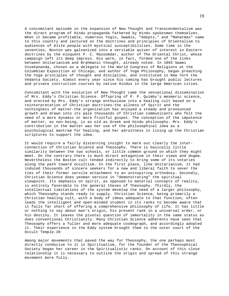A concomitant episode in the expansion of New Thought and Transcendentalism was the direct program of Hindu propaganda fathered by Hindu spokesmen themselves. When it became profitable, numerous Yogis, Swamis, "Adepts," and "Mahatmas" came to this country and lectured on the doctrines and principles of Orientalism to audiences of élite people with mystical susceptibilities. Some time in the seventies, Boston was galvanized into a veritable quiver of interest in Eastern doctrines by the eloquent P. C. Mazoomdar, author of The Oriental Christ, whose campaign left its deep impress. His work, in fact, formed one of the links between Unitarianism and Brahmanic thought, already noted. In 1893 Swami Vivekananda, chosen as a delegate to the World Congress of Religions at the Columbian Exposition at Chicago, and author of Yoga Philosophy, began preaching the Yoga principles of thought and discipline, and instituted in New York the Vedanta Society. Almost every year since his coming has brought public lectures and private instruction courses by native Hindus in the large American cities.

Concomitant with the evolution of New Thought came the sensational dissemination of Mrs. Eddy's Christian Science. Offspring of P. P. Quimby's mesmeric science, and erected by Mrs. Eddy's strange enthusiasm into a healing cult based on a reinterpretation of Christian doctrines-the allness of Spirit and the nothingness of matter-the organization has enjoyed a steady and pronounced growth and drawn into its pale thousands of Christian communicants who felt the need of a more dynamic or more fruitful gospel. The conception of the impotence of matter, as non-being, is as old as Greek and Hindu philosophy. Mrs. Eddy's contribution in the matter was her use of the philosophical idea as a psychological mantram for healing, and her adroitness in lining up the Christian scriptures to support the idea.

It would require a fairly discerning insight to mark out clearly the interconnection of Christian Science and Theosophy. There is basically little similarity between the two schools, or little common ground on which they might meet. On the contrary there is much direct antagonism in their views and dogma. Nevertheless the Boston cult tended indirectly to bring some of its votaries along the path toward occultism. In the first place, like Unitarianism, it had induced thousands of sincere seekers for a new and liberal faith to sever the ties of their former servile attachment to an uninspiring orthodoxy. Secondly, Christian Science does yeoman service in "demonstrating" the spiritual viewpoint. Its emphasis on spirit, as opposed to material concepts of reality, is entirely favorable to the general theses of Theosophy. Thirdly, the intellectual limitations of the system develop the need of a larger philosophy, which Theosophy stands ready to supply. Christian Science, being primarily a Christian healing cult, with a body of ideas adequate to that function, often leads the intelligent and open-minded student in its ranks to become aware that it falls far short of offering a comprehensive philosophy of life. It has little or nothing to say about man's origin, his present rank in a universal order, or his destiny. It leaves the pivotal question of immortality in the same status as does conventional Christianity. Many Christian Science adherents have seen that Theosophy offers a fuller and more adequate cosmograph, and accordingly adopted it. Their experience in the Eddy system brought them to the outer court of the Occult Temple.20

Among major movements that paved the way for Theosophy, the one perhaps most directly conducive to it is Spiritualism, for the founder of the Theosophical Society began her career in the Spiritualistic ranks. On account of this close relationship it is necessary to outline the origin and spread of this strange movement more fully.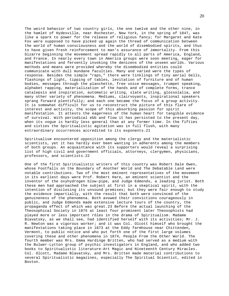The weird behavior of two country girls, the one twelve and the other nine, in the hamlet of Hydesville, near Rochester, New York, in the spring of 1847, was like a spark to power for the release of religious fancy; for Margaret and Kate Fox were supposed to have picked up again the thread of communication between the world of human consciousness and the world of disembodied spirits, and thus to have given fresh reinforcement to man's assurance of immortality. From this bizarre beginning the movement spread rapidly to all parts of America, England, and France. In nearly every town in America groups were soon meeting, eager for manifestations and fervently invoking the denizens of the unseen worlds. Various methods and means were provided whereby the disembodied entities could communicate with dull mundane faculties. Many and varied were the types of response. Besides the simple "raps," there were tinklings of tiny aerial bells, flashings of light, tipping of tables, levitation of furniture and of human bodies, messages through the planchette, free voice messages, trumpet speaking, alphabet rapping, materialization of the hands and of complete forms, trance catalepsis and inspiration, automatic writing, slate writing, glossolalia, and many other variety of phenomena. Mediums, clairvoyants, inspirational speakers sprang forward plentifully; and each one became the focus of a group activity. It is somewhat difficult for us to reconstruct the picture of this flare of interest and activity, the scope of this absorbing passion for spirit manifestation. It attests the eagerness of the human heart for tangible evidence of survival. With periodical ebb and flow it has persisted to the present day, when its vogue is hardly less general than at any former time. In the fifties and sixties the Spiritualistic agitation was in full flush, with many extraordinary occurrences accredited to its exponents.21

Spiritualism encountered opposition among the clergy and the materialistic scientists, yet it has hardly ever been wanting in adherents among the members of both groups. An acquaintance with its supporters would reveal a surprising list of high civil and government officials, attorneys, clergymen, physicians, professors, and scientists.22

One of the first Spiritualistic writers of this country was Robert Dale Owen, whose Footfalls on the Boundary of Another World and The Debatable Land were notable contributions. Two of the most eminent representatives of the movement in its earliest days were Prof. Robert Hare, an eminent scientist and the inventor of the oxyhydrogen blow-pipe, and Judge Edmonds, a leading jurist. Both these men had approached the subject at first in a skeptical spirit, with the intention of disclosing its unsound premises; but they were fair enough to study the evidence impartially, with the result that both were convinced of the genuineness of the phenomena. Both avowed their convictions courageously in public, and Judge Edmonds made extensive lecture tours of the country, the propaganda effect of which was great.23 Before the actual launching of the Theosophical Society in 1875 at least four prominent later Theosophists had played more or less important rôles in the drama of Spiritualism. Madame Blavatsky, as we shall see, had identified herself with its activities; Mr. J. R. Newton was a vigorous worker; and it was Col. Olcott himself who brought the manifestations taking place in 1873 at the Eddy farmhouse near Chittenden, Vermont, to public notice and who put forth one of the first large volumes covering these and other phenomena in 1874, People From the Other World. The fourth member was Mrs. Emma Hardinge Britten, who had served as a medium with the Bulwer-Lytton group of psychic investigators in England, and who added two books to Spiritualistic literature-Art Magic and Nineteenth Century Miracles. Col. Olcott, Madame Blavatsky, and Mrs. Britten made material contributions to several Spiritualistic magazines, especially The Spiritual Scientist, edited in Boston.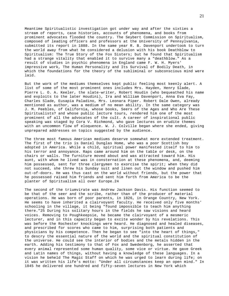Meantime Spiritualistic investigation got under way and after the sixties a stream of reports, case histories, accounts of phenomena, and books from prominent advocates flooded the country. The Seybert Commission on Spiritualism, composed of leading officers and professors at the University of Pennsylvania, submitted its report in 1888. In the same year R. B. Davenport undertook to turn the world away from what he considered a delusion with his book Deathblow to Spiritualism: The True Story of the Fox Sisters; but he found that Spiritualism had a strange vitality that enabled it to survive many a "deathblow." As a result of studies in psychic phenomena in England came F. W. H. Myers' impressive work, The Human Personality and Its Survival of Bodily Death, in which the foundations for the theory of the subliminal or subconscious mind were laid.

But the work of the mediums themselves kept public feeling most keenly alert. A list of some of the most prominent ones includes Mrs. Hayden, Henry Slade, Pierre L. O. A. Keeler, the slate-writer, Robert Houdin (who bequeathed his name and exploits to the later Houdini), Ira and William Davenport, Anna Eva Fay, Charles Slade, Eusapia Paladino, Mrs. Leonara Piper. Robert Dale Owen, already mentioned as author, was a medium of no mean ability. In the same category was J. M. Peebles, of California, whose books, Seers of the Ages and Who Are These Spiritualists? and whose public lecture tours, rendered him one of the most prominent of all the advocates of the cult. A career of inspirational public speaking was staged by Cora V. Richmond, who gave lectures on erudite themes with an uncommon flow of eloquence. W. J. Colville began where she ended, giving unprepared addresses on topics suggested by the audience.

The three most famous American mediums deserve somewhat more extended treatment. The first of the trio is Daniel Dunglas Home, who was a poor Scottish boy adopted in America. While a child, spiritual power manifested itself to him to his terror and annoyance. Raps came around him on the table or desk, on the chairs or walls. The furniture moved about and was attracted toward him. His aunt, with whom he lived was in consternation at these phenomena, and, deeming him possessed, sent for three clergymen to exorcise the spirit; when they did not succeed, she threw his Sunday suit and linen out the window and pushed him out-of-doors. He was thus cast on the world without friends, but the power that he possessed raised him friends and sent him forth from America to be the planter of Spiritualism all over Europe.24

The second of the triumvirate was Andrew Jackson Davis. His function seemed to be that of the seer and the scribe, rather than of the producer of material operations. He was born of poor parents, in 1826, in Orange Country, New York. He seems to have inherited a clairvoyant faculty. He received only five months' schooling in the village, it being "found impossible to teach him anything there."25 During his solitary hours in the fields he saw visions and heard voices. Removing to Poughkeepsie, he became the clairvoyant of a mesmeric lecturer, and in this capacity began to excite wonder by his revelations. This was before the Rochester knockings were heard. He diagnosed and healed diseases, and prescribed for scores who came to him, surprising both patients and physicians by his competence. Then he began to see "into the heart of things," to descry the essential nature of the world and the spiritual constitution of the universe. He could see the interior of bodies and the metals hidden in the earth. Adding his testimony to that of Fox and Swedenborg, he asserted that every animal represented some human quality, some vice or virtue. He gave Greek and Latin names of things, without having a knowledge of these languages. In a vision he beheld The Magic Staff on which he was urged to learn during life; on it was written his life's motto: "Under all circumstances keep an open mind." In 1845 he delivered one hundred and fifty-seven lectures in New York which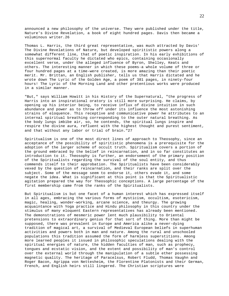announced a new philosophy of the universe. They were published under the title, Nature's Divine Revelation, a book of eight hundred pages. Davis then became a voluminous writer.26

Thomas L. Harris, the third great representative, was much attracted by Davis' The Divine Revelations of Nature, but developed spiritistic powers along a somewhat different line, that of poetic inspiration. In his early exhibitions of this supernormal faculty he dictated who epics, containing occasionally excellent verse, under the alleged influence of Byron, Shelley, Keats and others. The interesting manner in which these poems-a whole volume of three or four hundred pages at a time-were created, is more amazing than their poetic merit. Mr. Brittan, an English publisher, tells us that Harris dictated and he wrote down The Lyric of the Golden Age, a poem of 381 pages, in ninety-four hours! The Lyric of the Morning Land and other pretentious works were produced in a similar manner.

"But," says William Howitt in his History of the Supernatural, "the progress of Harris into an inspirational oratory is still more surprising. He claims, by opening up his interior being, to receive influx of divine intuition in such abundance and power as to throw off under its influence the most astonishing strains of eloquence. This receptive and communicative power he attributes to an internal spiritual breathing corresponding to the outer natural breathing. As the body lungs imbibe air, so, he contends, the spiritual lungs inspire and respire the divine aura, refluent with the highest thought and purest sentiment, and that without any labor or trial of brain."27

Spiritualism is one of the most direct lines of approach to Theosophy, since an acceptance of the possibility of spiritistic phenomena is a prerequisite for the adoption of the larger scheme of occult truth. Spiritualism covers a portion of the ground embraced by the belief in reincarnation, and in so far constitutes an introduction to it. Theosophy is further, an endorsement of the primary position of the Spiritualists regarding the survival of the soul entity, and thus commends itself to their approbation. The Spiritualists have been considerably vexed by the question of reincarnation, and their ranks are split over the subject. Some of the message seem to endorse it, others evade it, and some negate the idea. What is significant at this point is that the Spiritualistic agitation prepared the way for Theosophic conceptions. A large percentage of the first membership came from the ranks of the Spiritualists.

But Spiritualism is but one facet of a human interest which has expressed itself in all ages, embracing the various forms of mysticism, occultism, esotericism, magic, healing, wonder-working, arcane science, and theurgy. The growing acquaintance with Yoga practice and Hindu philosophy in this country under the stimulus of many eloquent Eastern representatives has already been mentioned. The demonstrations of mesmeric power lent much plausibility to Oriental pretensions to extraordinary genius for that sort of thing. More than might be supposed, there was prevalent in Europe and America alike a never-dying tradition of magical art, a survival of Medieval European beliefs in superhuman activities and powers both in man and nature. Among the rural and unschooled populations this tradition assumed the form of harmless superstitions. Among more learned peoples it issued in philosophic speculations dealing with the spiritual energies of nature, the hidden faculties of man, such as prophecy, tongues and ecstatic vision, and the extent and possibility of man's control over the external world through the manipulation of a subtle ether possessing magnetic quality. The heritage of Paracelsus, Robert Fludd, Thomas Vaughn and Roger Bacon, Agrippa von Nettesheim, the Florentine Platonists and their German, French, and English heirs still lingered. The Christian scriptures were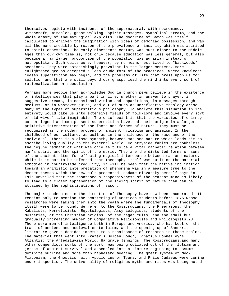themselves replete with incidents of the supernatural, with necromancy, witchcraft, miracles, ghost-walking, spirit messages, symbolical dreams, and the whole armory of thaumaturgical exploits. The doctrine of Satan was itself calculated to enliven the imagination with ideas of demoniac possession, and was all the more credible by reason of the prevalence of insanity which was ascribed to spirit obsession. The early nineteenth century was must closer to the Middle Ages than our own time is, not only because education was less general, but also because a far larger proportion of the population was agrarian instead of metropolitan. Such cults were, however, by no means restricted to "backwoods" sections. They were astonishingly prevalent in the larger centers. More enlightened groups accepted a less crude form of the practices. Where knowledge ceases superstition may begin; and the problems of life that press upon us for solution and that are still beyond our grasp, lead the mind into every sort of rationalization or speculation.

Perhaps more people than acknowledge God in church pews believe in the existence of intelligences that play a part in life, whether in answer to prayer, in suggestive dreams, in occasional vision and apparitions, in messages through mediums, or in whatever guise; and out of such an unreflective theology arise many of the types of superstitious philosophy. To analyze this situation in its entirety would take us into extensive fields of folk-lore and involve every sort of old wives' tale imaginable. The chief point is that the varieties of chimneycorner legend and omnipresent superstition have had their origin in a larger primitive interpretation of the facts and forces of nature. They must be recognized as the modern progeny of ancient hylozoism and animism. In the childhood of our culture, as well as in the childhood of the race and of the individual, there is a close sympathy between man and nature which leads him to ascribe living quality to the external world. Countryside fables are doubtless the jejune remnant of what was once felt to be a vital magnetic relation between man's spirit and the spirit of the world. They are the distorted forms of some of the ancient rites for effecting magical intercourse between man and nature. While it is not to be inferred that Theosophy itself was built on the material embodied in countryside credulity, it will be seen that the native inclination toward an animistic interpretation of phenomena was in a measure true to the deeper theses which the new cult presented. Madame Blavatsky herself says in Isis Unveiled that the spontaneous responsiveness of the peasant mind is likely to lead to a closer apprehension of the living spirit of Nature than can be attained by the sophistications of reason.

The major tendencies in the direction of Theosophy have now been enumerated. It remains only to mention the scattering of American students before 1875 whose researches were taking them into the realm where the fundamentals of Theosophy itself were to be found. We refer to the Rosicrucians, the Freemasons, the Kabalists, Hermeticists, Egyptologists, Assyriologists, students of the Mysteries, of the Christian origins, of the pagan cults, and the small but gradually increasing number of Comparative Religionists and Philologists.28 There were men of intelligence both in Europe and America, who had kept on the track of ancient and medieval esotericism, and the opening up of Sanskrit literature gave a decided impetus to a renaissance of research in those realms. The material that went into Frazer's Golden Bough, Ignatius Donnelley's Atlantis: the Antediluvian World, Hargrave Jennings' The Rosicrucians,and many other compendious works of the sort, was being collated out of the flotsam and jetsam of ancient survival and assembled into a picture beginning to assume definite outline and more than haphazard meaning. The great system of Neo-Platonism, the Gnostics, with Apollonius of Tyana, and Philo Judaeus were coming under inspection. The universality of religious myths and rites was being noted.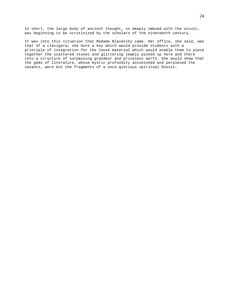In short, the large body of ancient thought, so deeply imbued with the occult, was beginning to be scrutinized by the scholars of the nineteenth century.

It was into this situation that Madame Blavatsky came. Her office, she said, was that of a clavigera; she bore a key which would provide students with a principle of integration for the loose material which would enable them to piece together the scattered stones and glittering jewels picked up here and there into a structure of surpassing grandeur and priceless worth. She would show that the gems of literature, whose mystic profundity astonished and perplexed the savants, were but the fragments of a once-glorious spiritual Gnosis.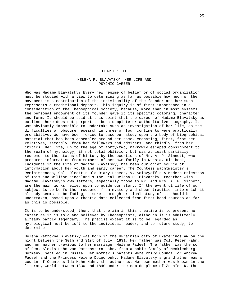#### CHAPTER III

## HELENA P. BLAVATSKY: HER LIFE AND PSYCHIC CAREER

Who was Madame Blavatsky? Every new régime of belief or of social organization must be studied with a view to determining as far as possible how much of the movement is a contribution of the individuality of the founder and how much represents a traditional deposit. This inquiry is of first importance in a consideration of the Theosophical Society, because, more than in most systems, the personal endowment of its founder gave it its specific coloring, character and form. It should be said at this point that the career of Madame Blavatsky as outlined here does not purport to be a complete or authoritative biography. It was obviously impossible to undertake such an investigation of her life, as the difficulties of obscure research in three or four continents were practically prohibitive. We have been forced to base our study upon the body of biographical material that has been assembled around her name, emanating, first, from her relatives, secondly, from her followers and admirers, and thirdly, from her critics. Her life, up to the age of forty-two, narrowly escaped consignment to the realm of mythology, if not total oblivion, but was at least partially redeemed to the status of history by the exertions of Mr. A. P. Sinnett, who procured information from members of her own family in Russia. His book, Incidents in the Life of Madame Blavatsky, has been our chief source of information about her youth and early career. The Countess Wachtmeister's Reminiscences, Col. Olcott's Old Diary Leaves, V. Solovyoff's A Modern Priestess of Isis and William Kingsland's The Real Helena P. Blavatsky, together with Madame Blavatsky's own letters, especially those to Mr. And Mrs. A. P. Sinnett, are the main works relied upon to guide our story. If the eventful life of our subject is to be further redeemed from mystery and sheer tradition into which it already seems to be fading, a more thorough critical study of it should be undertaken, based upon authentic data collected from first-hand sources as far as this is possible.

It is to be understood, then, that the aim in this treatise is to present her career as it is told and believed by Theosophists, although it is admittedly already partly legendary. The precise extent it is to be regarded as mythological must be left to the individual reader, and to future study, to determine.

Helena Petrovna Blavatsky was born in the Ukrainian city of Ekaterinoslaw on the night between the 30th and 31st of July, 1831. Her father was Col. Peter Hahn, and her mother previous to her marriage, Helene Fadeef. The father was the son of Gen. Alexis Hahn von Rottenstern Hahn, from a noble family of Mecklenberg, Germany, settled in Russia. Her mother's parents were Privy Councillor Andrew Fadeef and the Princess Helene Dolgorouky. Madame Blavatsky's grandfather was a cousin of Countess Ida Hahn-Hahn, the authoress. Her own mother was known in the literary world between 1830 and 1840 under the nom de plume of Zenaïda R.-the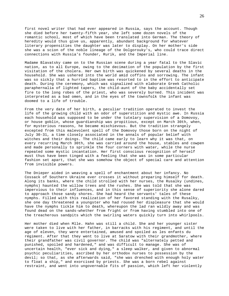first novel writer that had ever appeared in Russia, says the account. Though she died before her twenty-fifth year, she left some dozen novels of the romantic school, most of which have been translated into German. The theory of heredity would thus give us, apparently, abundant background for whatever literary propensities the daughter was later to display. On her mother's side she was a scion of the noble lineage of the Dolgorouky's, who could trace direct connections with Russia's founder, Rurik, and the Imperial line.

Madame Blavatsky came on to the Russian scene during a year fatal to the Slavic nation, as to all Europe, owing to the decimation of the population by the first visitation of the cholera. Her own birth was quickened by several deaths in the household. She was ushered into the world amid coffins and sorrowing. The infant was so sickly that a hurried baptism was resorted to in the effort to anticipate death. During the ceremony, which was signalized with elaborate Greek Catholic paraphernalia of lighted tapers, the child-aunt of the baby accidentally set fire to the long robes of the priest, who was severely burned. This incident was interpreted as a bad omen, and in the eyes of the townsfolk the infant was doomed to a life of trouble.

From the very date of her birth, a peculiar tradition operated to invest the life of the growing child with an odor of superstition and mystic awe. In Russia each household was supposed to be under the tutelary supervision of a Domovoy, or house goblin, whose guardianship was propitious, except on March 30th, when, for mysterious reasons, he became mischievous. But the tradition strangely excepted from this malevolent spell of the Domovoy those born on the night of July 30-31, a time closely associated in the annals of popular belief with witches and their doings. The child came early to learn why it was that, on every recurring March 30th, she was carried around the house, stables and cowpen and made personally to sprinkle the four corners with water, while the nurse repeated some mystic incantation. Her first conscious recognition of herself must thus have been tinged with a feeling that she was in some particular fashion set apart, that she was somehow the object of special care and attention from invisible powers.

The Dnieper aided in weaving a spell of enchantment about her infancy. No Cossack of Southern Ukraine ever crosses it without preparing himself for death. Along its banks, where the child strolled with her nurses, the Rusalky (undines, nymphs) haunted the willow trees and the rushes. She was told that she was impervious to their influences, and in this sense of superiority she alone dared to approach those sandy shores. She had heard the servants' tales of these nymphs. Filled with this realization of her favored standing with the Rusalky, she one day threatened a youngster who had roused her displeasure that she would have the nymphs tickle him to death, whereupon the lad ran wildly away and was found dead on the sands-whether from fright or from having stumbled into one of the treacherous sandpits which the swirling waters quickly turn into whirlpools.

Her mother died when Mlle. Hahn was still a child. She and her younger sister were taken to live with her father, in barracks with his regiment, and until the age of eleven, they were entertained, amused and spoiled as les enfants du régiment. After that they went to live at Saratow with their grandmother, where their grandfather was civil governor. The child was "alternately petted and punished, spoiled and hardened," and was difficult to manage. She was of uncertain health, "ever sick and dying," a sleep walker, and given to abnormal psychic peculiarities, ascribed by her orthodox nurses to possession by the devil; so that, as she afterwards said, "she was drenched with enough holy water to float a ship," and exorcised by priests. She was a born rebel against restraint, and went into ungovernable fits of passion, which left her violently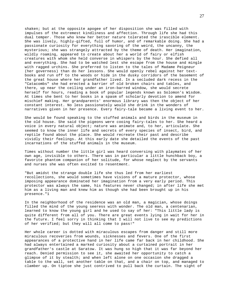shaken; but at the opposite apogee of her disposition she was filled with impulses of the extremest kindliness and affection. Through life she had this dual temper. Those who knew her better nature tolerated the irascible element. She was lively, highly-gifted, full of humor, and of remarkable doing. She had a passionate curiosity for everything savoring of the weird, the uncanny, the mysterious; she was strangely attracted by the theme of death. Her imagination, wildly roaming, appeared to create about her a world of fairy or elfish creatures with whom she held converse in whispers by the hour. She defied all and everything. She had to be watched lest she escape from the house and mingle with ragged urchins. She preferred to listen to the tales of Madame Peigneur (her governess) than do her lessons. She would openly rebel against her textbooks and run off to the woods or hide in the dusky corridors of the basement of the great house where her grandfather lived. In a secluded dark recess in the "Catacombs" she had erected a barrier of old broken chairs and tables, and there, up near the ceiling under an iron-barred window, she would secrete herself for hours, reading a book of popular legends known as Solomon's Wisdom. At times she bent to her books in a spasm of scholarly devotion to amend for mischief making. Her grandparents' enormous library was then the object of her constant interest. No less passionately would she drink in the wonders of narratives given in her presence. Every fairy-tale became a living event to her.

She would be found speaking to the stuffed animals and birds in the museum in the old house. She said the pigeons were cooing fairy-tales to her. She heard a voice in every natural object; nature was animate and, to her, articulate. She seemed to know the inner life and secrets of every species of insect, bird, and reptile found about the place. She would recreate their past and describe vividly their feelings. At this early date she detailed the events of the past incarnations of the stuffed animals in the museum.

Times without number the little girl was heard conversing with playmates of her own age, invisible to others. There was in particular a little hunchback boy, a favorite phantom companion of her solitude, for whose neglect by the servants and nurses she was often excited to resentment.

"But amidst the strange double life she thus led from her earliest recollections, she would sometimes have visions of a mature protector, whose imposing appearance dominated her imagination from a very early period. This protector was always the same, his features never changed; in after life she met him as a living man and knew him as though she had been brought up in his presence."1

In the neighborhood of the residence was an old man, a magician, whose doings filled the mind of the young seeress with wonder. The old man, a centenarian, learned to know the young girl and he used to say of her: "This little lady is quite different from all of you. There are great events lying in wait for her in the future. I feel sorry in thinking that I will not live to see my predictions of her verified; but they will all come to pass!"

Her whole career is dotted with miraculous escapes from danger and still more miraculous recoveries from wounds, sicknesses and fevers. One of the first appearances of a protective hand in her life came far back in her childhood. She had always entertained a marked curiosity about a curtained portrait in her grandfather's castle at Saratow. It was hung so high that it was far beyond her reach. Denied permission to see it, she awaited her opportunity to catch a glimpse of it by stealth; and when left alone on one occasion she dragged a table to the wall, set another table on that, and a chair on top, and managed to clamber up. On tiptoe she just contrived to pull back the curtain. The sight of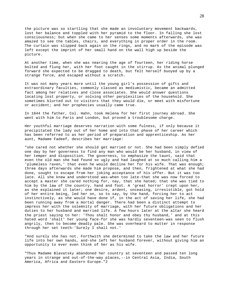the picture was so startling that she made an involuntary movement backwards, lost her balance and toppled with her pyramid to the floor. In falling she lost consciousness; but when she came to her senses some moments afterwards, she was amazed to see the tables, chairs, and everything in proper order in the room. The curtain was slipped back again on the rings, and no mark of the episode was left except the imprint of her small hand on the wall high up beside the picture.

At another time, when she was nearing the age of fourteen, her riding horse bolted and flung her, with her foot caught in the stirrup. As the animal plunged forward she expected to be dragged to death, but felt herself buoyed up by a strange force, and escaped without a scratch.

It was not many years more until the young girl's possession of gifts and extraordinary faculties, commonly classed as mediumistic, became an admitted fact among her relatives and close associates. She would answer questions locating lost property, or solving other perplexities of the household. She sometimes blurted out to visitors that they would die, or meet with misfortune or accident; and her prophecies usually came true.

In 1844 the father, Col. Hahn, took Helena for her first journey abroad. She went with him to Paris and London, but proved a troublesome charge.

Her youthful marriage deserves narration with some fulness, if only because it precipitated the lady out of her home and into that phase of her career which has been referred to as her period of preparation and apprenticeship. As her aunt, Madame Fadeef, describes her marriage:

"she cared not whether she should get married or not. She had been simply defied one day by her governess to find any man who would be her husband, in view of her temper and disposition. The governess, to emphasize the taunt, said that even the old man she had found so ugly and had laughed at so much calling him a 'plumeless raven,' that even he would decline her for his wife. That was enough; three days afterwards she made him propose, and then, frightened at what she had done, sought to escape from her joking acceptance of his offer. But it was too late. All she knew and understood was-when too late-that she was now forced to accept a master she cared nothing for, nay, that she hated; that she was tied to him by the law of the country, hand and foot. A 'great horror' crept upon her, as she explained it later; one desire, ardent, unceasing, irresistible, got hold of her entire being, led her on, so to say, by the hand, forcing her to act instinctively, as she would have done if, in the act of saving her life, she had been running away from a mortal danger. There had been a distinct attempt to impress her with the solemnity of marriage, with her future obligations and her duties to her husband and married life. A few hours later at the altar she heard the priest saying to her: 'Thou shalt honor and obey thy husband,' and at this hated word 'shalt' her young face-for she was hardly seventeen-was seen to flush angrily, then to become deadly pale. She was overheard to mutter in response through her set teeth-'Surely I shall not.'

"And surely she has not. Forthwith she determined to take the law and her future life into her own hands, and-she left her husband forever, without giving him an opportunity to ever even think of her as his wife.

"Thus Madame Blavatsky abandoned her country at seventeen and passed ten long years in strange and out-of-the-way places,--in Central Asia, India, South America, Africa and Eastern Europe."2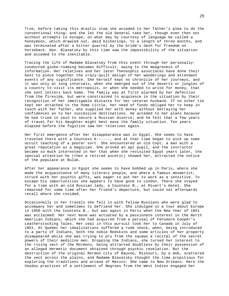True, before taking this drastic step she acceded to her father's plea to do the conventional thing; and she let the old General take her, though even then not without attempts to escape, on what may by courtesy of language be called a honeymoon, which drawled out, amid bickerings, to a length of three months, and was terminated after a bitter quarrel by the bride's dash for freedom on horseback. Gen. Blavatsky by this time saw the impossibility of the situation and acceded to the inevitable.

Tracing the life of Madame Blavatsky from this event through her personallyconducted globe-roaming becomes difficult, owing to the meagreness of information. Her relatives and her later Theosophic associates have done their best to piece together the crazy-quilt design of her wanderings and attendant events of any significance. She herself kept no chronicle of her journeys, and it was only at long intervals, when she emerged out of the deserts or jungles of a country to visit its metropolis, or when she needed to write for money, that she sent letters back home. The family was at first alarmed by her defection from the fireside, but were constrained to acquiesce in the situation by their recognition of her immitigable distaste for her veteran husband. If no other tie kept her attached to the home circle, her need of funds obliged her to keep in touch with her father, who supplied her with money without betraying her confidences as to her successive destinations. He acceded to her plans because he had tried in vain to secure a Russian divorce; and he felt that a few years of travel for his daughter might best ease the family situation. Ten years elapsed before the fugitive saw her relatives again.

Her first emergence after her disappearance was in Egypt. She seems to have traveled there with a Countess K------, and at that time began to pick up some occult teaching of a poorer sort. She encountered an old Copt, a man with a great reputation as a magician. She proved an apt pupil, and the instructor became so much interested in her that when she revisited Egypt years later, the special attention he (then a retired ascetic) showed her, attracted the notice of the populace at Bulak.

After her appearance in Egypt she seems to have bobbed up in Paris, where she made the acquaintance of many literary people, and where a famous mesmerist, struck with her psychic gifts, was eager to put her to work as a sensitive. To escape his importunities she appears to have gone to London. There she stayed for a time with an old Russian lady, a Countess B., at Mivart's Hotel. She remained for some time after her friend's departure, but could not afterwards recall where she resided.

Occasionally in her travels she fell in with fellow Russians who were glad to accompany her and sometimes to befriend her. She indulged in a tour about Europe in 1850 with the Countess B., but was again in Paris when the New Year of 1851 was acclaimed. Her next move was actuated by a passionate interest in the North American Indians, which she had acquired from a perusal of Fenimore Cooper's Leatherstocking Tales. Her zeal in this pursuit took her to Canada in July of 1851. At Quebec her idealizations suffered a rude shock, when, being introduced to a party of Indians, both the noble Redskins and some articles of her property disappeared while she was trying to pry from the squaws a recital of the secret powers of their medicine men. Dropping the Indians, she turned her interest to the rising sect of the Mormons, being attracted doubtless by their possession of an alleged Hermetic document obtained through psychic revelation. But the destruction of the original Mormon city of Nauvoo, Missouri, by a mob, scattered the sect across the plains, and Madame Blavatsky thought the time propitious for exploring the traditions and arcana of Mexico. She came to New Orleans. Here the Voodoo practices of a settlement of Negroes from the West Indies engaged her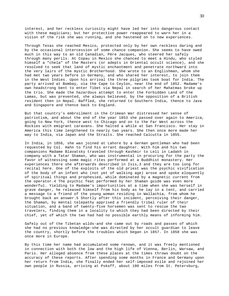interest, and her reckless curiosity might have led her into dangerous contact with these magicians; but her protective power reappeared to warn her in a vision of the risk she was running, and she hastened on to new experiences.

Through Texas she reached Mexico, protected only by her own reckless daring and by the occasional intercession of some chance companion. She seems to have owed much in this way to an old Canadian, Père Jacques, who steered her safely through many perils. At Copau in Mexico she chanced to meet a Hindu, who styled himself a "chela" of the Masters (or adepts in Oriental occult science), and she resolved to seek that land of mystic enchantment and penetrate northward into the very lairs of the mystic Brotherhood. She wrote to an Englishman, whom she had met two years before in Germany, and who shared her interest, to join them in the West Indies. Upon his arrival the three pilgrims took boat for India. The party arrived at Bombay, via the Cape to Ceylon, near the end of 1852. Madame's own headstrong bent to enter Tibet via Nepal in search of her Mahatmas broke up the trio. She made the hazardous attempt to enter the Forbidden Land of the Lamas, but was prevented, she always believed, by the opposition of a British resident then in Nepal. Baffled, she returned to Southern India, thence to Java and Singapore and thence back to England.

But that country's embroilment in the Crimean War distressed her sense of patriotism, and about the end of the year 1853 she passed over again to America, going to New York, thence west to Chicago and on to the Far West across the Rockies with emigrant caravans. She halted a while at San Francisco. Her stay in America this time lengthened to nearly two years. She then once more made her way to India, via Japan and the Straits. She reached Calcutta in 1855.

In India, in 1856, she was joined at Lahore by a German gentleman who had been requested by Col. Hahn to find his errant daughter. With him and his two companions Madame Blavatsky traveled through Kashmir to Leli in Ladakh in company with a Tatar Shaman, who was instrumental in procuring for the party the favor of witnessing some magic rites performed at a Buddhist monastery. Her experiences there she afterwards described in Isis,3 and they are too long for recital here. One of the exploits of the old priest was the psychic vivification of the body of an infant who (not yet of walking age) arose and spoke eloquently of spiritual things and prophesied, while dominated by a magnetic current from the operator.4 The psychic feat performed by her Shaman guide was even more wonderful. Yielding to Madame's importunities at a time when she was herself in grave danger, he released himself from his body as he lay in a tent, and carried a message to a friend of the young woman residing in Wallachia, from whom he brought back an answer.5 Shortly after this incident, perceiving their danger, the Shaman, by mental telepathy apprised a friendly tribal ruler of their situation, and a band of twenty-five horsemen was sent to rescue the two travelers, finding them in a locality to which they had been directed by their chief, yet of which the two had had no possible earthly means of informing him.

Safely out of the Tibetan wilds-and she came out by roads and passes of which she had no previous knowledge-she was directed by her occult guardian to leave the country, shortly before the troubles which began in 1857. In 1858 she was once more in Europe.

By this time her name had accumulated some renown, and it was freely mentioned in connection with both the low and the high life of Vienna, Berlin, Warsaw, and Paris. Her alleged absence from these places at the times throws doubt on the accuracy of these reports. After spending some months in France and Germany upon her return from India, she finally ended her self-imposed exile and rejoined her own people in Russia, arriving at Pskoff, about 180 miles from St. Petersburg,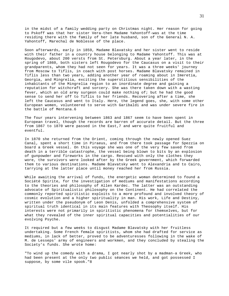in the midst of a family wedding party on Christmas night. Her reason for going to Pskoff was that her sister Vera-then Madame Yahontoff-was at the time residing there with the family of her late husband, son of the General N. A. Yahontoff, Marechal de Noblesse of the place.

Soon afterwards, early in 1859, Madame Blavatsky and her sister went to reside with their father in a country house belonging to Madame Yahontoff. This was at Rougodevo, about 200 versts from St. Petersburg. About a year later, in the spring of 1860, both sisters left Rougodevo for the Caucasus on a visit to their grandparents, whom they had not seen for years. It was a three weeks' journey from Moscow to Tiflis, in coach with post horses. Madame Blavatsky remained in Tiflis less than two years, adding another year of roaming about in Imeretia, Georgia, and Mingrelia, exciting the superstitious sensibilities of the inhabitants of the Mingrelia region to an inordinate degree and gaining a reputation for witchcraft and sorcery. She was there taken down with a wasting fever, which an old army surgeon could make nothing of; but he had the good sense to send her off to Tiflis to her friends. Recovering after a time, she left the Caucasus and went to Italy. Here, the legend goes, she, with some other European women, volunteered to serve with Garibaldi and was under severe fire in the battle of Mentana.6

The four years intervening between 1863 and 1867 seem to have been spent in European travel, though the records are barren of accurate detail. But the three from 1867 to 1870 were passed in the East,7 and were quite fruitful and eventful.

In 1870 she returned from the Orient, coming through the newly opened Suez Canal, spent a short time in Piraeus, and from there took passage for Spezzia on board a Greek vessel. On this voyage she was one of the very few saved from death in a terrible catastrophe, the vessel being blown to bits by an explosion of gunpowder and fireworks in the cargo. Rescued with only the clothes they wore, the survivors were looked after by the Greek government, which forwarded them to various destinations. Madame Blavatsky went to Alexandria and to Cairo, tarrying at the latter place until money reached her from Russia.

While awaiting the arrival of funds, the energetic woman determined to found a Société Spirite, for the investigation of mediums and manifestations according to the theories and philosophy of Allen Kardec. The latter was an outstanding advocate of Spiritualistic philosophy on the Continent. He had correlated the commonly reported spiritistic exploits to a more profound and involved theory of cosmic evolution and a higher spirituality in man. His work, Life and Destiny, written under the pseudonym of Leon Denis, unfolded a comprehensive system of spiritual truth identical in its main features with Theosophy itself. His interests were not primarily in spiritistic phenomena for themselves, but for what they revealed of the inner spiritual capacities and potentialities of our evolving Psyche.

It required but a few weeks to disgust Madame Blavatsky with her fruitless undertaking. Some French female spiritists, whom she had drafted for service as mediums, in lack of better, proved to be adventuresses following in the wake of M. de Lesseps' army of engineers and workmen, and they concluded by stealing the Society's funds. She wrote home:

"To wind up the comedy with a drama, I got nearly shot by a madman-a Greek, who had been present at the only two public séances we held, and got possessed I suppose, by some vile spook."8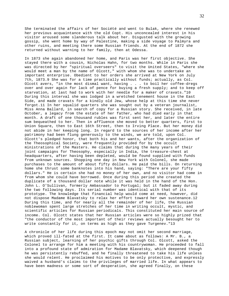She terminated the affairs of her Société and went to Bulak, where she renewed her previous acquaintance with the old Copt. His unconcealed interest in his visitor aroused some slanderous talk about her. Disgusted with the growing gossip, she went home by way of Palestine, making a side voyage to Palmyra and other ruins, and meeting there some Russian friends. At the end of 1872 she returned without warning to her family, then at Odessa.

In 1873 she again abandoned her home, and Paris was her first objective. She stayed there with a cousin, Nicholas Hahn, for two months. While in Paris she was directed by her "spiritual overseers" to visit the United States, "where she would meet a man by the name of Olcott," with whom she was to undertake an important enterprise. Obedient to her orders she arrived at New York on July 7th, 1873.9 She was for a time practically without funds; actually, as Col. Olcott avers, "in the most dismal want, having . . . to boil her coffee-dregs over and over again for lack of pence for buying a fresh supply; and to keep off starvation, at last had to work with her needle for a maker of cravats."10 During this interval she was lodged in a wretched tenement house in the East Side, and made cravats for a kindly old Jew, whose help at this time she never forgot.11 In her squalid quarters she was sought out by a veteran journalist, Miss Anna Ballard, in search of copy for a Russian story. She received, in late October, a legacy from the estate of her father, who had died early in that month. A draft of one thousand rubles was first sent her, and later the entire sum bequeathed to her. Then in affluence she moved to better quarters, first to Union Square, then to East 16th Street, then to Irving Place. But her money did not abide in her keeping long. In regard to the sources of her income after her patrimony had been flung generously to the winds, we are told, upon Col. Olcott's pledged honor, that both his and her wants, after the organization of the Theosophical Society, were frequently provided for by the occult ministrations of the Masters. He claims that during the many years of their joint campaigns for Theosophy, especially in India, the treasure-chest at headquarters, after having been depleted, would be found supplied with funds from unknown sources. Shopping one day in New York with Colonel, she made purchases to the amount of about fifty dollars. He paid the bills. On returning home she thrust some banknotes into his hand, saying: "There are your fifty dollars." He is certain she had no money of her own, and no visitor had come in from whom she could have borrowed. Once during this period she created the duplicate of a thousand dollar note while it was held in the hand of the Hon. John L. O'Sullivan, formerly Ambassador to Portugal; but it faded away during the two following days. Its serial number was identical with that of its prototype. The knowledge that financial help would come at need, however, did not dispose Madame Blavatsky to relax her effort toward her own sustenance.12 During this time, and for nearly all the remainder of her life, the Russian noblewoman spent large stretches of her time in writing occult, mystic, and scientific articles for Russian periodicals. This constituted her main source of income. Col. Olcott states that her Russian articles were so highly prized that "the conductor of the most important of their reviews actually besought her to write constantly for it, on terms as high as they gave Turgenev."13

A chronicle of her life during this epoch may not omit her second marriage, which proved ill-fated at the first. It came about as follows: A Mr. B., a Russian subject, learning of her psychic gifts through Col. Olcott, asked the Colonel to arrange for him a meeting with his countrywoman. He proceeded to fall into a profound state of admiration for Madame Blavatsky, which deepened though he was persistently rebuffed, and he finally threatened to take his life unless she would relent. He proclaimed his motives to be only protective, and expressly waived a husband's claims to the privileges of married life. In what appears to have been madness or some sort of desperation, she agreed finally, on these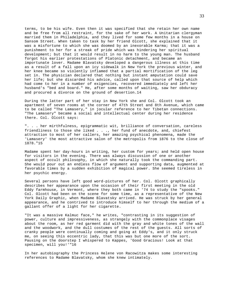terms, to be his wife. Even then it was specified that she retain her own name and be free from all restraint, for the sake of her work. A Unitarian clergyman married them in Philadelphia, and they lived for some few months in a house on Sansom Street. When taken to task by her friend Olcott, she explained that it was a misfortune to which she was doomed by an inexorable Karma; that it was a punishment to her for a streak of pride which was hindering her spiritual development; but that it would result in no harm to the young man. The husband forgot his earlier protestations of Platonic detachment, and became an importunate lover. Madame Blavatsky developed a dangerous illness at this time as a result of a fall upon an icy sidewalk in New York the previous winter, and her knee became so violently inflamed that a partial mortification of the leg set in. The physician declared that nothing but instant amputation could save her life; but she discarded his advice, called upon that source of help which had come to her in a number of exigencies, recovered immediately and left her husband's "bed and board." He, after some months of waiting, saw her obduracy and procured a divorce on the ground of desertion.14

During the latter part of her stay in New York she and Col. Olcott took an apartment of seven rooms at the corner of 47th Street and 8th Avenue, which came to be called "The Lamasery," in jocular reference to her Tibetan connections. "The Lamasery" became a social and intellectual center during her residence there. Col. Olcott says:

". . . her mirthfulness, epigrammatic wit, brilliance of conversation, careless friendliness to those she liked . . ., her fund of anecdote, and, chiefest attraction to most of her callers, her amazing psychical phenomena, made the 'Lamasery' the most attractive salon of the metropolis from 1876 to the close of 1878."15

Madame spent her day-hours in writing, her custom for years; and held open house for visitors in the evening. There was always discussion of one or another aspect of occult philosophy, in which she naturally took the commanding part. She would pour out an endless flow of argument and supporting data, augmented at favorable times by a sudden exhibition of magical power. She seemed tireless in her psychic energy.

Several persons have left good word-pictures of her. Col. Olcott graphically describes her appearance upon the occasion of their first meeting in the old Eddy farmhouse, in Vermont, where they both came in '74 to study the "spooks." Col. Olcott had been on the scene for some time, as a representative of the New York Daily Graphic, when Madame Blavatsky arrived. He was struck by her general appearance, and he contrived to introduce himself to her through the medium of a gallant offer of a light for her cigarette.

"It was a massive Kalmuc face," he writes, "contrasting in its suggestion of power, culture and impressiveness, as strangely with the commonplace visages about the room, as her red garment did with the gray and white tones of the wall and the woodwork, and the dull costumes of the rest of the guests. All sorts of cranky people were continually coming and going at Eddy's, and it only struck me, on seeing this eccentric lady, that this was but one more of the sort. Pausing on the doorstep I whispered to Kappes, 'Good Gracious! Look at that specimen, will you!'"16

In her autobiography the Princess Helene von Racowitza makes some interesting references to Madame Blavatsky, whom she knew intimately.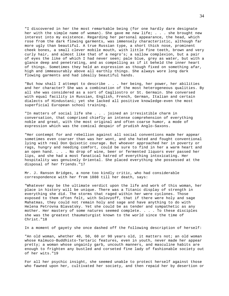"I discovered in her the most remarkable being (for one hardly dare designate her with the simple name of woman). She gave me new life; . . . she brought new interest into my existence. Regarding her personal appearance, the head, which rose from the dark flowing garments, was immensely characteristic, although far more ugly than beautiful. A true Russian type, a short thick nose, prominent cheek bones, a small clever mobile mouth, with little fine teeth, brown and very curly hair, and almost like that of a negro's; a sallow complexion, but a pair of eyes the like of which I had never seen; pale blue, grey as water, but with a glance deep and penetrating, and as compelling as if it beheld the inner heart of things. Sometimes they held an expression as though fixed on something afar, high and immeasurably above all earthly things. She always wore long dark flowing garments and had ideally beautiful hands.

"But how shall I attempt to describe . . . her being, her power, her abilities and her character? She was a combination of the most heterogeneous qualities. By all she was considered as a sort of Cagliostro or St. Germain. She conversed with equal facility in Russian, English, French, German, Italian and certain dialects of Hindustani; yet she lacked all positive knowledge-even the most superficial European school training.

"In matters of social life she . . . joined an irresistible charm in conversation, that comprised chiefly an intense comprehension of everything noble and great, with the most original and often coarse humor, a mode of expression which was the comical despair of prudish Anglo-Saxons.

"Her contempt for and rebellion against all social conventions made her appear sometimes even coarser than was her wont, and she hated and fought conventional lying with real Don Quixotic courage. But whoever approached her in poverty or rags, hungry and needing comfort, could be sure to find in her a warm heart and an open hand. . . . No drop of wine, beer or fermented liquors ever passed her lips, and she had a most fanatical hatred of everything intoxicating. Her hospitality was genuinely Oriental. She placed everything she possessed at the disposal of her friends."17

Mr. J. Ranson Bridges, a none too kindly critic, who had considerable correspondence with her from 1888 till her death, says:

"Whatever may be the ultimate verdict upon the life and work of this woman, her place in history will be unique. There was a Titanic display of strength in everything she did. The storms that raged within her were cyclones. Those exposed to them often felt, with Solovyoff, that if there were holy and sage Mahatmas, they could not remain holy and sage and have anything to do with Helena Petrovna Blavatsky. Yet she could be as tender and sympathetic as any mother. Her mastery of some natures seemed complete. . . . To these disciples she was the greatest thaumaturgist known to the world since the time of Christ."18

In a moment of gayety she once dashed off the following description of herself:

"An old woman, whether 40, 50, 60 or 90 years old, it matters not; an old woman whose Kalmuco-Buddhisto-Tartaric features, even in youth, never made her appear pretty; a woman whose ungainly garb, uncouth manners, and masculine habits are enough to frighten any bustled and corseted fine lady of fashionable society out of her wits."19

For all her psychic insight, she seemed unable to protect herself against those who fawned upon her, cultivated her society, and then repaid her by desertion or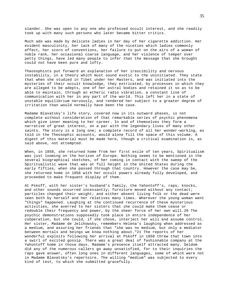slander. She was open to any one who professed occult interest, and she readily took up with many such persons who later became bitter critics.

Much ado was made by delicate ladies in her day of her cigarette addiction. Her evident masculinity, her lack of many of the niceties which ladies commonly affect, her scorn of conventions, her failure to put on the airs of a woman of noble rank, her occasional coarse language, and her violence of temper over petty things, have led many people to infer that the message that she brought could not have been pure and lofty.

Theosophists put forward an explanation of her irascibility and nervous instability, in a theory which must sound exotic to the uninitiated. They state that when she studied in Tibet under her Masters, and was initiated into the mysteries of their occult knowledge, they extricated, by processes in which they are alleged to be adepts, one of her astral bodies and retained it so as to be able to maintain, through an etheric radio vibration, a constant line of communication with her in any part of the world. This left her in a state of unstable equilibrium nervously, and rendered her subject to a greater degree of irritation than would normally have been the case.

Madame Blavatsky's life story, covered now in its outward phases, is not complete without consideration of that remarkable series of psychic phenomena which give inner meaning to her career. In and of themselves they form a narrative of great interest, on a par with the legendary lives of many other saints. The story is a long one; a complete record of all her wonder-working, as told in the Theosophic accounts, would alone fill the space of this volume. A digest of this material must be made here, though a critical examination is, as said above, not attempted.

When, in 1858, she returned home from her first exile of ten years, Spiritualism was just looming on the horizon of Europe. Nothing seems to be mentioned in the several biographical sketches, of her coming in contact with the sweep of the Spiritualistic wave that was at full height in the United States during the early fifties, when she passed through that country. However the case may be, she returned home in 1858 with her occult powers already fully developed, and proceeded to make frequent display of them.

At Pskoff, with her sister's husband's family, the Yahontoff's, raps, knocks, and other sounds occurred incessantly; furniture moved without any contact; particles changed their weight; and either absent living folk or the dead were seen both by herself and her relatives many times. Wherever the young woman went "things" happened. Laughing at the continued recurrence of these mysterious activities, she averred to her sisters that she could make them cease or redouble their frequency and power, by the sheer force of her own will.20 The psychic demonstrations supposedly took place in entire independence of her coöperation, but she could, if she chose, interject her will and assume control. Her sister, Madame de Jelihowsky, remembers Helena's laughing when addressed as a medium, and assuring her friends that "she was no medium, but only a mediator between mortals and beings we know nothing about."21 The reports of her wonderful exploits following her arrival at Pskoff in 1858 threw that town into a swirl of excited gossip. There was a great deal of fashionable company at the Yahontoff home in those days. Madame's presence itself attracted many. Seldom did any of the numerous callers go away unsatisfied, for to their inquiries the raps gave answer, often long ones in different languages, some of which were not in Madame Blavatsky's repertoire. The willing "medium" was subjected to every kind of test, to which she submitted gracefully.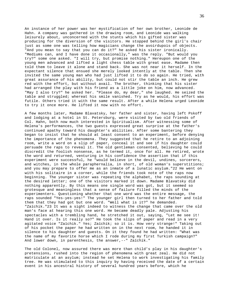An instance of her power was her mystification of her own brother, Leonide de Hahn. A company was gathered in the drawing room, and Leonide was walking leisurely about, unconcerned with the stunts which his gifted sister was producing for the diversion of the visitors. He stopped behind the girl's chair just as some one was telling how magicians change the avoirdupois of objects. "And you mean to say that you can do it?" he asked his sister ironically. "Mediums can, and I have done it occasionally," was the reply. "But would you try?" some one asked. "I will try, but promise nothing." Hereupon one of the young men advanced and lifted a light chess table with great ease. Madame then told them to leave it alone and stand back. She was not near it herself. In the expectant silence that ensued she merely looked intently at the table. Then she invited the same young man who had just lifted it to do so again. He tried, with great assurance of his ability, but could not stir the table an inch. He grew red with the effort, but without avail. The brother, thinking that his sister had arranged the play with his friend as a little joke on him, now advanced. "May I also try?" he asked her. "Please do, my dear," she laughed. He seized the table and struggled; whereat his smile vanished. Try as he would, his effort was futile. Others tried it with the same result. After a while Helena urged Leonide to try it once more. He lifted it now with no effort.

A few months later, Madame Blavatsky, her father and sister, having left Pskoff and lodging at a hotel in St. Petersburg, were visited by two old friends of Col. Hahn, both now much interested in Spiritualism. After witnessing some of Helena's performances, the two guests expressed great surprise at the father's continued apathy toward his daughter's abilities. After some bantering they began to insist that he should at least consent to an experiment, before denying the importance of the phenomena. They suggested that he retire to an adjoining room, write a word on a slip of paper, conceal it and see if his daughter could persuade the raps to reveal it. The old gentleman consented, believing he could discredit the foolish nonsense, as he termed it, once for all. He retired, wrote the word and returned, venturing in his confidence the assertion that if this experiment were successful, he "would believe in the devil, undines, sorcerers, and witches, in the whole paraphernalia, in short, of old woman's superstitions; and you may prepare to offer me as an inmate of a lunatic asylum."22 He went on with his solitaire in a corner, while the friends took note of the raps now beginning. The younger sister was repeating the alphabet, the raps sounding at the desired letter; one of the visitors marked it down. Madame Blavatsky did nothing apparently. By this means one single word was got, but it seemed so grotesque and meaningless that a sense of failure filled the minds of the experimenters. Questioning whether that one word was the entire message, the raps sounded "Yes-yes-yes!" The younger girl then turned to her father and told them that they had got but one word. "Well what is it?" he demanded. "Zaïchik."23 It was a sight indeed to witness the change that came over the old man's face at hearing this one word. He became deadly pale. Adjusting his spectacles with a trembling hand, he stretched it out, saying, "Let me see it! Hand it over. Is it really so?" He took the slips of paper and read in a very agitated voice "Zaïchik." Yes; Zaïchik; so it is. How very strange!" Taking out of his pocket the paper he had written on in the next room, he handed it in silence to his daughter and guests. On it they found he had written: "What was the name of my favorite horse which I rode during my first Turkish campaign?" And lower down, in parenthesis, the answer,--" Zaïchik."

The old Colonel, now assured there was more than child's play in his daughter's pretensions, rushed into the region of phenomena with great zeal. He did not matriculate at an asylum; instead he set Helena to work investigating his family tree. He was stimulated to this inquiry by having received the date of a certain event in his ancestral history of several hundred years before, which he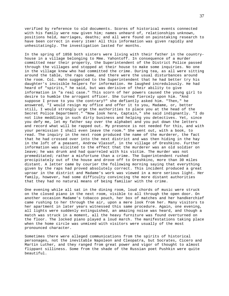verified by reference to old documents. Scores of historical events connected with his family were now given him; names unheard of, relationships unknown, positions held, marriages, deaths; and all were found on painstaking research to have been correct in every item! All this information was given rapidly and unhesitatingly. The investigation lasted for months.

In the spring of 1858 both sisters were living with their father in the countryhouse in a village belonging to Mme. Yahontoff. In consequence of a murder committed near their property, the Superintendent of the District Police passed through the villages and stopped at their house to make some inquiries. No one in the village knew who had committed the crime. During tea, as all were sitting around the table, the raps came, and there were the usual disturbances around the room. Col. Hahn suggested to the Superintendent that he had better try his daughter's invisible helpers for information. He laughed incredulously. He had heard of "spirits," he said, but was derisive of their ability to give information in "a real case." This scorn of her powers caused the young girl to desire to humble the arrogant officer. She turned fiercely upon him. "And suppose I prove to you the contrary?" she defiantly asked him. "Then," he answered, "I would resign my office and offer it to you, Madame, or, better still, I would strongly urge the authorities to place you at the head of the Secret Police Department." "Now look here, Captain," she said indignantly. "I do not like meddling in such dirty business and helping you detectives. Yet, since you defy me, let my father say over the alphabet and you put down the letters and record what will be rapped out. My presence is not needed for this, and with your permission I shall even leave the room." She went out, with a book, to read. The inquiry in the next room produced the name of the murderer, the fact that he had crossed over into the next district and was then hiding in the hay in the loft of a peasant, Andrew Vlassof, in the village of Oreshkino. Further information was elicited to the effect that the murderer was an old soldier on leave; he was drunk and had quarreled with his victim. The murder was not premeditated; rather a misfortune than a crime. The Superintendent rushed precipitately out of the house and drove off to Oreshkino, more than 30 miles distant. A letter came by courier the following morning saying that everything given by the raps had proved absolutely correct. This incident produced a great uproar in the district and Madame's work was viewed in a more serious light. Her family, however, had some difficulty convincing the more distant authorities that they had no natural means of being familiar with the crime.

One evening while all sat in the dining room, loud chords of music were struck on the closed piano in the next room, visible to all through the open door. On another occasion Madame's tobacco pouch, her box of matches and her handkerchief came rushing to her through the air, upon a mere look from her. Many visitors to her apartment in later years witnessed this same procedure. Again, one evening, all lights were suddenly extinguished, an amazing noise was heard, and though a match was struck in a moment, all the heavy furniture was found overturned on the floor. The locked piano played a loud march. The manifestations taking place when the home circle was unmixed with visitors were usually of the most pronounced character.

Sometimes there were alleged communications from the spirits of historical personages, not the inevitable Napoleon and Cleopatra, but Socrates, Cicero and Martin Luther, and they ranged from great power and vigor of thought to almost flippant silliness. Some from the shade of the Russian poet Pushkin were quite beautiful.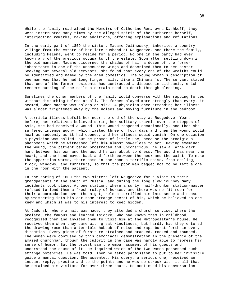While the family read aloud the Memoirs of Catherine Romanovna Dashkoff, they were interrupted many times by the alleged spirit of the authoress herself, interjecting remarks, making additions, offering explanations and refutations.

In the early part of 1859 the sister, Madame Jelihowsky, inherited a country village from the estate of her late husband at Rougodevo, and there the family, including Helena, went to reside for a period. No one in the party had ever known any of the previous occupants of the estate. Soon after settling down in the old mansion, Madame discerned the shades of half a dozen of the former inhabitants in one of the unoccupied wings and described them to her sister. Seeking out several old servants, she found that every one of the wraiths could be identified and named by the aged domestics. The young woman's description of one man was that he had long finger nails, like a Chinaman's. The servant stated that one of the former residents had contracted a disease in Lithuania, which renders cutting of the nails a certain road to death through bleeding.

Sometimes the other members of the family would converse with the rapping forces without disturbing Helena at all. The forces played more strongly than every, it seemed, when Madame was asleep or sick. A physician once attending her illness was almost frightened away by the noises and moving furniture in the bedroom.

A terrible illness befell her near the end of the stay at Rougodevo. Years before, her relatives believed during her solitary travels over the steppes of Asia, she had received a wound. This wound reopened occasionally, and then she suffered intense agony, which lasted three or four days and then the wound would heal as suddenly as it had opened, and her illness would vanish. On one occasion a physician was called; but he proved of little use, because the prodigious phenomena which he witnessed left him almost powerless to act. Having examined the wound, the patient being prostrated and unconscious, he saw a large dark hand between his own and the wound he was about to dress. The wound was near the heart, and the hand moved back and forth between the neck and the waist. To make the apparition worse, there came in the room a terrific noise, from ceiling, floor, windows, and furniture, so that the poor man begged not to be left alone in the room with the patient.

In the spring of 1860 the two sisters left Rougodevo for a visit to their grandparents in the south of Russia, and during the long slow journey many incidents took place. At one station, where a surly, half-drunken station-master refused to lend them a fresh relay of horses, and there was no fit room for their accommodation over the night, Helena terrified him into sense and reason by whispering into his ear some strange secret of his, which he believed no one knew and which it was to his interest to keep hidden.

At Jadonsk, where a halt was made, they attended a church service, where the prelate, the famous and learned Isidore, who had known them in childhood, recognized them and invited them to visit him at the Metropolitan's house. He received them when they came with great kindliness; but hardly had they entered the drawing room than a terrible hubbub of noise and raps burst forth in every direction. Every piece of furniture strained and cracked, rocked and thumped. The women were confused by this demoniacal demonstration in the presence of the amazed Churchman, though the culprit in the case was hardly able to repress her sense of humor. But the priest saw the embarrassment of his guests and understood the cause of it. He inquired which of the two women possessed such strange potencies. He was told. Then he asked permission to put to her invisible guide a mental question. She assented. His query, a serious one, received an instant reply, precise and to the point; and he was so struck with it all that he detained his visitors for over three hours. He continued his conversation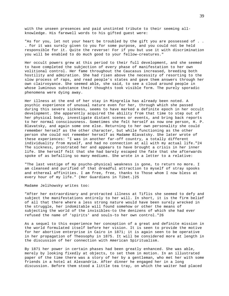with the unseen presences and paid unstinted tribute to their seeming allknowledge. His farewell words to his gifted guest were:

"As for you, let not your heart be troubled by the gift you are possessed of . . . for it was surely given to you for some purpose, and you could not be held responsible for it. Quite the reverse! For if you but use it with discrimination you will be enabled to do much good to your fellow-creatures."

Her occult powers grew at this period to their full development, and she seemed to have completed the subjection of every phase of manifestation to her own volitional control. Her fame throughout the Caucasus increased, breeding both hostility and admiration. She had risen above the necessity of resorting to the slow process of raps, and read people's states and gave them answers through her own clairvoyance. She seemed able, she said, to see a cloud around people in whose luminous substance their thoughts took visible form. The purely sporadic phenomena were dying away.

Her illness at the end of her stay in Mingrelia has already been noted. A psychic experience of unusual nature even for her, through which she passed during this severe sickness, seems to have marked a definite epoch in her occult development. She apparently acquired the ability from that time to step out of her physical body, investigate distant scenes or events, and bring back reports to her normal consciousness. Sometimes she felt herself as now one person, H. P. Blavatsky, and again some one else. Returning to her own personality she could remember herself as the other character, but while functioning as the other person she could not remember herself as Madame Blavatsky. She later wrote of these experiences: "I was in another far-off country, a totally different individuality from myself, and had no connection at all with my actual life."24 The sickness, prostrated her and appears to have brought a crisis in her inner life. She herself felt that she had barely escaped the fate that she afterwards spoke of as befalling so many mediums. She wrote in a letter to a relative:

"The last vestige of my psycho-physical weakness is gone, to return no more. I am cleansed and purified of that dreadful attraction to myself of stray spooks and ethereal affinities. I am free, free, thanks to Those whom I now bless at every hour of my life." (Her Guardians in Tibet.)25

Madame Jelihowsky writes too:

"After her extraordinary and protracted illness at Tiflis she seemed to defy and subject the manifestations entirely to her will. In short, it is the firm belief of all that there where a less strong nature would have been surely wrecked in the struggle, her indomitable will found somehow or other the means of subjecting the world of the invisibles-to the denizens of which she had ever refused the name of 'spirits' and souls-to her own control."26

As a sequel to this experience her conception of a great and definite mission in the world formulated itself before her vision. It is seen to provide the motive for her abortive enterprise in Cairo in 1871; it is again seen to be operative in her propagation of Theosophy in 1875. It will be considered more at length in the discussion of her connection with American Spiritualism.

By 1871 her power in certain phases had been greatly enhanced. She was able, merely by looking fixedly at objects, to set them in motion. In an illustrated paper of the time there was a story of her by a gentleman, who met her with some friends in a hotel at Alexandria. After dinner he engaged her in a long discussion. Before them stood a little tea tray, on which the waiter had placed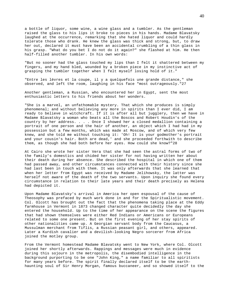a bottle of liquor, some wine, a wine glass and a tumbler. As the gentleman raised the glass to his lips it broke to pieces in his hands. Madame Blavatsky laughed at the occurrence, remarking that she hated liquor and could hardly tolerate those who drank. He knew the glass was thick and strong, but, to draw her out, declared it must have been an accidental crumbling of a thin glass in his grasp. "What do you bet I do not do it again?" she flashed at him. He then half-filled another tumbler. In his own words:

"But no sooner had the glass touched my lips than I felt it shattered between my fingers, and my hand bled, wounded by a broken piece in my instinctive act of grasping the tumbler together when I felt myself losing hold of it."

"Entre les lèvres et la coupe, il y a quelquefois une grande distance," she observed, and left the room, laughing in his face "most outrageously."27

Another gentleman, a Russian, who encountered her in Egypt, sent the most enthusiastic letters to his friends about her wonders.

"She is a marvel, an unfathomable mystery. That which she produces is simply phenomenal; and without believing any more in spirits than I ever did, I am ready to believe in witchcraft. If it is after all but jugglery, then we have in Madame Blavatsky a woman who beats all the Boscos and Robert Houdin's of the country by her address. . . . Once I showed her a closed medallion containing a portrait of one person and the hair of another, an object which I had had in my possession but a few months, which was made at Moscow, and of which very few knew, and she told me without touching it: 'Oh! It is your godmother's portrait and your cousin's hair. Both are dead,' and she proceeded forthwith to describe them, as though she had both before her eyes. How could she know?"28

At Cairo she wrote her sister Vera that she had seen the astral forms of two of the family's domestics and chided her sister for not having written her about their death during her absence. She described the hospital in which one of them had passed away, and other circumstances connected with their history since she had last been in touch with them. It was only afterwards that she learned that when her letter from Egypt was received by Madame Jelihowsky, the latter was herself not aware of the death of the two servants. Upon inquiry she found every circumstance in relation to their late years and their death precisely as Helena had depicted it.

Upon Madame Blavatsky's arrival in America her open espousal of the cause of Theosophy was prefaced by much work done in and for the Spiritualistic movement. Col. Olcott has brought out the fact that the phenomena taking place at the Eddy farmhouse in Vermont in 1873 changed character quite decidedly the day she entered the household. Up to the time of her appearance on the scene the figures that had shown themselves were either Red Indians or Americans or Europeans related to some one present. But on the first evening of her stay spirits of other nationalities came up. A Georgian servant body from the Caucasus, a Mussulman merchant from Tiflis, a Russian peasant girl, and others, appeared. Later a Kurdish cavalier and a devilish-looking Negro sorcerer from Africa joined the motley group.

From the Vermont homestead Madame Blavatsky went to New York, where Col. Olcott joined her shortly afterwards. Rappings and messages were much in evidence during this sojourn in the metropolis, the disembodied intelligence in the background purporting to be one "John King," a name familiar to all spiritists for many years before. The spirit finally declared itself to be the earthhaunting soul of Sir Henry Morgan, famous buccaneer, and so showed itself to the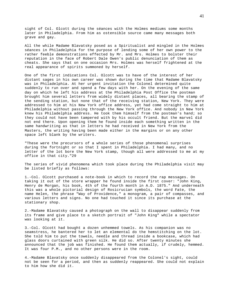sight of Col. Olcott during the séances with the Holmes mediums some months later in Philadelphia. From him as ostensible source came many messages both grave and gay.

All the while Madame Blavatsky posed as a Spiritualist and mingled in the Holmes séances in Philadelphia for the purpose of lending some of her own power to the rather feeble demonstrations effected by Mr. and Mrs. Holmes to bolster their reputation in the face of Robert Dale Owen's public denunciation of them as cheats. She says that on one occasion Mrs. Holmes was herself frightened at the real appearance of spirits summoned by herself.

One of the first indications Col. Olcott was to have of the interest of her distant sages in his own career was shown during the time that Madame Blavatsky was in Philadelphia. At her urgent invitation the Colonel determined quite suddenly to run over and spend a few days with her. On the evening of the same day on which he left his address at the Philadelphia Post Office the postman brought him several letters from widely distant places, all bearing the stamp of the sending station, but none that of the receiving station, New York. They were addressed to him at his New York office address, yet had come straight to him at Philadelphia without passing through the New York office. And nobody in New York knew his Philadelphia address. He took them himself from the postman's hand; so they could not have been tampered with by his occult friend. But the marvel did not end there. Upon opening them he found inside each something written in the same handwriting as that in letters he had received in New York from the Masters, the writing having been made either in the margins or on any other space left blank by the writers.

"These were the precursors of a whole series of those phenomenal surprises during the fortnight or so that I spent in Philadelphia. I had many, and no letter of the lot bore the New York stamp, though all were addressed to me at my office in that city."29

The series of vivid phenomena which took place during the Philadelphia visit may be listed briefly as follows:

1.-Col. Olcott purchased a note-book in which to record the rap messages. On taking it out of the store wrapper he found inside the first cover: "John King, Henry de Morgan, his book, 4th of the fourth month in A.D. 1875." And underneath this was a whole pictorial design of Rosicrucian symbols, the word Fate, the name Helen, the phrase "Way of Providence," a monogram, a pair of compasses, and various letters and signs. No one had touched it since its purchase at the stationary shop.

2.-Madame Blavatsky caused a photograph on the wall to disappear suddenly from its frame and give place to a sketch portrait of "John King" while a spectator was looking at it.

3.-Col. Olcott had bought a dozen unhemmed towels. As his companion was no seamstress, he bantered her to let an elemental do the hemstitching on the lot. She told him to put the towels, needle and thread inside a bookcase, which had glass doors curtained with green silk. He did so. After twenty minutes she announced that the job was finished. He found them actually, if crudely, hemmed. It was four P.M., and no other persons were in the room.

4.-Madame Blavatsky once suddenly disappeared from the Colonel's sight, could not be seen for a period, and then as suddenly reappeared. She could not explain to him how she did it.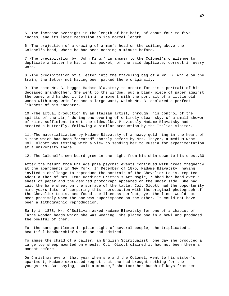5.-The increase overnight in the length of her hair, of about four to five inches, and its later recession to its normal length.

6.-The projection of a drawing of a man's head on the ceiling above the Colonel's head, where he had seen nothing a minute before.

7.-The precipitation by "John King," in answer to the Colonel's challenge to duplicate a letter he had in his pocket, of the said duplicate, correct in every word.

8.-The precipitation of a letter into the traveling bag of a Mr. B. while on the train, the letter not having been packed there originally.

9.-The same Mr. B. begged Madame Blavatsky to create for him a portrait of his deceased grandmother. She went to the window, put a blank piece of paper against the pane, and handed it to him in a moment with the portrait of a little old woman with many wrinkles and a large wart, which Mr. B. declared a perfect likeness of his ancestor.

10.-The actual production by an Italian artist, through "his control of the spirits of the air," during one evening of entirely clear sky, of a small shower of rain, sufficient to wet the sidewalks. Previously Madame Blavatsky had created a butterfly, following a similar production by the Italian visitor.

11.-The materialization by Madame Blavatsky of a heavy gold ring in the heart of a rose which had been "created" shortly before by Mrs. Thayer, a medium whom Col. Olcott was testing with a view to sending her to Russia for experimentation at a university there.

12.-The Colonel's own beard grew in one night from his chin down to his chest.30

After the return from Philadelphia psychic events continued with great frequency at the apartments in New York. In December of 1875, Madame Blavatsky, having invited a challenge to reproduce the portrait of the Chevalier Louis, reputed Adept author of Mrs. Emma Hardinge Britten's Art Magic, rubbed her hand over a sheet of paper and the desired photograph appeared on the under side. She had laid the bare sheet on the surface of the table. Col. Olcott had the opportunity nine years later of comparing this reproduction with the original photograph of the Chevalier Louis, and found the likeness perfect, yet the lines would not meet precisely when the one was superimposed on the other. It could not have been a lithographic reproduction.

Early in 1878, Mr. O'Sullivan asked Madame Blavatsky for one of a chaplet of large wooden beads which she was wearing. She placed one in a bowl and produced the bowlful of them.

For the same gentleman in plain sight of several people, she triplicated a beautiful handkerchief which he had admired.

To amuse the child of a caller, an English Spiritualist, one day she produced a large toy sheep mounted on wheels. Col. Olcott claimed it had not been there a moment before.

On Christmas eve of that year when she and the Colonel, went to his sister's apartment, Madame expressed regret that she had brought nothing for the youngsters. But saying, "Wait a minute," she took her bunch of keys from her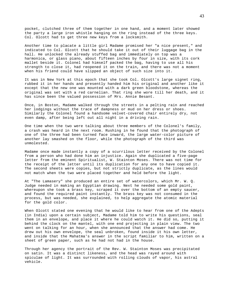pocket, clutched three of them together in one hand, and a moment later showed the party a large iron whistle hanging on the ring instead of the three keys. Col. Olcott had to get three new keys from a locksmith.

Another time to placate a little girl Madame promised her "a nice present," and indicated to Col. Olcott that he should take it out of their luggage bag in the hall. He unlocked the already stuffed bag and immediately on top was a harmonica, or glass piano, about fifteen inches by four in size, with its cork mallet beside it. Colonel had himself packed the bag, having to use all his strength to close it, had reopened it on the train, and there was not a moment when his friend could have slipped an object of such size into it.

It was in New York at this epoch that she took Col. Olcott's large signet ring, rubbed it in her hands and presently handed him his original and another like it except that the new one was mounted with a dark green bloodstone, whereas the original was set with a red carnelian. That ring she wore till her death, and it has since been the valued possession of Mrs. Annie Besant.

Once, in Boston, Madame walked through the streets in a pelting rain and reached her lodgings without the trace of dampness or mud on her dress or shoes. Similarly the Colonel found a handsome velvet-covered chair entirely dry, not even damp, after being left out all night in a driving rain.

One time when the two were talking about three members of the Colonel's family, a crash was heard in the next room. Rushing in he found that the photograph of one of the three had been turned face inward, the large water-color picture of another lay smashed on the floor, while the photograph of the third was unmolested.

Madame once made instantly a copy of a scurrilous letter received by the Colonel from a person who had done him an injustice. Again she duplicated a five-page letter from the eminent Spiritualist, W. Stainton Moses. There was not time for the receipt of the letter until its duplication for any one to have copied it. The second sheets were copies, but not strictly duplicate, as the lines would not match when the two were placed together and held before the light.

At "The Lamasery" she produced an entire set of watercolors, which Mr. W. Q. Judge needed in making an Egyptian drawing. Next he needed some gold paint, whereupon she took a brass key, scraped it over the bottom of an empty saucer, and found the required paint instantly. The brass key was not consumed in the process, but was needed, she explained, to help aggregate the atomic material for the gold color.

When Olcott stated one evening that he would like to hear from one of the Adepts (in India) upon a certain subject, Madame told him to write his questions, seal them in an envelope, and place it where he could watch it. He did so, putting it behind the clock on the mantel, with one end projecting in plain view. The two went on talking for an hour, when she announced that the answer had come. He drew out his own envelope, the seal unbroken, found inside it his own letter, and inside that the Mahatma's answer in the script familiar to him, written on a sheet of green paper, such as he had not had in the house.

Through her agency the portrait of the Rev. W. Stainton Moses was precipitated on satin. It was a distinct likeness, and the head was rayed around with spiculae of light. It was surrounded with rolling clouds of vapor, his astral vehicle.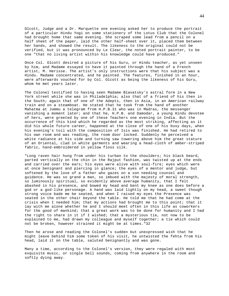Olcott, Judge and a Dr. Marquette one evening asked her to produce the portrait of a particular Hindu Yogi on some stationery of the Lotus Club that the Colonel had brought home that same evening. She scraped some lead from a pencil on a half sheet of the paper, laid the other half-sheet over it, placed them between her hands, and showed the result. The likeness to the original could not be verified, but it was pronounced by Le Clear, the noted portrait painter, to be one "that no living artist within his knowledge could have produced."

Once Col. Olcott desired a picture of his Guru, or Hindu teacher, as yet unseen by him, and Madame essayed to have it painted through the hand of a French artist, M. Herisse. The artist's only instructions were that his subject was a Hindu. Madame concentrated, and he painted. The features, finished in an hour, were afterwards vouched for by Col. Olcott as being the likeness of his Guru, whom he met years later.

The Colonel testified to having seen Madame Blavatsky's astral form in a New York street while she was in Philadelphia; also that of a friend of his then in the South; again that of one of the Adepts, then in Asia, in an American railway train and on a steamboat. He stated that he took from the hand of another Mahatma at Jummu a telegram from H.P.B.31 who was in Madras, the messenger vanishing a moment later; and that he, H.P.B. and Damodar, a young Hindu devotee of hers, were greeted by one of these Teachers one evening in India. But the occurrence of this kind which he regarded as the most striking, affecting as it did his whole future career, happened at the close of one of his busy days, when his evening's toil with the composition of Isis was finished. He had retired to his own room and was reading, the room door locked. Suddenly he perceived a white radiance at his side and turning saw towering above him the great stature of an Oriental, clad in white garments and wearing a head-cloth of amber-striped fabric, hand-embroidered in yellow floss silk.

"Long raven hair hung from under his turban to the shoulders; his black beard, parted vertically on the chin in the Rajput fashion, was twisted up at the ends and carried over the ears; his eyes were alive with soul-fire; eyes which were at once benignant and piercing in glance; the eyes of a mentor and judge, but softened by the love of a father who gazes on a son needing counsel and guidance. He was so grand a man, so imbued with the majesty of moral strength, so luminously spiritual, so evidently above average humanity, that I felt abashed in his presence, and bowed my head and bent my knee as one does before a god or a god-like personage. A hand was laid lightly on my head, a sweet though strong voice bade me be seated, and when I raised my eyes the Presence was seated in the other chair beyond the table. He told me that he had come at the crisis when I needed him; that my actions had brought me to this point; that it lay with me alone whether he and I should meet often in this life as coworkers for the good of mankind; that a great work was to be done for humanity and I had the right to share in it if I wished; that a mysterious tie, not now to be explained to me, had drawn my colleague and myself together; a tie which could not be broken, however strained it might be at times."32

Then he arose and reading the Colonel's sudden but unexpressed wish that he might leave behind him some token of his visit, he untwisted the fehta from his head, laid it on the table, saluted benignantly and was gone.

Many a time, according to the Colonel's version, they were regaled with most exquisite music, or single bell sounds, coming from anywhere in the room and softly dying away.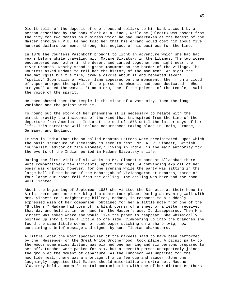Olcott tells of the deposit of one thousand dollars to his bank account by a person described by the bank clerk as a Hindu, while he (Olcott) was absent from the city for two months on business which he had undertaken at the behest of the Master through H.P.B. He had told her that his errand would cost him about five hundred dollars per month through his neglect of his business for the time.

In 1878 the Countess Paschkoff brought to light an adventure which she had had years before while traveling with Madame Blavatsky in the Libanus. The two women encountered each other in the desert and camped together one night near the river Orontes. Nearby stood a great monument on the border of the village. The Countess asked Madame to tell her the history of the monument. At night the thaumaturgist built a fire, drew a circle about it and repeated several "spells." Soon balls of white flame appeared on the monument, then from a cloud of vapor emerged the spirit of the person to whom it had been dedicated. "Who are you?" asked the woman. "I am Hiero, one of the priests of the temple," said the voice of the spirit.

He then showed them the temple in the midst of a vast city. Then the image vanished and the priest with it.

To round out the story of her phenomena it is necessary to relate with the utmost brevity the incidents of the kind that transpired from the time of the departure from America to India at the end of 1878 until the latter days of her life. This narrative will include occurrences taking place in India, France, Germany, and England.

It was in India that the so-called Mahatma Letters were precipitated, upon which the basic structure of Theosophy is seen to rest. Mr. A. P. Sinnett, British journalist, editor of "The Pioneer," living in India, is the main authority for the events of the Indian period in Madame Blavatsky's life.

During the first visit of six weeks to Mr. Sinnett's home at Allahabad there were comparatively few incidents, apart from raps. A convincing exploit of her power was granted, however, for one evening while the party was sitting in the large hall of the house of the Maharajah of Vizianagaram at Benares, three or four large cut roses fell from the ceiling. The ceiling was bare and the room well lighted.

About the beginning of September 1880 she visited the Sinnetts at their home in Simla. Here some more striking incidents took place. During an evening walk with Mrs. Sinnett to a neighboring hilltop, Madame, in response to a suddenlyexpressed wish of her companion, obtained for her a little note from one of the "Brothers." Madame had torn off a blank corner of a sheet of a letter received that day and held it in her hand for the Master's use. It disappeared. Then Mrs. Sinnett was asked where she would like the paper to reappear. She whimsically pointed up into a tree a little to one side. Clambering up into the branches she found the same little corner of pink paper sticking on a sharp twig, now containing a brief message and signed by some Tibetan characters.

A little later the most spectacular of the marvels said to have been performed by the "Messenger of the Great White Brotherhood" took place. A picnic party to the woods some miles distant was planned one morning and six persons prepared to set off. Lunches were packed for six, but a seventh person unexpectedly joined the group at the moment of departure. As the luncheon was unpacked for the noontide meal, there was a shortage of a coffee cup and saucer. Some one laughingly suggested that Madame should materialize an extra set. Madame Blavatsky held a moment's mental communication with one of her distant Brothers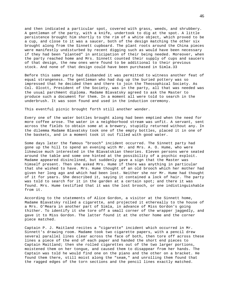and then indicated a particular spot, covered with grass, weeds, and shrubbery. A gentleman of the party, with a knife, undertook to dig at the spot. A little persistence brought him shortly to the rim of a white object, which proved to be a cup, and close to it was a saucer, both of the design matching the other six brought along from the Sinnett cupboard. The plant roots around the China pieces were manifestly undisturbed by recent digging such as would have been necessary if they had been "planted" in anticipation of their being needed. Moreover, when the party reached home and Mrs. Sinnett counted their supply of cups and saucers of that design, the new ones were found to be additional to their previous stock. And none of that design could have been purchased in Simla.33

Before this same party had disbanded it was permitted to witness another feat of equal strangeness. The gentleman who had dug up the buried pottery was so impressed that he decided then and there to join the Theosophical Society. As Col. Olcott, President of the Society, was in the party, all that was needed was the usual parchment diploma. Madame Blavatsky agreed to ask the Master to produce such a document for them. In a moment all were told to search in the underbrush. It was soon found and used in the induction ceremony.

This eventful picnic brought forth still another wonder.

Every one of the water bottles brought along had been emptied when the need for more coffee arose. The water in a neighborhood stream was unfit. A servant, sent across the fields to obtain some at a brewery, stupidly returned without any. In the dilemma Madame Blavatsky took one of the empty bottles, placed it in one of the baskets, and in a moment took it out filled with good water.

Some days later the famous "brooch" incident occurred. The Sinnett party had gone up the hill to spend an evening with Mr. and Mrs. A. O. Hume, who were likewise much interested in the Blavatskian theories. Eleven persons were seated around the table and some one hinted at the possibility of a psychic exploit. Madame appeared disinclined, but suddenly gave a sign that the Master was himself present. Then she asked Mrs. Hume if there was anything in particular that she wished to have. Mrs. Hume thought of an old brooch which her mother had given her long ago and which had been lost. Neither she nor Mr. Hume had thought of it for years. She described it, saying it contained a lock of hair. The party was told to search for it in the garden at a certain spot; and there it was found. Mrs. Hume testified that it was the lost brooch, or one indistinguishable from it.

According to the statements of Alice Gordon, a visitor at the Sinnett home, Madame Blavatsky rolled a cigarette, and projected it ethereally to the house of a Mrs. O'Meara in another part of Simla, in advance of Miss Gordon's going thither. To identify it she tore off a small corner of the wrapper jaggedly, and gave it to Miss Gordon. The latter found it at the other home and the corner piece matched.

Captain P. J. Maitland recites a "cigarette" incident which occurred in Mr. Sinnett's drawing room. Madame took two cigarette papers, with a pencil drew several parallel lines clear across the face of both, then tore off across these lines a piece of the end of each paper and handed the short end pieces to Captain Maitland; then she rolled cigarettes out of the two larger portions, moistened them on her tongue, and caused them to disappear from her hands. The Captain was told he would find one on the piano and the other on a bracket. He found them there, still moist along the "seam," and unrolling them found that the ragged edges of the torn sections and the pencil lines exactly matched.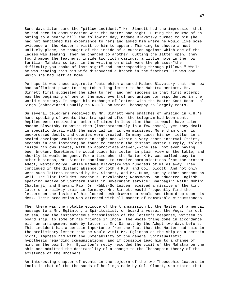Some days later came the "pillow incident." Mr. Sinnett had the impression that he had been in communication with the Master one night. During the course of an outing to a nearby hill the following day, Madame Blavatsky turned to him (he had not mentioned his experience to her) and asked him where he would like some evidence of the Master's visit to him to appear. Thinking to choose a most unlikely place, he thought of the inside of a cushion against which one of the ladies was leaning. Then he changed to another. Cutting the latter open, they found among the feathers, inside two cloth casings, a little note in the now familiar Mahatma script, in the writing on which were the phrases-"the difficulty you spoke of last night" and "corresponding through-pillows!" While he was reading this his wife discovered a brooch in the feathers. It was one which she had left at home.

Perhaps it was these cigarette feats which assured Madame Blavatsky that she now had sufficient power to dispatch a long letter to her Mahatma mentors. Mr. Sinnett first suggested the idea to her, and her success in that first attempt was the beginning of one of the most eventful and unique correspondences in the world's history. It began his exchange of letters with the Master Koot Hoomi Lal Singh (abbreviated usually to K.H.), on which Theosophy so largely rests.

On several telegrams received by Mr. Sinnett were snatches of writing in K.H.'s hand speaking of events that transpired after the telegram had been sent. Replies were received a number of times in less time than it would have taken Madame Blavatsky to write them (instantaneously in a few cases), yet they dealt in specific detail with the material in his own missives. More than once his unexpressed doubts and queries were treated. In many cases his own letter in a sealed envelope would remain in sight and within a very short interval (thirty seconds in one instance) be found to contain the distant Master's reply, folded inside his own sheets, with an appropriate answer,--the seal not even having been broken. Sometimes he would place his letter in plain view on the table, and shortly it would be gone. For a time when the Master K.H. was called away to other business, Mr. Sinnett continued to receive communications from the brother Adept, Master Morya, while Madame Blavatsky was hundreds of miles away. They continued in the distant absence of both H.P.B. and Col. Olcott. And not only were such letters received by Mr. Sinnett, and Mr. Hume, but by other persons as well. The list includes Damodar K. Mavalankar; Ramaswamy, an educated Englishspeaking native of Southern India in Government service; Dharbagiri Nath; Mohini Chatterji; and Bhavani Rao. Dr. Hübbe-Schleiden received a missive of the kind later on a railway train in Germany. Mr. Sinnett would frequently find the letters on the inside of his locked desk drawers or would see them drop upon his desk. Their production was attended with all manner of remarkable circumstances.

Then there was the notable episode of the transmission by the Master of a mental message to a Mr. Eglinton, a Spiritualist, on board a vessel, the Vega, far out at sea, and the instantaneous transmission of the letter's response, written on board ship, to some of his friends in India, the whole thing done in accordance with an arrangement made by letter to Mr. Sinnett by the Adept two days before. This incident has a certain importance from the fact that the Master had said in the preliminary letter that he would visit Mr. Eglinton on the ship on a certain night, impress him with the untenability of the general Spiritualistic hypothesis regarding communications, and if possible lead him to a change of mind on the point. Mr. Eglinton's reply recorded the visit of the Mahatma on the ship and admitted the desirability of a change to the Theosophic theory of the existence of the Brothers.

An interesting chapter of events in the sojourn of the two Theosophic leaders in India is that of the thousands of healings made by Col. Olcott, who states that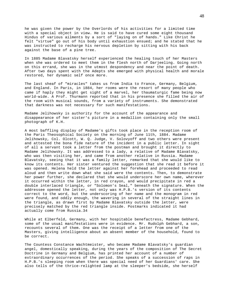he was given the power by the Overlords of his activities for a limited time with a special object in view. He is said to have cured some eight thousand Hindus of various ailments by a sort of "laying on of hands." Like Christ he felt "virtue" go out of his body until exhaustion ensued; and he stated that he was instructed to recharge his nervous depletion by sitting with his back against the base of a pine tree.

In 1885 Madame Blavatsky herself experienced the healing touch of her Masters when she was ordered to meet them in the flesh north of Darjeeling. Going north on this errand, she was in the utmost despondency and near the point of death. After two days spent with the Adepts she emerged with physical health and morale restored, her dynamic self once more.

The last sheaf of "miracles" takes us from India to France, Germany, Belgium, and England. In Paris, in 1884, her rooms were the resort of many people who came if haply they might get sight of a marvel, her thaumaturgic fame being now world-wide. A Prof. Thurmann reported that in his presence she filled the air of the room with musical sounds, from a variety of instruments. She demonstrated that darkness was not necessary for such manifestations.

Madame Jelihowsky is authority for the account of the appearance and disappearance of her sister's picture in a medallion containing only the small photograph of K.H.

A most baffling display of Madame's gifts took place in the reception room of the Paris Theosophical Society on the morning of June 11th, 1884. Madame Jelihowsky, Col. Olcott, W. Q. Judge, V. Solovyoff and two others were present and attested the bona fide nature of the incident in a public letter. In sight of all a servant took a letter from the postman and brought it directly to Madame Jelihowsky. It was addressed to a lady, a relative of Madame Blavatsky, who was then visiting her, and came from another relative in Russia. Madame Blavatsky, seeing that it was a family letter, remarked that she would like to know its contents. Her sister ventured the suggestion that she read it before it was opened. Helena held the letter against her forehead and proceeded to read aloud and then write down what she said were the contents. Then, to demonstrate her power further, she declared that she would underscore her own name, wherever it occurred within the letter, in red crayon, and would precipitate in red a double interlaced triangle, or "Solomon's Seal," beneath the signature. When the addressee opened the letter, not only was H.P.B.'s version of its contents correct to the word, but the underscoring of her name and the monogram in red were found, and oddly enough, the wavering in several of the straight lines in the triangle, as drawn first by Madame Blavatsky outside the letter, were precisely matched by the red triangle inside. Postmarks indicated it had actually come from Russia.34

While at Elberfeld, Germany, with her hospitable benefactress, Madame Gebhard, some of the usual manifestations were in evidence. Mr. Rudolph Gebhard, a son, recounts several of them. One was the receipt of a letter from one of the Masters, giving intelligence about an absent member of the household, found to be correct.

The Countess Constance Wachtmeister, who became Madame Blavatsky's guardian angel, domestically speaking, during the years of the composition of The Secret Doctrine in Germany and Belgium, has printed her account of a number of extraordinary occurrences of the period. She speaks of a succession of raps in H.P.B.'s sleeping room when there was special need of her Guardians' care. She also tells of the thrice-relighted lamp at the sleeper's bedside, she herself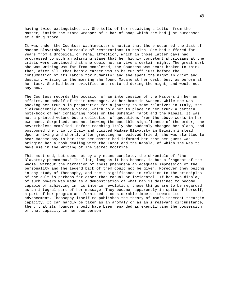having twice extinguished it. She tells of her receiving a letter from the Master, inside the store-wrapper of a bar of soap which she had just purchased at a drug store.

It was under the Countess Wachtmeister's notice that there occurred the last of Madame Blavatsky's "miraculous" restorations to health. She had suffered for years from a dropsical or renal affection, which in those latter days had progressed to such an alarming stage that her highly competent physicians at one crisis were convinced that she could not survive a certain night. The great work she was writing was far from completed; the Countess was heart-broken to think that, after all, that heroic career was to be cut off just before the consummation of its labors for humanity; and she spent the night in grief and despair. Arising in the morning she found Madame at her desk, busy as before at her task. She had been revivified and restored during the night, and would not say how.

The Countess records the occasion of an intercession of the Masters in her own affairs, on behalf of their messenger. At her home in Sweden, while she was packing her trunks in preparation for a journey to some relatives in Italy, she clairaudiently heard a voice, which told her to place in her trunk a certain note-book of her containing notes on the Bohemian Tarot and the Kabala. It was not a printed volume but a collection of quotations from the above works in her own hand. Surprised, and not knowing the possible significance of the order, she nevertheless complied. Before reaching Italy she suddenly changed her plans, and postponed the trip to Italy and visited Madame Blavatsky in Belgium instead. Upon arriving and shortly after greeting her beloved friend, she was startled to hear Madame say to her that her Master had informed her that her guest was bringing her a book dealing with the Tarot and the Kabala, of which she was to make use in the writing of The Secret Doctrine.

This must end, but does not by any means complete, the chronicle of "the Blavatsky phenomena." The list, long as it has become, is but a fragment of the whole. Without the narration of these phenomena an adequate impression of the personality and the legend back of them could not be given. Moreover they belong in any study of Theosophy, and their significance in relation to the principles of the cult is perhaps far other than casual or incidental. If her own display of such powers was made as a demonstration of what man is destined to become capable of achieving in his interior evolution, these things are to be regarded as an integral part of her message. They became, apparently in spite of herself, a part of her program and furnished a considerable impetus toward its advancement. Theosophy itself re-publishes the theory of man's inherent theurgic capacity. It can hardly be taken as an anomaly or as an irrelevant circumstance, then, that its founder should have been regarded as exemplifying the possession of that capacity in her own person.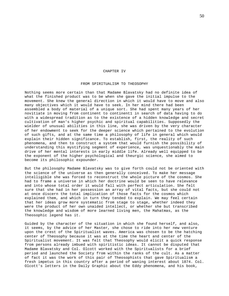## CHAPTER IV

## FROM SPIRITUALISM TO THEOSOPHY

Nothing seems more certain than that Madame Blavatsky had no definite idea of what the finished product was to be when she gave the initial impulse to the movement. She knew the general direction in which it would have to move and also many objectives which it would have to seek. In her mind there had been assembled a body of material of a unique sort. She had spent many years of her novitiate in moving from continent to continent1 in search of data having to do with a widespread tradition as to the existence of a hidden knowledge and secret cultivation of man's higher psychic and spiritual capabilities. Supposedly the wielder of unusual abilities in this line, she was driven by the very character of her endowment to seek for the deeper science which pertained to the evolution of such gifts, and at the same time a philosophy of life in general which would explain their hidden significance. To establish, first, the reality of such phenomena, and then to construct a system that would furnish the possibility of understanding this mystifying segment of experience, was unquestionably the main drive of her mental interests in early middle life. Already well equipped to be the exponent of the higher psychological and theurgic science, she aimed to become its philosophic expounder.

But the philosophy Madame Blavatsky was to give forth could not be oriented with the science of the universe as then generally conceived. To make her message intelligible she was forced to reconstruct the whole picture of the cosmos. She had to frame a universe in which her doctrine would be seen to have relevance and into whose total order it would fall with perfect articulation. She felt sure that she had in her possession an array of vital facts, but she could not at once discern the total implication of those facts for the cosmos which explained them, and which in turn they tended to explain. We may feel certain that her ideas grow more systematic from stage to stage, whether indeed they were the product of her own unaided intellect, or whether she but transcribed the knowledge and wisdom of more learned living men, the Mahatmas, as the Theosophic legend has it.

Guided by the character of the situation in which she found herself, and also, it seems, by the advice of her Master, she chose to ride into her new venture upon the crest of the Spiritualist waves. America was chosen to be the hatching center of Theosophy because it was at the time the heart and center of the Spiritualist movement. It was felt that Theosophy would elicit a quick response from persons already imbued with spiritistic ideas. It cannot be disputed that Madame Blavatsky and Col. Olcott worked with the Spiritualists for a brief period and launched the Society from within the ranks of the cult. As a matter of fact it was the work of this pair of Theosophists that gave Spiritualism a fresh impetus in this country after a period of waning interest about 1874. Col. Olcott's letters in the Daily Graphic about the Eddy phenomena, and his book,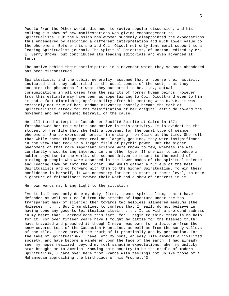People From the Other World, did much to revive popular discussion, and his colleague's show of new manifestations was giving encouragement to Spiritualists. But the Russian noblewoman suddenly disappointed the expectations thus engendered by assigning a different interpretation and much lower value to the phenomena. Before this she and Col. Olcott not only lent moral support to a leading Spiritualist journal, The Spiritual Scientist, of Boston, edited by Mr. E. Gerry Brown, but contributed its leading editorials and even advanced it funds.

The motive behind their participation in a movement which they so soon abandoned has been misconstrued.

Spiritualists, and the public generally, assumed that of course their activity indicated that they subscribed to the usual tenets of the sect; that they accepted the phenomena for what they purported to be, i.e., actual communications in all cases from the spirits of former human beings. However true this estimate may have been as appertaining to Col. Olcott-and even to him it had a fast diminishing applicability after his meeting with H.P.B.-it was certainly not true of her. Madame Blavatsky shortly became the mark of Spiritualistic attack for the falsification of her original attitude toward the movement and her presumed betrayal of the cause.

Her ill-timed attempt to launch her Société Spirite at Cairo in 1871 foreshadowed her true spirit and motive in this activity. It is evident to the student of her life that she felt a contempt for the banal type of séance phenomena. She so expressed herself in writing from Cairo at the time. She felt that while these things were real and largely genuine, they were insignificant in the view that took in a larger field of psychic power. But the higher phenomena of that more important science were known to few, whereas she was constantly encountering interest in the other type. If she was to introduce a nobler psychism to the world, she seemed driven to resort to the method of picking up people who were absorbed in the lower modes of the spiritual science and leading them on into the higher. She would gather a nucleus of the best Spiritualists and go forward with them to the higher Spiritualism. To win their confidence in herself, it was necessary for her to start at their level, to make a gesture of friendliness toward their work and a show of interest in it.

Her own words may bring light to the situation:

"As it is I have only done my duty; first, toward Spiritualism, that I have defended as well as I could from the attacks of imposture under the too transparent mask of science; then towards two helpless slandered mediums [the Holmeses]. . . . But I am obliged to confess that I really do not believe in having done any good-to Spiritualism itself. . . . It is with a profound sadness in my heart that I acknowledge this fact, for I begin to think there is no help for it. For over fifteen years have I fought my battle for the blessed truth; have traveled and preached it-though I never was born for a lecturer-from the snow-covered tops of the Caucasian Mountains, as well as from the sandy valleys of the Nile. I have proved the truth of it practically and by persuasion. For the sake of Spiritualism2 I have left my home, an easy life amongst a civilized society, and have become a wanderer upon the face of the earth. I had already seen my hopes realized, beyond my most sanguine expectations, when my unlucky star brought me to America. Knowing this country to be the cradle of modern Spiritualism, I came over here from France with feelings not unlike those of a Mohammedan approaching the birthplace of his Prophet."3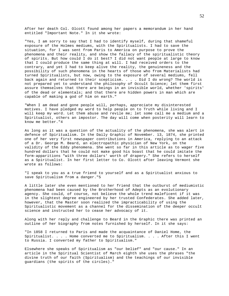After her death Col. Olcott found among her papers a memorandum in her hand entitled "Important Note." In it she wrote:

"Yes, I am sorry to say that I had to identify myself, during that shameful exposure of the Holmes mediums, with the Spiritualists. I had to save the situation, for I was sent from Paris to America on purpose to prove the phenomena and their reality, and show the fallacy of the spiritualistic theory of spirits. But how could I do it best? I did not want people at large to know that I could produce the same thing at will. I had received orders to the contrary, and yet I had to keep alive the reality, the genuineness and the possibility of such phenomena in the hearts of those who from Materialists had turned Spiritualists, but now, owing to the exposure of several mediums, fell back again and returned to their scepticism. . . . Did I do wrong? The world is not prepared yet to understand the philosophy of Occult Science; let them first assure themselves that there are beings in an invisible world, whether 'spirits' of the dead or elementals; and that there are hidden powers in man which are capable of making a god of him on earth."

"When I am dead and gone people will, perhaps, appreciate my disinterested motives. I have pledged my word to help people on to Truth while living and I will keep my word. Let them abuse and revile me; let some call me a medium and a Spiritualist, others an impostor. The day will come when posterity will learn to know me better."4

As long as it was a question of the actuality of the phenomena, she was alert in defence of Spiritualism. In the Daily Graphic of November. 13, 1874, she printed one of her very first newspaper contributions in America, replying to an attack of a Dr. George M. Beard, an electropathic physician of New York, on the validity of the Eddy phenomena. She went so far in this article as to wager five hundred dollars that he could not make good his boast that he could imitate the form-apparitions "with three dollars' worth of drapery." She refers to herself as a Spiritualist. In her first letter to Co. Olcott after leaving Vermont she wrote as follows:

"I speak to you as a true friend to yourself and as a Spiritualist anxious to save Spiritualism from a danger."5

A little later she even mentioned to her friend that the outburst of mediumistic phenomena had been caused by the Brotherhood of Adepts as an evolutionary agency. She could, of course, not believe the whole trend maleficent if it was in the slightest degree engineered by her trusted Confederates. She added later, however, that the Master soon realized the impracticability of using the Spiritualistic movement as a channel for the dissemination of the deeper occult science and instructed her to cease her advocacy of it.

Along with her reply and challenge to Beard in the Graphic there was printed an outline of her biography from notes furnished by herself. In it she says:

"In 1858 I returned to Paris and made the acquaintance of Daniel Home, the Spiritualist. . . . Home converted me to Spiritualism. . . . After this I went to Russia. I converted my father to Spiritualism."

Elsewhere she speaks of Spiritualism as "our belief" and "our cause." In an article in the Spiritual Scientist of March eighth she uses the phrases "the divine truth of our faith (Spiritualism) and the teachings of our invisible guardians (the spirits of the circles)."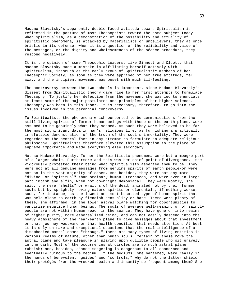Madame Blavatsky's apparently double-faced attitude toward Spiritualism is reflected in the posture of most Theosophists toward the same subject today. When Spiritualism, as a demonstration of the possibility and actuality of spiritistic phenomena, is attacked by materialists or unbelievers, they at once bristle in its defense; when it is a question of the reliability and value of the messages, or the dignity and wholesomeness of the séance procedure, they respond negatively.

It is the opinion of some Theosophic leaders, like Sinnett and Olcott, that Madame Blavatsky made a mistake in affiliating herself actively with Spiritualism, inasmuch as the early group of Spiritualistic members of her Theosophic Society, as soon as they were apprised of her true attitude, fell away, and the incipient movement was beset with much ill-feeling.

The controversy between the two schools is important, since Madame Blavatsky's dissent from Spiritualistic theory gave rise to her first attempts to formulate Theosophy. To justify her defection from the movement she was led to enunciate at least some of the major postulates and principles of her higher science. Theosophy was born in this labor. It is necessary, therefore, to go into the issues involved in the perennial controversy.

To Spiritualists the phenomena which purported to be communications from the still-living spirits of former human beings with those on the earth plane, were assumed to be genuinely what they seemed. As such they were believed to be far the most significant data in man's religious life, as furnishing a practically irrefutable demonstration of the truth of the soul's immortality. They were regarded as the central fact in any attempt to formulate an adequate religious philosophy. Spiritualists therefore elevated this assumption to the place of supreme importance and made everything else secondary.

Not so Madame Blavatsky. To her the Spiritistic phenomena were but a meagre part of a larger whole. Furthermore-and this was her chief point of divergence,--she vigorously protested their being what Spiritualists asserted them to be. They were not at all genuine messages from genuine spirits of earth people-or were not so in the vast majority of cases. And besides, they were not any more "divine" or "spiritual" than ordinary human utterances, and were even in large part impish and elfin, when not downright demoniacal. They were mostly, she said, the mere "shells" or wraiths of the dead, animated not by their former souls but by sprightly roving nature-spirits or elementals, if nothing worse,- such, for instance, as the lowest and most besotted type of human spirit that was held close to earth by fiendish sensuality or hate. There were plenty of these, she affirmed, in the lower astral plane watching for opportunities to vampirize negative human beings. The souls of average well-meaning or of saintly people are not within human reach in the séance. They have gone on into realms of higher purity, more etherealized being, and can not easily descend into the heavy atmosphere of the near-earth plane to give messages about that investment or that journey westward or that health condition that needs attention. At best it is only on rare and exceptional occasions that the real intelligence of a disembodied mortal comes "through." There are many types of living entities in various realms of nature, other than human souls. Certain of these rove the astral plane and take pleasure in playing upon gullible people who sit gravely in the dark. Most of the occurrences at circles are so much astral plane rubbish; and, besides, séance-mongering is dangerous to all concerned and eventually ruinous to the medium. If the mediums, she bantered, were really in the hands of benevolent "guides" and "controls," why do not the latter shield their protégés from the wrecked health and insanity so frequent among them? She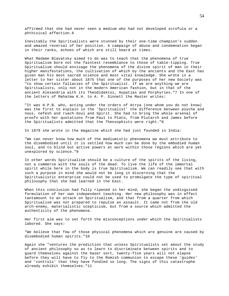affirmed that she had never seen a medium who had not developed scrofula or a phthisical affection.6

Inevitably the Spiritualists were stunned by their one-time champion's sudden and amazed reversal of her position. A campaign of abuse and condemnation began in their ranks, echoes of which are still heard at times.

What Madame Blavatsky aimed to do was to teach that the phenomena of true Spiritualism bore not the faintest resemblance to those of table-tipping. True Spiritualism should envisage the phenomena of the divine spirit of man in their higher manifestations, the cultivation of which by the ancients and the East has given man his most sacred science and most vital knowledge. She wrote in a letter to her sister about 1875 that one of the purposes of her new Society was "to show certain fallacies of the Spiritualist. If we are anything we are Spiritualists, only not in the modern American fashion, but in that of the ancient Alexandria with its Theodidaktoi, Hypatias and Porphyries."7 In one of the letters of Mahatma K.H. to A. P. Sinnett the Master writes:

"It was H.P.B. who, acting under the orders of Atrya (one whom you do not know) was the first to explain in the 'Spiritualist' the difference between psyche and nous, nefesh and ruach-Soul and Spirit. She had to bring the whole arsenal of proofs with her quotations from Paul to Plato, from Plutarch and James before the Spiritualists admitted that the Theosophists were right."8

In 1879 she wrote in the magazine which she had just founded in India:

"We can never know how much of the mediumistic phenomena we must attribute to the disembodied until it is settled how much can be done by the embodied human soul, and to blind but active powers at work within those regions which are yet unexplored by science."9

In other words Spiritualism should be a culture of the spirits of the living, not a commerce with the souls of the dead. To live the life of the immortal spirit while here in the body is true Spiritualism. We can readily see that with such a purpose in mind she would not be long in discerning that the Spiritualistic enterprise could not be used to promulgate the type of spiritual philosophy that she had learned in the East.

When this conclusion had fully ripened in her mind, she began the undisguised formulation of her own independent teaching. Her new philosophy was in effect tantamount to an attack on Spiritualism, and that from a quarter from which Spiritualism was not prepared to repulse an assault. It came not from the old arch-enemy, materialistic scepticism, but from a source which admitted the authenticity of the phenomena.

Her first aim was to set forth the misconceptions under which the Spiritualists labored. She says:

"We believe that few of those physical phenomena which are genuine are caused by disembodied human spirits."10

Again she "ventures the prediction that unless Spiritualists set about the study of ancient philosophy so as to learn to discriminate between spirits and to guard themselves against the baser sort, twenty-five years will not elapse before they will have to fly to the Romish communion to escape these 'guides' and 'controls' that they have fondled so long. The signs of this catastrophe already exhibit themselves."11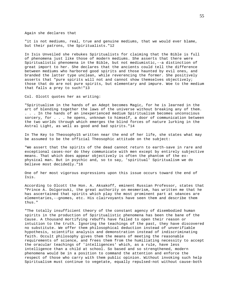Again she declares that

"it is not mediums, real, true and genuine mediums, that we would ever blame, but their patrons, the Spiritualists."12

In Isis Unveiled she rebukes Spiritualists for claiming that the Bible is full of phenomena just like those of modern mediums. She asserts that there were Spiritualistic phenomena in the Bible, but not mediumistic,--a distinction of great import to her. She declares that the ancients could tell the difference between mediums who harbored good spirits and those haunted by evil ones, and branded the latter type unclean, while reverencing the former. She positively asserts that "pure spirits will not and cannot show themselves objectively; those that do are not pure spirits, but elementary and impure. Woe to the medium that falls a prey to such!"13

Col. Olcott quotes her as writing:

"Spiritualism in the hands of an Adept becomes Magic, for he is learned in the art of blending together the laws of the universe without breaking any of them. . . . In the hands of an inexperienced medium Spiritualism becomes unconscious sorcery, for . . . he opens, unknown to himself, a door of communication between the two worlds through which emerges the blind forces of nature lurking in the Astral Light, as well as good and bad spirits."14

In The Key to Theosophy15 written near the end of her life, she states what may be assumed to be the official Theosophic attitude on the subject:

"We assert that the spirits of the dead cannot return to earth-save in rare and exceptional cases-nor do they communicate with men except by entirely subjective means. That which does appear objectively is often the phantom of the exphysical man. But in psychic and, so to say, 'spiritual' Spiritualism we do believe most decidedly."16

One of her most vigorous expressions upon this issue occurs toward the end of Isis.

According to Olcott the Hon. A. Aksakoff, eminent Russian Professor, states that "Prince A. Dolgorouki, the great authority on mesmerism, has written me that he has ascertained that spirits which play the most prominent part at séances are elementaries,--gnomes, etc. His clairvoyants have seen them and describe them thus."

"The totally insufficient theory of the constant agency of disembodied human spirits in the production of Spiritualistic phenomena has been the bane of the Cause. A thousand mortifying rebuffs have failed to open their reason or intuition to the truth. Ignoring the teachings of the past, they have discovered no substitute. We offer them philosophical deduction instead of unverifiable hypothesis, scientific analysis and demonstration instead of indiscriminating faith. Occult philosophy gives them the means of meeting the reasonable requirements of science, and frees them from the humiliating necessity to accept the oracular teachings of 'intelligences' which, as a rule, have less intelligence than a child at school. So based and so strengthened, modern phenomena would be in a position to command the attention and enforce the respect of those who carry with them public opinion. Without invoking such help Spiritualism must continue to vegetate, equally repulsed-not without cause-both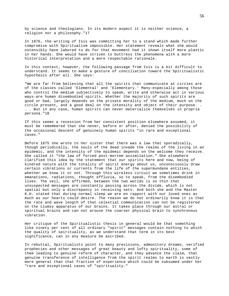by science and theologians. In its modern aspect it is neither science, a religion nor a philosophy."17

In 1876, the writing of Isis was committing her to a stand which made further compromise with Spiritualism impossible. Her statement reveals what she would ostensibly have labored to do for that movement had it shown itself more plastic in her hands. She would have striven to buttress the phenomena with a more historical interpretation and a more respectable rationale.

In this context, however, the following passage from Isis is a bit difficult to understand. It seems to make a gesture of conciliation toward the Spiritualistic hypothesis after all. She says:

"We are far from believing that all the spirits that communicate at circles are of the classes called 'Elemental' and 'Elementary.' Many-especially among those who control the medium subjectively to speak, write and otherwise act in various ways-are human disembodied spirits. Whether the majority of such spirits are good or bad, largely depends on the private morality of the medium, much on the circle present, and a good deal on the intensity and object of their purpose. . . . But in any case, human spirits can never materialize themselves in propria persona."18

If this seems a recession from her consistent position elsewhere assumed, it must be remembered that she never, before or after, denied the possibility of the occasional descent of genuinely human spirits "in rare and exceptional cases."

Before 1875 she wrote to her sister that there was a law that sporadically, though periodically, the souls of the dead invade the realms of the living in an epidemic, and the intensity of the epidemic depends on the welcome they receive. She called it "the law of forced post-mortem assimilation." She elsewhere clarified this idea by the statement that our spirits here and now, being of kindred nature with the totality of spirit energy about us, unconsciously draw certain vibrations or currents from the life of the supermundane entities, whether we know it or not. Through this wireless circuit we sometimes drink in emanations, radiations, thought effluvia, so to speak, from the disembodied lives. The veil, she affirmed, between the two worlds is so thin that unsuspected messages are constantly passing across the divide, which is not spatial but only a discrepancy in receiving sets. And both she and the Master K.H. stated that during normal sleep we are en rapport with our loved ones as much as our hearts could desire. The reason we do not ordinarily know it is that the rate and wave length of that celestial communication can not be registered on the clumsy apparatus of our brains. It takes place through our astral or spiritual brains and can not arouse the coarser physical brain to synchronous vibration.

Her critique of the Spiritualistic thesis in general would be that something like ninety per cent of all ordinary "spirit" messages contain nothing to which the quality of spirituality, as we understand that term in its best significance, can in any measure be ascribed.

In rebuttal, Spiritualists point to many previsions, admonitory dreams, verified prophecies and other messages of great beauty and lofty spirituality, some of them leading to genuine reform of character, and they advance the claim, that genuine transference of intelligence from the spirit realms to earth is vastly more general than that fraction of experience which could be subsumed under her "rare and exceptional cases of "spirituality."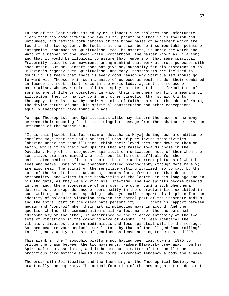In one of the last works issued by Mr. Sinnett19 he deplores the unfortunate clash that has come between the two cults, points out that it is foolish and unfounded, and reminds both parties of the broad bases of agreement which are found in the two systems. He feels that there can be no insurmountable points of antagonism, inasmuch as Spiritualism, too, he asserts, is under the watch and ward of a member of the Great White Brotherhood, the Master known as Hilarion; and that it would be illogical to assume that members of that same spiritual Fraternity could foster movements among mankind that work at cross purposes with each other. But Mr. Sinnett does not give any authority for his statement as to Hilarion's regency over Spiritualism, and many Theosophists are inclined to doubt it. He feels that there is every good reason why Spiritualism should go forward with Theosophy in such a unity of purpose as would render their combined influence the most potent force in the world today against the menace of materialism. Whenever Spiritualists display an interest in the formulation of some scheme of life or cosmology in which their phenomena may find a meaningful allocation, they can hardly go in any other direction than straight into Theosophy. This is shown by their Articles of Faith, in which the idea of Karma, the divine nature of man, his spiritual constitution and other conceptions equally theosophic have found a place.

Perhaps Theosophists and Spiritualists alike may discern the bases of harmony between their opposing faiths in a singular passage from The Mahatma Letters, an utterance of the Master K.H.

"It is this [sweet blissful dream of devachanic Maya] during such a condition of complete Maya that the Souls or actual Egos of pure loving sensitivities, laboring under the same illusion, think their loved ones come down to them on earth, while it is their own Spirits that are raised towards those in the Devachan. Many of the subjective spiritual communications-most of them when the sensitives are pure-minded-are real; but it is most difficult for the uninitiated medium to fix in his mind the true and correct pictures of what he sees and hears. Some of the phenomena called psychography (though more rarely) are also real. The spirit of the sensitive getting idylized, so to say, by the aura of the Spirit in the Devachan, becomes for a few minutes that departed personality, and writes in the handwriting of the latter, in his language and in his thoughts, as they were during his life-time. The two spirits become blended in one; and, the preponderance of one over the other during such phenomena determines the preponderance of personality in the characteristics exhibited in such writings and 'trance-speaking.' What you call 'rapport' is in plain fact an identity of molecular vibration between the astral part of the incarnate medium and the astral part of the discarnate personality . . . there is rapport between medium and 'control' when their astral molecules move in accord. And the question whether the communication shall reflect more of the one personal idiosyncrasy or the other, is determined by the relative intensity of the two sets of vibrations in the compound wave of Akasha. The less identical the vibratory impulses the more mediumistic and less spiritual will be the message. So then measure your medium's moral state by that of the alleged 'controlling' Intelligence, and your tests of genuineness leave nothing to be desired."20

This plank in the Theosophic platform not having been laid down in 1875 to bridge the chasm between the two movements, Madame Blavatsky drew away from her Spiritualistic associates, and it became but a matter of time until some propitious circumstance should give to her divergent tendency a body and a name.

The break with Spiritualism and the launching of the Theosophical Society were practically contemporary. The actual formation of the new organization does not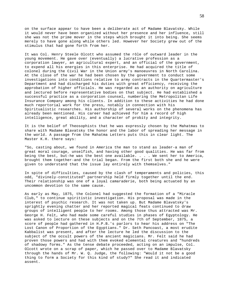on the surface appear to have been a deliberate act of Madame Blavatsky. While it would never have been organized without her presence and her influence, still she was not the prime mover in the steps which brought it into being. She seems merely to have gone along while others led. However her Society grew out of the stimulus that had gone forth from her.

It was Col. Henry Steele Olcott who assumed the rôle of outward leader in the young movement. He gave over (eventually) a lucrative profession as a corporation lawyer, an agricultural expert, and an official of the government, to expend all his energies in this enterprise. He had acquired the title of colonel during the Civil War in the Union army's manoeuvres in North Carolina. At the close of the war he had been chosen by the government to conduct some investigations into conditions relative to army contracts in the Quartermaster's Department and had discharged his duties with great efficiency, receiving the approbation of higher officials. He was regarded as an authority on agriculture and lectured before representative bodies on that subject. He had established a successful practice as a corporation counsel, numbering the Metropolitan Life Insurance Company among his clients. In addition to these activities he had done much reportorial work for the press, notably in connection with his Spiritualistic researches. His authorship of several works on the phenomena has already been mentioned. His career had achieved for him a record of high intelligence, great ability, and a character of probity and integrity.

It is the belief of Theosophists that he was expressly chosen by the Mahatmas to share with Madame Blavatsky the honor and the labor of spreading her message in the world. A passage from the Mahatma Letters puts this in clear light. The Master K.H. there says:

"So, casting about, we found in America the man to stand as leader-a man of great moral courage, unselfish, and having other good qualities. He was far from being the best, but-he was the best one available. . . . We sent her to America, brought them together-and the trial began. From the first both she and he were given to understand that the issue lay entirely with themselves."

In spite of difficulties, caused by the clash of temperaments and policies, this odd, "divinely-constituted" partnership held firmly together until the end. Their relationship was one of a loyal camaraderie, both being actuated by an uncommon devotion to the same cause.

As early as May, 1875, the Colonel had suggested the formation of a "Miracle Club," to continue spiritistic investigation. His proposal was made in the interest of psychic research. It was not taken up. But Madame Blavatsky's sprightly evening chatter and her reported magical feats continued to draw groups of intelligent people to her rooms. Among those thus attracted was Mr. George H. Felt, who had made some careful studies in phases of Egyptology. He was asked to lecture on these subjects and on the 7th of September, 1875, a score of people had gathered in H.P.B.'s parlors to hear his address on "The Lost Canon of Proportion of the Egyptians." Dr. Seth Pancoast, a most erudite Kabbalist was present, and after the lecture he led the discussion to the subject of the occult powers of the ancient magicians. Mr. Felt said he had proven those powers and had with them evoked elemental creatures and "hundreds of shadowy forms." As the tense debate proceeded, acting on an impulse, Col. Olcott wrote on a scrap of paper, which he passed over to Madame Blavatsky through the hands of Mr. W. Q. Judge, the following: "Would it not be a good thing to form a Society for this kind of study?" She read it and indicated assent.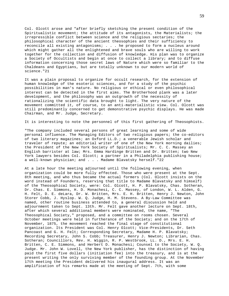Col. Olcott arose and "after briefly sketching the present condition of the Spiritualistic movement; the attitude of its antagonists, the Materialists; the irrepressible conflict between science and the religious sectaries; the philosophical character of the ancient theosophies and their sufficiency to reconcile all existing antagonisms; . . . he proposed to form a nucleus around which might gather all the enlightened and brave souls who are willing to work together for the collection and diffusion of knowledge. His plan was to organize a Society of Occultists and begin at once to collect a library; and to diffuse information concerning those secret laws of Nature which were so familiar to the Chaldeans and Egyptians, but are totally unknown to our modern world of science."21

It was a plain proposal to organize for occult research, for the extension of human knowledge of the esoteric sciences, and for a study of the psychic possibilities in man's nature. No religious or ethical or even philosophical interest can be detected in the first aims. The Brotherhood plank was a later development, and the philosophy was an outgrowth of the necessity of rationalizing the scientific data brought to light. The very nature of the movement committed it, of course, to an anti-materialistic view. Col. Olcott was still predominantly concerned to get demonstrative psychic displays. He was made Chairman, and Mr. Judge, Secretary.

It is interesting to note the personnel of this first gathering of Theosophists.

"The company included several persons of great learning and some of wide personal influence. The Managing Editors of two religious papers; the co-editors of two literary magazines; an Oxford LL.D.; a venerable Jewish scholar and traveler of repute; an editorial writer of one of the New York morning dailies; the President of the New York Society of Spiritualists; Mr. C. C. Massey an English barrister at law; Mrs. Emma Hardinge Britten and Dr. Britten; two New York lawyers besides Col. Olcott; a partner in a Philadelphia publishing house; a well-known physician; and . . . Madame Blavatsky herself."22

At a late hour the meeting adjourned until the following evening, when organization could be more fully effected. Those who were present at the Sept. 8th meeting, and who thus became the actual formers (Col. Olcott insists on the word instead of Founders, reserving that title to Madame Blavatsky and himself) of the Theosophical Society, were: Col. Olcott, H. P. Blavatsky, Chas. Sotheran, Dr. Chas. E. Simmons, H. D. Monachesi, C. C. Massey, of London, W. L. Alden, G. H. Felt, D. E. deLara, Dr. W. Britten, Mrs. E. H. Britten, Henry J. Newton, John Storer Cobb, J. Hyslop. W. Q. Judge, H. M. Stevens. A By-Law Committee was named, other routine business attended to, a general discussion held and adjournment taken to Sept. 13th. Mr. Felt gave another lecture on Sept. 18th, after which several additional members were nominated, the name, "The Theosophical Society," proposed, and a committee on rooms chosen. Several October meetings were held in furtherance of the Society; and on the 17th of November, 1875, the movement reached the final stage of constitutional organization. Its President was Col. Henry Olcott; Vice-Presidents, Dr. Seth Pancoast and G. H. Felt; Corresponding Secretary, Madame H. P. Blavatsky; Recording Secretary, John S. Cobb; Treasurer, Henry J. Newton; Librarian, Chas. Sotheran; Councillors, Rev. H. Wiggin, R. P. Westbrook, LL. D., Mrs. E. H. Britten, C. E. Simmons, and Herbert D. Monachesi; Counsel to the Society, W. Q. Judge. Mr. John W. Lovell, the New York publisher, has the distinction of having paid the first five dollars (initiation fee) into the treasury, and is at the present writing the only surviving member of the founding group. At the November 17th meeting the President delivered his inaugural address. It was an amplification of his remarks made at the meeting of Sept. 7th, with some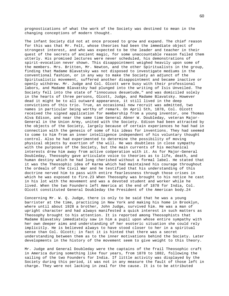prognostications of what the work of the Society was destined to mean in the changing conceptions of modern thought.

The infant Society did not at once proceed to grow and expand. The chief reason for this was that Mr. Felt, whose theories had been the immediate object of strongest interest, and who was expected to be the leader and teacher in their quest of the secrets of ancient magic, for some unaccountable reason failed them utterly. His promised lectures were never scheduled, his demonstrations of spirit-evocation never shown. This disappointment weighed heavily upon some of the members. Mrs. Britten, Mr. Newton, and the other Spiritualists in the group, finding that Madame Blavatsky was not disposed to investigate mediums in the conventional fashion, or in any way to make the Society an adjunct of the Spiritualistic movement, suffered another disappointment and became inactive or openly withdrew. Mr. Judge and Col. Olcott were busy with their professional labors, and Madame Blavatsky had plunged into the writing of Isis Unveiled. The Society fell into the state of "innocuous desuetude," and was domiciled solely in the hearts of three persons, Olcott, Judge, and Madame Blavatsky. However dead it might be to all outward appearance, it still lived in the deep convictions of this trio. True, an occasional new recruit was admitted, two names in particular being worthy of remark. On April 5th, 1878, Col. Olcott received the signed application for membership from a young inventor, one Thomas Alva Edison, and near the same time General Abner W. Doubleday, veteran Major-General in the Union Army, united with the Society. Edison had been attracted by the objects of the Society, largely because of certain experiences he had had in connection with the genesis of some of his ideas for inventions. They had seemed to come to him from an inner intelligence independent of his voluntary thought control. Also he had experimented to determine the possibility of moving physical objects by exertion of the will. He was doubtless in close sympathy with the purposes of the Society, but the main currents of his mechanical interests drew him away from active coöperation with it. As for Major-General Doubleday, Theosophy gave articulate voice to theories as to life, death, and human destiny which he had long cherished without a formal label. He stated that it was the Theosophic idea of Karma which had maintained his courage throughout the ordeals of the Civil War and he testified that his understanding of this doctrine nerved him to pass with entire fearlessness through those crises in which he was exposed to fire.23 When Theosophy was brought to his notice he cast in his lot with the movement and was a devoted student and worker while he lived. When the two Founders left America at the end of 1878 for India, Col. Olcott constituted General Doubleday the President of the American body.24

Concerning Mr. W. Q. Judge, there is only to be said that he was a young barrister at the time, practicing in New York and making his home in Brooklyn, where until about 1928 a brother, John Judge, survived him. He was a man of upright character and had always manifested a quick interest in such matters as Theosophy brought to his attention. It is reported among Theosophists that Madame Blavatsky immediately saw in him a pupil upon whose entire sympathy with her own deeper aims and understanding of her esoteric situation she could rely implicitly. He is believed always to have stood closer to her in a spiritual sense than Col. Olcott; in fact it is hinted that there was a secret understanding between them as to the inner motivations behind the Society. Later developments in the history of the movement seem to give weight to this theory.

Mr. Judge and General Doubleday were the captains of the frail Theosophic craft in America during something like four years, from 1878 to 1882, following the sailing of the two Founders for India. If little activity was displayed by the Society during this period, it was not in any measure the fault of those left in charge. They were not lacking in zeal for the cause. It is to be attributed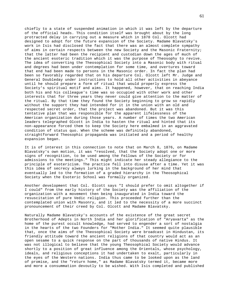chiefly to a state of suspended animation in which it was left by the departure of the official heads. This condition itself was brought about by the long protracted delay in carrying out a measure which in 1878 Col. Olcott had designed to adopt for the future expansion of the Society. Madame Blavatsky's work in Isis had disclosed the fact that there was an almost complete sympathy of aims in certain respects between the new Society and the Masonic Fraternity; that the latter had been the recipient and custodian down the ages of much of the ancient esoteric tradition which it was the purpose of Theosophy to revive. The idea of converting the Theosophical Society into a Masonic body with ritual and degrees had been under contemplation for some time, and overtures toward that end had been made to persons in the Masonic order. In fact the plan had been so favorably regarded that on his departure Col. Olcott left Mr. Judge and General Doubleday under instructions to hold all other activities in abeyance until he should prepare a form of ritual that would properly express the Society's spiritual motif and aims. It happened, however, that on reaching India both his and his colleague's time was so occupied with other work and other interests that for three years they never could give attention to the matter of the ritual. By that time they found the Society beginning to grow so rapidly without the support they had intended for it in the union with an old and respected secret order, that the project was abandoned. But it was this tentative plan that was responsible for the apparent lifelessness of the American organization during those years. A number of times the two American leaders telegraphed Olcott in India to hasten the ritual and hinted that its non-appearance forced them to keep the Society here embalmed in an aggravated condition of status quo. When the scheme was definitely abandoned, straightforward Theosophic propaganda was initiated and a period of healthy expansion began.

It is of interest in this connection to note that on March 8, 1876, on Madame Blavatsky's own motion, it was "resolved, that the Society adopt one or more signs of recognition, to be used among the Fellows of the Society or for admissions to the meetings." This might indicate her steady allegiance to the principle of esotericism. The practice fell into disuse after a time. Yet it was this idea of secrecy always lurking in the background of her mind that eventually led to the formation of a graded hierarchy in the Theosophical Society when the Esoteric School was formally organized.

Another development that Col. Olcott says "I should prefer to omit altogether if I could" from the early history of the Society was the affiliation of the organization with a movement then being inaugurated in India toward the resuscitation of pure Vedic religion. This proceeded further than the contemplated union with Masonry, and it led to the necessity of a more succinct pronouncement of their creed by Col. Olcott and Madame Blavatsky.

Naturally Madame Blavatsky's accounts of the existence of the great secret Brotherhood of Adepts in North India and her glorification of "Aryavarta" as the home of the purest occult knowledge, had served to engender a sort of nostalgia in the hearts of the two Founders for "Mother India." It seemed quite plausible that, once the aims of the Theosophical Society were broadcast in Hindustan, its friendly attitude toward the ancient religions of that country would act as an open sesame to a quick response on the part of thousands of native Hindus. It was not illogical to believe that the young Theosophical Society would advance shortly to a position of great influence among the Orientals, whose psychology, ideals, and religious conceptions it had undertaken to exalt, particularly in the eyes of the Western nations. India thus came to be looked upon as the land of promise, and the "return home," as Madame Blavatsky termed it, became more and more a consummation devoutly to be wished. With Isis completed and published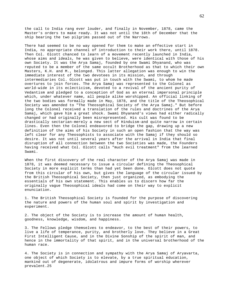the call to India rang ever louder, and finally in November, 1878, came the Master's orders to make ready. It was not until the 18th of December that the ship bearing the two pilgrims passed out of the Narrows.

There had seemed to be no way opened for them to make an effective start in India, no appropriate channel of introduction to their work there, until 1878. Then Col. Olcott chanced to learn of a movement recently launched in India, whose aims and ideals, he was given to believe, were identical with those of his own Society. It was the Arya Samaj, founded by one Swami Dhyanand, who was reputed to be a member of the same occult Brotherhood as that to which their own Masters, K.H. and M., belonged. This latter allegation was enough to win the immediate interest of the two devotees in its mission, and through intermediaries Col. Olcott was put in touch with the Swami, to whom he made overtures to join forces. The Arya Samaj was represented to the Colonel as world-wide in its eclecticism, devoted to a revival of the ancient purity of Vedantism and pledged to a conception of God as an eternal impersonal principle which, under whatever name, all people alike worshipped. An official linking of the two bodies was formally made in May, 1878, and the title of the Theosophical Society was amended to "The Theosophical Society of the Arya Samaj." But before long the Colonel received a translation of the rules and doctrines of the Arya Samaj, which gave him a great shock. Swami Dhyanand's views had either radically changed or had originally been misrepresented. His cult was found to be drastically sectarian-merely a new sect of Hinduism-and quite narrow in certain lines. Even then the Colonel endeavored to bridge the gap, drawing up a new definition of the aims of his Society in such an open fashion that the way was left clear for any Theosophists to associate with the Samaj if they should so desire. It was not until several years after the arrival in India that final disruption of all connection between the two Societies was made, the Founders having received what Col. Olcott calls "much evil treatment" from the learned Swami.

When the first discovery of the real character of the Arya Samaj was made in 1878, it was deemed necessary to issue a circular defining the Theosophical Society in more explicit terms than had yet been done. Olcott does not quote from this circular of his own, but gives the language of the circular issued by the British Theosophical Society, then just organized, as embodying the essentials of his own statement. This enables us to discern how far the originally vague Theosophical ideals had come on their way to explicit enunciation.

1. The British Theosophical Society is founded for the purpose of discovering the nature and powers of the human soul and spirit by investigation and experiment.

2. The object of the Society is to increase the amount of human health, goodness, knowledge, wisdom, and happiness.

3. The Fellows pledge themselves to endeavor, to the best of their powers, to live a life of temperance, purity, and brotherly love. They believe in a Great First Intelligent Cause, and in the Divine Sonship of the spirit of man, and hence in the immortality of that spirit, and in the universal brotherhood of the human race.

4. The Society is in connection and sympathy with the Arya Samaj of Aryavarta, one object of which Society is to elevate, by a true spiritual education, mankind out of degenerate, idolatrous and impure forms of worship wherever prevalent.25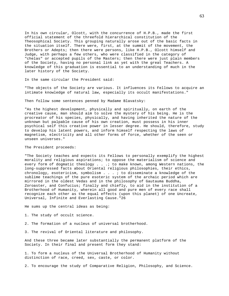In his own circular, Olcott, with the concurrence of H.P.B., made the first official statement of the threefold hierarchical constitution of the Theosophical Society. This grouping naturally arose out of the basic facts in the situation itself. There were, first, at the summit of the movement, the Brothers or Adepts; then there were persons, like H.P.B., Olcott himself and Judge, with perhaps a few others, who were classified in the category of "chelas" or accepted pupils of the Masters; then there were just plain members of the Society, having no personal link as yet with the great Teachers. A knowledge of this graduation is essential to an understanding of much in the later history of the Society.

In the same circular the President said:

"The objects of the Society are various. It influences its Fellows to acquire an intimate knowledge of natural law, especially its occult manifestations."

Then follow some sentences penned by Madame Blavatsky:

"As the highest development, physically and spiritually, on earth of the creative cause, man should aim to solve the mystery of his being. He is the procreator of his species, physically, and having inherited the nature of the unknown but palpable cause of his own creation, must possess in his inner psychical self this creative power in lesser degree. He should, therefore, study to develop his latent powers, and inform himself respecting the laws of magnetism, electricity and all other forms of force, whether of the seen or unseen universes."

# The President proceeds:

"The Society teaches and expects its Fellows to personally exemplify the highest morality and religious aspirations; to oppose the materialism of science and every form of dogmatic theology . . .; to make known, among Western nations, the long-suppressed facts about Oriental religious philosophies, their ethics, chronology, esotericism, symbolism  $\ldots$  ; to disseminate a knowledge of the sublime teachings of the pure esoteric system of the archaic period which are mirrored in the oldest Vedas and in the philosophy of Gautauma Buddha, Zoroaster, and Confucius; finally and chiefly, to aid in the institution of a Brotherhood of Humanity, wherein all good and pure men of every race shall recognize each other as the equal effects (upon this planet) of one Uncreate, Universal, Infinite and Everlasting Cause."26

He sums up the central ideas as being:

1. The study of occult science.

2. The formation of a nucleus of universal brotherhood.

3. The revival of Oriental literature and philosophy.

And these three became later substantially the permanent platform of the Society. In their final and present form they stand:

1. To form a nucleus of the Universal Brotherhood of Humanity without distinction of race, creed, sex, caste, or color.

2. To encourage the study of Comparative Religion, Philosophy, and Science.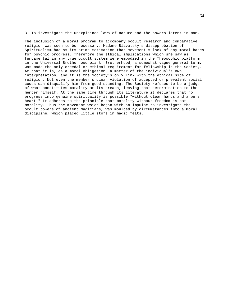3. To investigate the unexplained laws of nature and the powers latent in man.

The inclusion of a moral program to accompany occult research and comparative religion was seen to be necessary. Madame Blavatsky's disapprobation of Spiritualism had as its prime motivation that movement's lack of any moral bases for psychic progress. Therefore the ethical implications which she saw as fundamental in any true occult system were embodied in the Theosophic platform in the Universal Brotherhood plank. Brotherhood, a somewhat vague general term, was made the only creedal or ethical requirement for fellowship in the Society. At that it is, as a moral obligation, a matter of the individual's own interpretation, and it is the Society's only link with the ethical side of religion. Not even the member's clear violation of accepted or prevalent social codes can disqualify him from good standing. The Society refuses to be a judge of what constitutes morality or its breach, leaving that determination to the member himself. At the same time through its literature it declares that no progress into genuine spirituality is possible "without clean hands and a pure heart." It adheres to the principle that morality without freedom is not morality. Thus the movement which began with an impulse to investigate the occult powers of ancient magicians, was moulded by circumstances into a moral discipline, which placed little store in magic feats.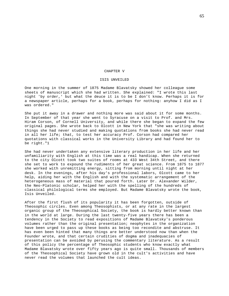### CHAPTER V

#### ISIS UNVEILED

One morning in the summer of 1875 Madame Blavatsky showed her colleague some sheets of manuscript which she had written. She explained: "I wrote this last night 'by order,' but what the deuce it is to be I don't know. Perhaps it is for a newspaper article, perhaps for a book, perhaps for nothing: anyhow I did as I was ordered."

She put it away in a drawer and nothing more was said about it for some months. In September of that year she went to Syracuse on a visit to Prof. and Mrs. Hiram Corson, of Cornell University, and while there she began to expand the few original pages. She wrote back to Olcott in New York that "she was writing about things she had never studied and making quotations from books she had never read in all her life; that, to test her accuracy Prof. Corson had compared her quotations with classical works in the University Library and had found her to be right."1

She had never undertaken any extensive literary production in her life and her unfamiliarity with English at this time was a real handicap. When she returned to the city Olcott took two suites of rooms at 433 West 34th Street, and there she set to work to expound the rudiments of her great science. From 1875 to 1877 she worked with unremitting energy, sitting from morning until night at her desk. In the evenings, after his day's professional labors, Olcott came to her help, aiding her with the English and with the systematic arrangement of the heterogeneous mass of material that poured forth. Later Dr. Alexander Wilder, the Neo-Platonic scholar, helped her with the spelling of the hundreds of classical philological terms she employed. But Madame Blavatsky wrote the book, Isis Unveiled.

After the first flush of its popularity it has been forgotten, outside of Theosophic circles. Even among Theosophists, or at any rate in the largest organic group of the Theosophical Society, the book is hardly better known than in the world at large. During the last twenty-five years there has been a tendency in the Society to read expositions of Madame Blavatsky's ponderous volumes rather than the original presentation; neophytes in the organization have been urged to pass up these books as being too recondite and abstruse. It has even been hinted that many things are better understood now than when the Founder wrote, and that certain crudities of dogma and inadequacies of presentation can be avoided by perusing the commentary literature. As a result of this policy the percentage of Theosophic students who know exactly what Madame Blavatsky wrote over fifty years ago is quite small. Thousands of members of the Theosophical Society have grown old in the cult's activities and have never read the volumes that launched the cult ideas.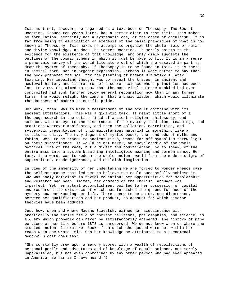Isis must not, however, be regarded as a text-book on Theosophy. The Secret Doctrine, issued ten years later, has a better claim to that title. Isis makes no formulation, certainly not a systematic one, of the creed of occultism. It is far from being an elucidation or exegesis of the basic principles of what is now known as Theosophy. Isis makes no attempt to organize the whole field of human and divine knowledge, as does The Secret Doctrine. It merely points to the evidence for the existence of that knowledge, and only dimly suggests the outlines of the cosmic scheme in which it must be made to fit. It is in a sense a panoramic survey of the world literature out of which she essayed in part to draw the system of Theosophy. If Theosophy is to be found in Isis, it is there in seminal form, not in organic expression. Perhaps it were better to say that the book prepared the soil for the planting of Madame Blavatsky's later teaching. Her impelling thought was to reveal the traces, in ancient and medieval history and literature, of a secret science whose principles had been lost to view. She aimed to show that the most vital science mankind had ever controlled had sunk further below general recognition now than in any former times. She would relight the lamp of that archaic wisdom, which would illuminate the darkness of modern scientific pride.

Her work, then, was to make a restatement of the occult doctrine with its ancient attestations. This was a gigantic task. It meant little short of a thorough search in the entire field of ancient religion, philosophy, and science, with an eye to the discernment of the mystery tradition, teachings, and practices wherever manifested; and then the collation, correlation, and systematic presentation of this multifarious material in something like a structural unity. The many legends of mystic power, the hundreds of myths and fables, were to be traced to ancient rites, whose far-off symbolism threw light on their significance. It would be not merely an encyclopedia of the whole mythical life of the race, but a digest and codification, so to speak, of the entire mass into a system breathing intelligible meaning and common sense. Her task, in a word, was to redeem the whole ancient world from the modern stigma of superstition, crude ignorance, and childish imagination.

In view of the immensity of her undertaking we are forced to wonder whence came the self-assurance that led her to believe she could successfully achieve it. She was sadly deficient in formal education; her opportunities for scholarship and research had been limited; her command of the English language was imperfect. Yet her actual accomplishment pointed to her possession of capital and resources the existence of which has furnished the ground for much of the mystery now enshrouding her life. There seems to be an obvious discrepancy between her qualifications and her product, to account for which diverse theories have been adduced.

Just how, when and where Madame Blavatsky gained her acquaintance with practically the entire field of ancient religions, philosophies, and science, is a query which probably can never be satisfactorily answered. The history of many portions of her life before 1873 is unrecorded. We do not know when or where she studied ancient literature. Books from which she quoted were not within her reach when she wrote Isis. Can her knowledge be attributed to a phenomenal memory? Olcott does say:

"She constantly drew upon a memory stored with a wealth of recollections of personal perils and adventures and of knowledge of occult science, not merely unparalleled, but not even approached by any other person who had ever appeared in America, so far as I have heard."2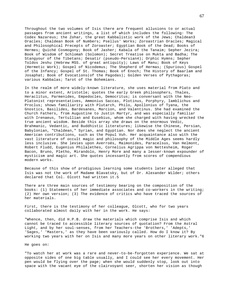Throughout the two volumes of Isis there are frequent allusions to or actual passages from ancient writings, a list of which includes the following: The Codex Nazareus; the Zohar, the great Kabbalistic work of the Jews; Chaldean3 Oracles; Chaldean Book of Numbers; Psellus' Works; Zoroastrian Oracles; Magical and Philosophical Precepts of Zoroaster; Egyptian Book of the Dead; Books of Hermes; Quiché Cosmogony; Book of Jasher; Kabala of the Tanaim; Sepher Jezira; Book of Wisdom of Schlomah (Solomon); Secret Treatise on Mukta and Badha; The Stangyour of the Tibetans; Desatir (pseudo-Persian4); Orphic Hymns; Sepher Toldos Jeshu (Hebrew MSS. of great antiquity); Laws of Manu; Book of Keys (Hermetic Work); Gospel of Nicodemus; The Shepherd of Hermas; (Spurious) Gospel of the Infancy; Gospel of St. Thomas; Book of Enoch; The History of Baarlam and Josaphat; Book of Evocations(of the Pagodas); Golden Verses of Pythagoras; various Kabbalas; Tarot of the Bohemians.

In the realm of more widely-known literature, she uses material from Plato and to a minor extent, Aristotle; quotes the early Greek philosophers, Thales, Heraclitus, Parmenides, Empedocles, Democritus; is conversant with the Neo-Platonist representatives, Ammonius Saccas, Plotinus, Porphyry, Iamblichus and Proclus; shows familiarity with Plutarch, Philo, Apollonius of Tyana, the Gnostics, Basilides, Bardesanes, Marcion, and Valentinus. She had examined the Church Fathers, from Augustine to Justin Martyr, and was especially familiar with Irenaeus, Tertullian and Eusebius, whom she charged with having wrecked the true ancient wisdom. Beside this array she draws on the enormous Vedic, Brahmanic, Vedantic, and Buddhistic literatures; likewise the Chinese, Persian, Babylonian, "Chaldean," Syrian, and Egyptian. Nor does she neglect the ancient American contributions, such as the Popul Vuh. Her acquaintance also with the vast literature of occult magic and philosophy of the Middle Ages seems hardly less inclusive. She levies upon Averroës, Maimonides, Paracelsus, Van Helmont, Robert Fludd, Eugenius Philalethes, Cornelius Agrippa von Nettesheim, Roger Bacon, Bruno, Pletho, Mirandolo, Henry More and many a lesser-known expounder of mysticism and magic art. She quotes incessantly from scores of compendious modern works.

Because of this show of prodigious learning some students later alleged that Isis was not the work of Madame Blavatsky, but of Dr. Alexander Wilder; others declared that Col. Olcott had written it.5

There are three main sources of testimony bearing on the composition of the books: (1) Statements of her immediate associates and co-workers in the writing; (2) Her own version; (3) The evidence of critics who have traced the sources of her materials.

First, there is the testimony of her colleague, Olcott, who for two years collaborated almost daily with her in the work. He says:

"Whence, then, did H.P.B. draw the materials which comprise Isis and which cannot be traced to accessible literary sources of quotation? From the Astral Light, and by her soul-senses, from her Teachers-the 'Brothers,' 'Adepts,' 'Sages,' 'Masters,' as they have been variously called. How do I know it? By working two years with her on Isis and many more years on other literary work."6

He goes on:

"To watch her at work was a rare and never-to-be-forgotten experience. We sat at opposite sides of one big table usually, and I could see her every movement. Her pen would be flying over the page; when she would suddenly stop, look out into space with the vacant eye of the clairvoyant seer, shorten her vision as though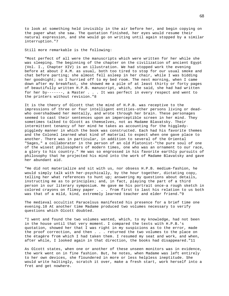to look at something held invisibly in the air before her, and begin copying on the paper what she saw. The quotation finished, her eyes would resume their natural expression, and she would go on writing until again stopped by a similar interruption."7

Still more remarkable is the following:

"Most perfect of all were the manuscripts which were written for her while she was sleeping. The beginning of the chapter on the civilization of ancient Egypt (Vol. I., Chapter XIV) is an illustration. We had stopped work the evening before at about 2 A.M. as usual, both too tired to stop for our usual smoke and chat before parting; she almost fell asleep in her chair, while I was bidding her goodnight; so I hurried off to my bed room. The next morning, when I came down after my breakfast, she showed me a pile of at least thirty or forty pages of beautifully written H.P.B. manuscript, which, she said, she had had written for her by-------, a Master . . . It was perfect in every respect and went to the printers without revision."8

It is the theory of Olcott that the mind of H.P.B. was receptive to the impressions of three or four intelligent entities-other persons living or deadwho overshadowed her mentally, and wrote through her brain. These personages seemed to cast their sentences upon an imperceptible screen in her mind. They sometimes talked to Olcott as themselves, not as Madame Blavatsky. Their intermittent tenancy of her mind he takes as accounting for the higgledypiggledy manner in which the book was constructed. Each had his favorite themes and the Colonel learned what kind of material to expect when one gave place to another. There was in particular, in addition to several of the Oriental "Sages," a collaborator in the person of an old Platonist-"the pure soul of one of the wisest philosophers of modern times, one who was an ornament to our race, a glory to his country." He was so engrossed in his favorite earthly pursuits of philosophy that he projected his mind into the work of Madame Blavatsky and gave her abundant aid.

"He did not materialize and sit with us, nor obsess H.P.B. medium-fashion, he would simply talk with her-psychically, by the hour together, dictating copy, telling her what references to hunt up; answering my questions about details, instructing me as to principles; and, in fact, playing the part of a third person in our literary symposium. He gave me his portrait once-a rough sketch in colored crayons on flimsy paper . . . from first to last his relation to us both was that of a mild, kind, extremely learned teacher and elder friend."9

The medieval occultist Paracelsus manifested his presence for a brief time one evening.10 At another time Madame produced two volumes necessary to verify questions which Olcott doubted.

"I went and found the two volumes wanted, which, to my knowledge, had not been in the house until that very moment. I compared the texts with H.P.B.'s quotation, showed her that I was right in my suspicions as to the error, made the proof correction, and then . . . returned the two volumes to the place on the étagère from which I had taken them. I resumed my seat and work, and when, after while, I looked again in that direction, the books had disappeared."11

As Olcott states, when one or another of these unseen monitors was in evidence, the work went on in fine fashion. But, he notes, when Madame was left entirely to her own devices, she floundered in more or less helpless ineptitude. She would write haltingly, scratch it over, make a fresh start, work herself into a fret and get nowhere.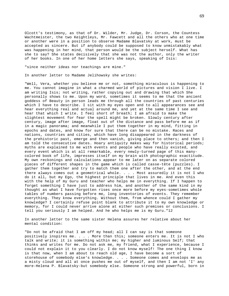Olcott's testimony, as that of Dr. Wilder, Mr. Judge, Dr. Corson, the Countess Wachtmeister, the two Keightleys, Mr. Fawcett and all the others who at one time or another were in a position to observe Madame Blavatsky at work, must be accepted as sincere. But if anybody could be supposed to know unmistakably what was happening in her mind, that person would be the subject herself. What has she to say? She states decisively that she was not the author, only the writer of her books. In one of her home letters she says, speaking of Isis:

"since neither ideas nor teachings are mine."

In another letter to Madame Jelihowsky she writes:

"Well, Vera, whether you believe me or not, something miraculous is happening to me. You cannot imagine in what a charmed world of pictures and vision I live. I am writing Isis; not writing, rather copying out and drawing that which She personally shows to me. Upon my word, sometimes it seems to me that the ancient goddess of Beauty in person leads me through all the countries of past centuries which I have to describe. I sit with my eyes open and to all appearances see and hear everything real and actual around me, and yet at the same time I see and hear that which I write. I feel short of breath; I am afraid to make the slightest movement for fear the spell might be broken. Slowly century after century, image after image, float out of the distance and pass before me as if in a magic panorama; and meanwhile I put them together in my mind, fitting in epochs and dates, and know for sure that there can be no mistake. Races and nations, countries and cities, which have long disappeared in the darkness of the prehistoric past, emerge and then vanish, giving place to others; and then I am told the consecutive dates. Hoary antiquity makes way for historical periods; myths are explained to me with events and people who have really existed, and every event which is at all remarkable, every newly-turned page of this manycolored book of life, impresses itself on my brain with photographic exactitude. My own reckonings and calculations appear to me later on as separate colored pieces of different shapes in the game which is called casse-tête (puzzles). I gather them together and try to match them one after the other, and at the end there always comes out a geometrical whole. . . . Most assuredly it is not I who do it all, but my Ego, the highest principle that lives in me. And even this with the help of my Guru and teacher who helps me in everything. If I happen to forget something I have just to address him, and another of the same kind in my thought as what I have forgotten rises once more before my eyes-sometimes whole tables of numbers passing before me, long inventories of events. They remember everything. They know everything. Without them, from whence could I gather my knowledge? I certainly refuse point blank to attribute it to my own knowledge or memory, for I could never arrive alone at either such premises or conclusions. I tell you seriously I am helped. And he who helps me is my Guru."12

In another letter to the same sister Helena assures her relative about her mental condition:

"Do not be afraid that I am off my head; all I can say is that someone positively inspires me. . . . More than this; someone enters me. It is not I who talk and write; it is something within me; my higher and luminous Self; that thinks and writes for me. Do not ask me, my friend, what I experience, because I could not explain it to you clearly. I do not know myself! The one thing I know is that now, when I am about to reach old age, I have become a sort of storehouse of somebody else's knowledge. . . . Someone comes and envelops me as a misty cloud and all at once pushes me out of myself, and then I am not 'I' any more-Helena P. Blavatsky-but somebody else. Someone strong and powerful, born in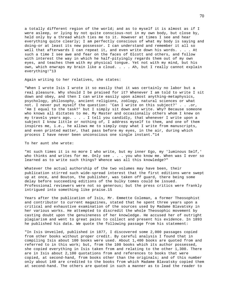a totally different region of the world; and as to myself it is almost as if I were asleep, or lying by not quite conscious-not in my own body, but close by, held only by a thread which ties me to it. However at times I see and hear everything quite clearly; I am perfectly conscious of what my body is saying and doing-or at least its new possessor. I can understand and remember it all so well that afterwards I can repeat it, and even write down his words. . . . At such a time I see awe and fear on the faces of Olcott and others, and follow with interest the way in which he half-pityingly regards them out of my own eyes, and teaches them with my physical tongue. Yet not with my mind, but his own, which enwraps my brain like a cloud. . . . Ah, but I really cannot explain everything!"13

Again writing to her relatives, she states:

"When I wrote Isis I wrote it so easily that it was certainly no labor but a real pleasure. Why should I be praised for it? Whenever I am told to write I sit down and obey, and then I can write easily upon almost anything-metaphysics, psychology, philosophy, ancient religions, zoölogy, natural sciences or what not. I never put myself the question: 'Can I write on this subject?' . . .or, 'Am I equal to the task?' but I simply sit down and write. Why? Because someone who knows all dictates to me. My Master and occasionally others whom I knew on my travels years ago. . . . I tell you candidly, that whenever I write upon a subject I know little or nothing of, I address myself to them, and one of them inspires me, i.e., he allows me to simply copy what I write from manuscripts, and even printed matter, that pass before my eyes, in the air, during which process I have never been unconscious one single instant."14

To her aunt she wrote:

"At such times it is no more I who write, but my inner Ego, my 'luminous Self,' who thinks and writes for me. Only see . . . you who know me. When was I ever so learned as to write such things? Whence was all this knowledge?"

Whatever the actual authorship of the two volumes may have been, their publication stirred such wide-spread interest that the first editions were swept up at once, and Bouton, the publisher, was taken off guard, there being some delay before succeeding editions of the bulky tomes could be issued. Professional reviewers were not so generous; but the press critics were frankly intrigued into something like praise.15

Years after the publication of Isis, Mr. Emmette Coleman, a former Theosophist and contributor to current magazines, stated that he spent three years upon a critical and exhaustive examination of the sources used by Madame Blavatsky in her various works. He attempted to discredit the whole Theosophic movement by casting doubt upon the genuineness of her knowledge. He accused her of outright plagiarism and went to great pains to collect and present his evidence. In 1893 he published his data. We quote the following passage from his statement:

"In Isis Unveiled, published in 1877, I discovered some 2,000 passages copied from other books without proper credit. By careful analysis I found that in compiling Isis about 100 books were used. About 1,400 books are quoted from and referred to in this work; but, from the 100 books which its author possessed, she copied everything in Isis taken from and relating to the other 1,300. There are in Isis about 2,100 quotations from and references to books that were copied, at second-hand, from books other than the originals; and of this number only about 140 are credited to the books from which Madame Blavatsky copied them at second-hand. The others are quoted in such a manner as to lead the reader to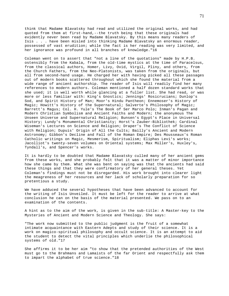think that Madame Blavatsky had read and utilized the original works, and had quoted from them at first-hand,--the truth being that these originals had evidently never been read by Madame Blavatsky. By this means many readers of Isis . . . have been misled into thinking Madame Blavatsky an enormous reader, possessed of vast erudition; while the fact is her reading was very limited, and her ignorance was profound in all branches of knowledge."16

Coleman went on to assert that "not a line of the quotations" made by H.P.B. ostensibly from the Kabala, from the old-time mystics at the time of Paracelsus, from the classical authors, Homer, Livy, Ovid, Virgil, Pliny, and others, from the Church Fathers, from the Neo-Platonists, was taken from the originals, but all from second-hand usage. He charged her with having picked all these passages out of modern books scattered throughout which she found the material from a wide range of ancient authorship. The reader of Isis will readily find her many references to modern authors. Coleman mentioned a half dozen standard works that she used; it is well worth while glancing at a fuller list. She had read, or was more or less familiar with: King's Gnostics; Jennings' Rosicrucians; Dunlop's Sod, and Spirit History of Man; Moor's Hindu Pantheon; Ennemoser's History of Magic; Howitt's History of the Supernatural; Salverte's Philosophy of Magic; Barrett's Magus; Col. H. Yule's The Book of Ser Marco Polo; Inman's Pagan and Modern Christian Symbolism and Ancient Faiths and Modern; the anonymous The Unseen Universe and Supernatural Religion; Bunsen's Egypt's Place in Universal History; Lundy's Monumental Christianity; Horst's Zauber-Bibliothek; Cardinal Wiseman's Lectures on Science and Religion; Draper's The Conflict of Science with Religion; Dupuis' Origin of All the Cults; Bailly's Ancient and Modern Astronomy; Gibbon's Decline and Fall of the Roman Empire; Des Mousseaux's Roman Catholic writings on Magic, Mesmerism, Spiritualism; Eliphas Levi's works; Jacolliot's twenty-seven volumes on Oriental systems; Max Müller's, Huxley's, Tyndall's, and Spencer's works.

It is hardly to be doubted that Madame Blavatsky culled many of her ancient gems from these works, and she probably felt that it was a matter of minor importance how she came by them. What she was bent on saying was that the ancients had said these things and that they were confirmatory of her general theses. Yet Coleman's findings must not be disregarded. His work brought into clearer light the meagreness of her resources and her lack of scholarly preparation for so pretentious a study.

We have adduced the several hypotheses that have been advanced to account for the writing of Isis Unveiled. It must be left for the reader to arrive at what conclusion he can on the basis of the material presented. We pass on to an examination of the contents.

A hint as to the aim of the work, is given in the sub-title: A Master-key to the Mysteries of Ancient and Modern Science and Theology. She says:

"The work now submitted to the public judgment is the fruit of a somewhat intimate acquaintance with Eastern Adepts and study of their science. It is a work on magico-spiritual philosophy and occult science. It is an attempt to aid the student to detect the vital principles which underlie the philosophical systems of old."17

She affirms it to be her aim "to show that the pretended authorities of the West must go to the Brahmans and Lamaists of the far Orient and respectfully ask them to impart the alphabet of true science."18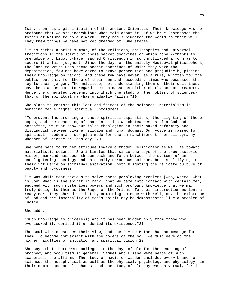Isis, then, is a glorification of the ancient Orientals. Their knowledge was so profound that we are incredulous when told about it. If we have "harnessed the forces of Nature to do our work," they had subjugated the world to their will. They knew things we have not yet dreamed of. She states:

"It is rather a brief summary of the religions, philosophies and universal traditions in the spirit of those secret doctrines of which none,--thanks to prejudice and bigotry-have reached Christendom in so unmutilated a form as to secure it a fair judgment. Since the days of the unlucky Mediaeval philosophers, the last to write upon these secret doctrines of which they were the depositaries, few men have dared to brave persecution and prejudice by placing their knowledge on record. And these few have never, as a rule, written for the public, but only for those of their own and succeeding times who possessed the key to their jargon. The multitude, not understanding them or their doctrines, have been accustomed to regard them en masse as either charlatans or dreamers. Hence the unmerited contempt into which the study of the noblest of sciencesthat of the spiritual man-has gradually fallen."19

She plans to restore this lost and fairest of the sciences. Materialism is menacing man's higher spiritual unfoldment.

"To prevent the crushing of these spiritual aspirations, the blighting of these hopes, and the deadening of that intuition which teaches us of a God and a hereafter, we must show our false theologies in their naked deformity and distinguish between divine religion and human dogmas. Our voice is raised for spiritual freedom and our plea made for the enfranchisement from all tyranny, whether of Science or Theology."20

She here sets forth her attitude toward orthodox religionism as well as toward materialistic science. She intimates that since the days of the true esoteric wisdom, mankind has been thrown back and forth between the systems of an unenlightening theology and an equally erroneous science, both stultifying in their influence on spiritual aspiration, both blighting the delicate culture of beauty and joyousness.

"It was while most anxious to solve these perplexing problems [Who, where, what is God? What is the spirit in man?] that we came into contact with certain men, endowed with such mysterious powers and such profound knowledge that we may truly designate them as the Sages of the Orient. To their instruction we lent a ready ear. They showed us that by combining science with religion, the existence of God and the immortality of man's spirit may be demonstrated like a problem of Euclid."

She adds:

"Such knowledge is priceless; and it has been hidden only from those who overlooked it, derided it or denied its existence."21

The soul within escapes their view, and the Divine Mother has no message for them. To become conversant with the powers of the soul we must develop the higher faculties of intuition and spiritual vision.22

She says that there were colleges in the days of old for the teaching of prophecy and occultism in general. Samuel and Elisha were heads of such academies, she affirms. The study of magic or wisdom included every branch of science, the metaphysical as well as the physical, psychology and physiology, in their common and occult phases; and the study of alchemy was universal, for it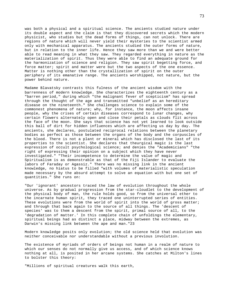was both a physical and a spiritual science. The ancients studied nature under its double aspect and the claim is that they discovered secrets which the modern physicist, who studies but the dead forms of things, can not unlock. There are regions of nature which will never yield their mysteries to the scientist armed only with mechanical apparatus. The ancients studied the outer forms of nature, but in relation to the inner life. Hence they saw more than we and were better able to read meaning in what they saw. They regarded everything in nature as the materialization of spirit. Thus they were able to find an adequate ground for the harmonization of science and religion. They saw spirit begetting force, and force matter; spirit and matter were but the two aspects of the one essence. Matter is nothing other than the crystallization of spirit on the outer periphery of its emanative range. The ancients worshipped, not nature, but the power behind nature.

Madame Blavatsky contrasts this fulness of the ancient wisdom with the barrenness of modern knowledge. She characterizes the eighteenth century as a "barren period," during which "the malignant fever of scepticism" has spread through the thought of the age and transmitted "unbelief as an hereditary disease on the nineteenth." She challenges science to explain some of the commonest phenomena of nature; why, for instance, the moon affects insane people, why the crises of certain diseases correspond to lunar changes, why certain flowers alternately open and close their petals as clouds flit across the face of the moon. She says that science has not yet learned to look outside this ball of dirt for hidden influences which are affecting us day by day. The ancients, she declares, postulated reciprocal relations between the planetary bodies as perfect as those between the organs of the body and the corpuscles of the blood. There is not a plant or mineral which has disclosed the last of its properties to the scientist. She declares that theurgical magic is the last expression of occult psychological science; and denies the "Academicians" "the right of expressing their opinion on a subject which they have never investigated." "Their incompetence to determine the value of magic and Spiritualism is as demonstrable as that of the Fiji Islander to evaluate the labors of Faraday or Agassiz." There was no missing link in the ancient knowledge, no hiatus to be filled "with volumes of materialistic speculation made necessary by the absurd attempt to solve an equation with but one set of quantities." She runs on:

"Our 'ignorant' ancestors traced the law of evolution throughout the whole universe. As by gradual progression from the star-cloudlet to the development of the physical body of man, the rule holds good, so from the universal ether to the incarnate human spirit, they traced one uninterrupted series of entities. These evolutions were from the world of spirit into the world of gross matter; and through that back again to the source of all things. The 'descent of species' was to them a descent from the spirit, primal source of all, to the 'degradation of matter.' In this complete chain of unfoldings the elementary, spiritual beings had as distinct a place, midway between the extremes, as Darwin's missing link between the ape and man."23

Modern knowledge posits only evolution; the old science held that evolution was neither conceivable nor understandable without a previous involution.

The existence of myriads of orders of beings not human in a realm of nature to which our senses do not normally give us access, and of which science knows nothing at all, is posited in her arcane systems. She catches at Milton's lines to bolster this theory:

"Millions of spiritual creatures walk this earth,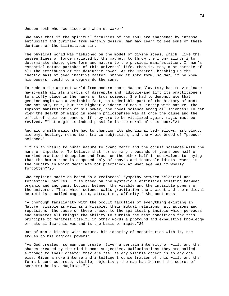Unseen both when we sleep and when we wake."

She says that if the spiritual faculties of the soul are sharpened by intense enthusiasm and purified from earthly desire, man may learn to see some of these denizens of the illimitable air.

The physical world was fashioned on the model of divine ideas, which, like the unseen lines of force radiated by the magnet, to throw the iron-filings into determinate shape, give form and nature to the physical manifestation. If man's essential nature partakes of this universal life, then it, too, must partake of all the attributes of the demiurgic power. As the Creator, breaking up the chaotic mass of dead inactive matter, shaped it into form, so man, if he knew his powers, could to a degree do the same.

To redeem the ancient world from modern scorn Madame Blavatsky had to vindicate magic-with all its incubus of disrepute and ridicule-and lift its practitioners to a lofty place in the ranks of true science. She had to demonstrate that genuine magic was a veritable fact, an undeniable part of the history of man; and not only true, but the highest evidence of man's kinship with nature, the topmost manifestation of his power, the royal science among all sciences! To her view the dearth of magic in modern philosophies was at once the cause and the effect of their barrenness. If they are to be vitalized again, magic must be revived. "That magic is indeed possible is the moral of this book."24

And along with magic she had to champion its aboriginal bed-fellows, astrology, alchemy, healing, mesmerism, trance subjection, and the whole brood of "pseudoscience."

"It is an insult to human nature to brand magic and the occult sciences with the name of imposture. To believe that for so many thousands of years one half of mankind practiced deception and fraud on the other half is equivalent to saying that the human race is composed only of knaves and incurable idiots. Where is the country in which magic was not practiced? At what age was it wholly forgotten?"25

She explains magic as based on a reciprocal sympathy between celestial and terrestrial natures. It is based on the mysterious affinities existing between organic and inorganic bodies, between the visible and the invisible powers of the universe. "That which science calls gravitation the ancient and the medieval hermeticists called magnetism, attraction, affinity." She continues:

"A thorough familiarity with the occult faculties of everything existing in Nature, visible as well as invisible; their mutual relations, attractions and repulsions; the cause of these traced to the spiritual principle which pervades and animates all things; the ability to furnish the best conditions for this principle to manifest itself, in other words a profound and exhaustive knowledge of natural law-this was and is the basis of magic."26

Out of man's kinship with nature, his identity of constitution with it, she argues to his magical powers:

"As God creates, so man can create. Given a certain intensity of will, and the shapes created by the mind become subjective. Hallucinations they are called, although to their creator they are real as any visible object is to any one else. Given a more intense and intelligent concentration of this will, and the forms become concrete, visible, objective; the man has learned the secret of secrets; he is a Magician."27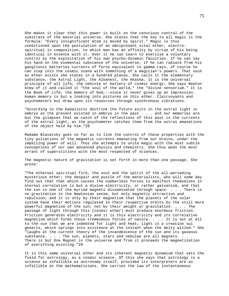She makes it clear that this power is built on the conscious control of the substrate of the material universe. She states that the key to all magic is the formula: "Every insignificant atom is moved by spirit." Magic is thus conditioned upon the postulation of an omnipresent vital ether, electrospiritual in composition, to which man has an affinity by virtue of his being identical in essence with it. Over it he can learn to exercise a voluntary control by the exploitation of his own psycho-dynamic faculties. If he can lay his hand on the elemental substance of the universe, if he can radiate from his ganglionic batteries currents of force equivalent to gamma rays, of course he can step into the cosmic scene with something of a magician's powers. That such an ether exists she states in a hundred places. She calls it the elementary substance, the Astral Light, the Alkahest, the Akasha. It is the universal principle of all life, the vehicle or battery of cosmic energy. She says Newton knew of it and called it "the soul of the world," the "divine sensorium." It is the Book of Life; the memory of God,--since it never gives up an impression. Human memory is but a looking into pictures on this ether. Clairvoyants and psychometers but draw upon its resources through synchronous vibrations.

"According to the Kabalistic doctrine the future exits in the astral light in embryo as the present existed in embryo in the past . . . and our memories are but the glimpses that we catch of the reflections of this past in the currents of the astral light, as the psychometer catches them from the astral emanations of the object held by him."28

Madame Blavatsky goes so far as to link the control of these properties with the tiny pulsations of the magnetic currents emanating from our brains, under the impelling power of will. Thus she attempts to unite magic with the most subtle conceptions of our own advanced physics and chemistry. She thus weds the most arrant of superstitions with the most respected of sciences.

The magnetic nature of gravitation is set forth in more than one passage. She wrote:

"The ethereal spiritual fire, the soul and the spirit of the all-pervading mysterious ether; the despair and puzzle of the materialists, who will some day find out that that which causes the numberless forces to manifest themselves in eternal correlation is but a divine electricity, or rather galvanism, and that the sun is one of the myriad magnets disseminated through space. . . . There is no gravitation in the Newtonian sense, but only magnetic attraction and repulsion; and it is only by their magnetism that the planets of the solar system have their motions regulated in their respective orbits by the still more powerful magnetism of the sun; not by their weight or gravitation. . . . The passage of light through this (cosmic ether) must produce enormous friction. Friction generates electricity and it is this electricity and its correlative magnetism which forms those tremendous forces of nature. . . . It is not at all to the sun that we are indebted for light and heat; light is a creation sui generis, which springs into existence at the instant when the deity willed." She "laughs at the current theory of the incandescence of the sun and its gaseous substance. . . . The sun, planets, stars and nebulae are all magnets. . . . There is but One Magnet in the universe and from it proceeds the magnetization of everything existing."29

It is this same universal ether and its inherent magnetic dynamism that sets the field for astrology, as a cosmic science. Of this she says that astrology is a science as infallible as astronomy itself, provided its interpreters are as infallible as the mathematicians. She carries the law of the instantaneous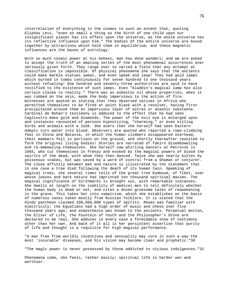interrelation of everything in the cosmos to such an extent that, quoting Eliphas Levi, "even so small a thing as the birth of one child upon our insignificant planet has its effect upon the universe, as the whole universe has its reflective influence upon him." The bodies of the entire universe are bound together by attractions which hold them in equilibrium, and these magnetic influences are the bases of astrology.

With so much cosmic power at his behest, man has done wonders; and we are asked to accept the truth of an amazing series of the most phenomenal occurrences ever seriously given forth. They range over so varied a field that any attempt at classification is impossible. Of physical phenomena she says that the ancients could make marble statues sweat, and even speak and leap! They had gold lamps which burned in tombs continuously for seven hundred to one thousand years without refueling! One hundred and seventy-three authorities are said to have testified to the existence of such lamps. Even "Aladdin's magical lamp has also certain claims to reality." There was an asbestos oil whose properties, when it was rubbed on the skin, made the body impervious to the action of fire. Witnesses are quoted as stating that they observed natives in Africa who permitted themselves to be fired at point blank with a revolver, having first precipitated around them an impervious layer of astral or akashic substance. Cardinal de Rohan's testimony is adduced to the effect that he had seen Cagliostro make gold and diamonds. The power of the evil eye is enlarged upon and instances recounted of persons hypnotizing, "charming," or even killing birds and animals with a look. She avers that she herself had seen Eastern Adepts turn water into blood. Observers are quoted who reported a rope-climbing feat in China and Batavia, in which the human climbers disappeared overhead, their members fell in portions on the ground, and shortly thereafter reunited to form the original living bodies! Stories are narrated of fakirs disemboweling and re-embowling themselves. She herself saw whirling dancers at Petrovsk in 1865, who cut themselves in frenzy and evoked by the magical powers of blood the spirits of the dead, with whom they then danced. Twice she was nearly bitten by poisonous snakes, but was saved by a word of control from a Shaman or conjurer. The close affinity between man and nature is illustrated by the statement that in one case a tree died following the death of its human twin. Speaking of magical trees, she several times tells of the great tree Kumboum, of Tibet, over whose leaves and bark nature had imprinted ten thousand spiritual maxims. The magical significance of birthmarks is brought out, with remarkable instances. She dwells at length on the inability of medical men to tell definitely whether the human body is dead or not, and cites a dozen gruesome tales of reawakening in the grave. This takes her into vampirism, which she establishes on the basis of numerous cases taken mostly from Russian folklore. It is stated that the Hindu pantheon claimed 330,000,000 types of spirits. Moses was familiar with electricity; the Egyptians had a high order of music and chess over five thousand years ago; and anaesthesia was known to the ancients. Perpetual motion, the Elixer of Life, the Fountain of Youth and the Philosopher's Stone are declared to be real. She adduces in every case a formidable show of testimony other than her own. And back of it all is her persistent assertion that purity of life and thought is a requisite for high magical performance.

"A man free from worldly incentives and sensuality may cure in such a way the most 'incurable' diseases, and his vision may become clear and prophetic."30

"The magic power is never possessed by those addicted to vicious indulgences."31

Phenomena come, she feels, rather easily; spiritual life is harder won and worthier.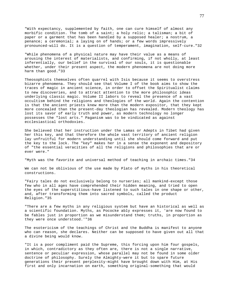"With expectancy, supplemented by faith, one can cure himself of almost any morbific condition. The tomb of a saint; a holy relic; a talisman; a bit of paper or a garment that has been handled by a supposed healer; a nostrum, a penance; a ceremonial; a laying on of hands; or a few words impressively pronounced-will do. It is a question of temperament, imagination, self-cure."32

"While phenomena of a physical nature may have their value as a means of arousing the interest of materialists, and confirming, if not wholly, at least inferentially, our belief in the survival of our souls, it is questionable whether, under their present aspect, the modern phenomena are not doing more harm than good."33

Theosophists themselves often quarrel with Isis because it seems to overstress bizarre phenomena. They should see that Volume I of the book aims to show the traces of magic in ancient science, in order to offset the Spiritualist claims to new discoveries, and to attract attention to the more philosophic ideas underlying classic magic. Volume II labors to reveal the presence of a vast occultism behind the religions and theologies of the world. Again the contention is that the ancient priests knew more than the modern expositor, that they kept more concealed than the present-day theologian has revealed. Modern theology has lost its savor of early truth and power, as modern technology no longer possesses the "lost arts." Paganism was to be vindicated as against ecclesiastical orthodoxies.

She believed that her instruction under the Lamas or Adepts in Tibet had given her this key, and that therefore the whole vast territory of ancient religion lay unfruitful for modern understanding until she should come forward and put the key to the lock. The "key" makes her in a sense the exponent and depository of "the essential veracities of all the religions and philosophies that are or ever were."

"Myth was the favorite and universal method of teaching in archaic times."34

We can not be oblivious of the use made by Plato of myths in his theoretical constructions.

"Fairy tales do not exclusively belong to nurseries; all mankind-except those few who in all ages have comprehended their hidden meaning, and tried to open the eyes of the superstitious-have listened to such tales in one shape or other, and, after transforming them into sacred symbols, called the product Religion."35

"There are a few myths in any religious system but have an historical as well as a scientific foundation. Myths, as Pococke ably expresses it, 'are now found to be fables just in proportion as we misunderstand them; truths, in proportion as they were once understood.'"36

The esotericism of the teachings of Christ and the Buddha is manifest to anyone who can reason, she declares. Neither can be supposed to have given out all that a divine being would know.

"It is a poor compliment paid the Supreme, this forcing upon him four gospels, in which, contradictory as they often are, there is not a single narrative, sentence or peculiar expression, whose parallel may not be found in some older doctrine of philosophy. Surely the Almighty-were it but to spare future generations their present perplexity-might have brought down with Him, at His first and only incarnation on earth, something original-something that would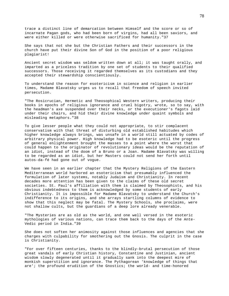trace a distinct line of demarcation between Himself and the score or so of incarnate Pagan gods, who had been born of virgins, had all been saviors, and were either killed or were otherwise sacrificed for humanity."37

She says that not she but the Christian Fathers and their successors in the church have put their divine Son of God in the position of a poor religious plagiarist!

Ancient secret wisdom was seldom written down at all; it was taught orally, and imparted as a priceless tradition by one set of students to their qualified successors. Those receiving it regarded themselves as its custodians and they accepted their stewardship conscientiously.

To understand the reason for esotericism in science and religion in earlier times, Madame Blavatsky urges us to recall that freedom of speech invited persecution.

"The Rosicrucian, Hermetic and Theosophical Western writers, producing their books in epochs of religious ignorance and cruel bigotry, wrote, so to say, with the headman's axe suspended over their necks, or the executioner's fagots laid under their chairs, and hid their divine knowledge under quaint symbols and misleading metaphors."38

To give lesser people what they could not appropriate, to stir complacent conservatism with that threat of disturbing old established habitudes which higher knowledge always brings, was unsafe in a world still actuated by codes of arbitrary physical power. High knowledge had to be esoteric until the progress of general enlightenment brought the masses to a point where the worst that could happen to the originator of revolutionary ideas would be the reputation of an idiot, instead of the doom of a Bruno or a Joan. Madame Blavatsky was willing to be regarded as an idiot, but her Masters could not send her forth until autos-da-fé had gone out of vogue.

We have seen in an earlier chapter that the Mystery Religions of the Eastern Mediterranean world harbored an esotericism that presumably influenced the formulation of later systems, notably Judaism and Christianity. In recent decades more attention has been given to the claims of these old secret societies. St. Paul's affiliation with them is claimed by Theosophists, and his obvious indebtedness to them is acknowledged by some students of early Christianity. It is impossible for Madame Blavatsky to understand the Church's indifference to its origins, and she arrays startling columns of evidence to show that this neglect may be fatal. The Mystery Schools, she proclaims, were not shallow cults, but the guardians of a deep lore already venerable.

"The Mysteries are as old as the world, and one well versed in the esoteric mythologies of various nations, can trace them back to the days of the Ante-Vedic period in India."39

She does not soften her animosity against those influences and agencies that she charges with culpability for smothering out the Gnosis. The culprit in the case is Christianity.

"For over fifteen centuries, thanks to the blindly-brutal persecution of those great vandals of early Christian history, Constantine and Justinian, ancient wisdom slowly degenerated until it gradually sank into the deepest mire of monkish superstition and ignorance. The Pythagorean 'knowledge of things that are'; the profound erudition of the Gnostics; the world- and time-honored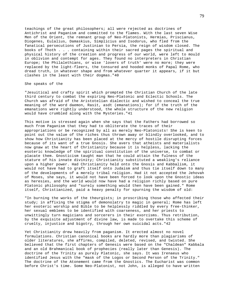teachings of the great philosophers; all were rejected as doctrines of Antichrist and Paganism and committed to the flames. With the last seven Wise Men of the Orient, the remnant group of Neo-Platonists, Hermias, Priscianus, Diogenes, Eulalius, Damaskius, Simplicius and Isodorus, who fled from the fanatical persecutions of Justinian to Persia, the reign of wisdom closed. The books of Thoth . . . containing within their sacred pages the spiritual and physical history of the creation and progress of our world, were left to mould in oblivion and contempt for ages. They found no interpreters in Christian Europe; the Philalethians, or wise 'lovers of truth' were no more; they were replaced by the light-fleers, the tonsured and hooded monks of Papal Rome, who dread truth, in whatever shape and from whatever quarter it appears, if it but clashes in the least with their dogmas."40

# She speaks of the

"Jesuitical and crafty spirit which prompted the Christian Church of the late third century to combat the expiring Neo-Platonic and Eclectic Schools. The Church was afraid of the Aristotelian dialectic and wished to conceal the true meaning of the word daemon, Rasit, asdt (emanations); for if the truth of the emanations were rightly understood, the whole structure of the new religion would have crumbled along with the Mysteries."41

This motive is stressed again when she says that the Fathers had borrowed so much from Paganism that they had to obliterate the traces of their appropriations or be recognized by all as merely Neo-Platonists! She is keen to point out the value of the riches thus thrown away or blindly overlooked, and to show how Christianity has been placed at the mercy of hostile disrupting forces because of its want of a true Gnosis. She avers that atheists and materialists now gnaw at the heart of Christianity because it is helpless, lacking the esoteric knowledge of the spiritual constitution of the universe, to combat or placate them. Gnosticism taught man that he could attain the fulness of the stature of his innate divinity; Christianity substituted a weakling's reliance upon a higher power. Had Christianity held onto the Gnosis and Kabbalism, it would not have had to graft itself onto Judaism and thus tie itself down to many of the developments of a merely tribal religion. Had it not accepted the Jehovah of Moses, she says, it would not have been forced to look upon the Gnostic ideas as heresies, and the world would now have had a religion richly based on pure Platonic philosophy and "surely something would then have been gained." Rome itself, Christianized, paid a heavy penalty for spurning the wisdom of old:

"In burning the works of the theurgists; in proscribing those who affected their study; in affixing the stigma of demonolatry to magic in general; Rome has left her exoteric worship and Bible to be helplessly riddled by every free-thinker, her sexual emblems to be identified with coarseness, and her priests to unwittingly turn magicians and sorcerers in their exorcisms. Thus retribution, by the exquisite adjustment of divine law, is made to overtake this scheme of cruelty, injustice and bigotry, through her own suicidal acts."42

Yet Christianity drew heavily from paganism. It erected almost no novel formulations. Christian canonical books are hardly more than plagiarisms of older literatures, she affirms, compiled, deleted, revised, and twisted. She believed that the first chapters of Genesis were based on the "Chaldean" Kabbala and an old Brahmanical book of prophecies (really later than Genesis). The doctrine of the Trinity as purely Platonic, she says. It was Irenaeus who identified Jesus with the "mask of the Logos or Second Person of the Trinity." The doctrine of the Atonement came from the Gnostics. The Eucharist was common before Christ's time. Some Neo-Platonist, not John, is alleged to have written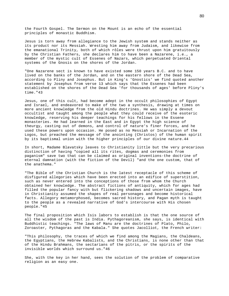the Fourth Gospel. The Sermon on the Mount is an echo of the essential principles of monastic Buddhism.

Jesus is torn away from allegiance to the Jewish system and stands neither as its product nor its Messiah. Wresting him away from Judaism, and likewise from the emanational Trinity, both of which rôles were thrust upon him gratuitously by the Christian Fathers, she declares him to have been a Nazarene, i.e., a member of the mystic cult of Essenes of Nazars, which perpetuated Oriental systems of the Gnosis on the shores of the Jordan.

"One Nazarene sect is known to have existed some 150 years B.C. and to have lived on the banks of the Jordan, and on the eastern shore of the Dead Sea, according to Pliny and Josephus. But in King's 'Gnostics' we find quoted another statement by Josephus from verse 13 which says that the Essenes had been established on the shores of the Dead Sea 'for thousands of ages' before Pliny's time."43

Jesus, one of this cult, had become adept in the occult philosophies of Egypt and Israel, and endeavored to make of the two a synthesis, drawing at times on more ancient knowledge from the old Hindu doctrines. He was simply a devout occultist and taught among the people what they could receive of the esoteric knowledge, reserving his deeper teachings for his fellows in the Essene monasteries. He had learned in the East and in Egypt the high science of theurgy, casting out of demons, and control of nature's finer forces, and he used these powers upon occasion. He posed as no Messiah or Incarnation of the Logos, but preached the message of the anointing (Christos) of the human spirit by its baptismal union with the higher principles of our divine nature.44

In short, Madame Blavatsky leaves to Christianity little but the very precarious distinction of having "copied all its rites, dogmas and ceremonies from paganism" save two that can be claimed as original inventions-the doctrine of eternal damnation (with the fiction of the Devil) "and the one custom, that of the anathema."

"The Bible of the Christian Church is the latest receptacle of this scheme of disfigured allegories which have been erected into an edifice of superstition, such as never entered into the conceptions of those from whom the Church obtained her knowledge. The abstract fictions of antiquity, which for ages had filled the popular fancy with but flickering shadows and uncertain images, have in Christianity assumed the shapes of real personages and become historical facts. Allegory metamorphosed, becomes sacred history, and Pagan myth is taught to the people as a revealed narrative of God's intercourse with His chosen people."45

The final proposition which Isis labors to establish is that the one source of all the wisdom of the past is India. Pythagoreanism, she says, is identical with Buddhistic teachings. "The laws of Manu are the doctrines of Plato, Philo, Zoroaster, Pythagoras and the Kabala." She quotes Jacolliot, the French writer:

"This philosophy, the traces of which we find among the Magians, the Chaldeans, the Egyptians, the Hebrew Kabalists, and the Christians, is none other than that of the Hindu Brahmans, the sectarians of the pitris, or the spirits of the invisible worlds which surround us."46

She, with the key in her hand, sees the solution of the problem of comparative religion as an easy one.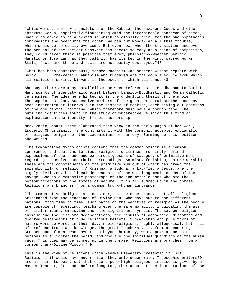"While we see the few translators of the Kabala, the Nazarene Codex and other abstruse works, hopelessly floundering amid the interminable pantheon of names, unable to agree as to a system in which to classify them, for the one hypothesis contradicts and overturns the other, we can but wonder at all this trouble, which could be so easily overcome. But even now, when the translation and even the perusal of the ancient Sanskrit has become so easy as a point of comparison, they would never think it possible that every philosophy-whether Semitic, Hamitic or Turanian, as they call it, has its key in the Hindu sacred works. Still, facts are there and facts are not easily destroyed."47

"What has been contemptuously termed Paganism was ancient Wisdom replete with Deity. . . . Pre-Vedic Brahmanism and Buddhism are the double source from which all religions spring; Nirvana is the ocean to which all tend."48

She says there are many parallelisms between references to Buddha and to Christ. Many points of identity also exist between Lamaico-Buddhistic and Roman Catholic ceremonies. The idea here hinted at is the underlying thesis of the whole Theosophic position. Successive members of the great Oriental Brotherhood have been incarnated at intervals in the history of mankind, each giving out portions of the one central doctrine, which therefore must have a common base. The puzzling identities found in the study ofComparative Religion thus find an explanation in the identity of their authorship.

Mrs. Annie Besant later elaborated this view in the early pages of her work, Esoteric Christianity. She contrasts it with the commonly accepted explanation of religious origins of the academicians of our day. Summing up this position she writes:

"The Comparative Mythologists contend that the common origin is a common ignorance, and that the loftiest religious doctrines are simply refined expressions of the crude and barbarous guesses of savages, of primitive men, regarding themselves and their surroundings. Animism, fetishism, nature-worshipthese are the constituents of the primitive mud out of which has grown the splendid lily of religion. A Krishna, a Buddha, a Lao-Tze, a Jesus, are the highly civilized, but lineal descendants of the whirling medicine-men of the savage. God is a composite photograph of the innumerable gods who are the personifications of the forces of nature. It is all summed up in the phrase: Religions are branches from a common trunk-human ignorance.

"The Comparative Religionists consider, on the other hand, that all religions originated from the teachings of Divine Men, who gave out to the different nations, from time to time, such parts of the verities of religion as the people are capable of receiving, teaching ever the same morality, inculcating the use of similar means, employing the same significant symbols. The savage religionsanimism and the rest-are degenerations, the results of decadence, distorted and dwarfed descendants of true religious beliefs. Sun-worship and pure forms of nature worship were, in their day, noble religions, highly allegorical, but full of profound truth and knowledge. The great Teachers . . . form an enduring Brotherhood of men, who have risen beyond humanity, who appear at certain periods to enlighten the world, and who are the spiritual guardians of the human race. This view may be summed up in the phrase: Religions are branches from a common trunk-Divine Wisdom."49

This is the view of religions which Madame Blavatsky presented in Isis. Religions, it would say, never rise; they only degenerate. Theosophic writers50 are at pains to point out that once a pure high religious impulse is given by a Master-Teacher, it tends before long to gather about it the incrustations of the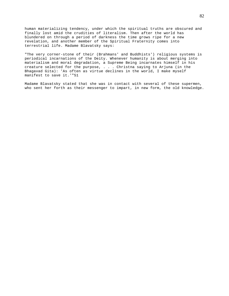human materializing tendency, under which the spiritual truths are obscured and finally lost amid the crudities of literalism. Then after the world has blundered on through a period of darkness the time grows ripe for a new revelation, and another member of the Spiritual Fraternity comes into terrestrial life. Madame Blavatsky says:

"The very corner-stone of their (Brahmans' and Buddhists') religious systems is periodical incarnations of the Deity. Whenever humanity is about merging into materialism and moral degradation, a Supreme Being incarnates himself in his creature selected for the purpose, . . . Christna saying to Arjuna (in the Bhagavad Gita): 'As often as virtue declines in the world, I make myself manifest to save it.'"51

Madame Blavatsky stated that she was in contact with several of these supermen, who sent her forth as their messenger to impart, in new form, the old knowledge.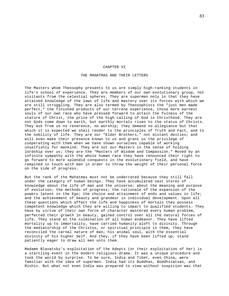#### CHAPTER VI

## THE MAHATMAS AND THEIR LETTERS

The Masters whom Theosophy presents to us are simply high-ranking students in life's school of experience. They are members of our own evolutionary group, not visitants from the celestial spheres. They are supermen only in that they have attained knowledge of the laws of life and mastery over its forces with which we are still struggling. They are also termed by Theosophists the "just men made perfect," the finished products of our terrene experience, those more earnest souls of our own race who have pressed forward to attain the fulness of the stature of Christ, the prize of the high calling of God in Christhood. They are not Gods come down to earth, but earthly mortals risen to the status of Christs. They ask from us no reverence, no worship; they demand no allegiance but that which it is expected we shall render to the principles of Truth and Fact, and to the nobility of life. They are our "Elder Brothers," not distant deities; and will even make their presence known to us and grant us the privilege of coöperating with them when we have shown ourselves capable of working unselfishly for mankind. They are not our Masters in the sense of holding lordship over us; they are the "Masters of Wisdom and Compassion." Moved by an infinite sympathy with the whole human race they have renounced their right to go forward to more splendid conquests in the evolutionary field, and have remained in touch with man in order to throw the weight of their personal force on the side of progress.

But the rank of the Mahatmas must not be underrated because they still fall under the category of human beings. They have accumulated vast stores of knowledge about the life of man and the universe; about the meaning and purpose of evolution; the methods of progress; the rationale of the expansion of the powers latent in the Ego; the choice and attainment of ends and values in life; and the achievement of beauty and grandeur in individual development. Upon all these questions which affect the life and happiness of mortals they possess competent knowledge which they are willing to impart to qualified students. They have by virtue of their own force of character mastered every human problem, perfected their growth in beauty, gained control over all the natural forces of life. They stand at the culmination of all human endeavor. They have lifted mortality up to immortality, have carried humanity aloft to divinity. Through the mediatorship of the Christos, or spiritual principle in them, they have reconciled the carnal nature of man, his animal soul, with the essential divinity of his higher Self. And they, if they have been lifted up, stand patiently eager to draw all men unto them.

Madame Blavatsky's exploitation of the Adepts (or their exploitation of her) is a startling event in the modern religious drama. It was a unique procedure and took the world by surprise. To be sure, India and Tibet, even China, were familiar with the idea of supermen. India had its Buddhas, Boddhisatvas, and Rishis. But what not even India was prepared to view without suspicion was that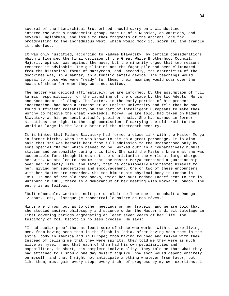several of the hierarchical Brotherhood should carry on a clandestine intercourse with a nondescript group, made up of a Russian, an American, and several Englishmen, and issue to them fragments of the ancient lore for broadcasting to the incredulous West, which would mock it, scorn it, and trample it underfoot.

It was only justified, according to Madame Blavatsky, by certain considerations which influenced the final decision of the Great White Brotherhood Council. Majority opinion was against the move; but the minority urged that two reasons rendered it advisable. The guillotine and the fagot pile had been eliminated from the historical forms of martyrdom; and, secondly, the esotericism of the doctrines was, in a manner, an automatic safety device. The teachings would appeal to those who were "ready" for them; their meaning would soar over the heads of those for whom they were not suited.

The matter was decided affirmatively, we are informed, by the assumption of full karmic responsibility for the launching of the crusade by the two Adepts, Morya and Koot Hoomi Lal Singh. The latter, in the early portion of his present incarnation, had been a student at an English University and felt that he had found sufficient reliability on the part of intelligent Europeans to make them worthy to receive the great knowledge. Morya, we are told, had taken on Madame Blavatsky as his personal attaché, pupil or chela. She had earned in former situations the right to the high commission of carrying the old truth to the world at large in the last quarter of the nineteenth century.

It is hinted that Madame Blavatsky had formed a close link with the Master Morya in former births, when she was known to him as a great personage. It is also said that she was herself kept from full admission to the Brotherhood only by some special "Karma" which needed to be "worked out" in a comparatively humble station and personality during this life. She said the Masters knew what she was accountable for, though it was not the charlatanism the world at large charged her with. We are led to assume that the Master Morya exercised a guardianship over her in early life, and later, that he occasionally manifested himself to her, giving her suggestions and encouragement. One or two of these encounters with her Master are recorded. She met him in his physical body in London in 1851. In one of her old note-books, which her aunt Madame Fadeef sent to her in Würzburg in 1885, there is a memorandum of her meeting with Morya in London. The entry is as follows:

"Nuit mémorable. Certaine nuit par un clair de lune que se couchait à-Ramsgate-- 12 août, 1851,--lorsque je rencontrai le Maître de mes rêves."

Hints are thrown out as to other meetings on her travels, and we are told that she studied ancient philosophy and science under the Master's direct tutelage in Tibet covering periods aggregating at least seven years of her life. The testimony of Col. Olcott is no less precise. He says:

"I had ocular proof that at least some of those who worked with us were living men, from having seen them in the flesh in India, after having seen them in the astral body in America and in Europe; from having touched and talked with them. Instead of telling me that they were spirits, they told me they were as much alive as myself, and that each of them had his own peculiarities and capabilities, in short, his complete individuality. They told me that what they had attained to I should one day myself acquire, how soon would depend entirely on myself; and that I might not anticipate anything whatever from favor, but, like them, must gain every step, every inch, of progress by my own exertions."1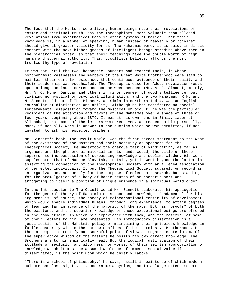The fact that the Masters were living human beings made their revelations of cosmic and spiritual truth, say the Theosophists, more valuable than alleged revelations from hypothetical Gods in other systems of belief. That their knowledge is, in a manner of speaking, human instead of heavenly or "divine" should give it greater validity for us. The Mahatmas were, it is said, in direct contact with the next higher grades of intelligent beings standing above them in the hierarchical order, so that their teachings have the double worth of high human and supernal authority. This, occultists believe, affords the most trustworthy type of revelation.

It was not until the two Theosophic Founders had reached India, in whose northernmost vastnesses the members of the Great White Brotherhood were said to maintain their earthly residence, that continuous evidence of their reality and their leadership was vouchsafed. The Theosophic case for Adept revelation rests upon a long-continued correspondence between persons (Mr. A. P. Sinnett, mainly, Mr. A. O. Hume, Damodar and others in minor degree) of good intelligence, but claiming no mystical or psychical illumination, and the two Mahatmas, K.H. and M. Sinnett, Editor of The Pioneer, at Simla in northern India, was an English journalist of distinction and ability. Although he had manifested no special temperamental disposition toward the mystical or occult, he was the particular recipient of the attention and favors of the Mahatmas over a space of three or four years, beginning about 1879. It was at his own home in Simla, later at Allahabad, that most of the letters were received, addressed to him personally. Most, if not all, were in answer to the queries which he was permitted, if not invited, to ask his respected teachers.

Mr. Sinnett's book, The Occult World, was the first direct statement to the West of the existence of the Masters and their activity as sponsors for the Theosophical Society. He undertook the onerous task of vindicating, as far as argument and the phenomenal material in his hands could, the title of these supermen to the possession of surpassing knowledge and sublime wisdom. His work supplemented that of Madame Blavatsky in Isis, yet it went beyond the latter in asserting the connection of the Theosophical Society with an alleged association of perfected individuals. It put the Theosophical Society squarely on record as an organization, not merely for the purpose of eclectic research, but standing for the promulgation of a body of basic truths of an esoteric sort and arrogating to itself a position of unique eminence in a spiritual world order.

In the Introduction to The Occult World Mr. Sinnett elaborates his apologetic for the general theory of Mahatmic existence and knowledge. Fundamental for his argument is, of course, the theory of reincarnational continuity of development which would enable individual humans, through long experience, to attain degrees of learning far in advance of the majority of the race. But his "proofs" of both the existence and the superior knowledge of these exceptional beings are offered in the book itself, in which his experience with them, and the material of some of their letters to him, are presented. His introductory dissertation is a justification of the Mahatmic policy of maintaining their priceless knowledge in futile obscurity within the narrow confines of their exclusive Brotherhood. He then attempts to rectify our scornful point of view as regards esotericism. Of the superlative wisdom of the Masters he posits his own direct knowledge. The Brothers are to him empirically real. But the logical justification of their attitude of seclusion and aloofness, or worse, of their selfish appropriation of knowledge which it must be assumed would be of immense social value if disseminated, is the point upon which he chiefly labors.

"There is a school of philosophy," he says, "still in existence of which modern culture has lost sight . . . modern metaphysics, and to a large extent modern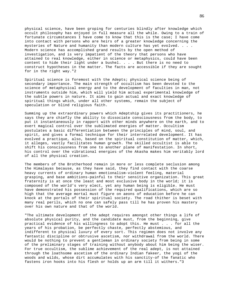physical science, have been groping for centuries blindly after knowledge which occult philosophy has enjoyed in full measure all the while. Owing to a train of fortunate circumstances I have come to know that this is the case; I have come into contact with persons who are heirs of a greater knowledge concerning the mysteries of Nature and humanity than modern culture has yet evolved. . . . Modern science has accomplished grand results by the open method of investigation, and is very impatient of the theory that persons who have attained to real knowledge, either in science or metaphysics, could have been content to hide their light under a bushel. . . . But there is no need to construct hypotheses in the matter. The facts are accessible if they are sought for in the right way."2

Spiritual science is foremost with the Adepts; physical science being of secondary importance. The main strength of occultism has been devoted to the science of metaphysical energy and to the development of faculties in man, not instruments outside him, which will yield him actual experimental knowledge of the subtle powers in nature. It aims to gain actual and exact knowledge of spiritual things which, under all other systems, remain the subject of speculation or blind religious faith.

Summing up the extraordinary powers which Adeptship gives its practitioners, he says they are chiefly the ability to dissociate consciousness from the body, to put it instantaneously in rapport with other minds anywhere on the earth, and to exert magical control over the sublimated energies of matter. Occultism postulates a basic differentiation between the principles of mind, soul, and spirit, and gives a formal technique for their interrelated development. It has evolved a practique, also, based on the spiritual constitution of matter, which, it alleges, vastly facilitates human growth. The skilled occultist is able to shift his consciousness from one to another plane of manifestation. In short, his control over the vibrational energies of the Akasha makes him veritably lord of all the physical creation.

The members of the Brotherhood remain in more or less complete seclusion among the Himalayas because, as they have said, they find contact with the coarse heavy currents of ordinary human emotionalism-violent feeling, material grasping, and base ambitions-painful to their sensitive organization. This great fraternity is at once the least and most exclusive body in the world; it is composed of the world's very elect, yet any human being is eligible. He must have demonstrated his possession of the required qualifications, which are so high that the average mortal must figure on aeons of education before he can knock at the portals of their spiritual society. The road thither is beset with many real perils, which no one can safely pass till he has proven his mastery over his own nature and that of the world.

"The ultimate development of the adept requires amongst other things a life of absolute physical purity, and the candidate must, from the beginning, give practical evidence of his willingness to adopt this. He must . . . for all the years of his probation, be perfectly chaste, perfectly abstemious, and indifferent to physical luxury of every sort. This regimen does not involve any fantastic discipline or obtrusive ascetism, nor withdrawal from the world. There would be nothing to prevent a gentleman in ordinary society from being in some of the preliminary stages of training without anybody about him being the wiser. For true occultism, the sublime achievement of the real adept, is not attained through the loathsome ascetism of the ordinary Indian fakeer, the yogi of the woods and wilds, whose dirt accumulates with his sanctity-of the fanatic who fastens iron hooks into his flesh or holds up an arm till it withers."3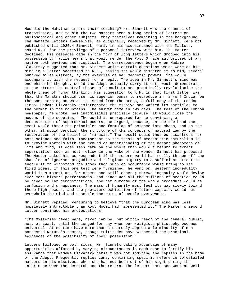How did the Mahatmas impart their teaching? Mr. Sinnett was the channel of transmission, and to him the two Masters sent a long series of letters on philosophical and other subjects, they themselves remaining in the background. The Mahatma Letters themselves, as originally received by Mr. Sinnett, were not published until 1925.4 Sinnett, early in his acquaintance with the Masters, asked K.H. for the privilege of a personal interview with him. The Master declined. His messages came in the form of long letters which dropped into his possession by facile means that would render the Post Office authorities of any nation both envious and sceptical. The correspondence began when Madame Blavatsky suggested that Mr. Sinnett write certain questions which were on his mind in a letter addressed to K.H., saying she would dispatch it to him, several hundred miles distant, by the exercise of her magnetic powers. She would accompany it with the request for a reply. The idea in Mr. Sinnett's mind was one which he thought, could the Adept actually carry it out, would demonstrate at one stroke the central theses of occultism and practically revolutionize the whole trend of human thinking. His suggestion to K.H. in that first letter was that the Mahatma should use his superior power to reproduce in far-off India, on the same morning on which it issued from the press, a full copy of the London Times. Madame Blavatsky disintegrated the missive and wafted its particles to the hermit in the mountains. The answer came in two days. The test of the London newspaper, he wrote, was inadmissible precisely because "it would close the mouths of the sceptics." The world is unprepared for so convincing a demonstration of supernormal powers, he argued, because, on the one hand the event would throw the principles and formulae of science into chaos, and on the other, it would demolish the structure of the concepts of natural law by the restoration of the belief in "miracle." The result would thus be disastrous for both science and faith. Incompetent as the thesis of mechanistic naturalism is to provide mortals with the ground of understanding of the deeper phenomena of life and mind, it does less harm on the whole than would a return to arrant superstition such as must follow in the wake of the wonder Sinnett had proposed. The Master asked his correspondent if the modern world had really thrown off the shackles of ignorant prejudice and religious bigotry to a sufficient extent to enable it to withstand the shock that such an occurrence would bring to its fixed ideas. If this one test were furnished, he went on, Western incredulity would in a moment ask for others and still others; shrewd ingenuity would devise ever more bizarre performances; and since not all the millions of sceptics could be given ocular demonstrations, the net outcome of the whole procedure would be confusion and unhappiness. The mass of humanity must feel its way slowly toward these high powers, and the premature exhibition of future capacity would but overwhelm the mind and unsettle the poise of people everywhere.

Mr. Sinnett replied, venturing to believe "that the European mind was less hopelessly intractable than Koot Hoomi had represented it." The Master's second letter continued his protestations:

"The Mysteries never were, never can be, put within reach of the general public, not, at least, until the longed-for day when our religious philosophy becomes universal. At no time have more than a scarcely appreciable minority of men possessed Nature's secret, though multitudes have witnessed the practical evidences of the possibility of their possession."

Letters followed on both sides, Mr. Sinnett taking advantage of many opportunities afforded by varying circumstances in each case to fortify his assurance that Madame Blavatsky herself was not inditing the replies in the name of the Adept. Frequently replies came, containing specific reference to detailed matters in his missives, when she had not been out of his sight during the interim between the despatch and the return. The letters came and went as well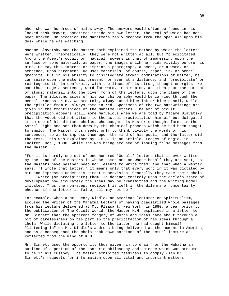when she was hundreds of miles away. The answers would often be found in his locked desk drawer, sometimes inside his own letter, the seal of which had not been broken. On occasion the Mahatma's reply dropped from the open air upon his desk while he was watching.

Madame Blavatsky and the Master both explained the method by which the letters were written. Theoretically, they were not written at all, but "precipitated." Among the Adept's occult or "magical" powers is that of impressing upon the surface of some material, as paper, the images which he holds vividly before his mind. He may thus impress or imprint a photograph, a scene, or a word, or sentence, upon parchment. He uses materials, of course, paper, ink or pencil graphite. But in his ability to disintegrate atomic combinations of matter, he can seize upon the material present, or even at a distance, and "precipitate" or reintegrate it, in conformity with the lines of his strong thought-energies. He can thus image a sentence, word for word, in his mind, and then pour the current of atomic material into the given form of the letters, upon the plane of the paper. The idiosyncrasies of his own chirography would be carried through the mental process. K.H., we are told, always used blue ink or blue pencil, while the epistles from M. always came in red. Specimens of the two handwritings are given in the frontispiece of the Mahatma Letters. The art of occult precipitation appears still more marvelous when we are told by Madame Blavatsky that the Adept did not attend to the actual precipitation himself but delegated it to one of his distant chelas, who caught his Master's thought-forms in the Astral Light and set them down by the chemical process which he had been taught to employ. The Master thus needed only to think vividly the words of his sentences, so as to impress them upon the mind of his pupil, and the latter did the rest. This was explained by H.P.B. in an article, Lodges of Magic, in Lucifer, Oct., 1888, while she was being accused of issuing false messages from the Master.

"For it is hardly one out of one hundred 'Occult' letters that is ever written by the hand of the Masters in whose names and on whose behalf they are sent, as the Masters have neither need nor leisure to write them; and that when a Master says: 'I wrote that letter,' it means only that every word in it was dictated by him and impressed under his direct supervision. Generally they make their chela . . . write (or precipitate) them. It depends entirely upon the chela's state of development how accurately the ideas may be transmitted and the writing model imitated. Thus the non-adept recipient is left in the dilemma of uncertainty whether if one letter is false, all may not be."

For example, when a Mr. Henry Kiddle, an American lecturer on Spiritualism, accused the writer of the Mahatma Letters of having plagiarized whole passages from his lecture delivered at Mt. Pleasant, New York, in 1880, a year prior to the publication of The Occult World, the Master K.H. explained in a letter to Mr. Sinnett that the apparent forgery of words and ideas came about through a bit of carelessness on his part in the precipitation of his ideas through a chela. While dictating the letter to the latter, he had caught himself "listening in" on Mr. Kiddle's address being delivered at the moment in America; and as a consequence the chela took down portions of the actual lecture as reflected from the mind of K.H.

Mr. Sinnett used the opportunity thus given him to draw from the Mahatma an outline of a portion of the esoteric philosophy and science which was presumed to be in his custody. The Master exhibited readiness to comply with Mr. Sinnett's requests for information upon all vital and important matters.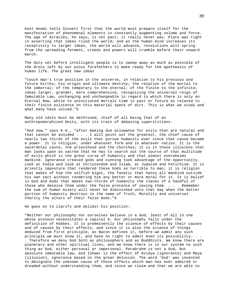Koot Hoomi tells Sinnett first that the world must prepare itself for the manifestation of phenomenal elements in constantly augmenting volume and force. The age of miracles, he says, is not past; it really never was. Plato was right in asserting that ideas ruled the world; and as the human mind increases its receptivity to larger ideas, the world will advance, revolutions will spring from the spreading ferment, creeds and powers will crumble before their onward march.

The duty set before intelligent people is to sweep away as much as possible of the dross left by our pious forefathers to make ready for the apotheosis of human life. The great new ideas

"touch man's true position in the universe, in relation to his previous and future births; his origin and ultimate destiny; the relation of the mortal to the immortal; of the temporary to the eternal; of the finite to the infinite; ideas larger, grander, more comprehensive, recognizing the universal reign of Immutable Law, unchanging and unchangeable in regard to which there is only an Eternal Now, while to uninitiated mortals time is past or future as related to their finite existence on this material speck of dirt. This is what we study and what many have solved."5

Many old idols must be dethroned, chief of all being that of an anthropomorphized Deity, with its train of debasing superstitions.

"And now," says K.H., "after making due allowance for evils that are natural and that cannot be avoided . . . I will point out the greatest, the chief cause of nearly two thirds of the evils that pursue humanity ever since that cause became a power. It is religion, under whatever form and in whatever nation. It is the sacerdotal caste, the priesthood and the churches; it is in those illusions that man looks upon as sacred that he has to search out the source of that multitude of evils which is the great curse of humanity and that almost overwhelms mankind. Ignorance created gods and cunning took advantage of the opportunity. Look at India and look at Christendom and Islam, at Judaism and Fetichism. It is priestly imposture that rendered these Gods so terrible to man; it is religion that makes of him the selfish bigot, the fanatic that hates all mankind outside his own sect without rendering him any better or more moral for it. It is belief in God and Gods that makes two-thirds of humanity the slaves of a handful of those who deceive them under the false pretence of saving them. . . . Remember the sum of human misery will never be diminished unto that day when the better portion of humanity destroys in the name of Truth, Morality and universal Charity the altars of their false Gods."6

He goes on to clarify and delimit his position:

"Neither our philosophy nor ourselves believe in a God, least of all in one whose pronoun necessitates a capital G. Our philosophy falls under the definition of Hobbes. It is preëminently the science of effects by their causes and of causes by their effects, and since it is also the science of things deduced from first principle, as Bacon defines it, before we admit any such principle we must know it, and have no right to admit even its possibility. . . . Therefore we deny God both as philosophers and as Buddhists. We know there are planetary and other spiritual lives, and we know there is in our system no such thing as God, either personal or impersonal. Parabrahm is not a God, but absolute immutable law, and Ishwar is the effect of Avidya (ignorance) and Maya (illusion), ignorance based on the great delusion. The word 'God' was invented to designate the unknown cause of those effects which man has ever admired or dreaded without understanding them, and since we claim-and that we are able to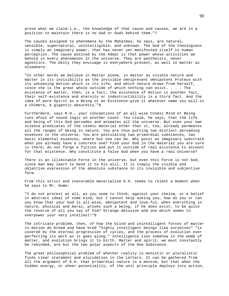prove what we claim-i.e., the knowledge of that cause and causes, we are in a position to maintain there is no God or Gods behind them."7

The causes assigned to phenomena by the Mahatmas, he says, are natural, sensible, supernatural, unintelligible, and unknown. The God of the theologians is simply an imaginary power, that has never yet manifested itself to human perception. The cause posited by the Adept is that power whose activities we behold in every phenomenon in the universe. They are pantheists, never agnostics. The Deity they envisage is everywhere present, as well in matter as elsewhere.

"In other words we believe in Matter alone, in matter as visible nature and matter in its invisibility as the invisible omnipresent omnipotent Proteus with its unceasing motion which is its life, and which nature draws from herself, since she is the great whole outside of which nothing can exist. . . . The existence of matter, then, is a fact; the existence of motion is another fact, their self-existence and eternity or indestructibility is a third fact. And the idea of pure Spirit as a Being or an Existence-give it whatever name you will-is a chimera, a gigantic absurdity."8

Furthermore, says K.H., your conceptions of an all-wise Cosmic Mind or Being runs afoul of sound logic on another count. You claim, he says, that the life and being of this God pervades and animates all the universe. But even your own science predicates of the cosmic material ether that it, too, already permeates all the ranges of being in nature. You are thus putting two distinct pervading essences in the universe. You are postulating two primordial substances, two basic elemental essences, where but one can be. Why posit an imaginary substrate when you already have a concrete one? Find your God in the material you are sure is there; do not forge a fiction and put it outside of real existence to account for that existence. Why constitute a false God when you have a real Universe?

There is an illimitable Force in the universe, but even this Force is not God, since man may learn to bend it to his will. It is simply the visible and objective expression of the absolute substance in its invisible and subjective form.

From this strict and inexorable materialism K.H. seems to relent a moment when he says to Mr. Hume:

"I do not protest at all, as you seem to think, against your theism, or a belief in abstract ideal of some kind, but I cannot help asking you, how do you or can you know that your God is all-wise, omnipotent and love-ful, when everything in nature, physical and moral, proves such a being, if he does exist, to be quite the reverse of all you say of him? Strange delusion and one which seems to overpower your very intellect!"9

The intricate problem, then, of how the blind and unintelligent forces of matter in motion do breed and have bred "highly intelligent beings like ourselves" "is covered by the eternal progression of cycles, and the process of evolution ever perfecting its work as it goes along." Intelligence lies somehow in the womb of matter, and evolution brings it to birth. Matter and spirit, we must constantly be reminded, are but the two polar aspects of the One Substance.

The great philosophical problem of whether reality is monistic or pluralistic finds clear statement and elucidation in the Letters. It can be gathered from all the argument of K.H. that primordial nature is a monism, but that when the hidden energy, or sheer potentiality, of the unit principle deploys into action,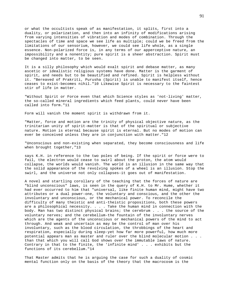or what the occultists speak of as manifestation, it splits, first into a duality, or polarization, and then into an infinity of modifications arising from varying intensities of vibration and modes of combination. Through the spectacles of time and space we see life as multiple; could we be freed from the limitations of our sensorium, however, we could see life whole, as a single essence. Non-polarized force is, in any terms of our apperceptive nature, an impossibility and a nonentity; pure spirit is a sheer abstraction. Spirit must be changed into matter, to be seen.

It is a silly philosophy which would exalt spirit and debase matter, as many ascetic or idealistic religious systems have done. Matter is the garment of spirit, and needs but to be beautified and refined. Spirit is helpless without it. "Bereaved of Prakriti, Purusha (Spirit) is unable to manifest itself, hence ceases to exist-becomes nihil."10 Likewise Spirit is necessary to the faintest stir of life in matter.

"Without Spirit or Force even that which Science styles as 'not-living' matter, the so-called mineral ingredients which feed plants, could never have been called into form."11

Form will vanish the moment spirit is withdrawn from it.

"Matter, force and motion are the trinity of physical objective nature, as the trinitarian unity of spirit-matter is that of the spiritual or subjective nature. Motion is eternal because spirit is eternal. But no modes of motion can ever be conceived unless they are in conjunction with matter."12

"Unconscious and non-existing when separated, they become consciousness and life when brought together, "13

says K.H. in reference to the two poles of being. If the spirit or force were to fail, the electron would cease to swirl about the proton, the atom would collapse, the worlds would vanish. The world is an illusion in the same way that the solid appearance of the revolving spokes of a wheel is an illusion. Stop the swirl, and the universe not only collapses-it goes out of manifestation.

A novel and startling corollary of the teaching that the forces of nature are "blind unconscious" laws, is seen in the query of K.H. to Mr. Hume, whether it had ever occurred to him that "universal, like finite human mind, might have two attributes or a dual power-one, the voluntary and conscious, and the other the involuntary and unconscious, or the mechanical power. To reconcile the difficulty of many theistic and anti-theistic propositions, both these powers are a philosophical necessity. . . . Take the human mind in connection with the body. Man has two distinct physical brains; the cerebrum . . . the source of the voluntary nerves; and the cerebellum-the fountain of the involuntary nerves which are the agents of the unconscious or mechanical powers of the mind to act through. And weak and uncertain as may be the control of man over his involuntary, such as the blood circulation, the throbbings of the heart and respiration, especially during sleep-yet how far more powerful, how much more potential appears man as master and ruler over the blind molecular motion . . . than that which you will call God shows over the immutable laws of nature. Contrary in that to the finite, the 'infinite mind' . . . exhibits but the functions of its cerebellum."14

That Master admits that he is arguing the case for such a duality of cosmic mental function only on the basis of the theory that the macrocosm is the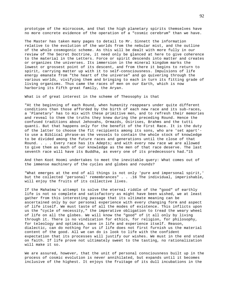prototype of the microcosm, and that the high planetary spirits themselves have no more concrete evidence of the operation of a "cosmic cerebrum" than we have.

The Master has taken many pages to detail to Mr. Sinnett the information relative to the evolution of the worlds from the nebular mist, and the outline of the whole cosmogonic scheme. As this will be dealt with more fully in our review of The Secret Doctrine, it need only be glanced at here to give coherence to the material in the Letters. Force or spirit descends into matter and creates or organizes the universes. Its immersion in the mineral kingdom marks the lowest or grossest point of its descent, and from there it begins to return to spirit, carrying matter up with it to self-consciousness. Impulsions of life energy emanate from "the heart of the universe" and go quivering through the various worlds, vivifying them and bringing to each in turn its fitting grade of living organisms. Thus came the races of men on our Earth, which is now harboring its Fifth great family, the Aryan.

What is of great interest in the scheme of Theosophy is that

"At the beginning of each Round, when humanity reappears under quite different conditions than those afforded by the birth of each new race and its sub-races, a 'Planetary' has to mix with these primitive men, and to refresh their memories and reveal to them the truths they knew during the preceding Round. Hence the confused traditions about Jehovahs, Ormazds, Osirises, Brahms and the tutti quanti. But that happens only for the benefit of the First Race. It is the duty of the latter to choose the fit recipients among its sons, who are 'set apart' to use a Biblical phrase-as the vessels to contain the whole stock of knowledge to be divided among the future races and generations until the close of that Round. . . . Every race has its Adepts; and with every new race we are allowed to give them as much of our knowledge as the men of that race deserve. The last seventh race will have its Buddha, as every one of its predecessors had."15

And then Koot Hoomi undertakes to meet the inevitable query: What comes out of the immense machinery of the cycles and globes and rounds?

"What emerges at the end of all things is not only 'pure and impersonal spirit,' but the collected 'personal' remembrances" . . .16 The individual, imperishable, will enjoy the fruits of its collective lives.

If the Mahatma's attempt to solve the eternal riddle of the "good" of earthly life is not so complete and satisfactory as might have been wished, we at least gather from this interesting passage that its ultimate meaning can be ascertained only by our personal experience with every changing form and aspect of life itself. We must taste of all the modes of existence. This inflicts upon us the "cycle of necessity," the imperative obligation to tread the weary wheel of life on all the globes. We will know the "good" of it all only by living through it. There is no vindication for ethics, for religion, for philosophy, for teleology and optimism, save in life and experience itself. Reason, dialectic, can do nothing for us if life does not first furnish us the material content of the good. All we can do is look to life with the confident expectation that its processes will justify our wishes. We must in the end stand on faith. If life prove not ultimately sweet to the tasting, no rationalization will make it so.

We are assured, however, that the unit of personal consciousness built up in the process of cosmic evolution is never annihilated, but expands until it becomes inclusive of the highest. It enjoys the fruitage of its dull incubations in the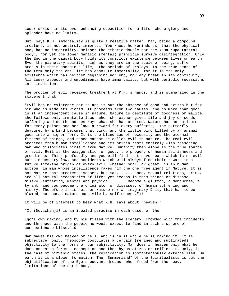lower worlds in its ever-enhancing capacities for a life "whose glory and splendor have no limits."

But, says K.H. immortality is quite a relative matter. Man, being a compound creature, is not entirely immortal. You know, he reminds us, that the physical body has no immortality. Neither the etheric double nor the kama rupa (astral body), nor yet the lower manasic (mental) principle survive disintegration. Only the Ego in the causal body holds its conscious existence between lives on earth. Even the planetary spirits, high as they are in the scale of being, suffer breaks in their conscious life,--the periods of pralaya. In the true sense of the term only the one life has absolute immortality, for it is the only existence which has neither beginning nor end, nor any break in its continuity. All lower aspects and embodiments have immortality, but with periodic recessions into inanition.

The problem of evil received treatment at K.H.'s hands, and is summarized in the statement that

"Evil has no existence per se and is but the absence of good and exists but for him who is made its victim. It proceeds from two causes, and no more than good is it an independent cause in nature. Nature is destitute of goodness or malice; she follows only immutable laws, when she either gives life and joy or sends suffering and death and destroys what she has created. Nature has an antidote for every poison and her laws a reward for every suffering. The butterfly devoured by a bird becomes that bird, and the little bird killed by an animal goes into a higher form. It is the blind law of necessity and the eternal fitness of things, and hence cannot be called evil in Nature. The real evil proceeds from human intelligence and its origin rests entirely with reasoning man who dissociates himself from Nature. Humanity then alone is the true source of evil. Evil is the exaggeration of good, the progeny of human selfishness and greediness. Think profoundly and you will find that save death-which is no evil but a necessary law, and accidents which will always find their reward in a future life-the origin of every evil, whether small or great, is in human action, in man whose intelligence makes him the one free agent in Nature. It is not Nature that creates diseases, but man. . . . Food, sexual relations, drink, are all natural necessities of life; yet excess in them brings on disease, misery, suffering, mental and physical. . . . Become a glutton, a debauchee, a tyrant, and you become the originator of diseases, of human suffering and misery. Therefore it is neither Nature nor an imaginary Deity that has to be blamed, but human nature made vile by selfishness."17

It will be of interest to hear what K.H. says about "heaven."

"It (Devachan)18 is an idealed paradise in each case, of the

Ego's own making, and by him filled with the scenery, crowded with the incidents and thronged with the people he would expect to find in such a sphere of compassionate bliss."19

Man makes his own heaven or hell, and is in it while he is making it. It is subjective; only, Theosophy postulates a certain (refined and sublimated) objectivity to the forms of our subjectivity. Man does in heaven only what he does on earth-forms a conception and then hypostatizes or reifies it. Only, in the case of nirvanic states, the reification is instantaneously externalized. On earth it is a slower formation. The "Summerland" of the Spiritualists is but the objectification of the Ego's buoyant dreams, when freed from the heavy limitations of the earth body.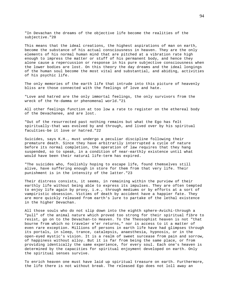"In Devachan the dreams of the objective life become the realities of the subjective."20

This means that the ideal creations, the highest aspirations of man on earth, become the substance of his actual consciousness in heaven. They are the only elements of his normal human mind that are pitched at a vibration rate high enough to impress the matter or stuff of his permanent body, and hence they alone cause a repercussion or response in his pure subjective consciousness when the lower bodies are lost. On this theory the day dreams and the ideal longings of the human soul become the most vital and substantial, and abiding, activities of his psychic life.

The only memories of the earth life that intrude into this picture of heavenly bliss are those connected with the feelings of love and hate.

"Love and hatred are the only immortal feelings, the only survivors from the wreck of the Ye-damma or phenomenal world."21

All other feelings function at too low a rate to register on the ethereal body of the Devachanee, and are lost.

"Out of the resurrected past nothing remains but what the Ego has felt spiritually-that was evolved by and through, and lived over by his spiritual faculties-be it love or hatred."22

Suicides, says K.H., must undergo a peculiar discipline following their premature death. Since they have arbitrarily interrupted a cycle of nature before its normal completion, the operation of law requires that they hang suspended, so to speak, in a condition of near-earthly existence until what would have been their natural life-term has expired.

"The suicides who, foolishly hoping to escape life, found themselves still alive, have suffering enough in store for them from that very life. Their punishment is in the intensity of the latter."23

Their distress consists, it seems, in remaining within the purview of their earthly life without being able to express its impulses. They are often tempted to enjoy life again by proxy, i.e., through mediums or by efforts at a sort of vampiristic obsession. Victims of death by accident have a happier fate. They are more quickly released from earth's lure to partake of the lethal existence in the higher Devachan.

All those souls who do not slip down into the eighth sphere-Avichi-through a "pull" of the animal nature which proved too strong for their spiritual fibre to resist, go on to the Devachan-to Heaven. To the Theosophist heaven is not "that bourne from which no traveler e'er returns," nor is access to it a matter of even rare exception. Millions of persons in earth life have had glimpses through its portals, in sleep, trance, catalepsis, anaesthesia, hypnosis, or in the open-eyed mystic's vision. It is a realm of sweet surcease from pain and sorrow, of happiness without alloy. But it is far from being the same place, or from providing identically the same experience, for every soul. Each one's heaven is determined by the capacities for spiritual enjoyment developed on earth. Only the spiritual senses survive.

To enrich heaven one must have laid up spiritual treasure on earth. Furthermore, the life there is not without break. The released Ego does not loll away an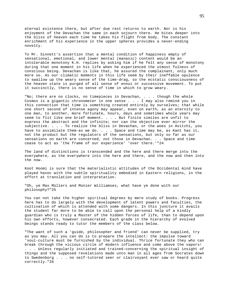eternal existence there, but after due rest returns to earth. Nor is his enjoyment of the Devachan the same in each sojourn there. He bites deeper into the bliss of heaven each time he takes his flight from body. The constant enrichment of his experience in the upper spheres provides a never-ending novelty.

To Mr. Sinnett's assertion that a mental condition of happiness empty of sensational, emotional, and lower mental (manasic) content would be an intolerable monotony K.H. replies by asking him if he felt any sense of monotony during that one moment in his life when he experienced the utmost fulness of conscious being. Devachan is like that, he assured the complainant, only much more so. As our climatic moments in this life seem by their ineffable opulence to swallow up the weary sense of the time-drag, so the ecstatic consciousness of the heaven state is purged of all sense of ennui or successive movement. To put it succinctly, there is no sense of time in which to grow weary.

"No; there are no clocks, no timepieces in Devachan, . . . though the whole Cosmos is a gigantic chronometer in one sense . . . I may also remind you in this connection that time is something created entirely by ourselves; that while one short second of intense agony may appear, even on earth, as an eternity to one man, to another, more fortunate, hours, days and sometimes whole years may seem to flit like one brief moment. . . . But finite similes are unfit to express the abstract and the infinite; nor can the objective ever mirror the subjective. . . . To realize the bliss in Devachan, or the woes in Avitchi, you have to assimilate them-as we do. . . . Space and time may be, as Kant has it, not the product but the regulators of the sensations, but only so far as our sensations on earth are concerned, not those in Devachan. . . Space and time cease to act as 'the frame of our experience' 'over there.'"24

The land of distinctions is transcended and the here and there merge into the everywhere, as the everywhere into the here and there, and the now and then into the now.

Koot Hoomi is sure that the materialistic attitudes of the Occidental mind have played havoc with the subtle spirituality embodied in Eastern religions, in the effort at translation and interpretation.

"Oh, ye Max Müllers and Monier Williamses, what have ye done with our philosophy?"25

You can not take the higher spiritual degrees by mere study of books. Progress here has to do largely with the development of latent powers and faculties, the cultivation of which is attended with some dangers. In this juncture it avails the student far more to be able to call upon the personal help of a kindly guardian who is truly a Master of the hidden forces of life, than to depend upon his own efforts, however consecrated. Each grade in the hierarchy of evolved beings stands ready to tutor the members of the class below.

"The want of such a 'guide, philosopher and friend' can never be supplied, try as you may. All you can do is to prepare the intellect: the impulse toward 'soul-culture must be furnished by the individual. Thrice fortunate they who can break through the vicious circle of modern influence and come above the vapors! . . . Unless regularly initiated and trained-concerning the spiritual insight of things and the supposed revelations made unto man in all ages from Socrates down to Swedenborg . . . no self-tutored seer or clairvoyant ever saw or heard quite correctly."26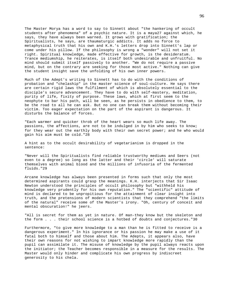The Master Morya has a word to say to Sinnett about "the hankering of occult students after phenomena" of a psychic nature. It is a maya27 against which, he says, they have always been warned. It grows with gratification; the Spiritualists, he says, are thaumaturgic addicts. It adds no force to metaphysical truth that his own and K.H.'s letters drop into Sinnett's lap or come under his pillow. If the philosophy is wrong a "wonder" will not set it right. Spiritual knowledge, made effective for growth, is the desideratum. Trance mediumship, he reiterates, is itself both undesirable and unfruitful. No mind should submit itself passively to another. "We do not require a passive mind, but on the contrary are seeking for those most active." Nothing can give the student insight save the unfolding of his own inner powers.

Much of the Adept's writing to Sinnett has to do with the conditions of probation and "chelaship" in the master science of soul-culture. He says there are certain rigid laws the fulfilment of which is absolutely essential to the disciple's secure advancement. They have to do with self-mastery, meditation, purity of life, fixity of purpose. These laws, which at first seem to the neophyte to bar his path, will be seen, as he persists in obedience to them, to be the road to all he can ask. But no one can break them without becoming their victim. Too eager expectation on the part of the aspirant is dangerous. It disturbs the balance of forces.

"Each warmer and quicker throb of the heart wears so much life away. The passions, the affections, are not to be indulged in by him who seeks to know; for they wear out the earthly body with their own secret power; and he who would gain his aim must be cold."28

A hint as to the occult desirability of vegetarianism is dropped in the sentence:

"Never will the Spiritualists find reliable trustworthy mediums and Seers (not even to a degree) so long as the latter and their 'circle' will saturate themselves with animal blood and the millions of infusoria of the fermented fluids."29

Arcane knowledge has always been presented in forms such that only the most determined aspirants could grasp the meanings. K.H. interjects that Sir Isaac Newton understood the principles of occult philosophy but "withheld his knowledge very prudently for his own reputation." The "scientific" attitude of mind is declared to be unpropitious for the attainment of clear insight into truth, and the pretensions of modern scientists that they comprehend "the limits of the natural" receive some of the Master's irony. "Oh, century of conceit and mental obscuration!" he jeers.

"All is secret for them as yet in nature. Of man-they know but the skeleton and the form . . . their school science is a hotbed of doubts and conjectures."30

Furthermore, "to give more knowledge to a man than he is fitted to receive is a dangerous experiment." In his ignorance or his passion he may make a use of it fatal both to himself and those about him. The Adepts, it appears also, have their own reasons for not wishing to impart knowledge more rapidly than the pupil can assimilate it. The misuse of knowledge by the pupil always reacts upon the initiator; the Teacher becomes responsible in a measure for the results. The Master would only hinder and complicate his own progress by indiscreet generosity to his chela.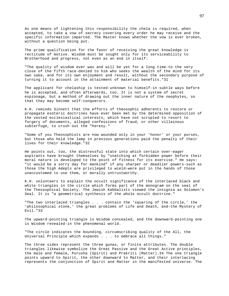As one means of lightening this responsibility the chela is required, when accepted, to take a vow of secrecy covering every order he may receive and the specific information imparted. The Master knows whether the vow is ever broken, without a question being put.

The prime qualification for the favor of receiving the great knowledge is rectitude of motive. Wisdom must be sought only for its serviceability to Brotherhood and progress, not even as an end in itself:

"The quality of wisdom ever was and will be yet for a long time-to the very close of the fifth race-denied to him who seeks the wealth of the mind for its own sake, and for its own enjoyment and result, without the secondary purpose of turning it to account in the attainment of material benefits."31

The applicant for chelaship is tested-unknown to himself-in subtle ways before he is accepted, and often afterwards, too. It is not a system of secret espionage, but a method of drawing out the inner nature of the neophytes, so that they may become self-conquerors.

K.H. reminds Sinnett that the efforts of theosophic adherents to restore or propagate esoteric doctrines have ever been met by the determined opposition of the vested ecclesiastical interests, which have not scrupled to resort to forgery of documents, alleged confessions of fraud, or other villainous subterfuge, to crush out the "heresy."

"Some of you Theosophists are now wounded only in your 'honor' or your purses, but those who held the lamp in previous generations paid the penalty of their lives for their knowledge."32

He points out, too, the distressful state into which certain over-eager aspirants have brought themselves by "snatching at forbidden power before their moral nature is developed to the point of fitness for its exercise." He says: "it would be a sorry day for mankind" if any sharper or deadlier powers-such as those the high Adepts are privileged to wield-were put in the hands of those unaccustomed to use them, or morally untrustworthy.

K.H. volunteers to explain the occult significance of the interlaced black and white triangles in the circle which forms part of the monogram on the seal of the Theosophical Society. The Jewish Kabbalists viewed the insignia as Solomon's Seal. It is "a geometrical synthesis of the whole occult doctrine."

"The two interlaced triangles . . . contain the 'squaring of the circle,' the 'philosophical stone,' the great problems of Life and Death, and-the Mystery of Evil."33

The upward-pointing triangle is Wisdom concealed, and the downward-pointing one is Wisdom revealed-in the phenomenal world.

"The circle indicates the bounding, circumscribing quality of the All, the Universal Principle which expands . . . to embrace all things."

The three sides represent the three gunas, or finite attributes. The double triangles likewise symbolize the Great Passive and the Great Active principles, the male and female, Purusha (Spirit) and Prakriti (Matter).34 The one triangle points upward to Spirit, the other downward to Matter, and their interlacing represents the conjunction of Spirit and Matter in the manifested universe. The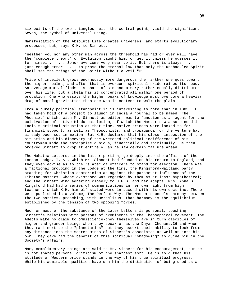six points of the two triangles, with the central point, yield the significant Seven, the symbol of Universal Being.

Manifestation of the Absolute Life creates universes, and starts evolutionary processes; but, says K.H. to Sinnett,

"neither you nor any other man across the threshold has had or ever will have the 'complete theory' of Evolution taught him; or get it unless he guesses it for himself. . . . Some-have come very near to it. But there is always . . . just enough error . . . to prove the eternal law that only the unshackled Spirit shall see the things of the Spirit without a veil."35

Pride of intellect grows enormously more dangerous the farther one goes toward the higher realms; and after that is overcome spiritual pride raises its head. An average mortal finds his share of sin and misery rather equally distributed over his life; but a chela has it concentrated all within one period of probation. One who essays the higher peaks of knowledge must overcome a heavier drag of moral gravitation than one who is content to walk the plain.

From a purely political standpoint it is interesting to note that in 1883 K.H. had taken hold of a project to launch in India a journal to be named "The Phoenix," which, with Mr. Sinnett as editor, was to function as an agent for the cultivation of native Hindu patriotism, of which the Master saw a sore need in India's critical situation at that time. Native princes were looked to for financial support, as well as Theosophists, and propaganda for the venture had already been set in motion. But K.H. declares that his closer inspection of the situation and his discovery of the wretched political indifference of his countrymen made the enterprise dubious, financially and spiritually. He then ordered Sinnett to drop it entirely, as he saw certain failure ahead.

The Mahatma Letters, in the latter portion, go deeply into the affairs of the London Lodge, T. S., which Mr. Sinnett had founded on his return to England, and they even advise as to the "slate" of officers to stand for election. There was a factional grouping in the Lodge at the time, the Kingsford-Maitland party standing for Christian esotericism as against the paramount influence of the Tibetan Masters, whose existence was regarded by them as at least hypothetical; and the Sinnett wing adhering closely to H.P.B. and her Adepts. Mrs. Anna B. Kingsford had had a series of communications in her own right from high teachers, which K.H. himself stated were in accord with his own doctrine. These were published in a volume, The Perfect Way. The Master counsels harmony between the two parties, preaching, with Heraclitus, that harmony is the equilibrium established by the tension of two opposing forces.

Much or most of the substance of the later Letters is personal, touching Sinnett's relations with persons of prominence in the Theosophical movement. The Adepts make no claim to omniscience-they themselves are in turn disciples of higher and grander beings whom they speak of as the Dhyan Chohans,36 and whom they rank next to the "planetaries"-but they assert their ability to look from any distance into the secret minds of Sinnett's associates as well as into his own. They gave him the benefit of this spiritual "shadowing" to guide him in the Society's affairs.

Many complimentary things are said to Mr. Sinnett for his encouragement; but he is not spared personal criticism of the sharpest sort. He is told that his attitude of Western pride stands in the way of his true spiritual progress. While his admirable qualities have won him the distinction of being used as a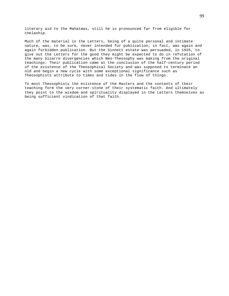literary aid to the Mahatmas, still he is pronounced far from eligible for chelaship.

Much of the material in the Letters, being of a quite personal and intimate nature, was, to be sure, never intended for publication; in fact, was again and again forbidden publication. But the Sinnett estate was persuaded, in 1925, to give out the Letters for the good they might be expected to do in refutation of the many bizarre divergencies which Neo-Theosophy was making from the original teachings. Their publication came at the conclusion of the half-century period of the existence of the Theosophical Society and was supposed to terminate an old and begin a new cycle with some exceptional significance such as Theosophists attribute to times and tides in the flow of things.

To most Theosophists the existence of the Masters and the contents of their teaching form the very corner-stone of their systematic faith. And ultimately they point to the wisdom and spirituality displayed in the Letters themselves as being sufficient vindication of that faith.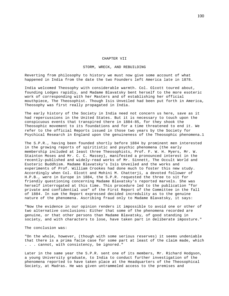#### CHAPTER VII

## STORM, WRECK, AND REBUILDING

Reverting from philosophy to history we must now give some account of what happened in India from the date the two Founders left America late in 1878.

India welcomed Theosophy with considerable warmth. Col. Olcott toured about, founding Lodges rapidly, and Madame Blavatsky bent herself to the more esoteric work of corresponding with her Masters and of establishing her official mouthpiece, The Theosophist. Though Isis Unveiled had been put forth in America, Theosophy was first really propagated in India.

The early history of the Society in India need not concern us here, save as it had repercussions in the United States. But it is necessary to touch upon the conspicuous events that transpired there in 1884-85, for they shook the Theosophic movement to its foundations and for a time threatened to end it. We refer to the official Reports issued in those two years by the Society for Psychical Research in England upon the genuineness of the Theosophic phenomena.1

The S.P.R., having been founded shortly before 1884 by prominent men interested in the growing reports of spiritistic and psychic phenomena (the early membership included at least three Theosophists, Prof. F. W. H. Myers, Mr. W. Stainton Moses and Mr. C. C. Massey), manifested a pronounced interest in the recently-published and widely-read works of Mr. Sinnett, The Occult World and Esoteric Buddhism. Madame Blavatsky's Isis Unveiled and the works and experiments of Prof. William Crookes had done much to foster this new study. Accordingly when Col. Olcott and Mohini M. Chatterji, a devoted follower of H.P.B., were in Europe in 1884, the S.P.R. requested the three to sit for friendly questioning concerning Madame Blavatsky's reported marvels. She was herself interrogated at this time. This procedure led to the publication "for private and confidential use" of the First Report of the Committee in the fall of 1884. In sum the Report expressed decided incredulity as to the genuine nature of the phenomena. Ascribing fraud only to Madame Blavatsky, it says:

"Now the evidence in our opinion renders it impossible to avoid one or other of two alternative conclusions: Either that some of the phenomena recorded are genuine, or that other persons than Madame Blavatsky, of good standing in society, and with characters to lose, have taken part in deliberate imposture."

The conclusion was:

"On the whole, however, (though with some serious reserves) it seems undeniable that there is a prima facie case for some part at least of the claim made, which . . . cannot, with consistency, be ignored."

Later in the same year the S.P.R. sent one of its members, Mr. Richard Hodgson, a young University graduate, to India to conduct further investigation of the phenomena reported to have taken place at the Headquarters of the Theosophical Society, at Madras. He was given untrammeled access to the premises and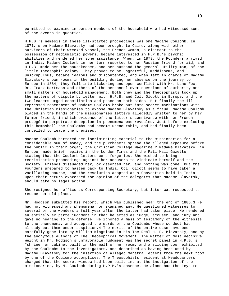permitted to examine in person members of the household who had witnessed some of the events in question.

H.P.B.'s nemesis in these ill-started proceedings was one Madame Coulomb. In 1871, when Madame Blavatsky had been brought to Cairo, along with other survivors of their wrecked vessel, the French woman, a claimant to the possession of mediumistic powers, became interested in H.P.B.'s psychic abilities and rendered her some assistance. When, in 1879, the Founders arrived in India, Madame Coulomb in her turn resorted to her Russian friend for aid, and H.P.B. made her the housekeeper, and her husband the general utility man, of the little Theosophic colony. They proved to be ungrateful, meddlesome, and unscrupulous, became jealous and discontented, and when left in charge of Madame Blavatsky's own rooms in the building during her absence on the journey to Europe in 1884, they fell into bickering and open conflict with Mr. Lane-Fox, Dr. Franz Hartmann and others of the personnel over questions of authority and small matters of household management. Both they and the Theosophists took up the matters of dispute by letter with H.P.B. and Col. Olcott in Europe, and the two leaders urged conciliation and peace on both sides. But finally the illrepressed resentment of Madame Coulomb broke out into secret machinations with the Christian missionaries to expose Madame Blavatsky as a fraud. Madame Coulomb placed in the hands of the missionaries letters allegedly written to her by her former friend, in which evidence of the latter's connivance with her French protégé to perpetrate deception in phenomena was revealed. Just before exploding this bombshell the Coulombs had become unendurable, and had finally been compelled to leave the premises.

Madame Coulomb bartered her incriminating material to the missionaries for a considerable sum of money, and the purchasers spread the alleged exposure before the public in their organ, the Christian College Magazine.2 Madame Blavatsky, in Europe, made brief replies in the London Times and the Pall Mall Gazette, stating that the Coulomb letters were forgeries. She wished to bring recrimination proceedings against her accusers to vindicate herself and the Society. Friends dissuaded her, or deserted her, and nothing was done. But the Founders prepared to hasten back to India. Col. Olcott seems to have taken a vacillating course, and the resolution adopted at a Convention held in India upon their return expressed the opinion of the delegates that Madame Blavatsky should take no legal action.

She resigned her office as Corresponding Secretary, but later was requested to resume her old place.

Mr. Hodgson submitted his report, which was published near the end of 1885.3 He had not witnessed any phenomena nor examined any. He questioned witnesses to several of the wonders a full year after the latter had taken place. He rendered an entirely ex parte judgment in that he acted as judge, accuser, and jury and gave no hearing to the defense. He ignored a mass of testimony of the witnesses to the phenomena, and accepted the words of the Coulombs whose conduct had already put them under suspicion.4 The merits of the entire case have been carefully gone into by William Kingsland in his The Real H. P. Blavatsky, and by the anonymous authors of The Theosophical Movement. The matter of most decisive weight in Mr. Hodgson's unfavorable judgment was the secret panel in H.P.B.'s "shrine" or cabinet built in the wall of her room, and a sliding door exhibited by the Coulombs to the investigators, and described as having been used by Madame Blavatsky for the insertion of alleged Mahatma letters from the next room by one of the Coulomb accomplices. The Theosophists resident at Headquarters charged that the secret window had been built in, at the instigation of the missionaries, by M. Coulomb during H.P.B.'s absence. He alone had the keys to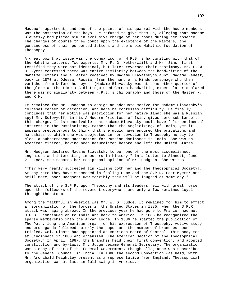Madame's apartment, and one of the points of his quarrel with the house members was the possession of the keys. He refused to give them up, alleging that Madame Blavatsky had placed him in exclusive charge of her rooms during her absence. The charges of course threw doubt upon the existence of the Masters, the genuineness of their purported letters and the whole Mahatmic foundation of Theosophy.

A great point at issue was the comparison of H.P.B.'s handwriting with that of the Mahatma Letters. Two experts, Mr. F. G. Netherclift and Mr. Sims, first testified they were not identical, but later reversed their testimony. Mr. F. W. H. Myers confessed there was entire similarity between the handwriting of the Mahatma Letters and a letter received by Madame Blavatsky's aunt, Madame Fadeef, back in 1870 at Odessa, Russia, from the hand of a Hindu personage who then vanished from before her eyes. (Madame Blavatsky was at some other quarter of the globe at the time.) A distinguished German handwriting expert later declared there was no similarity between H.P.B.'s chirography and those of the Master M. and K.H.

It remained for Mr. Hodgson to assign an adequate motive for Madame Blavatsky's colossal career of deception, and here he confesses difficulty. He finally concludes that her motive was patriotism for her native land: she was a Russian spy! Mr. Solovyoff, in his A Modern Priestess of Isis, gives some substance to this charge. It is conceivable that Madame Blavatsky could have felt sentimental interest in the Russianizing, rather than the Anglicizing, of India; yet it appears preposterous to think that she would have endured the privations and hardships to which she was subjected in her devotion to Theosophy merely to cloak a subterranean machination for Russian dominance in India. She was an American citizen, having been naturalized before she left the United States.

Mr. Hodgson declared Madame Blavatsky to be "one of the most accomplished, ingenious and interesting impostors in history." In a letter to Sinnett, June 21, 1885, she records her reciprocal opinion of Mr. Hodgson. She writes:

"They very nearly succeeded [in killing both her and the Theosophical Society]. At any rate they have succeeded in fooling Hume and the S.P.R. Poor Myers! and still more, poor Hodgson! How terribly they will be laughed at some day!"

The attack of the S.P.R. upon Theosophy and its leaders fell with great force upon the followers of the movement everywhere and only a few remained loyal through the storm.

Among the faithful in America was Mr. W. Q. Judge. It remained for him to effect a reorganization of the forces in the United States in 1885, when the S.P.R. attack was raging abroad. In the previous year he had gone to France, had met H.P.B., continued on to India and back to America. In 1885 he reorganized the sparse membership into the Aryan Lodge. In 1886 he started the publication of The Path, long the American organ for his expression of Theosophy. Active study and propaganda followed quickly thereupon and the number of branches soon tripled. Col. Olcott had appointed an American Board of Control. This body met at Cincinnati in 1886 and organized "The American Section of the Theosophical Society." In April, 1887, the branches held their first Convention, and adopted constitution and by-laws. Mr. Judge became General Secretary. The organization was a copy of that of the Federal Government, though allegiance was subscribed to the General Council in India. In 1888 the second Convention was held, with Mr. Archibald Keightley present as a representative from England. Theosophical organization was at last in full swing in America.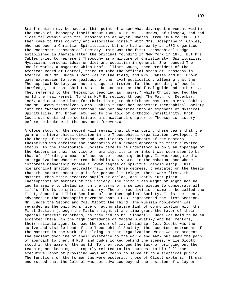Brief mention may be made at this point of a somewhat divergent movement within the ranks of Theosophy itself about 1886. A Mr. W. T. Brown, of Glasgow, had had close fellowship with the Theosophists at Adyar, Madras, from 1884 to 1886. He then came to this country and associated himself with Mrs. Josephine W. Cables, who had been a Christian Spiritualist, but who had as early as 1882 organized the Rochester Theosophical Society. This was the first Theosophical Lodge established in America after the original founding in New York in 1875. But Mrs. Cables tried to represent Theosophy as a mixture of Christianity, Spiritualism, Mysticism, personal ideas on diet and occultism in general. She founded The Occult World, a magazine which Prof. Elliott Coues, then President of the American Board of Control, tried to make the official organ of Theosophy in America. But Mr. Judge's Path was in the field, and Mrs. Cables and Mr. Brown gave expression to some jealousy of the rival publication, alleging that the Theosophical Society was not a unique instrument for the spreading of occult knowledge, but that Christ was to be accepted as the final guide and authority. They referred to the Theosophic teaching as "husks," while Christ had fed the world the real kernel. To this H.P.B. replied through The Path for December, 1886, and cast the blame for their losing touch with her Masters on Mrs. Cables and Mr. Brown themselves.5 Mrs. Cables turned her Rochester Theosophical Society into the "Rochester Brotherhood" and her magazine into an exponent of Mystical Spiritualism. Mr. Brown returned to the fold of orthodox Christianity. Prof. Coues was destined to contribute a sensational chapter to Theosophic history before he broke with the movement forever.6

A close study of the record will reveal that it was during these years that the germ of a hierarchical division in the Theosophical organization developed. In the theory of the existence and evolutionary attainments of the Masters themselves was enfolded the conception of a graded approach to their elevated status. As the Theosophical Society came to be understood as only an appanage of the Masters in their service of humanity, its inner intent was soon seen to be that of affording a means of access to these high beings. It was recognized as an organization whose supreme headship was vested in the Mahatmas and whose corporate membership formed a lower degree of spiritual discipleship. This hierarchical grading naturally fell into three degrees, predicated on the thesis that the Adepts accept pupils for personal tutelage. There were first, the Masters, then their accepted pupils or chelas, and lastly just plain Theosophists or members of the Society. The third class might or might not be led to aspire to chelaship, on the terms of a serious pledge to consecrate all life's efforts to spiritual mastery. These three divisions came to be called the First, Second and Third Sections of the Theosophical Society. It is the theory advanced in the Theosophic Movement that H.P.B. represented the First Section, Mr. Judge the Second and Col. Olcott the Third. The Russian noblewoman was regarded as the only bona fide or authoritative link of communication with the First Section (though the Masters might at any time grant the favor of their special interest to others, as they did to Mr. Sinnett); Judge was held to be an accepted chela, in the high confidence of Madame Blavatsky and her mentors, their reliable agent to head the order of lay chelaship; Col. Olcott was the active and visible head of the Theosophical Society, the accepted instrument of the Masters in the work of building up that organization which was to present the ancient doctrine of their existence to the world and mark out anew the path of approach to them. H.P.B. and Judge worked behind the scenes, while Olcott stood in the gaze of the world. To them belonged the task of bringing out the teaching and keeping it properly related to its sources; to him fell the executive labor of providing ways and means to serve it to a sceptical public. The functions of the former two were esoteric; those of Olcott exoteric. It was understood that the Colonel was not advanced beyond the position of a lay or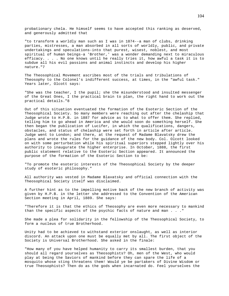probationary chela. He himself seems to have accepted this ranking as deserved, and generously admitted that

"to transform a worldly man such as I was in 1874--a man of clubs, drinking parties, mistresses, a man absorbed in all sorts of worldly, public, and private undertakings and speculations-into that purest, wisest, noblest, and most spiritual of human beings-a 'Brother,' was a wonder demanding next to miraculous efficacy. . . . No one knows until he really tries it, how awful a task it is to subdue all his evil passions and animal instincts and develop his higher nature."7

The Theosophical Movement ascribes most of the trials and tribulations of Theosophy to the Colonel's indifferent success, at times, in the "awful task." Years later, Olcott says:

"She was the teacher, I the pupil; she the misunderstood and insulted messenger of the Great Ones, I the practical brain to plan, the right hand to work out the practical details."8

Out of this situation eventuated the formation of the Esoteric Section of the Theosophical Society. So many members were reaching out after the chelaship that Judge wrote to H.P.B. in 1887 for advice as to what to offer them. She replied, telling him to go ahead in America and she would soon do something herself. She then began the publication of Lucifer, in which the qualifications, dangers, obstacles, and status of chelaship were set forth in article after article. Judge went to London; and there, at the request of Madame Blavatsky drew the plans and wrote the rules for the guidance of the new body. Col. Olcott looked on with some perturbation while his spiritual superiors stepped lightly over his authority to inaugurate the higher enterprise. In October, 1888, the first public statement relative to the Esoteric Section appeared. It announced the purpose of the formation of the Esoteric Section to be:

"To promote the esoteric interests of the Theosophical Society by the deeper study of esoteric philosophy."

All authority was vested in Madame Blavatsky and official connection with the Theosophical Society itself was disclaimed.

A further hint as to the impelling motive back of the new branch of activity was given by H.P.B. in the letter she addressed to the Convention of the American Section meeting in April, 1889. She says:

"Therefore it is that the ethics of Theosophy are even more necessary to mankind than the specific aspects of the psychic facts of nature and man . . ."

She made a plea for solidarity in the fellowship of the Theosophical Society, to form a nucleus of true Brotherhood.

Unity had to be achieved to withstand exterior onslaught, as well as interior discord. An attack upon one must be equally met by all. The first object of the Society is Universal Brotherhood. She asked in the finale:

"How many of you have helped humanity to carry its smallest burden, that you should all regard yourselves as Theosophists? Oh, men of the West, who would play at being the Saviors of mankind before they can spare the life of a mosquito whose sting threatens them! Would ye be partakers of Divine Wisdom or true Theosophists? Then do as the gods when incarnated do. Feel yourselves the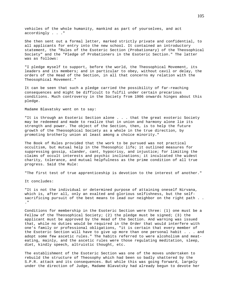vehicles of the whole humanity, mankind as part of yourselves, and act accordingly . . ."

She then sent out a formal letter, marked strictly private and confidential, to all applicants for entry into the new school. It contained an introductory statement, the "Rules of the Esoteric Section (Probationary) of the Theosophical Society" and the "Pledge of Probationers in the Esoteric Section." The latter was as follows:

"I pledge myself to support, before the world, the Theosophical Movement, its leaders and its members; and in particular to obey, without cavil or delay, the orders of the Head of the Section, in all that concerns my relation with the Theosophical Movement."

It can be seen that such a pledge carried the possibility of far-reaching consequences and might be difficult to fulfil under certain precarious conditions. Much controversy in the Society from 1906 onwards hinges about this pledge.

Madame Blavatsky went on to say:

"It is through an Esoteric Section alone . . . that the great exoteric Society may be redeemed and made to realize that in union and harmony alone lie its strength and power. The object of the Section, then, is to help the future growth of the Theosophical Society as a whole in the true direction, by promoting brotherly union at least among a choice minority."

The Book of Rules provided that the work to be pursued was not practical occultism, but mutual help in the Theosophic life; it outlined measures for suppressing gossip, slander, cant, hypocrisy, and injustice; for limiting the claims of occult interests and psychic inclinations; it inculcated the widest charity, tolerance, and mutual helpfulness as the prime condition of all true progress. Said the Rule:

"The first test of true apprenticeship is devotion to the interest of another."

It concludes:

"It is not the individual or determined purpose of attaining oneself Nirvana, which is, after all, only an exalted and glorious selfishness, but the selfsacrificing pursuit of the best means to lead our neighbor on the right path . . ."

Conditions for membership in the Esoteric Section were three: (1) one must be a Fellow of the Theosophical Society; (2) the pledge must be signed; (3) the applicant must be approved by the Head of the Section. And warning was issued that, while no duties would be required in the Order that would interfere with one's family or professional obligations, "it is certain that every member of the Esoteric Section will have to give up more than one personal habit . . . and adopt some few ascetic rules." The habits referred to were alcoholism and meateating, mainly, and the ascetic rules were those regulating meditation, sleep, diet, kindly speech, altruistic thought, etc.

The establishment of the Esoteric Section was one of the moves undertaken to rebuild the structure of Theosophy which had been so badly shattered by the S.P.R. attack and its consequences. But while this was going forward, largely under the direction of Judge, Madame Blavatsky had already begun to devote her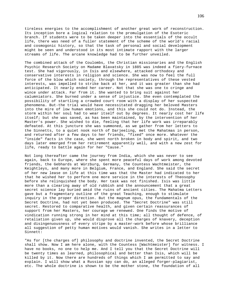tireless energies to the accomplishment of another great work of reconstruction. Its inception bore a logical relation to the promulgation of the Esoteric branch. If students were to be taken deeper into the essentials of the occult life, there was need of a fuller statement of the scheme of the world's racial and cosmogonic history, so that the task of personal and social development might be seen and understood in its most intimate rapport with the larger streams of life. The arcane knowledge had to be further unveiled.

The combined attack of the Coulombs, the Christian missionaries and the English Psychic Research Society on Madame Blavatsky in 1885 was indeed a fiery-furnace test. She had vigorously, in Isis and elsewhere, attacked orthodoxy and conservative interests in religion and science. She was now to feel the full force of the blow which society, through the representatives of these vested interests, was impelled to strike back at her, and it was greater than she had anticipated. It nearly ended her career. Not that she was one to cringe and wince under attack. Far from it. She wanted to bring suit against her calumniators. She burned under a sense of injustice. She even contemplated the possibility of startling a crowded court room with a display of her suspected phenomena. But-the trial would have necessitated dragging her beloved Masters into the mire of low human emotions, and this she could not do. Instead, the storm within her soul had to wear itself out by degrees. It nearly cost her life itself; but she was saved, as has been maintained, by the intervention of her Master's power. She wished to die, feeling that her life work was irreparably defeated. At this juncture she was summoned, as we gather from her letters to the Sinnetts, to a quiet nook north of Darjeeling, met the Mahatmas in person, and returned after a few days to her friends, "fixed" once more. Whatever the "inside" facts in the case, she went north broken in body and spirit, and two days later emerged from her retirement apparently well, and with a new zest for life, ready to battle again for her "Cause."

Not long thereafter came the journey from India, which she was never to see again, back to Europe, where she spent more peaceful days of work among devoted friends, the Gebhards at Würzburg, Germany, the Countess Wachtmeister, the Keightleys, and many more in Belgium, France, and England. She said the secret of her new lease on life at this time was that the Master had indicated to her that he wished her to perform one more service in the interests of Theosophy before she relinquished the body. Her task was not finished. Isis was little more than a clearing away of old rubbish and the announcement that a great secret science lay buried amid the ruins of ancient cities. The Mahatma Letters gave but a fragmentary outline of the great Teaching, enough to stimulate inquiry in the proper direction. But the magnum opus, the fundamentals of the Secret Doctrine, had not yet been produced. The "Secret Doctrine" was still secret. Restored to comparative health, and given certain reassurances of support from her Masters, her courage we renewed. One finds the motive of vindication running strong in her mind at this time; all thought of defence, of retaliation given up, she would disprove all the charges of knavery, deception and disingenuousness of every stripe by a master-work before whose brilliance all suggestion of petty human motives would vanish. She writes in a letter to Sinnett:

"As for [the charges of] philosophy and doctrine invented, the Secret Doctrine shall show. Now I am here alone, with the Countess [Wachtmeister] for witness. I have no books, no one to help me. And I tell you that the Secret Doctrine will be twenty times as learned, philosophical and better than Isis, which will be killed by it. Now there are hundreds of things which I am permitted to say and explain. I will show what a Russian spy can do, an alleged forger-plagiarist, etc. The whole doctrine is shown to be the mother stone, the foundation of all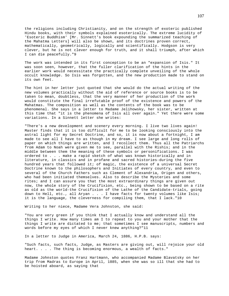the religions including Christianity, and on the strength of exoteric published Hindu books, with their symbols explained esoterically. The extreme lucidity of 'Esoteric Buddhism' [Mr. Sinnett's book expounding the summarized teaching of the Mahatma Letters] will also be shown, and its doctrines proven correct, mathematically, geometrically, logically and scientifically. Hodgson is very clever, but he is not clever enough for truth, and it shall triumph, after which I can die peacefully."9

The work was intended in its first conception to be an "expansion of Isis." It was soon seen, however, that the fuller clarification of the hints in the earlier work would necessitate the practically complete unveiling of the whole occult knowledge. So Isis was forgotten, and the new production made to stand on its own feet.

The hint in her letter just quoted that she would do the actual writing of the new volumes practically without the aid of reference or source books is to be taken to mean, doubtless, that the very manner of her production of the work would constitute the final irrefutable proof of the existence and powers of the Mahatmas. The composition as well as the contents of the book was to be phenomenal. She says in a letter to Madame Jelihowsky, her sister, written at this time that "it is the phenomena of Isis all over again." Yet there were some variations. In a Sinnett letter she writes:

"There's a new development and scenery every morning. I live two lives again! Master finds that it is too difficult for me to be looking consciously into the astral light for my Secret Doctrine, and so, it is now about a fortnight, I am made to see all I have to as though in my dream. I see large and long rolls of paper on which things are written, and I recollect them. Thus all the Patriarchs from Adam to Noah were given me to see, parallel with the Rishis; and in the middle between them the meaning of these symbols or personifications. I was ordered to . . . make a rapid sketch of what was known historically and in literature, in classics and in profane and sacred histories-during the five hundred years that followed it; of magic, the existence of a universal Secret Doctrine known to the philosophers and Initiates of every country, and even to several of the Church Fathers such as Clement of Alexandria, Origen and others, who had been initiated themselves. Also to describe the Mysteries and some rites; and I can assure you that the most extraordinary things are given out now, the whole story of the Crucifixion, etc., being shown to be based on a rite as old as the world-the Crucifixion of the Lathe of the Candidate-trials, going down to Hell, etc., all Aryan . . . I have facts for twenty volumes like Isis; it is the language, the cleverness for compiling them, that I lack."10

Writing to her niece, Madame Vera Johnston, she said:

"You are very green if you think that I actually know and understand all the things I write. How many times am I to repeat to you and your mother that the things I write are dictated to me; that sometimes I see manuscripts, numbers and words before my eyes of which I never knew anything?"11

In a letter to Judge in America, March 24, 1886, H.P.B. says:

"Such facts, such facts, Judge, as Masters are giving out, will rejoice your old heart. . . . The thing is becoming enormous, a wealth of facts."

Madame Johnston quotes Franz Hartmann, who accompanied Madame Blavatsky on her trip from Madras to Europe in April, 1885, when she was so ill that she had to be hoisted aboard, as saying that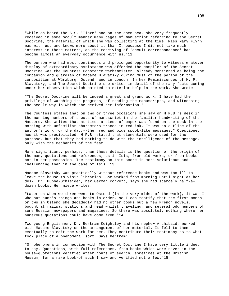"while on board the S.S. 'Tibre' and on the open sea, she very frequently received in some occult manner many pages of manuscript referring to the Secret Doctrine, the material of which she was collecting at the time. Miss Mary Flynn was with us, and knows more about it than I; because I did not take much interest in those matters, as the receiving of 'occult correspondence' had become almost an everyday occurrence with us."12

The person who had most continuous and prolonged opportunity to witness whatever display of extraordinary assistance was afforded the compiler of The Secret Doctrine was the Countess Constance Wachtmeister, already mentioned as being the companion and guardian of Madame Blavatsky during must of the period of the composition at Würzburg, Ostend, and in London. In her Reminiscences of H. P. Blavatsky, and The Secret Doctrine she writes in detail of the many facts coming under her observation which pointed to exterior help in the work. She wrote:

"The Secret Doctrine will be indeed a great and grand work. I have had the privilege of watching its progress, of reading the manuscripts, and witnessing the occult way in which she derived her information."

The Countess states that on two or three occasions she saw on H.P.B.'s desk in the morning numbers of sheets of manuscript in the familiar handwriting of the Masters. She writes that at times a piece of paper was found on the desk in the morning with unfamiliar characters traced in red ink. It was an outline of the author's work for the day,--the "red and blue spook-like messages." Questioned how it was precipitated, H.P.B. stated that elementals were used for the purpose, but that they had nothing to do with the intelligence of the message, only with the mechanics of the feat.

More significant, perhaps, than these details is the question of the origin of the many quotations and references, as in Isis, from old works, or from books not in her possession. The testimony on this score is more voluminous and challenging than in the case of Isis. 13

Madame Blavatsky was practically without reference books and was too ill to leave the house to visit libraries. She worked from morning until night at her desk. Dr. Hübbe-Schleiden, her German convert, says she had scarcely half-adozen books. Her niece writes:

"Later on when we three went to Ostend [in the very midst of the work], it was I who put aunt's things and books in order, so I can testify that the first month or two in Ostend she decidedly had no other books but a few French novels, bought at railway stations and read whilst traveling, and several odd numbers of some Russian newspapers and magazines. So there was absolutely nothing where her numerous quotations could have come from."14

Two young Englishmen, Dr. Bertram Keightley and his nephew Archibald, worked with Madame Blavatsky on the arrangement of her material. It fell to them eventually to edit the work for her. They contribute their testimony as to what took place of a phenomenal sort. Says Bertram:

"Of phenomena in connection with The Secret Doctrine I have very little indeed to say. Quotations, with full references, from books which were never in the house-quotations verified after hours of search, sometimes at the British Museum, for a rare book-of such I saw and verified not a few."15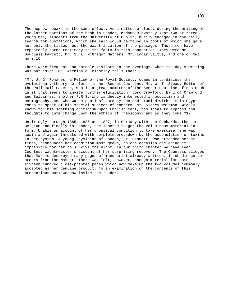The nephew speaks to the same effect. As a matter of fact, during the writing of the latter portions of the book in London, Madame Blavatsky kept two or three young men, students from the University of Dublin, busily engaged in the daily search for quotations, which she said would be found in books of which she gave not only the titles, but the exact location of the passages. These men have repeatedly borne testimony to the facts in this connection. They were Mr. E. Douglass Fawcett, Mr. S. L. McGregor Mathers, Mr. Edgar Saltus, and one or two more.16

There were frequent and notable visitors in the evenings, when the day's writing was put aside. Mr. Archibald Keightley tells that:

"Mr. J. G. Romanes, a Fellow of the Royal Society, comes in to discuss the evolutionary theory set forth in her Secret Doctrine. Mr. W. T. Stead, Editor of the Pall Mall Gazette, who is a great admirer of The Secret Doctrine, finds much in it that seems to invite further elucidation. Lord Crawford, Earl of Crawford and Balcarres, another F.R.S.-who is deeply interested in occultism and cosmography, and who was a pupil of Lord Lytton and studied with him in Egyptcomes to speak of his special subject of concern. Mr. Sidney Whitman, widely known for his scathing criticism upon English cant, has ideas to express and thoughts to interchange upon the ethics of Theosophy; and so they come."17

Untiringly through 1885, 1886 and 1887, in Germany with the Gebhards, then in Belgium and finally in London, she labored to get the voluminous material in form. Unable on account of her dropsical condition to take exercise, she was again and again threatened with complete breakdown by the accumulation of toxins in her system. A young physician of London, Dr. Bennett, who attended her at times, pronounced her condition most grave, on one occasion declaring it impossible for her to survive the night. In our third chapter we have seen Countess Wachtmeister's account of her surprising recovery. The Countess alleges that Madame destroyed many pages of manuscript already written, in obedience to orders from the Master. There was left, however, enough material for some sixteen hundred close-printed pages which now make up the two volumes commonly accepted as her genuine product. To an examination of the contents of this pretentious work we now invite the reader.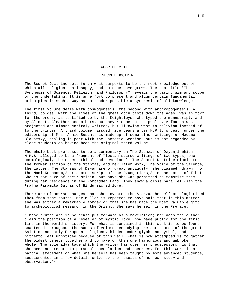### CHAPTER VIII

## THE SECRET DOCTRINE

The Secret Doctrine sets forth what purports to be the root knowledge out of which all religion, philosophy, and science have grown. The sub-title-"The Synthesis of Science, Religion, and Philosophy" reveals the daring aim and scope of the undertaking. It is an effort to present and align certain fundamental principles in such a way as to render possible a synthesis of all knowledge.

The first volume deals with cosmogenesis, the second with anthropogenesis. A third, to deal with the lives of the great occultists down the ages, was in form for the press, as testified to by the Keightleys, who typed the manuscript, and by Alice L. Cleather and others, but never came to the public. A fourth was projected and almost entirely written, but likewise went to oblivion instead of to the printer. A third volume, issued five years after H.P.B.'s death under the editorship of Mrs. Annie Besant, is made up of some other writings of Madame Blavatsky, dealing in part with the Esoteric Section, but is not regarded by close students as having been the original third volume.

The whole book professes to be a commentary on The Stanzas of Dzyan, 1 which H.P.B. alleged to be a fragment of Tibetan sacred writings of two types, one cosmological, the other ethical and devotional. The Secret Doctrine elucidates the former section of the Stanzas, and her later work, The Voice of the Silence, the latter. The Stanzas of Dzyan are of great antiquity, she claimed, drawn from the Mani Koumboum,2 or sacred script of the Dzungarians,3 in the north of Tibet. She is not sure of their origin, but says she was permitted to memorize them during her residence in the Forbidden Land. They show a close parallel with the Prajna Paramita Sutras of Hindu sacred lore.

There are of course charges that she invented the Stanzas herself or plagiarized them from some source. Max Müller is reported to have said that in this matter she was either a remarkable forger or that she has made the most valuable gift to archeological research in the Orient. She says herself in the Preface:

"These truths are in no sense put forward as a revelation; nor does the author claim the position of a revealer of mystic lore, now made public for the first time in the world's history. For what is contained in this work is to be found scattered throughout thousands of volumes embodying the scriptures of the great Asiatic and early European religions, hidden under glyph and symbol, and hitherto left unnoticed because of this veil. What is now attempted is to gather the oldest tenets together and to make of them one harmonious and unbroken whole. The sole advantage which the writer has over her predecessors, is that she need not resort to personal speculation and theories. For this work is a partial statement of what she herself has been taught by more advanced students, supplemented in a few details only, by the results of her own study and observation."4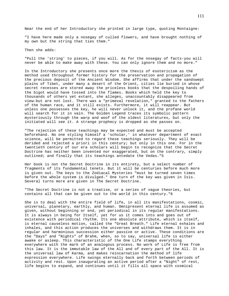Near the end of her Introductory she printed in large type, quoting Montaigne:

"I have here made only a nosegay of culled flowers, and have brought nothing of my own but the string that ties them."

Then she adds:

"Pull the 'string' to pieces, if you will. As for the nosegay of facts-you will never be able to make away with these. You can only ignore them and no more."

In the Introductory she presents once more the thesis of esotericism as the method used throughout former history for the preservation and propagation of the precious deposit of the Ancient Wisdom. She affirms that under the sandswept plains of Tibet, under many a desert of the Orient, cities lie buried in whose secret recesses are stored away the priceless books that the despoiling hands of the bigot would have tossed into the flames. Books which held the key to thousands of others yet extant, she alleges, unaccountably disappeared from view-but are not lost. There was a "primeval revelation," granted to the fathers of the human race, and it still exists. Furthermore, it will reappear. But unless one possesses the key, he will never unlock it, and the profane world will search for it in vain. The Golden Legend traces its symbolic pattern mysteriously through the warp and woof of the oldest literatures, but only the initiated will see it. A strange prophecy is dropped as she passes on.

"The rejection of these teachings may be expected and must be accepted beforehand. No one styling himself a 'scholar,' in whatever department of exact science, will be permitted to regard these teachings seriously. They will be derided and rejected a priori in this century; but only in this one. For in the twentieth century of our era scholars will begin to recognize that the Secret Doctrine has neither been invented nor exaggerated, but on the contrary, simply outlined; and finally that its teachings antedate the Vedas."5

Her book is not the Secret Doctrine in its entirety, but a select number of fragments of its fundamental tenets. But it will be centuries before much more is given out. The keys to the Zodiacal Mysteries "must be turned seven times before the whole system is divulged." One turn of the key was given in Isis. Several turns more are given in The Secret Doctrine.

"The Secret Doctrine is not a treatise, or a series of vague theories, but contains all that can be given out to the world in this century."6

She is to deal with the entire field of life, in all its manifestations, cosmic, universal, planetary, earthly, and human. Omnipresent eternal life is assumed as given, without beginning or end, yet periodical in its regular manifestations. It is always in being for Itself, yet for us it comes into and goes out of existence with periodical rhythm. Its one absolute attribute, which is itself, is eternal causeless motion, called the "Great Breath." Life eternal exhales and inhales, and this action produces the universes and withdraws them. It is in regular and harmonious succession either passive or active. These conditions are the "Days" and "Nights" of Brahm, when, so to say, universal life is either awake or asleep. This characteristic of the One Life stamps everything everywhere with the mark of an analogous process. No work of Life is free from this law. It is the immutable law of the All and of every part of the All. It is the universal law of Karma, and makes reincarnation the method of life expression everywhere. Life swings eternally back and forth between periods of activity and rest. Upon inaugurating an active period after a "Night" of rest, life begins to expand, and continues until it fills all space with cosmical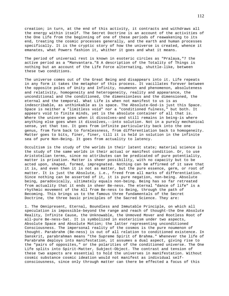creation; in turn, at the end of this activity, it contracts and withdraws all the energy within itself. The Secret Doctrine is an account of the activities of the One Life from the beginning of one of these periods of reawakening to its end, treating the cosmic processes generally, and the earth and human processes specifically. It is the cryptic story of how the universe is created, whence it emanates, what Powers fashion it, whither it goes and what it means.

The period of universal rest is known in esoteric circles as "Pralaya,"7 the active period as a "Manvantara."8 A description of the Totality of Things is nothing but an account of the Life Force alternating, shuttle-like, between these two conditions.

The universe comes out of the Great Being and disappears into it. Life repeats in any form it takes the metaphor of this process. It vacillates forever between the opposite poles of Unity and Infinity, noumenon and phenomenon, absoluteness and relativity, homogeneity and heterogeneity, reality and appearance, the unconditional and the conditioned, the dimensionless and the dimensioned, the eternal and the temporal. What Life is when not manifest to us is as indescribable, as unthinkable as is space. The Absolute-God-is just this Space. Space is neither a "limitless void" nor a "conditioned fulness," but both. It appears void to finite minds, yet is the absolute container of all that is. Where the universe goes when it dissolves-and still remains in being-is where anything else goes when it dissolves,--into solution. Not in a purely mechanical sense, yet that too. It goes from infinite particularity back into the one genus, from form back to formlessness, from differentiation back to homogeneity. Matter goes to bits, finer, finer, till it is held in solution in the infinite sea of pure Non-Being. It goes from actuality to latency.

Occultism is the study of the worlds in their latent state; material science is the study of the same worlds in their actual or manifest condition. Or, to use Aristotelian terms, since no attributes can be predicated of pure potentiality, matter is privation. Matter is sheer possibility, with no capacity but to be acted upon, shaped, formed, impregnated. Nothing can be affirmed of it save that it is, and even then it is not as matter, but the pure essence, germ, or root of matter. It is just the Absolute, i.e., freed from all marks of differentiation. Since nothing can be asserted of it, it is pure negation, non-being. Absolute being, paradoxically, ultimately equals non-being. Being has so far retreated from actuality that it ends in sheer Be-ness. The eternal "dance of life" is a rhythmic movement of the All from Be-ness to Being, through the path of Becoming. This brings us to the famous three fundamentals of the Secret Doctrine, the three basic principles of the Sacred Science. They are:

1. The Omnipresent, Eternal, Boundless and Immutable Principle, on which all speculation is impossible-beyond the range and reach of thought-the One Absolute Reality, Infinite Cause, the Unknowable, the Unmoved Mover and Rootless Root of all-pure Be-ness-Sat. It is symbolized in esotericism under two aspects, Absolute Space and Absolute Motion; the latter representing unconditioned Consciousness. The impersonal reality of the cosmos is the pure noumenon of thought. Parabrahm (Be-ness) is out of all relation to conditioned existence. In Sanskrit, parabrahman means "the Supreme Spirit of Brahma." Whenever the life of Parabrahm deploys into manifestation, it assumes a dual aspect, giving rise to the "pairs of opposites," or the polarities of the conditioned universe. The One Life splits into Spirit-Matter, Subject-Object. The contrast and tension of these two aspects are essential to hold the universes in manifestation. Without cosmic substance cosmic ideation would not manifest as individual selfconsciousness, since only through matter can there be effected a focus of this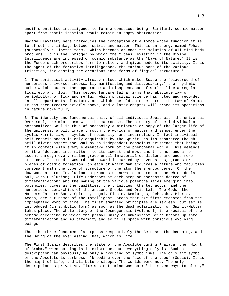undifferentiated intelligence to form a conscious being. Similarly cosmic matter apart from cosmic ideation, would remain an empty abstraction.

Madame Blavatsky here introduces the conception of a force whose function it is to effect the linkage between spirit and matter. This is an energy named Fohat (supposedly a Tibetan term), which becomes at once the solution of all mind-body problems. It is the "bridge" by which the "Ideas" existing in the Divine Intelligence are impressed on cosmic substance as the "Laws of Nature." It is the Force which prescribes form to matter, and gives mode to its activity. It is the agent of the formative intelligences, the various sons of the various trinities, for casting the creations into forms of "logical structure."

2. The periodical activity already noted, which makes Space the "playground of numberless universes incessantly manifesting and disappearing," the rhythmic pulse which causes "the appearance and disappearance of worlds like a regular tidal ebb and flow." This second fundamental affirms that absolute law of periodicity, of flux and reflux, which physical science has noted and recorded in all departments of nature, and which the old science termed the Law of Karma. It has been treated briefly above, and a later chapter will trace its operations in nature more fully.

3. The identity and fundamental unity of all individual Souls with the universal Over-Soul, the microcosm with the macrocosm. The history of the individual or personalized Soul is thus of necessity a miniature or copy of the larger life of the universe, a pilgrimage through the worlds of matter and sense, under the cyclic karmic law,--"cycles of necessity" and incarnation. In fact individual self-consciousness is only acquirable by the Spirit, in its separated though still divine aspect-the Soul-by an independent conscious existence that brings it in contact with every elementary form of the phenomenal world. This demands of it a "descent into matter" to its lowest and most inert forms, and a reascent through every rising grade until immaterial conditions are once more attained. The road downward and upward is marked by seven steps, grades or planes of cosmic formation, on each of which man acquires a nature and faculties consonant with the type of structure of the atom there encountered. On the downward arc (or Involution, a process unknown to modern science which deals only with Evolution), Life undergoes at each step an increased degree of differentiation; and the naming of the various potentialities emerging into potencies, gives us the dualities, the trinities, the tetractys, and the numberless hierarchies of the ancient Greeks and Orientals. The Gods, the Mothers-Fathers-Sons, Spirits, Logoi, Elohim, Demiurges, Jehovahs, Pitris, Aeons, are but names of the Intelligent Forces that are first emanated from the impregnated womb of time. The first emanated principles are sexless, but sex is introduced (in symbolic form) as soon as the dual polarization of Spirit-Matter takes place. The whole story of the Cosmogenesis (Volume I) is a recital of the scheme according to which the primal unity of unmanifest Being breaks up into differentiation and multiformity and so fills space with conscious evolving beings.

Thus the three fundamentals express respectively the Be-ness, the Becoming, and the Being of the everlasting That, which is Life.

The First Stanza describes the state of the Absolute during Pralaya, the "Night of Brahm," when nothing is in existence, but everything only is. Such a description can obviously be only a grouping of symbolisms. The only fit symbol of the Absolute is darkness, "brooding over the face of the deep" (Space). It is the night of Life, and all Nature sleeps. The worlds were not. The only description is privative. Time was not; mind was not; "the seven ways to bliss,"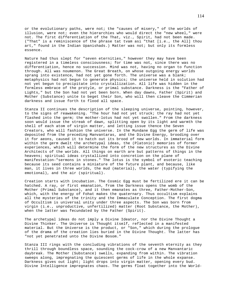or the evolutionary paths, were not; the "causes of misery," of the worlds of illusion, were not; even the hierarchies who would direct the "new wheel," were not. The first differentiation of the That, viz., Spirit, had not been made. ("That" is a reminiscence of the phrase tat tvam asi "that [i.e., the All] thou art," found in the Indian Upanishads.) Matter was not; but only its formless essence.

Nature had thus slept for "seven eternities," however they may have been registered in a timeless consciousness; for time was not, since there was no differentiation, hence no succession. Mind was not, having no organ to function through. All was noumenon. The Great Breath, on whose outgoing energy worlds sprang into existence, had not yet gone forth. The universe was a blank; metaphysics had not begun to generate physics; the universe held in solution had not yet begun to precipitate into crystallization. All life was hidden in the formless embrace of the protyle, or primal substance. Darkness is the "Father of Lights," but the Son had not yet been born. When day dawns, Father (Spirit) and Mother (Substance) unite to beget their Son, who will then cleave the Cimmerian darkness and issue forth to flood all space.

Stanza II continues the description of the sleeping universe, pointing, however, to the signs of reawakening. "The hour had not yet struck; the ray had not yet flashed into the germ; the mother-lotus had not yet swollen." From the darkness soon would issue the streak of dawn, splitting open by its light and warmth the shell of each atom of virgin matter, and letting issue thence the Seven Creators, who will fashion the universe. In the Mundane Egg the germ of life was deposited from the preceding Manvantaras, and the Divine Energy, brooding over it for aeons, caused it to hatch out its brood of new worlds. In immaterial form within the germ dwelt the archetypal ideas, the (Platonic) memories of former experiences, which will determine the form of the new structures as the Divine Architects of the worlds. All things on earth are but patterns of things in the heavens; spiritual ideas crystallized into concretion on the plane of manifestation-"sermons in stones." The lotus is the symbol of esoteric teaching because its seed contains a miniature of the future plant, and because, like man, it lives in three worlds, the mud (material), the water (typifying the emotional), and the air (spiritual).

Creation starts with incubation. The Cosmic Egg must be fertilized ere it can be hatched. A ray, or first emanation, from the Darkness opens the womb of the Mother (Primal Substance), and it then emanates as three, Father-Mother-Son, which, with the energy of Fohat makes the quaternary. Thus occultism explains all the mysteries of the trinity and the Immaculate Conception. The first dogma of Occultism is universal unity under three aspects. The Son was born from virgin (i.e., unproductive, unfertilized) matter (Root Substance, the Mother), when the latter was fecundated by the Father (Spirit).

The archetypal ideas do not imply a Divine Ideator, nor the Divine Thought a Divine Thinker. The Universe is Thought itself, reflected in a manifested material. But the Universe is the product, or "Son," which during the prologue of the drama of the creation lies buried in the Divine Thought. The latter has "not yet penetrated unto the Divine Bosom."

Stanza III rings with the concluding vibrations of the seventh eternity as they thrill through boundless space, sounding the cock-crow of a new Manvantaric daybreak. The Mother (Substance) swells, expanding from within. The vibration sweeps along, impregnating the quiescent germs of life in the whole expanse. Darkness gives out light; light drops into virgin matter, opening every bud. Divine Intelligence impregnates chaos. The germs float together into the World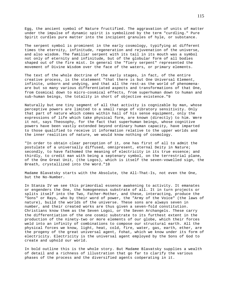Egg, the ancient symbol of Nature fructified. The aggravation of units of matter under the impulse of dynamic spirit is symbolized by the term "curdling." Pure Spirit curdles pure matter into the incipient granules of hyle, or substance.

The serpent symbol is prominent in the early cosmology, typifying at different times the eternity, infinitude, regeneration and rejuvenation of the universe, and also wisdom. The familiar serpent with its tail in its mouth was a symbol not only of eternity and infinitude, but of the globular form of all bodies shaped out of the fire mist. In general the "fiery serpent" represented the movement of Divine Wisdom over the face of the waters, or primary elements.

The text of the whole doctrine of the early stages, in fact, of the entire creative process, is the statement "that there is but One Universal Element, infinite, unborn and undying, and that all the rest-as the world of phenomenaare but so many various differentiated aspects and transformations of that One, from Cosmical down to micro-cosmical effects, from superhuman down to human and sub-human beings, the totality in short of objective existence."9

Naturally but one tiny segment of all that activity is cognizable by man, whose perceptive powers are limited to a small range of vibratory sensitivity. Only that part of nature which comes within hail of his sense equipment, only the expressions of life which take physical form, are known (directly) to him. Were it not, says Theosophy, for the fact that superhuman beings, whose cognitive powers have been vastly extended beyond ordinary human capacity, have imparted to those qualified to receive it information relative to the upper worlds and the inner realities of nature, we would know nothing of cosmology.

"In order to obtain clear perception of it, one has first of all to admit the postulate of a universally diffused, omnipresent, eternal Deity in Nature; secondly, to have fathomed the meaning of electricity in its true essence; and thirdly, to credit man with being a septenary symbol, on the terrestrial plane, of the One Great Unit, (the Logos), which is itself the seven-vowelled sign, the Breath, crystallized into the Word."10

Madame Blavatsky starts with the Absolute, the All-That-Is, not even the One, but the No-Number.

In Stanza IV we see this primordial essence awakening to activity. It emanates or engenders the One, the homogeneous substrate of all. It in turn projects or splits itself into the Two, Father-Mother, and these, interacting, produce the "Sons" or Rays, who by their word of power, the "Army of the Voice" (the laws of nature), build the worlds of the universe. These sons are always seven in number, and their created works are thus given a seven-fold constitution. Christians know them as the Seven Logoi, or the Seven Archangels. These carry the differentiation of the one cosmic substrate to its furthest extent in the production of the ninety-two or more elements of our globe, which their forces weld into an infinity of combinations to compose our structural earth. All the physical forces we know, light, heat, cold, fire, water, gas, earth, ether, are the progeny of the great universal agent, Fohat, which we know under its form of electricity. Electricity is the universal agent employed by the Sons of God to create and uphold our world.

In bold outline this is the whole story. But Madame Blavatsky supplies a wealth of detail and a richness of illustration that go far to clarify the various phases of the process and the diversified agents coöperating in it.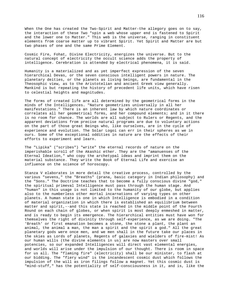When the One has created the Two-Spirit and Matter-the allegory goes on to say, the interaction of these Two "spin a web whose upper end is fastened to Spirit and the lower one to Matter." This web is the universe, ranging in constituent elements from coarse matter up to vibrant Spirit. Yet Spirit and Matter are but two phases of one and the same Prime Element.

Cosmic Fire, Fohat, Divine Electricity, energizes the universe. But to the natural concept of electricity the occult science adds the property of intelligence. Cerebration is attended by electrical phenomena, it is said.

Humanity is a materialized and as yet imperfect expression of the seven hierarchical Devas, or the seven conscious intelligent powers in nature. The planetary deities, or the planets as living beings, are fundamental in the Theosophic view, as to the Aristotelian and ancient Greek view generally. Mankind is but repeating the history of precedent life units, which have risen to celestial heights and magnitudes.

The forms of created life are all determined by the geometrical forms in the minds of the Intelligences. "Nature geometrizes universally in all her manifestations." There is an inherent law by which nature coördinates or correlates all her geometrical forms, and her compound elements; and in it there is no room for chance. The worlds are all subject to Rulers or Regents, and the apparent deviations from precise natural programs are due to voluntary actions on the part of those great Beings who, like ourselves, are in the cycle of experience and evolution. The Solar Logoi can err in their spheres as we in ours. Some of the exceptional oddities in nature are the effects of their efforts to experiment and learn.

The "Lipika" ("scribes") "write" the eternal records of nature on the imperishable scroll of the Akashic ether. They are the "amanuenses of the Eternal Ideation," who copy the archetypal ideas and imprint them on the material substance. They write the Book of Eternal Life and exercise an influence on the science of horoscopy.

Stanza V elaborates in more detail the creative process, controlled by the various "sevens," the "Breaths" (prana, basic category in Indian philosophy) and the "Sons." The Doctrine teaches that to become a fully conscious divine "god," the spiritual primeval Intelligence must pass through the human stage. And "human" in this usage is not limited to the humanity of our globe, but applies also to the numberless other mortal incarnations of varying types on other planets. A human state is one in which Intelligence is embodied in a condition of material organization in which there is established an equilibrium between matter and spirit,--and this state is reached in the middle point of the Fourth Round on each chain of globes, or when spirit is most deeply enmeshed in matter, and is ready to begin its emergence. The hierarchical entities must have won for themselves the right of divinity through self-experience, as we are doing. "The 'Breath' or first emanation becomes a stone, the stone a plant, the plant an animal, the animal a man, the man a spirit and the spirit a god." All the great planetary gods were once men, and we men shall in the future take our places in the skies as Lords of planets, Regents of galaxies and wielders of fire-mist! As our human wills (the divine elements in us) are now masters over small potencies, so our expanded Intelligences will direct vast elemental energies, and worlds will arise under the impulsion of our thought. There is room in space for us all. The "flaming fire" (electricity) shall be our minister, to flash at our bidding. The "fiery wind" is the incandescent cosmic dust which follows the impulsion of the will as iron filings follow a magnet. Yet this cosmic dust is "mind-stuff," has the potentiality of self-consciousness in it, and is, like the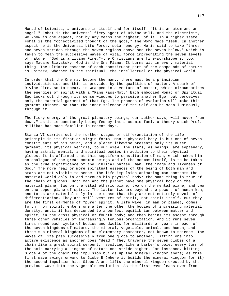Monad of Leibnitz, a universe in itself and for itself. "It is an atom and an angel." Fohat is the universal fiery agent of Divine Will, and the electricity we know is one aspect, not by any means the highest, of it. In a higher state Fohat is the "objectivized thought of the gods," the Word made flesh. In another aspect he is the Universal Life Force, solar energy. He is said to take "three and seven strides through the seven regions above and the seven below," which is taken to mean the successive waves of vital force impregnating the seven levels of nature. "God is a living Fire,"-the Christians are fire-worshippers, too, says Madame Blavatsky. God is the One Flame. It burns within every material thing. The ultimate essence of each constituent part of the compounds of nature is unitary, whether in the spiritual, the intellectual or the physical world.

In order that the One may become the many, there must be a principium individuationis, and this is provided by the qualities of matter. A spark of Divine Fire, so to speak, is wrapped in a vesture of matter, which circumscribes the energies of spirit with a "Ring Pass-Not." Each embodied Monad or Spiritual Ego looks out through its sense windows to perceive another Ego; but perceives only the material garment of that Ego. The process of evolution will make this garment thinner, so that the inner splendor of the Self can be seen luminously through it.

The fiery energy of the great planetary beings, our author says, will never "run down," as it is constantly being fed by intra-cosmic fuel, a theory which Prof. Millikan has made familiar in recent days.

Stanza VI carries out the further stages of differentiation of the life principle in its first or virgin forms. Man's physical body is but one of seven constituents of his being, and a planet likewise presents only its outer garment, its physical vehicle, to our view. The stars, as beings, are septenary, having astral, mental, and spiritual bodies in addition to their physical globes. It is affirmed that this septiform constitution of man, which makes him an analogue of the great cosmic beings and of the cosmos itself, is to be taken as the true significance of the Biblical phrase "man, the image and likeness of God." The more real or more spiritual essences of the being of both man and stars are not visible to sense. The life impulsion animating man contacts the material world only in and through his physical body; the same thing is true of the chain of globes. Both man and the planet have one physical body on the material plane, two on the vital etheric plane, two on the mental plane, and two on the upper plane of spirit. The latter two are beyond the powers of human ken, and to us are material only in the sense that they are not entirely devoid of differentiation. They are still vestures of spirit, not spirit itself. But they are the first garments of "pure" spirit. A life wave, in man or planet, comes forth from spirit, enters one after the other the bodies of increasing material density, until it has descended to a perfect equilibrium between matter and spirit, in the gross physical or fourth body; and then begins its ascent through three other vehicles of increasingly tenuous organization. And it runs seven times round each cycle of bodies and dwells for milliards of years in each of the seven kingdoms of nature, the mineral, vegetable, animal, and human, and three sub-mineral kingdoms of an elementary character, not known to science. The waves of life pass successively from one globe to another, lifting one into active existence as another goes "dead." They traverse the seven globes of a chain like a great spiral serpent, revolving like a barber's pole, every turn of the axis carrying a kingdom of nature one stride higher. For instance, hitting Globe A of the chain the impulsion builds up the mineral kingdom there; as this first wave swings onward to Globe B (where it builds the mineral kingdom for it) the second impulsion hits Globe A and lifts the mineral kingdom erected by the previous wave into the vegetable evolution. As the first wave leaps over from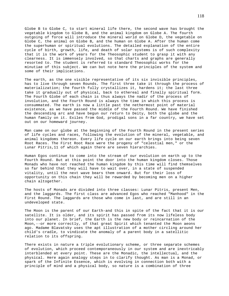Globe B to Globe C, to start mineral life there, the second wave has brought the vegetable kingdom to Globe B, and the animal kingdom on Globe A. The fourth outgoing of force will introduce the mineral world on Globe D, the vegetable on Globe C, the animal on Globe B, and the human on Globe A. After the human come the superhuman or spiritual evolutions. The detailed explanation of the entire cycle of birth, growth, life, and death of solar systems is of such complexity that it is the work of years for the Theosophic student to grasp it with any clearness. It is immensely involved, so that charts and graphs are generally resorted to. The student is referred to standard Theosophic works for the minutiae of this subject. We can but note here the principles of the system and some of their implications.

The earth, as the one visible representative of its six invisible principles, has to live through seven Rounds. The first three take it through the process of materialization; the fourth fully crystallizes it, hardens it; the last three take it gradually out of physical, back to ethereal and finally spiritual form. The Fourth Globe of each chain is thus always the nadir of the process of involution, and the Fourth Round is always the time in which this process is consummated. The earth is now a little past the nethermost point of material existence, as we have passed the middle of the Fourth Round. We have finished the descending arc and have begun our return to Deity, both the globe and the human family on it. Exiles from God, prodigal sons in a far country, we have set out on our homeward journey.

Man came on our globe at the beginning of the Fourth Round in the present series of life cycles and races, following the evolution of the mineral, vegetable, and animal kingdoms thereon. Every life cycle on our earth brings into being seven Root Races. The First Root Race were the progeny of "celestial men," or the Lunar Pitris,11 of which again there are seven hierarchies.

Human Egos continue to come into the stream of our evolution on earth up to the Fourth Round. But at this point the door into the human kingdom closes. Those Monads who have not reached the human kingdom by this time will find themselves so far behind that they will have to wait over, in a state of suspended vitality, until the next wave bears them onward. But for their loss of opportunity on this chain they will be rewarded by becoming men on a higher chain altogether.

The hosts of Monads are divided into three classes: Lunar Pitris, present Men, and the laggards. The first class are advanced Egos who reached "Manhood" in the First Round. The laggards are those who come in last, and are still in an undeveloped state.

The Moon is the parent of our Earth-and this in spite of the fact that it is our satellite. It is older, and its spirit has passed from its now lifeless body into our planet. In brief, the Earth is the new body or reincarnation of the Moon,--or more correctly, of that great Spirit which tenanted the Moon aeons ago. Madame Blavatsky uses the apt illustration of a mother circling around her child's cradle, to vindicate the anomaly of a parent body in a satellitic relation to its offspring.

There exists in nature a triple evolutionary scheme, or three separate schemes of evolution, which proceed contemporaneously in our system and are inextricably interblended at every point. These are the Monadic, the intellectual, and the physical. Here again analogy steps in to clarify thought. As man is a Monad, or spark of the Infinite Essence, which is evolving in connection both with a principle of mind and a physical body, so nature is a combination of three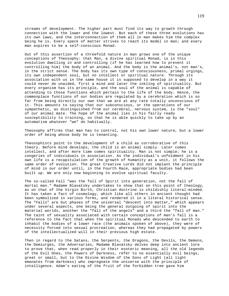streams of development. The higher part must find its way to growth through connection with the lower and the lowest. But each of these three evolutions has its own laws, and the interconnection of them all in man makes him the complex being he is. Every speck of matter strives to reach its model in man; and every man aspires to be a self-conscious Monad.

Out of this assertion of a threefold nature in man grows one of the unique conceptions of Theosophy: that Man, a divine spiritual Monad, is in this evolution dwelling in and controlling (if he has learned how to prevent it controlling him) the body of an animal. And the body is the animal's, not man's, in the strict sense. The body has its own type of consciousness, primal urgings, its own independent soul, but no intellect or spiritual nature. Through its association with us in the same house it is supposed to develop in a way it could never do unaided, first a mind and later the inkling of spirituality. But every organism has its principle, and the soul of the animal is capable of attending to those functions which pertain to the life of the body. Hence, the commonplace functions of our bodies are regulated by a cerebration which is so far from being directly our own that we are at any rate totally unconscious of it. This amounts to saying that our subconscious, or the operations of our sympathetic, as distinguished from our cerebral, nervous system, is the "soul" of our animal mate. The hope of the animal lies in his fairly ready susceptibility to training, so that he is able quickly to take up by an automatism whatever "we" do habitually.

Theosophy affirms that man has to control, not his own lower nature, but a lower order of being whose body he is tenanting.

Theosophists point to the development of a child as corroborative of this theory. Before mind develops, the child is an animal simply. Later comes intellect, and after more time comes spirituality. Man is not simple; he is a congeries of individuals in association. As the individual's unfoldment in his own life is a recapitulation of the growth of humanity as a unit, it follows the same order of evolution. The great Creative Lords did not implant the principle of mind in our order until, in the Fourth Race, appropriate bodies had been built up. We are only now beginning to evolve spiritual faculty.

The so-called Fall "was the fall of Spirit into generation, not the fall of mortal man." Madame Blavatsky undertakes to show that on this point of theology, as on that of the Virgin Birth, Christian doctrine is childishly literal-minded. It has taken a fact of cosmology, which like all others in ancient thought had been symbolized in various forms, and rendered it in a literal historical sense. The "Falls" are but phases of the universal "descent into matter," which appears under several aspects, one being the general outgoing of spirit into the material worlds, another the "fall of the angels" and a third the "fall of man." The taint of sexuality associated with certain conceptions of man's fall is a reference to the fact that when the spiritual Monads who descended to earth to inhabit the bodies of a lower race (the animals spoken of above), they were of necessity forced into sexual procreation, whereas they had propagated by powers of the intellectualized will in their previous high estate.

Then in regard to the Satans, the Serpents, the Dragons, the Devils, the Demons, the Demiurges, the Adversaries, Madame Blavatsky delves deep into ancient lore to prove that, when read properly in their esoteric meaning, all the old legends of the Evil Ones, the Powers of Darkness, refer to no essentially evil beings, great or small, but to the Divine Wisdom of the Sons of Light (all light emanates from darkness) who impregnate the universe with the principle of intelligence. Adam's eating of the fruit of the forbidden tree gave him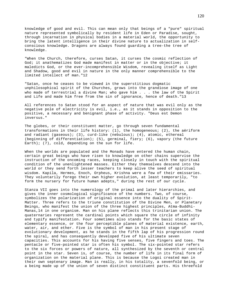knowledge of good and evil. This can mean only that beings of a "pure" spiritual nature represented symbolically by resident life in Eden or Paradise, sought, through incarnation in physical bodies in a material world, the opportunity to bring the latent intelligence in their divine nature to actualization in selfconscious knowledge. Dragons are always found guarding a tree-the tree of knowledge.

"When the Church, therefore, curses Satan, it curses the cosmic reflection of God; it anathematizes God made manifest in matter or in the objective; it maledicts God, or the ever-incomprehensible Wisdom, revealing itself as Light and Shadow, good and evil in nature in the only manner comprehensible to the limited intellect of man."12

"Satan, once he ceases to be viewed in the superstitious dogmatic unphilosophical spirit of the Churches, grows into the grandiose image of one who made of terrestrial a divine Man; who gave him . . . the law of the Spirit and Life and made him free from the sin of ignorance, hence of death."13

All references to Satan stood for an aspect of nature that was evil only as the negative pole of electricity is evil, i.e., as it stands in opposition to the positive, a necessary and benignant phase of activity. "Deus est Demon inversus."

The globes, or their constituent matter, go through seven fundamental transformations in their life history: (1), the homogeneous; (2), the aëriform and radiant (gaseous); (3), curd-like (nebulous); (4), atomic, ethereal (beginning of differentiation); (5), germinal, fiery; (6), vapory (the future Earth); (7), cold, depending on the sun for life.

When the worlds are populated and the Monads have entered the human chain, certain great beings who have risen to knowledge on other chains supervise the instruction of the oncoming races, keeping closely in touch with the spiritual condition of the unenlightened masses. Either they themselves descend into the world or they send forth lesser teachers to keep alive the seed of spiritual wisdom. Kapila, Hermes, Enoch, Orpheus, Krishna were a few of their emissaries. They voluntarily forego their own higher evolution, at least temporarily, "to form the nursery for future human adepts," during the rest of our cycle.

Stanza VII goes into the numerology of the primal and later hierarchies, and gives the inner cosmological significance of the numbers. Two, of course, symbolizes the polarization of original essence into the duality of Spirit-Matter. Three refers to the triune constitution of the Divine Men, or Planetary Beings, who manifest the union of the three highest principles, Atma-Buddhi-Manas,14 in one organism. Man on his plane reflects this trinitarian union. The quaternaries represent the cardinal points which square the circle of infinity and typify manifestation. Four sometimes also stands for the basic states of elementary essence, or the four perceptible planes of material existence, earth, water, air, and ether. Five is the symbol of man in his present stage of evolutionary development, as he stands in the fifth lap of his progression round the spiral, and has consequently developed five of his ultimate seven capacities. This accounts for his having five senses, five fingers and toes. The pentacle or five-pointed star is often his symbol. The six-pointed star refers to the six forces or powers of nature, all synthesized by the seventh or central point in the star. Seven is, of course, the number of life in its final form of organization on the material plane. This is because the Logoi created man in their own septenary image. Man is really, in his totality, a sevenfold being, or a being made up of the union of seven distinct constituent parts. His threefold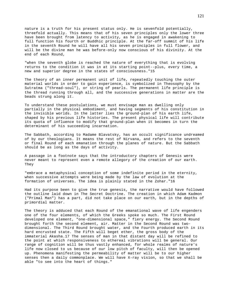nature is a truth for his present status only. He is sevenfold potentially, threefold actually. This means that of his seven principles only the lower three have been brought from latency to activity, as he is engaged in awakening to full function his fourth or Buddhic principle. At the far-off summit of his life in the seventh Round he will have all his seven principles in full flower, and will be the divine man he was before-only now conscious of his divinity. At the end of each Round,

"when the seventh globe is reached the nature of everything that is evolving returns to the condition it was in at its starting point--plus, every time, a new and superior degree in the states of consciousness."15

The theory of an inner permanent unit of life, repeatedly touching the outer material worlds in order to gain experience, is symbolized in Theosophy by the Sutratma ("thread-soul"), or string of pearls. The permanent life principle is the thread running through all, and the successive generations in matter are the beads strung along it.

To understand these postulations, we must envisage man as dwelling only partially in the physical embodiment, and having segments of his constitution in the invisible worlds. In the latter lies the ground-plan of his earth life, shaped by his previous life histories. The present physical life will contribute its quota of influence to modify that ground-plan when it becomes in turn the determinant of his succeeding incarnation.

The Sabbath, according to Madame Blavatsky, has an occult significance undreamed of by our theologians. It means the rest of Nirvana, and refers to the seventh or final Round of each emanation through the planes of nature. But the Sabbath should be as long as the days of activity.

A passage in a footnote says that the introductory chapters of Genesis were never meant to represent even a remote allegory of the creation of our earth. They

"embrace a metaphysical conception of some indefinite period in the eternity, when successive attempts were being made by the law of evolution at the formation of universes. The idea is plainly stated in the Zohar."16

Had its purpose been to give the true genesis, the narrative would have followed the outline laid down in The Secret Doctrine. The creation in which Adam Kadmon ("Primal Man") has a part, did not take place on our earth, but in the depths of primordial matter.

The theory is adduced that each Round of the emanational wave of life engenders one of the four elements, of which the Greeks spoke so much. The First Round developed one element, "one-dimensional space," fiery energy. The Second Round brought forth the second element, air. Matter in the Second Round was twodimensional. The Third Round brought water, and the Fourth produced earth in its hard encrusted state. The Fifth will beget ether, the gross body of the immaterial Akasha.17 The senses of man in that distant day will be refined to the point at which responsiveness to ethereal vibrations will be general. Our range of cognition will be thus vastly enhanced, for whole realms of nature's life now closed to us because of our low pitch of faculty, will then be opened up. Phenomena manifesting the permeability of matter will be to our higher senses then a daily commonplace. We will have X-ray vision, so that we shall be able "to see into the heart of things."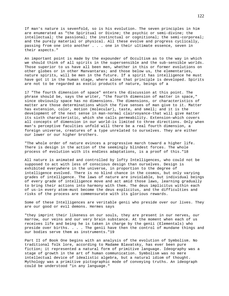If man's nature is sevenfold, so is his evolution. The seven principles in him are enumerated as "the Spiritual or Divine; the psychic or semi-divine; the intellectual; the passional; the instinctual or cognitional; the semi-corporeal; and the purely material or physical. All these evolve and progress cyclically, passing from one into another . . . one in their ultimate essence, seven in their aspects."

An important point is made by the expounder of Occultism as to the way in which we should think of all spirits in the supersensible and the sub-sensible worlds. Those superior to us have all been men, whether in this or former evolutions on other globes or in other Manvantaras; and those below us, the elementaries, nature spirits, will be men in the future. If a spirit has intelligence he must have got it in the human stage, where alone that principle is developed. Spirits are not to be regarded as exotic products of nature, beings of a

17 "The fourth dimension of space" enters the discussion at this point. The phrase should be, says the writer, "the fourth dimension of matter in space," since obviously space has no dimensions. The dimensions, or characteristics of matter are those determinations which the five senses of man give to it. Matter has extension, color, motion (molecular), taste, and smell; and it is the development of the next sense in man-normal clairvoyance-that will give matter its sixth characteristic, which she calls permeability. Extension-which covers all concepts of dimension in our world-is limited to three directions. Only when man's perceptive faculties unfold will there be a real fourth dimension, a foreign universe, creatures of a type unrelated to ourselves. They are either our lower or our higher brothers.

"The whole order of nature evinces a progressive march toward a higher life. There is design in the action of the seemingly blindest forces. The whole process of evolution with its endless adaptations, is a proof of this."18

All nature is animated and controlled by lofty Intelligences, who could not be supposed to act with less of conscious design than ourselves. Design is exhibited everywhere in the universe, in proportion to the degree of intelligence evolved. There is no blind chance in the cosmos, but only varying grades of intelligence. The laws of nature are inviolable, but individual beings of every grade of intelligence move and act amid those laws, learning gradually to bring their actions into harmony with them. The deus implicitus within each of us-in every atom-must become the deus explicitus, and the difficulties and risks of the process are commensurate with its glorious rewards.

Some of these Intelligences are veritable genii who preside over our lives. They are our good or evil demons. Hermes says

"they imprint their likeness on our souls, they are present in our nerves, our marrow, our veins and our very brain substance. At the moment when each of us receives life and being he is taken in charge by the genii (Elementals) who preside over births. . . . The genii have then the control of mundane things and our bodies serve them as instruments."19

Part II of Book One begins with an analysis of the evolution of Symbolism. No traditional folk lore, according to Madame Blavatsky, has ever been pure fiction; it represented a natural form of primitive language. Ideography was a stage of growth in the art of human communication. Symbolism was no mere intellectual device of idealistic algebra, but a natural idiom of thought. Mythology was a primitive pictographic mode of conveying truths. An ideograph could be understood "in any language."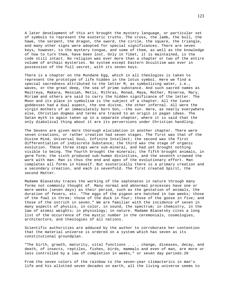A later development of this art brought the mystery language, or particular set of symbols to represent the esoteric truths. The cross, the lamb, the bull, the hawk, the serpent, the dragon, the sword, the circle, the square, the triangle, and many other signs were adopted for special significances. There are seven keys, however, to the mystery tongue, and some of them, as well as the knowledge of how to turn them, have been lost. Only in Tibet, it is maintained, is the code still intact. No religion was ever more than a chapter or two of the entire volume of archaic mysteries. No system except Eastern Occultism was ever in possession of the full secret, with its seven keys.

There is a chapter on the Mundane Egg, which in all theologies is taken to represent the prototype of life hidden in the lotus symbol. Here we find a special sacredness attributed to the letter M, as symbolizing water, i.e., waves, or the great deep, the sea of prime substance. And such sacred names as Maitreya, Makara, Messiah, Metis, Mithras, Monad, Maya, Mother, Minerva, Mary, Miriam and others are said to carry the hidden significance of the letter. The Moon and its place in symbolism is the subject of a chapter. All the lunar goddesses had a dual aspect, the one divine, the other infernal. All were the virgin mothers of an immaculately born Son,--the sun. Here, as nearly everywhere else, Christian dogmas and terms are traced to an origin in pagan ideas. The Satan myth is again taken up in a separate chapter, where it is said that the only diabolical thing about it are its perversions under Christian handling.

The Sevens are given more thorough elucidation in another chapter. There were seven creations, or rather creation had seven stages. The first was that of the Divine Mind, Universal Soul, Infinite Intellect; the second was the first differentiation of indiscrete Substance; the third was the stage of organic evolution. These three steps were sub-mineral, and had yet brought nothing visible to being. The fourth brought the minerals; the fifth brought animals, in germ form; the sixth produced sub-human divinities, and the seventh crowned the work with man. Man is thus the end and apex of the evolutionary effort. Man completes all forms in himself. But esoterically there is a primary creation and a secondary creation, and each is sevenfold. The first created Spirit, the second Matter.

Madame Blavatsky traces the working of the septenates in nature through many forms not commonly thought of. Many normal and abnormal processes have one or more weeks (seven days) as their period, such as the gestation of animals, the duration of fevers, etc. "The eggs of the pigeon are hatched in two weeks; those of the fowl in three; those of the duck in four; those of the goose in five; and those of the ostrich in seven." We are familiar with the incidence of seven in many aspects of physics, in color, in sound, the spectrum; in chemistry, in the law of atomic weights; in physiology; in nature. Madame Blavatsky cites a long list of the occurrence of the mystic number in the ceremonials, cosmologies, architecture, and theologies of all nations.

Scientific authorities are adduced by the author to corroborate her contention that the material universe is ordered on a system which has seven as its constitutional groundplan.

"The birth, growth, maturity, vital functions . . . change, diseases, decay, and death, of insects, reptiles, fishes, birds, mammals and even of man, are more or less controlled by a law of completion in weeks," or seven day periods.20

From the seven colors of the rainbow to the seven-year climacterics in man's life and his allotted seven decades on earth, all the living universe seems to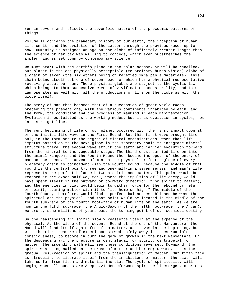run in sevens and reflects the sevenfold nature of the precosmic patterns of things.

Volume II concerns the planetary history of our earth, the inception of human life on it, and the evolution of the latter through the previous races up to now. Humanity is assigned an age on the globe of infinitely greater length than the science of her day was willing to concede, which even outstretches the ampler figures set down by contemporary science.

We must start with the earth's place in the solar cosmos. As will be recalled, our planet is the one physically perceptible (to ordinary human vision) globe of a chain of seven (the six others being of rarefied impalpable materials), this chain being itself but one of seven, each of which has a physical representative revolving about our sun. These physical globes are subject to the cyclic law which brings to them successive waves of vivification and sterility, and this law operates as well with all the productions of life on the globe as with the globe itself.

The story of man then becomes that of a succession of great world races preceding the present one, with the various continents inhabited by each, and the form, the condition and the progress of mankind in each manifestation. Evolution is postulated as the working modus, but it is evolution in cycles, not in a straight line.

The very beginning of life on our planet occurred with the first impact upon it of the initial life wave in the First Round. But this first wave brought life only in the form and to the degree of mineral organizations. When that life impetus passed on to the next globe in the septenary chain to integrate mineral structure there, the second wave struck the earth and carried evolution forward from the mineral to the vegetable stage. The third crest carried life on into the animal kingdom; and the Fourth Round then became the epoch of the entry of man on the scene. The advent of man on the physical or fourth globe of every planetary chain is coincident with the Fourth Round, because the middle of that round is the central point-three and one-half-in a seven series, and man's life represents the perfect balance between spirit and matter. This point would be reached at the exact half-way mark, where the impulsion of life energy would have spent itself in the outward or downward direction (from spirit to matter), and the energies in play would begin to gather force for the rebound or return of spirit, bearing matter with it to "its home on high." The middle of the Fourth Round, therefore, would find a perfect balance established between the spiritual and the physical; and that point would be located in the middle of the fourth sub-race of the fourth root-race of human life on the earth. As we are now in the fifth sub-race (the Anglo-Saxon) of the fifth root-race (the Aryan), we are by some millions of years past the turning point of our cosmical destiny.

On the reascending arc spirit slowly reasserts itself at the expense of the physical. At the close of the seventh Round at the end of the Manvantara, the Monad will find itself again free from matter, as it was in the beginning, but with the rich treasure of experience stowed safely away in indestructible consciousness, to become in turn the germ of growth in the next Manvantara. On the descending arc the pressure is centrifugal for spirit, centripetal for matter; the ascending path will see these conditions reversed. Downward, the spirit was being nailed on the cross of matter and buried; upward, it is the gradual resurrection of spirit and the transfiguration of matter. Our fifth race is struggling to liberate itself from the inhibitions of matter; the sixth will take us far from flesh and material inertia. The cycle of spirituality will begin, when all humans are Adepts.21 Henceforward spirit will emerge victorious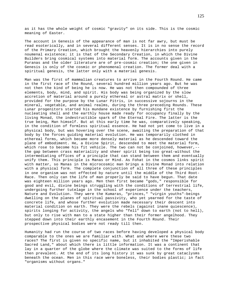as it has the whole weight of cosmic "gravity" on its side. This is the cosmic meaning of Easter.

The account in Genesis of the appearance of man is not far awry, but must be read esoterically, and in several different senses. It is in no sense the record of the Primary Creation, which brought the heavenly hierarchies into purely noumenal existence; it is that of the Secondary Creation, in which the Divine Builders bring cosmical systems into material form. The accounts given in the Puranas and the older literature are of pre-cosmic creation; the one given in Genesis is only of the cosmic or phenomenal creation. The former deal with a spiritual genesis, the latter only with a material genesis.

Man was the first of mammalian creatures to arrive in the Fourth Round. He came in the first race of the Round, several hundred million years ago. But he was not then the kind of being he is now. He was not then compounded of three elements, body, mind, and spirit. His body was being organized by the slow accretion of material around a purely ethereal or astral matrix or shell, provided for the purpose by the Lunar Pitris, in successive sojourns in the mineral, vegetable, and animal realms, during the three preceding Rounds. These Lunar progenitors started his mundane existence by furnishing first the nucleating shell and the earthly house made ready for occupancy finally by the living Monad, the indestructible spark of the Eternal Fire. The latter is the true being, Man himself. But at this early time he was, comparatively speaking, in the condition of formless spiritual essence. He had not yet come to live in a physical body, but was hovering over the scene, awaiting the preparation of that body by the forces guiding material evolution. He was temporarily clothed in ethereal forms, which became more densely material as he descended toward the plane of embodiment. He, a Divine Spirit, descended to meet the material form, which rose to become his fit vehicle. The two can not be conjoined, however,- the gap between crass materiality and sheer spirit being too great-without the intermediating offices of a principle that can stand between them and eventually unify them. This principle is Manas or Mind. As Fohat in the cosmos links spirit with matter, so Manas in the microcosmic man brings a Divine Monad into relation with a physical form. The complete conjunction of all three of these principles in one organism was not effected by nature until the middle of the Third Root-Race. Then only can the life of man properly be said to have begun. That date was eighteen million years ago. Men then first became "gods," responsible for good and evil, divine beings struggling with the conditions of terrestrial life, undergoing further tutelage in the school of experience under the teachers, Nature and Evolution. They were the Kumaras, "princes," "virgin youths"-beings dwelling on the planes of spiritual passivity, who yet yearned for the taste of concrete life, and whose further evolution made necessary their descent into material condition on earth. They were the rebels (against inane quiescence), spirits longing for activity, the angels who "fell" down to earth (not to hell), but only to rise with man to a state higher than their former angelhood. They stepped down into their earthly encasement in the Fourth Round. Their prospective physical bodies were not ready till then.

Humanity had run the course of two races before having developed a physical body comparable to the ones we are familiar with. What and where were these two races? The first is given no specific name, but it inhabited the "Imperishable Sacred Land," about which there is little information. It was a continent that lay in a quarter of the globe where the climate was suited to the forms of life then prevalent. At the end of its long history it was sunk by great cataclysms beneath the ocean. Men in this race were boneless, their bodies plastic; in fact "organisms without organs."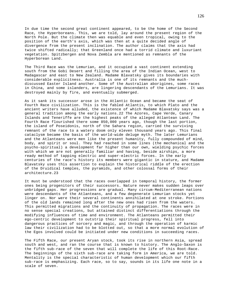In due time the second great continent appeared, to be the home of the Second Race, the Hyperboreans. This, we are told, lay around the present region of the North Pole. But the climate then was equable and even tropical, owing to the position of the earth's axis, which was then at a quite decided angle of divergence from the present inclination. The author claims that the axis had twice shifted radically; that Greenland once had a torrid climate and luxuriant vegetation. Spitzbergen and Nova Zembla are mentioned as remnants of the Hyperborean Land.

The Third Race was the Lemurian, and it occupied a vast continent extending south from the Gobi Desert and filling the area of the Indian Ocean, west to Madagascar and east to New Zealand. Madame Blavatsky gives its boundaries with considerable explicitness. Australia is one of its remnants and the muchdiscussed Easter Island another. Some of the Australian aborigines, some races in China, and some islanders, are lingering descendants of the Lemurians. It was destroyed mainly by fire, and eventually submerged.

As it sank its successor arose in the Atlantic Ocean and became the seat of Fourth Race civilization. This is the fabled Atlantis, to which Plato and the ancient writers have alluded, the existence of which Madame Blavatsky says was a general tradition among the early nations.22 The Azores, Cape Verde, Canary Islands and Teneriffe are the highest peaks of the alleged Atlantean Land. The Fourth Race flourished there some 850,000 years ago, though the last portion, the island of Poseidonis, north of the Sahara region, carried the surviving remnant of the race to a watery doom only eleven thousand years ago. This final cataclysm became the basis of the world-wide deluge myth. The later Lemurians and the Atlanteans were men like the present humanity, fully compounded of mind, body, and spirit or soul. They had reached in some lines (the mechanical and the psycho-spiritual) a development far higher than our own, wielding psychic forces with which we are not generally familiar and having, beside airships, a more ready method of tapping electric and super-electric forces. In the early centuries of the race's history its members were gigantic in stature, and Madame Blavatsky uses this assertion to explain the historical riddle of the erection of the Druidical temples, the pyramids, and other colossal forms of their architecture.23

It must be understood that the races overlapped in temporal history, the former ones being progenitors of their successors. Nature never makes sudden leaps over unbridged gaps. Her progressions are gradual. Many circum-Mediterranean nations were descendants of the Atlanteans, and a few degenerate Lemurian stocks yet linger on. Nor were their several continents annihilated at one stroke. Portions of the old lands remained long after the new ones had risen from the waters. This permitted migrations and the continuity of propagation. The races were in no sense special creations, but attained distinct differentiations through the modifying influences of time and environment. The Atlanteans permitted their ego-centric development to outstrip their spiritual progress, fell into dangerous practices of sorcery and magic, and through the operation of karmic law their civilization had to be blotted out, so that a more normal evolution of the Egos involved could be initiated under new conditions in succeeding races.

The Fifth Race, our present Aryan stock, took its rise in northern Asia, spread south and west, and ran the course that is known to history. The Anglo-Saxon is the fifth sub-race of the seven that will complete the life of this Root-Race. The beginnings of the sixth sub-race are taking form in America, we are told. Mentality is the special characteristic of human development which our fifth sub-race is emphasizing. Each race, so to say, sounds in its life one note in a scale of seven.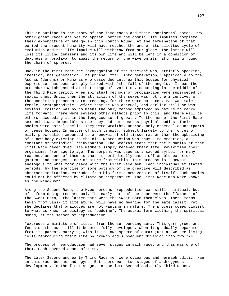This in outline is the story of the five races and their continental homes. Two other great races are yet to appear, before the cosmic life impulses complete their expenditure of energy in this Fourth Round. At the termination of that period the present humanity will have reached the end of its allotted cycle of evolution and the life impulse will withdraw from our globe. The latter will lose its living denizens and its own life and will be left in a condition of deadness or pralaya, to await the return of the wave on its fifth swing round the chain of spheres.

Back in the first race the "propagation of the species" was, strictly speaking, creation, not generation. The phrase, "fall into generation," applicable to the Asuras (demons) or Kumaras who descended into earthly bodies for physical experience, has been wrongly linked with "the fall of the angels." It was the procedure which ensued at that stage of evolution, occurring in the middle of the Third Race period, when spiritual methods of propagation were superseded by sexual ones. Until then the attraction of the sexes was not the incentive, or the condition precedent, to breeding, for there were no sexes. Man was malefemale, hermaphroditic. Before that he was asexual, and earlier still he was sexless. Coition was by no means the only method employed by nature to carry life forward. There were several other methods prior to this, and there will be others succeeding it in the long course of growth. To the men of the First Race sex union was impossible since they did not possess physical bodies. Their bodies were astral shells. They were wraiths, umbrae, only ethereal counterparts of dense bodies. In matter of such tenuity, subject largely to the forces of will, procreation amounted to a renewal of old tissue rather than the upbuilding of a new body exterior to the old. Reproduction was thus a re-creation, a constant or periodical rejuvenation. The Stanzas state that the humanity of that First Race never died. Its members simply renewed their life, revivified their organisms, from age to age. The serpent was used as a sacred symbol for many reasons, and one of them is that it periodically casts off an old exterior garment and emerges a new creature from within. This process is somewhat analogous to what took place with the First Race men. Each individual at stated periods, by the exercise of some potency of the creative will described as abstract meditation, extruded from his form a new version of itself. Such bodies could not be affected by climate or temperature. The First Race men were known as the Mind-Born.

Among the Second Race, the Hyperboreans, reproduction was still spiritual, but of a form designated asexual. The early part of the race were the "fathers of the Sweat-Born," the latter part were the Sweat-Born themselves. These terms, taken from Sanskrit literature, will have no meaning for the materialist. Yet she declares that analogues are not wanting in nature. The process comes closest to what is known in biology as "budding". The astral form clothing the spiritual Monad, at the season of reproduction,

"extrudes a miniature of itself from the surrounding aura. This germ grows and feeds on the aura till it becomes fully developed, when it gradually separates from its parent, carrying with it its own sphere of aura; just as we see living cells reproducing their like by growth and subsequent division into two."24

The process of reproduction had seven stages in each race, and this was one of them. Each covered aeons of time.

The later Second and early Third Race men were oviparous and hermaphroditic. Man in this race became androgyne. But there were two stages of androgynous development. In the first stage, in the late Second and early Third Races,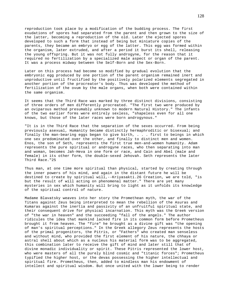reproduction took place by a modification of the budding process. The first exudations of spores had separated from the parent and then grown to the size of the latter, becoming a reproduction of the old. Later the ejected spores developed to such a form that instead of being but miniature copies of the parents, they became an embryo or egg of the latter. This egg was formed within the organism, later extruded, and after a period it burst its shell, releasing the young offspring. But it was not fully androgyne, for the reason that it required no fertilization by a specialized male aspect or organ of the parent. It was a process midway between the Self-Born and the Sex-Born.

Later on this process had become so modified by gradual evolution that the embryonic egg produced by one portion of the parent organism remained inert and unproductive until fructified by the positively polarized elements segregated in another portion of the procreator's body. Thus was developed the method of fertilization of the ovum by the male organs, when both were contained within the same organism.

It seems that the Third Race was marked by three distinct divisions, consisting of three orders of men differently procreated. "The first two were produced by an oviparous method presumably unknown to modern Natural History." The infants of the two earlier forms were entirely sexless, "shapeless even for all one knows, but those of the later races were born androgynous."

"It is in the Third Race that the separation of the sexes occurred. From being previously asexual, Humanity became distinctly hermaphroditic or bisexual; and finally the man-bearing eggs began to give birth, . . . first to beings in which one sex predominated over the other, and finally to distinct men and women. Enos, the son of Seth, represents the first true men-and-women humanity. Adam represents the pure spiritual or androgyne races, who then separating into man and woman, becomes Jah-Heva in one form or race, and Cain and Abel (male and female) in its other form, the double-sexed Jehovah. Seth represents the later Third Race."25

Thus man, at one time more spiritual than physical, started by creating through the inner powers of his mind, and again in the distant future he will be destined to create by spiritual will,--Kriyasakti.26 Creation, we are told, "is but the result of will acting on phenomenal matter." There are yet many mysteries in sex which humanity will bring to light as it unfolds its knowledge of the spiritual control of nature.

Madame Blavatsky weaves into her story the Promethean myth, the war of the Titans against Zeus being interpreted to mean the rebellion of the Asuras and Kumaras against the inertia and passivity of an unfruitful spiritual state, and their consequent drive for physical incarnation. This myth was the Greek version of "the war in heaven" and the succeeding "fall of the angels." The author ridicules the idea that mankind lacked fire in its common form before Prometheus brought it from heaven. The "fire" he brought as a divine gift was "the opening of man's spiritual perceptions." In the Greek allegory Zeus represents the hosts of the primal progenitors, the Pitris, or "Fathers" who created man senseless and without mind, who provided the first element of his nature, the chhaya or astral shell about which as a nucleus his material form was to be aggregated, this combination later to receive the gift of mind and later still that of divine monadic individuality or spirit. These Pitris represented the lower host, who were masters of all the purely blind cosmic and "titanic forces"; Prometheus typified the higher host, or the devas possessing the higher intellectual and spiritual fire. Prometheus, then, added to mindless man his endowment of intellect and spiritual wisdom. But once united with the lower being to render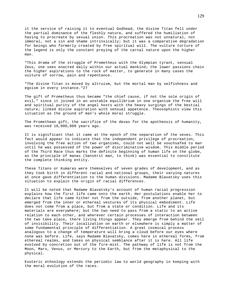it the service of raising it to eventual Godhead, the divine Titan fell under the partial dominance of the fleshly nature, and suffered the humiliation of having to procreate by sexual union. This procreation was not unnatural, not immoral, not a sin and shame intrinsically; but it was a comparative degradation for beings who formerly created by free spiritual will. The vulture torture of the legend is only the constant preying of the carnal nature upon the higher man.

"This drama of the struggle of Prometheus with the Olympian tyrant, sensual Zeus, one sees enacted daily within our actual mankind; the lower passions chain the higher aspirations to the rock of matter, to generate in many cases the vulture of sorrow, pain and repentance.

"The divine Titan is moved by altruism, but the mortal man by selfishness and egoism in every instance."27

The gift of Prometheus thus became "the chief cause, if not the sole origin of evil," since it joined in an unstable equilibrium in one organism the free will and spiritual purity of the angel hosts with the heavy surgings of the bestial nature; linked divine aspiration with sensual appetence. Theosophists view this situation as the ground of man's whole moral struggle.

The Promethean gift, the sacrifice of the devas for the apotheosis of humanity, was received 18,000,000 years ago.

It is significant that it came at the epoch of the separation of the sexes. This fact would appear to indicate that the independent privilege of procreation, involving the free action of two organisms, could not well be vouchsafed to man until he was possessed of the power of discriminative wisdom. This middle period of the Third Race thus marks the definite beginning of human life on the globe, as the principle of manas (Sanskrit man, to think) was essential to constitute the complete thinking entity.

These Titans or Kumaras were themselves of seven grades of development, and as they took birth in different racial and national groups, their varying natures at once gave differentiation to the human divisions. Madame Blavatsky uses this situation to explain the origin of racial differences.

It will be noted that Madame Blavatsky's account of human racial progression explains how the first life came onto the earth. Her postulations enable her to declare that life came hither not from the outside, from another planet, but emerged from the inner or ethereal vestures of its physical embodiment. Life does not come from a place, but from a state or condition. Life and its materials are everywhere; but the two need to pass from a static to an active relation to each other, and wherever certain processes of interaction between the two take place, there living things appear. They emerge from behind the veil of invisibility. Their localization on earth or elsewhere is simply a matter of some fundamental principle of differentiation. A great cosmical process analogous to a change of temperature will bring a cloud before our eyes where none was before. Life, says Madame Blavatsky, comes here in ethereal forms, from ethereal realms, and takes on physical semblance after it is here. All life evolved by concretion out of the fire-mist. The pathway of life is not from the Moon, Mars, Venus, or Mercury to the Earth, but from the metaphysical to the physical.

Esoteric ethnology extends the periodic law to world geography in keeping with the moral evolution of the races.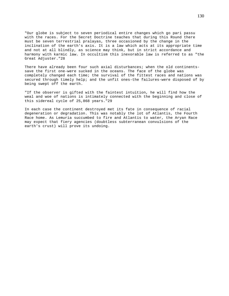"Our globe is subject to seven periodical entire changes which go pari passu with the races. For the Secret Doctrine teaches that during this Round there must be seven terrestrial pralayas, three occasioned by the change in the inclination of the earth's axis. It is a law which acts at its appropriate time and not at all blindly, as science may think, but in strict accordance and harmony with karmic law. In occultism this inexorable law is referred to as "the Great Adjuster."28

There have already been four such axial disturbances; when the old continentssave the first one-were sucked in the oceans. The face of the globe was completely changed each time; the survival of the fittest races and nations was secured through timely help; and the unfit ones-the failures-were disposed of by being swept off the earth.

"If the observer is gifted with the faintest intuition, he will find how the weal and woe of nations is intimately connected with the beginning and close of this sidereal cycle of 25,868 years."29

In each case the continent destroyed met its fate in consequence of racial degeneration or degradation. This was notably the lot of Atlantis, the Fourth Race home. As Lemuria succumbed to fire and Atlantis to water, the Aryan Race may expect that fiery agencies (doubtless subterranean convulsions of the earth's crust) will prove its undoing.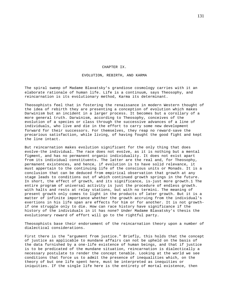### CHAPTER IX.

# EVOLUTION, REBIRTH, AND KARMA

The spiral sweep of Madame Blavatsky's grandiose cosmology carries with it an elaborate rationale of human life. Life is a continuum, says Theosophy, and reincarnation is its evolutionary method, Karma its determinant.

Theosophists feel that in fostering the renaissance in modern Western thought of the idea of rebirth they are presenting a conception of evolution which makes Darwinism but an incident in a larger process. It becomes but a corollary of a more general truth. Darwinism, according to Theosophy, conceives of the evolution of a species or class through the successive advances of a line of individuals, who live and die in the effort to carry some new development forward for their successors. For themselves, they reap no reward-save the precarious satisfaction, while living, of having fought the good fight and kept the line intact.

But reincarnation makes evolution significant for the only thing that does evolve-the individual. The race does not evolve, as it is nothing but a mental figment, and has no permanent organic individuality. It does not exist apart from its individual constituents. The latter are the real and, for Theosophy, permanent existences, and hence, if evolution is to have solid relevance, it must appertain to the continuing life of the conscious units or Monads. It is a conclusion that can be deduced from empirical observation that growth at any stage leads to conditions out of which continued growth springs in the future. In short, the effect of growth, and its significance, is-just more growth.1 The entire program of universal activity is just the procedure of endless growth. with halts and rests at relay stations, but with no termini. The meaning of present growth only comes to light in the products of later growth. But it is a matter of infinite importance whether the growth accruing from the individual's exertions in his life span are effects for him or for another. It is not growthif one struggle only to die. How can race history have significance if the history of the individuals in it has none? Under Madame Blavatsky's thesis the evolutionary reward of effort will go to the rightful party.

Theosophists base their endorsement of the reincarnation theory upon a number of dialectical considerations.

First there is the "argument from justice." Briefly, this holds that the concept of justice as applicable to mundane affairs can not be upheld on the basis of the data furnished by a one-life existence of human beings, and that if justice is to be predicated of the mundane situation, reincarnation is dialectically a necessary postulate to render the concept tenable. Looking at the world we see conditions that force us to admit the presence of inequalities which, on the theory of but one life spent here, must be interpreted as inequities or iniquities. If the single life here is the entirety of mortal existence, then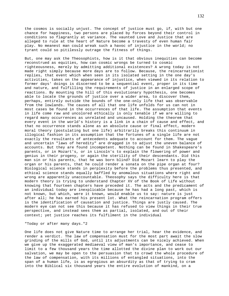the cosmos is socially unjust. The concept of justice must go, if, with but one chance for happiness, two persons are placed by forces beyond their control in conditions so flagrantly at variance. The vaunted Love and Justice that are alleged to rule at the heart of Nature become a travesty of even human fair play. No meanest man could wreak such a havoc of injustice in the world; no tyrant could so pitilessly outrage the fitness of things.

But, one may ask the Theosophists, how is it that obvious inequities can become reconstrued as equities, how can cosmic wrongs be turned to cosmic righteousness, merely by admitting additional existences? A wrong today is not made right simply because more days are to follow. Because, the reincarnationist replies, that event which when seen in its isolated setting in the one day's activities, takes on the appearance of injustice, when viewed in its relation to former days' doings is discerned to be a sequential event, proper in its time and nature, and fulfilling the requirements of justice in an enlarged scope of reactions. By mounting the hill of this evolutionary hypothesis, one becomes able to locate the grounds of justice over a wider area, to discover them, perhaps, entirely outside the bounds of the one-only life that was observable from the lowlands. The causes of all that one life unfolds for us can not in most cases be found in the occurrences of that life. The assumption that events in life come raw and uncolored ethically is only tenable if we are willing to regard many occurrences as unrelated and uncaused. Holding the theorem that every event in the world's history is a link in a chain of cause and effect, and that no occurrence stands alone as an absolute cause or final effect, modern moral theory (postulating but one life) arbitrarily breaks this continuum in illogical fashion in its assumption that the fortunes of a single life are not exactly the resultants of antecedents adequate to account for them. The vague and uncertain "laws of heredity" are dragged in to adjust the uneven balance of accounts. But they are found incompetent. Nothing can be found in Shakespeare's parents, or in Mozart's, or in Lincoln's to explain the flowering of power and genius in their progeny, or again the sterility of their descendants. Did this man sin or his parents, that he was born blind? Did Mozart learn to play the organ or his parents, that he could render a sonata on the pipe organ at four? Biological science stands in perplexity before the problems thus presented, and ethical science stands equally baffled by anomalous situations where right and wrong are apparently unaccountable. Theosophy says the difficulty here is that modern theory is trying to understand Chapter XV of the Book of Life without knowing that fourteen chapters have preceded it. The acts and the predicament of an individual today are inexplicable because he has had a long past, which is not known, but which, were it known, would enable us to say: nature is just after all; he has earned his present lot. What the reincarnation program offers is the identification of causation and justice. Things are justly caused. The modern eye can not see this because it has refused to view things in their true perspective, and instead sees them as partial, isolated, and out of their context; yet justice reaches its fulfilment in the individual

## "Today or after many days."2

One life does not give Nature time to arrange her trial, hear the evidence, and render a verdict. The law of compensation must for the most part await the slow grinding of the mills of God, until its adjustments can be nicely achieved. When we give up the exaggerated mediaeval view of man's importance, and cease to limit to a few thousand years the time allotted the divine plan to work out our salvation, we may be open to the persuasion that to crowd the whole procedure of the law of compensation, with its millions of entangled situations, into the span of a human life, is as egregious an absurdity as that of trying to cram into the Biblical six thousand years the entire evolution of mankind, on a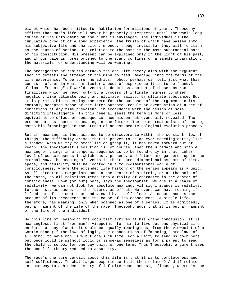planet which has been fitted for habitation for millions of years. Theosophy affirms that man's life will never be properly interpreted until the whole long course of its unfoldment on the globe is envisaged. The individual is the cumulative product of a long experience, the fruits of which have passed into his subjective life and character, whence, though invisible, they will function as the causes of action. His relation to the past is the most substantial part of his constitution. His present can be explained only in the light of his past, and if our gaze is foreshortened to the scant confines of a single incarnation, the materials for understanding will be wanting.

The protagonist of rebirth attacks the one-life theory also with the argument that it defeats the attempt of the mind to read "meaning" into the terms of the life experience. To be sure, he admits, nobody perhaps can tell just what this consists of, or in what particular aspect of experience it is to be found.3 Ultimate "meaning" of world events is doubtless another of those abstract finalities which we reach only by a process of infinite regress to sheer negation, like ultimate being and ultimate reality, or ultimate substance. But it is permissible to employ the term for the purposes of the argument in its commonly accepted sense of the later outcome, result or eventuation of a set of conditions at any time prevalent, in accordance with the design of some directing intelligence. In this general sense the term is more or less equivalent to effect or consequence, now hidden but eventually revealed. The present or past comes to meaning in the future. The reincarnationist, of course, casts his "meanings" in the stream of an assumed teleological evolution-process.

But if "meaning" is thus assumed to be discoverable within the constant flow of things, the difficulty arises that it proves to be an ever-receding entity like a shadow. When we try to stabilize or grasp it, it has moved forward out of reach. The Theosophist's solution is, of course, that the ultimate and stable meaning of things in a temporal sequence is to be found only in that higher level of consciousness in which past, present, and future are gathered up in one eternal Now. The meaning of events in their three-dimensional aspects of time, space, and causality must be located in a four-dimensional world of consciousness, where the extended life history of the series appears as a unit. As all directions merge into one in the center of a circle, or at the pole of the earth, so all relations merge into a fixity of character in the center of consciousness. Down (or out) here, says the Theosophist, we are in a realm of relativity; we can not look for absolute meaning. All significance is relative, to the past, as cause, to the future, as effect. No event can have meaning if lifted out of the continuum and viewed by itself alone. An occurrence is the product of its precedents and the cause of its consequents. A single life, therefore, has meaning, only when scanned as one of a series. It is admittedly but a fragment of the life of the race; Theosophy adds that it is but a fragment of the life of the individual.

By this line of reasoning the occultist arrives at his grand conclusion: it is meaningless, first from man's viewpoint, for him to live but one physical life on Earth or any planet; it would be equally meaningless, from the viewpoint of a Cosmic Mind (if the laws of logic, the connotations of "meaning," are laws of all mind) to have man live but one such life. For a Deity to send us down here but once would be without logic or sense-as senseless as for a parent to send the child to school for one day only, or one term. Thus Theosophic argument sees the one-life theory reduced to absurdity.

The race's one sure verdict about this life is that it wants completeness and self-sufficiency. To what larger experience is it then related? And if related in some way to a hidden history of infinite reach and significance, where is the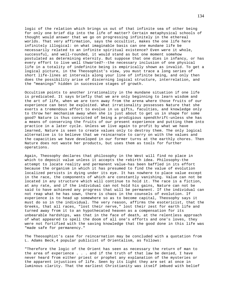logic of the relation which brings us out of that infinite sea of other being for only one brief dip into the life of matter? Certain metaphysical schools of thought would answer that we go on progressing infinitely in the ethereal worlds. That very affirmation, says the occultist, makes the one life here infinitely illogical: on what imaginable basis can one mundane life be necessarily related to an infinite spiritual existence? Even were it whole, successful, and well-rounded, it would stand as but one moment somehow postulated as determining eternity. But suppose that one dies in infancy, or has every effort to live well thwarted?--the necessary inclusion of one physical life in a totality of indefinite being is empirically shown as invalid. To get a logical picture, in the Theosophist's view, you must trace a long series of short life-lines at intervals along your line of infinite being, and only then does the possibility arise of discerning logical structure, interrelation, and the "meanings" hidden in successive stages of growth.

Occultism points to another irrationality in the mundane situation if one life is predicated. It says briefly that we are only beginning to learn wisdom and the art of life, when we are torn away from the arena where those fruits of our experience can best be exploited. What irrationality possesses Nature that she exerts a tremendous effort to evolve in us gifts, faculties, and knowledge only to throw her mechanism away when she is just about to get us in shape for some good? Nature is thus convicted of being a prodigious spendthrift-unless she has a means of conserving the fruits of our present experience and putting them into practice in a later cycle. Unless we live again to profit by what we have learned, Nature is seen to create values only to destroy them. The only logical alternative is to believe that we reincarnate to carry on with the values and the capacities we have developed in our former turns at the earthly chores. Then Nature does not waste her products, but uses them as tools for further operations.

Again, Theosophy declares that philosophy in the West will find no place in which to deposit value unless it accepts the rebirth idea. Philosophy-the attempt to locate reality and permanent value-has been baffled in its effort because the organism in which it has presumed to find the value of evolution localized persists in dying under its eye. It has nowhere to place value except in the race, the components of which are constantly vanishing. Value can not be located in any structure which will continue to hold it. The race is a fiction, at any rate, and if the individual can not hold his gains, Nature can not be said to have achieved any progress that will be permanent. If the individual can not reap what he has sown, there is chaos in the counsels of evolution. If experience is to head up somewhere so as to become capital, Theosophy says it must do so in the individual. The very reason, affirms the esotericist, that the Greeks, that all races, "lost their nerve," lost their zest for earth life and turned away from it to an hypothecated heaven as a compensation for its unbearable hardships, was that in the face of death, at the relentless approach of what appeared to spell the doom of all one's efforts and one's loves, they were not fortified with the saving knowledge that the good done in this life was "made safe for permanency."

The Theosophist's case for reincarnation may be concluded with a quotation from L. Adams Beck,4 popular publicist of Orientalism, as follows:

"Therefore the logic of the Orient has seen as necessary the return of man to the area of experience . . . and if the truth of that law be denied, I have never heard from either priest or prophet any explanation of the mysteries or the apparent injustices of life. Seen by its light they are set at once in luminous clarity. That the earliest Christianity was itself imbued with belief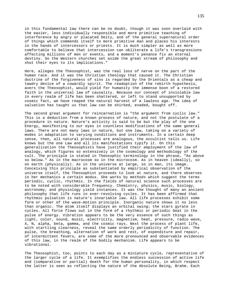in this fundamental law there can be no doubt, though it was soon overlaid with the easier, less individually responsible and more primitive teaching of interference by angry or placated Deity, and of the general supernatural order of things which commends itself to more primitive man and places his interests in the hands of intercessors or priests. It is much simpler as well as more comfortable to believe that intercession can obliterate a life's transgressions affecting millions of men or events, and a moment's penance fix an eternal destiny. So the Western churches set aside the great stream of philosophy and shut their eyes to its implications."

Here, alleges the Theosophist, was the real loss of nerve on the part of the human race. And it was the Christian theology that caused it. The Christian doctrine of the forgiveness of sins is regarded by the Orientals as a cheap and tawdry device of a cowardly spirit. The readoption of the rebirth hypothesis, avers the Theosophist, would yield for humanity the immense boon of a restored faith in the universal law of causality. Because our concept of inviolable law in every realm of life has been shattered, or left to stand unsupported by cosmic fact, we have reaped the natural harvest of a lawless age. The idea of salvation has taught us that law can be shirked, evaded, bought off.

The second great argument for reincarnation is "the argument from cyclic law." This is a deduction from a known process of nature, and not the postulate of a procedure in nature. Nature's activity is said to be but the play of the one Energy, manifesting to our eyes in countless modifications of the same general laws. There are not many laws in nature, but one law, taking on a variety of modes in adaptation to varying conditions and instruments. In a certain deep sense, then, all natural processes are analogous, the occultist tells us. Life knows but the one Law and all its manifestations typify it. On this generalization the Theosophists have justified their employment of the law of analogy, which figures so extensively in the cosmology and methodology of the cult. The principle is stated in Theosophic terminology in the phrase, "As above so below." As in the macrocosm so in the microcosm. As in heaven (ideally), so on earth (physically). As in the universe at large, so in man, its image. Conceiving this principle as substantiated by empirical observation of the universe itself, the Theosophist proceeds to look at nature, and there observes in her mechanics a certain modus. She works by methods which suggest the terms periodic, cyclic, rhythmic. In the fields of natural science such processes are to be noted with considerable frequency. Chemistry, physics, music, biology, astronomy, and physiology yield instances. It was the thought of many an ancient philosophy that life runs in ever-revolving cycles. It has been affirmed that rhythmic pulsation is nature's invariable law. All life processes exhibit some form or other of the wave-motion principle. Inorganic nature shows it no less than organic. The atom itself displays an orbital swing; the stars gyrate in cycles. All force flows out in the form of a rhythmic or periodic beat in the pulse of energy. Vibration appears to be the very essence of such things as light, color, sound, music, electricity, magnetism, heat, pressure, radio wave, X, N, alpha, beta, gamma, and the cosmic rays. Next the process of plant life, with startling clearness, reveal the same orderly periodicity of function. The pulse, the breathing, alternation of work and rest, of expenditure and repair, of intermittent fevers, are some of the more pronounced and observable evidences of this law, in the realm of the bodily mechanism. Life appears to be vibrational.

The Theosophist, too, points to each day as a miniature cycle, representative of the larger cycle of a life. It exemplifies the endless succession of active life and (comparative or partial) death for the human personality, in which respect the latter is seen as reflecting the nature of the Absolute Being, Brahm. Each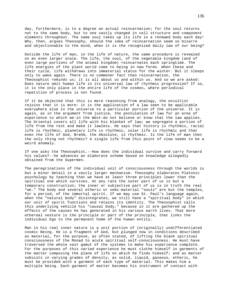day, furthermore, is to a degree an actual reincarnation; for the soul returns not to the same body, but to one vastly changed in cell structure and component elements throughout. The same soul takes up its life in a renewed body each day! Why, then, argues Theosophy, should the idea of reincarnation seem so bizarre and objectionable to the mind, when it is the recognized daily law of our being?

Outside the life of man, in the life of nature, the same procedure is revealed on an even larger scale. The life, the soul, of the vegetable kingdom (and of even large portions of the animal kingdom) reincarnates each springtime. The life energies of the plant world come to being in new forms. When these end their cycle, life withdraws into immaterial status for the winter. But it sleeps only to wake again. There is no commoner fact than reincarnation, the Theosophist reminds us; it is all about us and within us. And so we are asked: Does nature omit human life in its universal law of rhythmic progression? If so, it is the only place in the entire life of the cosmos, where periodical repetition of process is not found.

If it be objected that this is mere reasoning from analogy, the occultist rejoins that it is more: it is the application of a law seen to be applicable everywhere else in the universe to a particular portion of the universe. It is again, as in the argument from justice, the postulation of law for an area of experience to which we-in the West-do not believe or know that the law applies. The Oriental covers all life with his blanket of law; we segregate a portion of life from the rest and make it lawless. He says that history is rhythmic, racial life is rhythmic, planetary life is rhythmic, solar life is rhythmic and that even the life of God, Brahm, the Absolute, is rhythmic. Is the life of man then the only thing not rhythmic? A single life from this point of view seems to be a weird anomaly.

If one asks the Theosophist,--How does the individual survive and carry forward his values?--he advances an elaborate scheme based on knowledge allegedly obtained from the Supermen.

The peregrinations of the individual unit of consciousness through the worlds is but a minor detail in a vastly larger mechanism. Theosophy elaborates Platonic psychology by teaching that we have at least three principles lower than the spiritual one which survives. At any rate the outer part of us is but a temporary construction; the inner or subjective part of us is in truth the real "we." The body and several etheric or semi-material "souls" are but the temples, for a period, of the immortal spirit. If we may use St. Paul's language again, when the "natural body" disintegrates, we still have a "spiritual body" in which our unit of spirit functions and retains its identity. The Theosophist calls this underlying vehicle his "causal body," because in it are gathered up the effects of the causes he has generated in his various earth lives. That more ethereal vesture is the principle or part of the principle, that links the individual Ego to the permanent home of the human entity.

Man in his real inner nature is a unit portion of (originally) undifferentiated cosmic Being. He is a fragment of God, but plunged now in conditions described as material, for the purpose, as often stated, of lifting the blank spiritual consciousness of the Monad to acute spiritual self-consciousness. He must have traversed the whole vast gamut of the systems to make his experience complete. For the purposes of this varied experience he must clothe himself in garments of the matter composing the plane of life on which he finds himself; and as matter subsists in varying grades of density, as solid, liquid, gaseous, etheric, he must be provided with a garment of each type of material. This makes him a multiple being. Each garment of matter becomes his instrument of contact with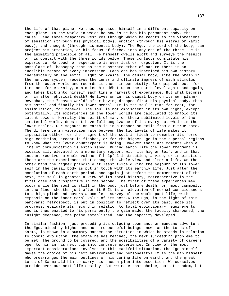the life of that plane. He thus expresses himself in a different capacity on each plane. In the world in which he now is he has his permanent body, the causal, and three temporary vestures through which he reacts to the vibrations of sensation (through his physical body), emotion (through his astral or kamic body), and thought (through his mental body). The Ego, the lord of the body, can project his attention, or his focus of force, into any one of the three. He is the animating principle of all. He himself dwells aloft and surveys the results of his contact with the three worlds below. These contacts constitute his experience. No touch of experience is ever lost or forgotten. It is the postulate of Theosophy that on the substrate ether of nature there is an indelible record of every impression. Each one has inscribed his own history ineradicably on the Astral Light or Akasha. The causal body, like the brain in the nervous system, receives the inner and ultimate impress of each stimulus from the outer world and records it there in perpetuity. So equipped, both for time and for eternity, man makes his début upon the earth level again and again, and takes back into himself each time a harvest of experience. But what becomes of him after physical death? He lives on in his causal body on its own plane-Devachan, the "heaven world"-after having dropped first his physical body, then his astral and finally his lower mental. It is the soul's time for rest, for assimilation, for renewal. The soul is not omniscient in its own right, except potentially. Its experiences in the lower worlds are calculated to unfold its latent powers. Normally the spirit of man, on these sublimated levels of the immaterial world, does not have full cognizance of its every act while in the lower realms. Our sojourn on earth is in a manner an exile from our true home. The difference in vibration rate between the two levels of life makes it impossible either for the fragment of the soul in flesh to remember its former high condition, except in flashes, or for the higher Ego in the supernal regions to know what its lower counterpart is doing. However there are moments when a line of communication is established. During earth life the lower fragment is occasionally elevated to a momentary rapport with its higher Self, and in that instant receives a whole volume of helpful instruction, advice, or inspiration. These are the experiences that change the whole view and alter a life. On the other hand the higher principle at least twice during the sojourn of its lower self in the causal body is put in touch with its earthly life. Just after the conclusion of each earth period, and again just before the commencement of the next, the soul is granted a view of its total history, retrospective in the first case and prospective in the second. The first of these experiences may occur while the soul is still in the body just before death, or, most commonly, in the finer sheaths just after it.5 It is an elevation of normal consciousness to a high pitch and covers a complete survey of the whole past life, with emphasis on the inner moral value of its acts.6 The Ego, in the light of this panoramic retrospect, is put in position to reflect over its past, note its progress, evaluate its record in relation to total evolutionary requirements, and is thus enabled to fix permanently the gain made, the faculty sharpened, the insight deepened, the poise established, and the capacity developed.

In similar fashion, just preceding its outgoing upon another mundane adventure the Ego, aided by higher and more resourceful beings known as the Lords of Karma, is shown in a summary manner the situation in which he stands in relation to cosmic evolution, the stage he has reached, the next succeeding problems to be met, the ground to be covered, and the possibilities of a variety of careers open to him in his next dip into concrete experience. In view of the most important considerations involved in this manifold situation, the Ego himself makes the choice of his next environment and personality! It is the man himself who prearranges the main outlines of his coming life on earth, and the great Lords of Karma aid him to carry his chosen plan into execution. We ourselves preside over our next-life destiny. But we make that choice, not at random, but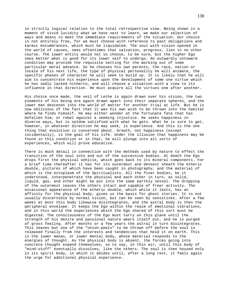in strictly logical relation to the total retrospective view. Being shown in a moment of vivid lucidity what we have next to learn, we make our selection of ways and means to meet the immediate requirements of the situation. Our choice is not entirely free, for we must choose with reference to past obligations and karmic encumbrances, which must be liquidated. The soul with vision opened in the world of causes, sees oftentimes that salvation, progress, lies in no other course. The lower entity would not so choose, to be sure, but the higher Ego sees better what is good for its lower self to undergo. An outwardly untoward condition may provide the requisite setting for the working out of some particular moral advance. So he chooses his own parents, the race, nation or locale of his next life, the type of physical personality he will animate, the specific phases of character he will seek to build up. It is likely that he will aim to concentrate his experience upon the development of some one virtue which he has sadly lacked hitherto, and will choose a situation with a view to its influence in that direction. He must acquire all the virtues one after another.

His choice once made, the veil of Lethe is again drawn over his vision, the two elements of his being are again drawn apart into their separate spheres, and the lower man descends into the world of matter for another trial at life. But he is now oblivious of the fact that it was his own wish to be thrown into the habitat where he finds himself. He may either wonder at the fortunate fate that has befallen him, or rebel against a seeming injustice. He seeks happiness in diverse ways, but is seldom satisfied with what he gets. What he is sure to get, however, in whatever direction he may seek, is experience. And this is the one thing that evolution is concerned about. Growth, not happiness (except incidentally), is the goal of his life. Under the illusion that happiness may be found in this condition or in that, he will plunge into all sorts of experiences, which will prove educative.

There is much detail in connection with the methods used by nature to effect the transition of the soul into and out of the successive bodies. At death the Ego drops first the physical vehicle, which goes back to its mineral components. For a brief time thereafter it has for its outermost and densest sheath the etheric double, pictures of which have been caught in photography, and the material of which is the ectoplasm of the Spiritualists. All the finer bodies, be it understood, interpenetrate the physical and each other in turn, as solid, liquid, gas, and ether might be put into the same earthly vessel. The dropping of the outermost leaves the others intact and capable of freer activity. The occasional appearance of the etheric double, which while it lasts, has an affinity for the physical body, gives us the basis for ghost stories. It is not usually discernible by normal vision, but can be seen by sensitives. After a few weeks at most this body likewise disintegrates, and the astral body is then the peripheral envelope. It keeps the Ego within the realm of emotional vibrations, and in this world the experiences which the Ego shared of this sort must be digested. The consciousness of the Ego must tarry on this plane until the strength of his desire and passional nature wears itself out, and he is purged of gross feeling. After months or a few years the astral in turn disintegrates. This leaves but one of the "onion-peels" to be thrown off before the soul is released finally from the interests and tendencies that held it on earth. This is the lower manas, or lower mental body, whose material responds to the energies of thought. As the physical body is absent, the forces going into concrete thought expend themselves, so to say, in thin air, until this body of "mind-stuff" eventually dissolves, like the others. The soul is then housed only in its spirit body, in which it abides until, after a long rest, it feels again the urge for additional physical experience.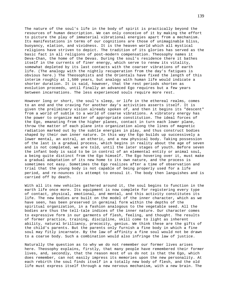The nature of the soul's life in the body of spirit is practically beyond the resources of human description. We can only conceive of it by making the effort to picture the play of immaterial vibrational energies apart from a mechanism. Its manifestations in terms of our cognitions are those of unimaginable bliss, buoyancy, elation, and vividness. It is the heaven world which all mystical religions have striven to depict. The tradition of its glories has served as the basic fact in all religions of post-modern compensation. Theosophy names it Deva-Chan, the home of the Devas. During the soul's residence there it bathes itself in the currents of finer energy, which serve to renew its vitality, somewhat depleted by its last contacts with the coarser vibrations of earth life. (The analogy with the nightly recuperation from the day's fatigues is obvious here.) The Theosophists and the Orientals have fixed the length of this interim roughly at 1,500 years, but analogy with human life would indicate a shorter duration. It is said, however, that the rest periods shorten as evolution proceeds, until finally an advanced Ego requires but a few years between incarnations. The less experienced souls require more rest.

However long or short, the soul's sleep, or life in the ethereal realms, comes to an end and the craving for another day's activities asserts itself. It is given the preliminary vision already spoken of, and then it begins its "descent" from a world of subtle to a world of coarse vibrations. A vibratory energy has the power to organize matter of appropriate constitution. The ideal forces of the Ego, emanating from the higher planes, contact in turn each lower plane, throw the matter of each plane into organization along the lines of magnetic radiation marked out by the subtle energies in play, and thus construct bodies shaped by their own inner nature. In this way the Ego builds up successively a lower mental, an astral, an etheric, and a new physical body. Taking possession of the last is a gradual process, which begins in reality about the age of seven and is not completed, we are told, until the later stages of youth. Before seven the infant body is said to be in control of an elemental entity or animal soul, a being quite distinct from the Ego himself. The Ego hovering over it, must make a gradual adaptation of its new home to its own nature, and the process is sometimes not easy. Sometimes the Ego realizes after a time of observation and trial that the young body is not capable of being properly used for a life period, and re-nounces its attempt to ensoul it. The body then languishes and is carried off by death.

With all its new vehicles gathered around it, the soul begins to function in the earth life once more. Its equipment is now complete for registering every type of contact, physical, emotional, and mental, and this activity constitutes its life. The new bodies are built on the model of the inner character, which as we have seen, has been preserved in germinal form within the depths of the spiritual organization, in a fashion analogous to the vegetable seed. All the bodies are thus the tell-tale indices of the inner nature. Our character comes to expressive form in our garments of flesh, feeling, and thought. The results of former practice, training, discipline, skill come to light as inherent ability, natural brilliancy, precocity, genius. We think these are the gifts of the child's parents. But the parents only furnish a fine body in which a fine soul may fitly incarnate. By the law of affinity a fine soul would not be drawn to a coarse body. Such a combination would also infringe the law of justice.

Naturally the question as to why we do not remember our former lives arises here. Theosophy explains, firstly, that many people have remembered their former lives, and, secondly, that the reason most of us do not is that the Ego, which does remember, can not easily impress its memories upon the new personality. At each rebirth the soul finds itself in a totally new body of flesh, and the old life must express itself through a new nervous mechanism, with a new brain. The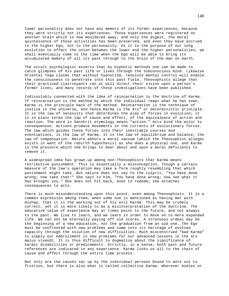lower personality does not have any memory of its former experiences, because they were strictly not its experiences. Those experiences were registered on another brain which is now mouldered away, and only the digest, the moral quintessence of those activities has been preserved, and even they have accrued to the higher Ego, not to the personality. As it is the purpose of our long evolution to effect the union between the lower and the higher personalities, we shall eventually come to the time when the Ego will be able to bring its accumulated memory of all its past through to the brain of the man on earth.

The occult psychologist asserts that by hypnotic methods one can be made to catch glimpses of his past life or lives through the subconscious mind. Likewise Oriental Yoga claims that without hypnotism, resolute mental control will enable the consciousness to penetrate into this past field. Theosophists allege that their practiced clairvoyants can at will direct their vision upon a person's former lives, and many records of these investigations have been published.

Indissolubly connected with the idea of reincarnation is the doctrine of Karma. If reincarnation is the method by which the individual reaps what he has sown, Karma is the principle back of the method. Reincarnation is the technique of justice in the universe, and hence Karma is the ¢rc" or deterministic principle. It is the law of necessity that determines the play of forces in evolution; it is in plain terms the law of cause and effect, of the equivalence of action and reaction. The word in Sanskrit etymology means "action." Acts bind the actor to consequences. Actions produce movements in the currents of evolutionary forces. The law which guides these forces into their inevitable courses and eventuations, is the law of Karma. It is the law of equilibrium and balance, the law of compensation. Nature abhors a moral vacuum (which the Theosophist alleges exists in want of the rebirth hypothesis) as she does a physical one, and Karma is the pressure which she brings to bear about and upon a moral deficiency to remove it.

A widespread idea has grown up among non-Theosophists that Karma means retributive punishment. This is essentially a misconception, though a certain measure of the law's operation may take a form roughly resembling that which punishment might take. But nature does not say to the culprit, "You have done wrong; now take that!" She says to him, "You have done wrong; now see what it has brought you." She does not hit back, even to redeem; she attaches consequences to acts.

There is much misunderstanding upon this point, even among Theosophists. It is a common expression among them, when some one is mentioned as having met with mishap, that it is the working out of his evil Karma. This may be crudely correct, yet it is more likely to be a misinterpretation of the doctrine. The educative value of experience may at times point to the future, and not always to the past. We live to learn, and we learn in order to move on to more expanded life. We can not be eternally paying off old scores. A strenuous ordeal may be the beginning of a new education, not the graduation from an old one. The Ego must be confronted with new problems and come into its heritage of evolved capacity through the solution of new difficulties. Much misconstrued "bad Karma" is simply our embroilment in new problems for our advanced lessons in the ars maius vivendi. It is thus difficult to dogmatize about the significance of karmic disabilities or predicaments. Strictly, in a sense, both past and future references are indicated in any experience. Karma links us all to the chain of cause and effect through the entire time process.

Not only are the causes set up by the individual persons bound to work out to fruition, but there is also what is called collective Karma. Wherever bodies or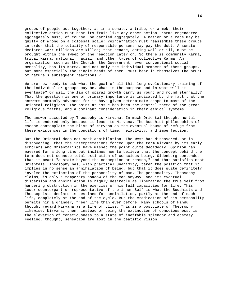groups of people act together, as in a senate, a tribe, or a mob, their collective action must bear its fruit like any other action. Karma engendered aggregately must, of course, be carried aggregately. A nation or a race may be guilty of wrong on a colossal scale; reincarnation must reassemble these groups in order that the totality of responsible persons may pay the debt. A senate declares war: millions are killed; that senate, acting well or ill, must be brought within the sweep of the reaction later on. So there is community Karma, tribal Karma, national, racial, and other types of collective Karma. An organization such as the Church, the Government, even conventional social mentality, has its Karma, and not only the individual members of these groups, but more especially the single heads of them, must bear in themselves the brunt of nature's subsequent reactions.7

We are now ready to ask what the goal of all this long evolutionary training of the individual or groups may be. What is the purpose and in what will it eventuate? Or will the law of spiral growth carry us round and round eternally? That the question is one of primary importance is indicated by the fact that the answers commonly advanced for it have given determinate shape to most of the Oriental religions. The point at issue has been the central theme of the great religious faiths, and a dominant consideration in their ethical systems.

The answer accepted by Theosophy is-Nirvana. In much Oriental thought mortal life is endured only because it leads to Nirvana. The Buddhist philosophies of escape contemplate the bliss of Nirvana as the eventual house of refuge from these existences in the conditions of time, relativity, and imperfection.

But the Oriental does not seek annihilation. The West has discovered, or is discovering, that the interpretations forced upon the term Nirvana by its early scholars and Orientalists have missed the point quite decidedly. Opinion has wavered for a long time but inclines now to believe that the concept behind the term does not connote total extinction of conscious being. Oldenburg contended that it meant "a state beyond the conception or reason," and that satisfies most Orientals. Theosophy has, with practical unanimity, taken the position that it implies in no sense an annihilation of being, but that it does quite definitely involve the extinction of the personality of man. The personality, Theosophy claims, is only a temporary shadow of the man anyway, and its eventual dispersion and annihilation is highly desirable as liberating the true Self from hampering obstruction in the exercise of his full capacities for life. This lower counterpart or representative of the inner Self is what the Buddhists and Theosophists declare is destined for annihilation, partly at the end of each life, completely at the end of the cycle. But the eradication of his personality permits him a grander, freer life than ever before. Many schools of Hindu thought regard Nirvana as a life of bliss. This is a postulate of Theosophy likewise. Nirvana, then, instead of being the extinction of consciousness, is the elevation of consciousness to a state of ineffable splendor and ecstasy. Feeling, thought, sensation are lost in the beatific vision.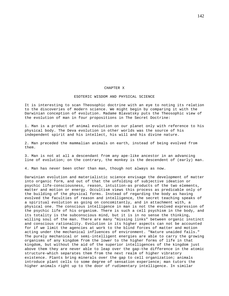## CHAPTER X

### ESOTERIC WISDOM AND PHYSICAL SCIENCE

It is interesting to scan Theosophic doctrine with an eye to noting its relation to the discoveries of modern science. We might begin by comparing it with the Darwinian conception of evolution. Madame Blavatsky puts the Theosophic view of the evolution of man in four propositions in The Secret Doctrine:

1. Man is a product of animal evolution on our planet only with reference to his physical body. The Deva evolution in other worlds was the source of his independent spirit and his intellect, his will and his divine nature.

2. Man preceded the mammalian animals on earth, instead of being evolved from them.

3. Man is not at all a descendant from any ape-like ancestor in an advancing line of evolution; on the contrary, the monkey is the descendent of (early) man.

4. Man has never been other than man, though not always as now.

Darwinian evolution and materialistic science envisage the development of matter into organic form, and out of that the unfolding of subjective ideation or psychic life-consciousness, reason, intuition-as products of the two elements, matter and motion or energy. Occultism views this process as predicable only of the building of the physical forms. Instead of regarding the body as having evolved the faculties of reason and intelligence, the secret teaching speaks of a spiritual evolution as going on concomitantly, and in attachment with, a physical one. The conscious intelligence in man is not the evolved expression of the psychic life of his organism. There is such a cell psychism in the body, and its totality is the subconscious mind, but it is in no sense the thinking, willing soul of the man. There are many "missing links" between organic instinct and conscious rationality. Evolution in its higher aspects can not be accounted for if we limit the agencies at work to the blind forces of matter and motion acting under the mechanical influences of environment. "Nature unaided fails." The purely mechanical or semi-intelligent energies are able to carry the growing organisms of any kingdom from the lower to the higher forms of life in that kingdom, but without the aid of the superior intelligences of the kingdom just above them they are never able to leap over the gap-the difference in the atomic structure-which separates them from the next realm of higher vibratory existence. Plants bring minerals over the gap to cell organization; animals introduce plant cells to some degree of sensation experience; man tutors the higher animals right up to the door of rudimentary intelligence. In similar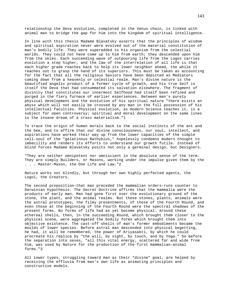relationship the Deva evolution, completed in the Venus chain, is linked with animal man to bridge the gap for him into the kingdom of spiritual intelligence.

In line with this thesis Madame Blavatsky asserts that the principles of wisdom and spiritual aspiration never were evolved out of the material constitution of man's bodily life. They were superadded to his organism from the celestial worlds. They could not have come up to him from earth; they descended upon him from the skies. Each succeeding wave of outpouring life from the Logos carries evolution a step higher, and the law of the interrelation of all life is that each higher grade reaches back to help its lower neighbor ahead, the while it reaches out to grasp the hand of its superiors. This must be taken as accounting for the fact that all the religious Saviors have been depicted as Mediators coming down from a heavenly or celestial realm. Man's divine nature is the beautified angelic product of a former cycle of growth, and his true Self is itself the Deva that had consummated its salvation elsewhere. The fragment of divinity that constitutes our innermost Selfhood had itself been refined and purged in the fiery furnace of earlier experiences. Between man's purely physical development and the evolution of his spiritual nature "there exists an abyss which will not easily be crossed by any man in the full possession of his intellectual faculties. Physical evolution, as modern Science teaches it, is a subject for open controversy; spiritual and moral development on the same lines is the insane dream of a crass materialism."1

To trace the origin of human morals back to the social instincts of the ant and the bee, and to affirm that our divine consciousness, our soul, intellect, and aspirations have worked their way up from the lower capacities of the simple cell-soul of the "gelatinous Bathybius," hopelessly condemns modern thought to imbecility and renders its efforts to understand our growth futile. Instead of blind forces Madame Blavatsky posits not only a germinal design, but Designers.

"They are neither omnipotent nor omniscient in the absolute sense of the term. They are simply Builders, or Masons, working under the impulse given them by the . . . Master-Mason, the One Life and Law."2

Nature works not blindly, but through her own highly perfected agents, the Logoi, the Creators.

The second proposition-that man preceded the mammalian orders-runs counter to Darwinian hypothesis. The Secret Doctrine affirms that the mammalia were the products of early man. Man had gone first over the evolutionary ground of the stone, the plant, and the animal realms. But these stones, plants, animals were the astral prototypes, the filmy presentments, of those of the Fourth Round, and even those at the beginning of the Fourth Round were the spectral shadows of the present forms. No forms of life had as yet become physical. Around these ethereal shells, then, in the succeeding Round, which brought them closer to the physical scene, were aggregated the bodily forms which brought them into objective existence. The cast-off shells of man's former embodiments became the moulds of lower species. Before astral man descended into physical begetting, he had, it will be remembered, the power of Kriyasakti, by which he could procreate his replica by "the will, by sight, by touch, and by Yoga." So before the separation into sexes, "all this vital energy, scattered far and wide from him, was used by Nature for the production of the first mammalian-animal forms."3

All lower types, struggling toward man as their "divine" goal, are helped by receiving the effluvia from man's own life as animating principles and constructive models.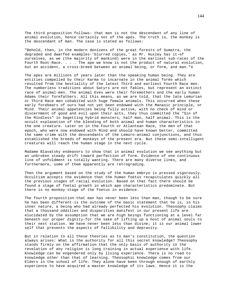The third proposition follows: that man is not the descendant of any line of animal evolution, hence certainly not of the apes. The truth is, the monkey is the descendant of man. The case is stated as follows:

"Behold, then, in the modern denizens of the great forests of Sumatra, the degraded and dwarfed examples-'blurred copies,' as Mr. Huxley has it-of ourselves, as we (the majority of mankind) were in the earliest sub-races of the Fourth Root-Race. . . . The ape we know is not the product of natural evolution, but an accident, a cross-breed between an animal being, or form, and man."4

The apes are millions of years later than the speaking human being. They are entities compelled by their Karma to incarnate in the animal forms which resulted from the bestiality of the latest Third and earliest Fourth Race men. The numberless traditions about Satyrs are not fables, but represent an extinct race of animal-men. The animal Eves were their foremothers and the early human Adams their forefathers. All this means, as we are told, that the late Lemurian or Third Race men cohabited with huge female animals. This occurred when these early forebears of ours had not yet been endowed with the Manasic principle, or Mind. Their animal appetencies being fully active, with no check of mind or discernment of good and evil upon their acts, they thus committed the "Sin of the Mindless" in begetting hybrid monsters, half man, half animal. This is the occult explanation of the blending of both animal and human characteristics in the one creature. Later on in the Fourth or Atlantean Race, the men of that epoch, who were now endowed with Mind and should have known better, committed the same crime with the descendants of the Lemuro-animal conjunctions, and thus established the breeds of monkeys of the present era. But these semi-intelligent creatures will reach the human stage in the next cycle.

Madame Blavatsky endeavors to show that in animal evolution we see anything but an unbroken steady drift toward perfection of form. Evidence of one continuous line of unfoldment is totally wanting. There are many diverse lines, and furthermore, some of them apparently are retrograding.

Then the argument based on the study of the human embryo is pressed vigorously. Occultism accepts the evidence that the human foetus recapitulates quickly all the previous stages of racial evolution. Based on that fact there should be found a stage of foetal growth in which ape characteristics predominate. But there is no monkey stage of the foetus in evidence.

The fourth proposition-that man has never been less than man, though to be sure he has been different-is the outcome of the basic statement that he is, in his inner nature, a being who had already perfected his evolution. Theosophy claims that a thousand oddities and disparities manifest in our present life are elucidated by the assumption that we are high beings functioning at a level far beneath our proper dignity-for the sake of lifting up a host of animal souls to their next station. We have never been less than divine; it is our animal lower self that presents the aspects of fallibility and depravity.

But in relation to all these theories as to man's constitution, the question always arises: What is the authority for all this secret knowledge? Theosophy stands firmly on the affirmation that the only basis of authority in the revelation of any religion is long training in actual experience with life. Knowledge can be engendered only by living experience. There is no road to knowledge other than that of learning. Theosophic knowledge comes from our Elders in the school of life. They alone have been through enough of earthly experience to have acquired a master knowledge of its laws. Hence it is the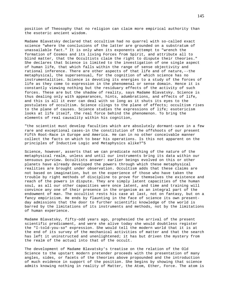position of Theosophy that no religion can claim more empirical authority than the esoteric ancient wisdom.

Madame Blavatsky declared that occultism had no quarrel with so-called exact science "where the conclusions of the latter are grounded on a substratum of unassailable fact." It is only when its exponents attempt to "wrench the formation of Cosmos and its living Forces from Spirit, and attribute all to blind matter, that the Occultists claim the right to dispute their theories." She declares that Science is limited to the investigation of one single aspect of human life, that which falls within the range of sense objectivity and rational inference. There are other aspects of that life and of nature,--the metaphysical, the supersensual, for the cognition of which science has no instrumentalities. Science is devoting its energies to a study of the forces of life as they come to expression in the phenomenal or sense domain. Hence it is constantly viewing nothing but the residuary effects of the activity of such forces. These are but the shadow of reality, says Madame Blavatsky. Science is thus dealing only with appearances, hints, adumbrations, and effects of life, and this is all it ever can deal with so long as it shuts its eyes to the postulates of occultism. Science clings to the plane of effects; occultism rises to the plane of causes. Science studies the expressions of life; esotericism looks at life itself, the real force behind the phenomenon. To bring the elements of real causality within his cognition,

"the scientist must develop faculties which are absolutely dormant-save in a few rare and exceptional cases-in the constitution of the offshoots of our present Fifth Root-Race in Europe and America. He can in no other conceivable manner collect the facts on which to bear his operations. Is this not apparent on the principles of Inductive Logic and Metaphysics alike?"5

Science, however, asserts that we can predicate nothing of the nature of the metaphysical realm, unless and until our instruments bring its data within our sensuous purview. Occultists answer: earlier beings evolved on this or other planets have already developed the powers through which these metaphysical realities are brought under observation. Occultism adds that these claims are not based on imagination, but on the experience of those who have taken the trouble by right methods of discipline to prove for themselves the existence and reach of the powers in dispute. They are simply latent capacities of the human soul, as all our other capacities were once latent, and time and training will convince any one of their presence in the organism as an integral part of the endowment of man. The occultist rests his case at last, not on fantasy, but on a fancy empiricism. He ends by flaunting in the face of science its own presentday admissions that the door to further scientific knowledge of the world is barred by the limitations of its instruments and methods, not by the limitations of human experience.

Madame Blavatsky, fifty-odd years ago, prophesied the arrival of the present scientific predicament, and were she alive today she would doubtless register the "I-told-you-so" expression. She would tell the modern world that it is at the end of its survey of the mechanical activities of matter and that the search has left it uninstructed and unenlightened; it has but driven the mystery from the realm of the actual into that of the occult.

The development of Madame Blavatsky's treatise on the relation of the Old Science to the upstart modern pretender proceeds with the presentation of many angles, sides, or facets of the theories above propounded and the introduction of much evidence in support of the position. She begins by showing that science admits knowing nothing in reality of Matter, the Atom, Ether, Force. The atom is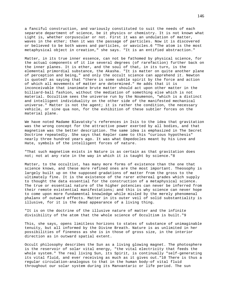a fanciful construction, and variously constituted to suit the needs of each separate department of science, be it physics or chemistry. It is not known what Light is, whether corpuscular or not. First it was an undulation of matter, waves in the ether; then it was the passage of particles. Now it is discovered or believed to be both waves and particles, or wavicles.6 "The atom is the most metaphysical object in creation," she says. "It is an entified abstraction."

Matter, in its true inner essence, can not be fathomed by physical science, for the actual components of it lie several degrees (of rarefaction) further back on the inner planes. It is ether, and the soul of that, in its turn, is the elemental primordial substance, the Akasha. "It is matter on quite another plane of perception and being," and only the occult science can apprehend it. Newton is quoted7 as saying that "there is some subtle spirit by the force and action of which all movements of matter are determined." He adds that it is inconceivable that inanimate brute matter should act upon other matter in the billiard-ball fashion, without the mediation of something else which is not material. Occultism sees the universe run by the Noumenon, "which is a distinct and intelligent individuality on the other side of the manifested mechanical universe." Matter is not the agent; it is rather the condition, the necessary vehicle, or sine qua non, for the exhibition of these subtler forces on the material plane.

We have noted Madame Blavatsky's references in Isis to the idea that gravitation was the wrong concept for the attractive power exerted by all bodies, and that magnetism was the better description. The same idea is emphasized in The Secret Doctrine repeatedly. She says that Kepler came to this "curious hypothesis" nearly three hundred years ago. It was what Empedocles meant by his Love and Hate, symbols of the intelligent forces of nature.

"That such magnetism exists in Nature is as certain as that gravitation does not; not at any rate in the way in which it is taught by science."8

Matter, to the occultist, has many more forms of existence than the one that science knows, and these more refined ones are the most important. Theosophy is largely built up on the supposed gradations of matter from the gross to the ultimately fine. It is the existence of the rarer ethereal grades which supply to thought the data essential for the construction of a metaphysical science. The true or essential nature of the higher potencies can never be inferred from their remote existential manifestations; and this is why science can never hope to come upon more fundamental knowledge while misled by the merely phenomenal phalanx of outward effects. Matter in its outer veil of solid substantiality is illusive, for it is the dead appearance of a living thing.

"It is on the doctrine of the illusive nature of matter and the infinite divisibility of the atom that the whole science of Occultism is built."9

This, she says, opens limitless horizons to states of substance of unimaginable tenuity, but all informed by the Divine Breath. Nature is as unlimited in her possibilities of fineness as she is in those of gross size, in the interior direction as in outward spatial extent.

Occult philosophy describes the Sun as a living glowing magnet. The photosphere is the reservoir of solar vital energy, "the vital electricity that feeds the whole system." The real living Sun, its Spirit, is continually "self-generating its vital fluid, and ever receiving as much as it gives out."10 There is thus a regular circulation-analogous to that in the human body-of vital fluid throughout our solar system during its Manvantaric or life period. The sun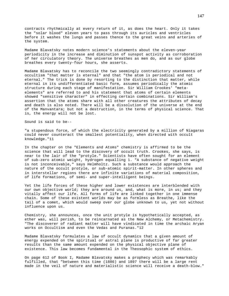contracts rhythmically at every return of it, as does the heart. Only it takes the "solar blood" eleven years to pass through its auricles and ventricles before it washes the lungs and passes thence to the great veins and arteries of the system.

Madame Blavatsky notes modern science's statements about the eleven-year periodicity in the increase and diminution of sunspot activity as corroboration of her circulatory theory. The universe breathes as men do, and as our globe breathes every twenty-four hours, she asserts.

Madame Blavatsky has to reconcile the two seemingly contradictory statements of occultism "that matter is eternal" and that "the atom is periodical and not eternal." The trick is done by resorting to the distinction that matter, while eternal in its undifferentiated basic form, assumes periodically the atomic structure during each stage of manifestation. Sir William Crookes' "metaelements" are referred to and his statement that atoms of certain elements showed "sensitive character" in effecting certain combinations. Sir William's assertion that the atoms share with all other creatures the attributes of decay and death is also noted. There will be a dissolution of the universe at the end of the Manvantara; but not a destruction, in the terms of physical science. That is, the energy will not be lost.

Sound is said to be--

"a stupendous force, of which the electricity generated by a million of Niagaras could never counteract the smallest potentiality, when directed with occult knowledge."11

In the chapter on the "Elements and Atoms" chemistry is affirmed to be the science that will lead to the discovery of occult truth. Crookes, she says, is near to the lair of the "protyle." Scientists have often sought for an element of sub-zero atomic weight, hydrogen equalling 1. "A substance of negative weight is not inconceivable," says Helmholtz. Such a substance would approach the nature of the occult protyle, or sub-atomic spirit-matter. In other spheres and in interstellar regions there are infinite variations of material composition, of life formations, of semi- and super-intelligent beings.

Yet the life forces of these higher and lower existences are interblended with our own objective world; they are around us, and, what is more, in us; and they vitally affect our life. All forms of life are linked together in one immense chain. Some of these existent worlds may be as formless as Breathe, like the tail of a comet, which would sweep over our globe unknown to us, yet not without influence upon us.

Chemistry, she announces, once the unit protyle is hypothetically accepted, as ether was, will perish, to be reincarnated as the New Alchemy, or Metachemistry. "The discoverer of radiant matter will have vindicated in time the archaic Aryan works on Occultism and even the Vedas and Puranas."12

Madame Blavatsky formulates a law of occult dynamics that a given amount of energy expended on the spiritual or astral plane is productive of far greater results than the same amount expended on the physical objective plane of existence. This law becomes fundamental in the Theosophic system of ethics.

On page 612 of Book I, Madame Blavatsky makes a prophecy which was remarkably fulfilled, that "between this time (1886) and 1897 there will be a large rent made in the veil of nature and materialistic science will receive a death-blow."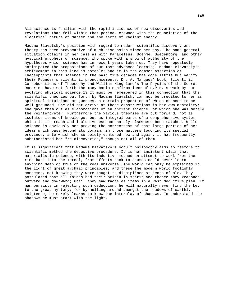All science is familiar with the rapid incidence of new discoveries and revelations that fell within that period, crowned with the enunciation of the electrical nature of matter and the facts of radiant energy.

Madame Blavatsky's position with regard to modern scientific discovery and theory has been provocative of much discussion since her day. The same general situation obtains in her case as with Paracelsus, Boehme, Swedenborg, and other mystical prophets of science, who spoke with a show of authority of the hypotheses which science has in recent years taken up. They have repeatedly anticipated the propositions of our most advanced learning. Madame Blavatsky's achievement in this line is notable; and it is the common assertion of Theosophists that science in the past five decades has done little but verify their Founder's scientific pronouncements. Dr. A. Marques' book, Scientific Corroborations of Theosophy and William Kingsland's The Physics of the Secret Doctrine have set forth the many basic confirmations of H.P.B.'s work by our evolving physical science.13 It must be remembered in this connection that the scientific theories put forth by Madame Blavatsky can not be credited to her as spiritual intuitions or guesses, a certain proportion of which chanced to be well grounded. She did not arrive at these constructions in her own mentality; she gave them out as elaborations of an ancient science, of which she was merely the reinterpreter. Furthermore the various theories are put forward, not as isolated items of knowledge, but as integral parts of a comprehensive system which in its reach and inclusiveness has hardly elsewhere been matched. While science is obviously not proving the correctness of that large portion of her ideas which pass beyond its domain, in those matters touching its special province, into which she so boldly ventured now and again, it has frequently substantiated her "re-discoveries," though not all of them.

It is significant that Madame Blavatsky's occult philosophy aims to restore to scientific method the deductive procedure. It is her insistent claim that materialistic science, with its inductive method-an attempt to work from the rind back into the kernel, from effects back to causes-could never learn anything deep or true of the real universe. The world can only be explained in the light of great archaic principles; and these the modern world foolishly contemns, not knowing they were taught to disciplined students of old. They postulated that all things had their origin in spirit and thence they reasoned outward and downward; until they saw facts as items in a vast deductive plan. If man persists in rejecting such deduction, he will naturally never find the key to the great mystery; for by mulling around amongst the shadows of earthly existence, he merely learns to know the interplay of shadows. To understand the shadows he must start with the light.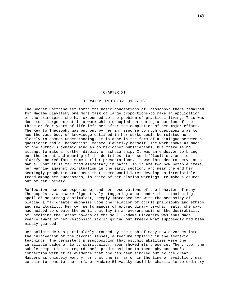# CHAPTER XI

### THEOSOPHY IN ETHICAL PRACTICE

The Secret Doctrine set forth the basic conceptions of Theosophy; there remained for Madame Blavatsky one more task of large proportions-to make an application of the principles she had expounded to the problem of practical living. This was done to a large extent in a work which occupied her during a portion of the three or four years of life left her after the completion of her major effort. The Key to Theosophy was put out by her in response to much questioning as to how the vast body of knowledge outlined in her works could be related more closely to common understanding. It is done in the form of a dialogue between a questioner and a Theosophist, Madame Blavatsky herself. The work shows as much of the author's dynamic mind as do her other publications, but there is no attempt to make a further display of scholarship. It was an endeavor to bring out the intent and meaning of the doctrines, to ease difficulties, and to clarify and reënforce some earlier presentations. It was intended to serve as a manual, but it is far from elementary in parts. In it are two now notable items; her warning against Spiritualism in the early section, and near the end her seemingly prophetic statement that there would later develop an irresistible trend among her successors, in spite of her clarion warnings, to make a church out of her Society.

Reflection, her own experience, and her observations of the behavior of many Theosophists, who were figuratively staggering about under the intoxicating spell of so strong a stimulant, deeply impressed her with the necessity of placing a far greater emphasis upon the relation of occult philosophy and ethics and spirituality. Her own performances of extraordinary psychic feats, she saw, had helped to create the peril that lay in an overemphasis on the desirability of unfolding the latent powers of the soul. Madame Blavatsky was thus made keenly aware of her responsibility in giving out freely what supposedly had been wisely guarded.

Her solicitude was particularly aroused by the rush of many new devotees into the cultivation of the psychic senses, a feature implicit in the esoteric teachings. The persistent presupposition that psychic abilities were the infallible badge of lofty spirituality, soon showed its presence. Then, too, the subtle temptation to regard one's predisposition to Theosophy and one's connection with it as evidence that one has been singled out by the great Masters as uniquely worthy, or that one is far on in the line of evolution, was certain to come to the surface. Madame Blavatsky could be charitable to ordinary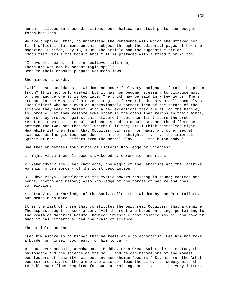human frailties in these directions, but shallow spiritual pretension bought forth her lash.

We are prepared, then, to understand the vehemence with which she uttered her first official statement on this subject through the editorial pages of her new magazine, Lucifer, May 15, 1888. The article had the suggestive title: "Occultism versus the Occult Arts." It is prefaced with a triad from Milton:

"I have oft heard, but ne'er believed till now, There are who can by potent magic spells Bend to their crooked purpose Nature's laws."

She minces no words.

"Will these candidates to wisdom and power feel very indignant if told the plain truth? It is not only useful, but it has now become necessary to disabuse most of them and before it is too late. The truth may be said in a few words: There are not in the West half a dozen among the fervent hundreds who call themselves 'Occultists' who have even an approximately correct idea of the nature of the science they seek to master. With a few exceptions they are all on the highway to Sorcery. Let them restore some order in the chaos that reigns in their minds, before they protest against this statement. Let them first learn the true relation in which the occult sciences stand to occultism, and the difference between the two, and then feel wrathful if they still think themselves right. Meanwhile let them learn that Occultism differs from magic and other secret sciences as the glorious sun does from the rushlight, . . . as the immortal Spirit of Man . . . differs from the mortal clay . . . the human body."

She then enumerates four kinds of Esoteric Knowledge or Sciences:

1. Yajna-Vidya:1 Occult powers awakened by ceremonies and rites.

2. Mahavidya:2 The Great Knowledge, the magic of the Kabalists and the Tantrika worship, often sorcery of the worst description.

3. Guhya-Vidya:3 Knowledge of the mystic powers residing in sound; mantras and hymns, rhythm and melody; also knowledge of the forces of nature and their correlation.

4. Atma-Vidya:4 Knowledge of the Soul, called true wisdom by the Orientalists, but means much more.

It is the last of these that constitutes the only real Occultism that a genuine Theosophist ought to seek after. "All the rest are based on things pertaining to the realm of material Nature, however invisible that essence may be, and however much it has hitherto eluded the grasp of science."

The article continues:

"Let him aspire to no higher than he feels able to accomplish. Let him not take a burden on himself too heavy for him to carry.

Without ever becoming a Mahatma, a Buddha, or a Great Saint, let him study the philosophy and the science of the Soul, and he can become one of the modest benefactors of humanity, without any superhuman 'powers.' Siddhis (or the Arhat powers) are only for those who are able to 'lead the life,' to comply with the terrible sacrifices required for such a training, and . . . to the very letter.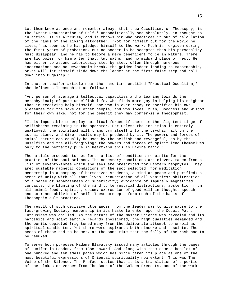Let them know at once and remember always that true Occultism, or Theosophy, is the 'Great Renunciation of Self,' unconditionally and absolutely, in thought as in action. It is Altruism, and it throws him who practices it out of calculation of the ranks of the living altogether. 'Not for himself but for the world he lives,' as soon as he has pledged himself to the work. Much is forgiven during the first years of probation. But no sooner is he accepted than his personality must disappear, and he has to become a mere beneficent force in Nature. There are two poles for him after that, two paths, and no midward place of rest. He has either to ascend laboriously step by step, often through numerous incarnations and no Devachanic break, the golden ladder leading to Mahatmaship, or-he will let himself slide down the ladder at the first false step and roll down into Dugaship."

In another Lucifer article near the same time entitled "Practical Occultism," she defines a Theosophist as follows:

"Any person of average intellectual capacities and a leaning towards the metaphysical; of pure unselfish life, who finds more joy in helping his neighbor than in receiving help himself; one who is ever ready to sacrifice his own pleasures for the sake of other people; and who loves Truth, Goodness and Wisdom for their own sake, not for the benefit they may confer-is a Theosophist.

"It is impossible to employ spiritual forces if there is the slightest tinge of selfishness remaining in the operator. For unless the intuition is entirely unalloyed, the spiritual will transform itself into the psychic, act on the astral plane, and dire results may be produced by it. The powers and forces of animal nature can equally be used by the selfish and revengeful, as by the unselfish and the all-forgiving; the powers and forces of spirit lend themselves only to the perfectly pure in heart-and this is Divine Magic."

The article proceeds to set forth a list of conditions requisite for the practice of the soul science. The necessary conditions are eleven, taken from a list of seventy-three which she says are prescribed for Eastern neophytes. They are: suitable magnetic conditions of the spot selected (for meditation); membership in a company of harmonized students; a mind at peace and purified; a sense of unity with all that lives; renunciation of all vanities; obliteration of a sense of separateness or superiority; avoidance of impurely magnetized contacts; the blunting of the mind to terrestrial distractions; abstention from all animal foods, spirits, opium; expression of good will in thought, speech, and act; and oblivion of self. These precepts form much of the basis of Theosophic cult practice.

The result of such decisive utterances from the leader was to give pause to the fast-growing Society membership in its haste to enter upon the Occult Path. Enthusiasm was chilled. As the nature of the Master Science was revealed and its hardships and scant earthly rewards envisioned, the high qualities demanded and the perils depicted frightened many from the deliberate attempt to enroll as spiritual candidates. Yet there were aspirants both sincere and resolute. The needs of these had to be met, at the same time that the folly of the rash had to be rebuked.

To serve both purposes Madame Blavatsky issued many articles through the pages of Lucifer in London, from 1888 onward. And along with them came a booklet of one hundred and ten small pages which has since taken its place as one of the most beautiful expressions of Oriental spirituality now extant. This was The Voice of the Silence. The Preface states that it is a translation of a portion of the slokas or verses from The Book of the Golden Precepts, one of the works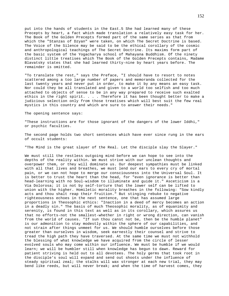put into the hands of students in the East.5 She had learned many of these Precepts by heart, a fact which made translation a relatively easy task for her. The Book of the Golden Precepts formed part of the same series as that from which the "Stanzas of Dzyan" were taken, on which The Secret Doctrine is based. The Voice of the Silence may be said to be the ethical corollary of the cosmic and anthropological teachings of The Secret Doctrine. Its maxims form part of the basic system of the Yogacharya school of Mahayana Buddhism. Of the ninety distinct little treatises which The Book of the Golden Precepts contains, Madame Blavatsky states that she had learned thirty-nine by heart years before. The remainder is omitted.

"To translate the rest," says the Preface, "I should have to resort to notes scattered among a too large number of papers and memoranda collected for the last twenty years and never put in order, to make it by any means an easy task. Nor could they be all translated and given to a world too selfish and too much attached to objects of sense to be in any way prepared to receive such exalted ethics in the right spirit. . . . Therefore it has been thought better to make a judicious selection only from those treatises which will best suit the few real mystics in this country and which are sure to answer their needs."

### The opening sentence says:

"These instructions are for those ignorant of the dangers of the lower Iddhi," or psychic faculties.

The second page holds two short sentences which have ever since rung in the ears of occult students:

"The Mind is the great slayer of the Real. Let the disciple slay the Slayer."

We must still the restless outgoing mind before we can hope to see into the depths of the reality within. We must strive with our unclean thoughts and overpower them, or they will dominate us. Our deepest sympathies must be linked with all that lives and breathes, we must lend our ears to every cry of mortal pain, or we can not hope to merge our consciousness into the Universal Soul. It is better to trust the heart than the head, for "even ignorance is better than head-learning with no Soul-wisdom to illuminate and guide it." Asceticism is a Via Dolorosa; it is not by self-torture that the lower self can be lifted to union with the higher. Homiletic morality breathes in the following: "Sow kindly acts and thou shalt reap their fruition." But stinging rebuke to negative righteousness echoes in the next sentence, one that has assumed large proportions in Theosophic ethics: "Inaction in a deed of mercy becomes an action in a deadly sin." The basis of much Theosophic morality, as of equanimity and serenity, is found in this text as well as in its corollary, which assures us that no efforts-not the smallest-whether in right or wrong direction, can vanish from the world of causes. "If sun thou canst not be, then be the humble planet" is our admonition to stay modestly within the sphere of our capabilities, and not strain after things unmeet for us. We should humble ourselves before those greater than ourselves in wisdom, seek earnestly their counsel and strive to tread the high path they have traversed. At the same time we must not withhold the blessing of what knowledge we have acquired from the circle of lesser evolved souls who may come within our influence. We must be humble if we would learn; we will be humbler still when knowledge has begun to dawn. Reward for patient striving is held out to all devotees. The holy germs that took root in the disciple's soul will expand and send out shoots under the influence of steady spiritual zeal; the stalks will wax stronger at each new trial, they may bend like reeds, but will never break; and when the time of harvest comes, they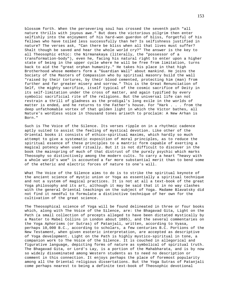blossom forth. When the persevering soul has crossed the seventh path "all nature thrills with joyous awe." But does the victorious pilgrim then enter selfishly into the enjoyment of his hard-won guerdon of bliss, forgetful of his fellows who have toiled less successfully than he? Is selfishness justified in nature? The verses ask, "Can there be bliss when all that lives must suffer? Shalt though be saved and hear the whole world cry?" The answer is the key to all Theosophic ethic: the Nirmanakaya (literally, the "possessor of a transformation-body"), even he, facing his natural right to enter upon a higher state of being in the upper cycle where he will be free from limitation, turns back to aid the "great orphan humanity." He takes his place in that high Brotherhood whose members form a "Guardian Wall" about mankind. He joins the Society of the Masters of Compassion who by spiritual masonry build the wall "raised by their tortures, by their blood cemented, protecting him (man) from further and far greater misery and sorrow." This is the Great Renunciation of Self, the mighty sacrifice, itself typical of the cosmic sacrifice of Deity in its self-limitation under the cross of matter, and again typified by every symbolic sacrificial rite of the religions. But the universal life can not restrain a thrill of gladness as the prodigal's long exile in the worlds of matter is ended, and he returns to the Father's house. For "Hark . . . from the deep unfathomable vortex of that golden light in which the Victor bathes, all Nature's wordless voice in thousand tones ariseth to proclaim: A New Arhan is Born."

Such is The Voice of the Silence. Its verses ripple on in a rhythmic cadence aptly suited to assist the feeling of mystical devotion. Like other of the Oriental books it consists of ethico-spiritual maxims, which hardly so much attempt to give a systematic exposition of moral principles, as to reduce the spiritual essence of these principles to a mantric form capable of exerting a magical potency when used ritually. But it is not difficult to discover in the book the mainspring of much of that distrust of the purely psychic which marks Theosophy so distinctively among the modern cults. To carry a heart "heavy with a whole world's woe" is accounted a far more substantial merit than to bend some of the etheric and electric forces of nature to one's will.

What The Voice of the Silence aims to do is to strike the spiritual keynote of the ancient science of mystic union or Yoga as essentially a spiritual technique and not a system of magical practices. It is not at all a text-book of the great Yoga philosophy and its art, although it may be said that it in no way clashes with the general Oriental teachings on the subject of Yoga. Madame Blavatsky did not find it needful to formulate a distinctive technique of her own for the cultivation of the great science.

The Theosophical science of Yoga will be found delineated in three or four books which, along with The Voice of the Silence, are: the Bhagavad Gita, Light on the Path (a small collection of precepts alleged to have been dictated mystically by a Master to Mabel Collins in London about 1885), and the several commentaries on the Yoga Aphorisms (or Sutras) of Patanjali, written, according to Vyasa, perhaps 10,000 B.C., according to scholars, a few centuries B.C. Portions of the New Testament, when given esoteric interpretation, are accepted as descriptive of Yoga development. Light on the Path is highly mystico-spiritual in tone, a companion work to The Voice of the Silence. It is couched in allegorical and figurative language, depicting forms of nature as symbolical of spiritual truth. The Bhagavad Gita, or Lord's Lay, is a portion of the Mahabharata, and is by now so widely disseminated among Western students as to need no description or comment in this connection. It enjoys perhaps the place of foremost popularity among all the Oriental religious dissertations. But the Yoga Sutras of Patanjali come perhaps nearest to being a definite text-book of Theosophic devotional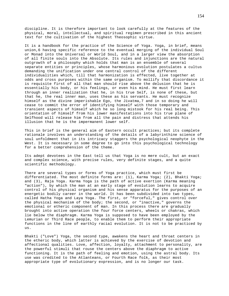discipline. It is therefore important to look carefully at the features of the physical, moral, intellectual, and spiritual regimen prescribed in this ancient text for the cultivation of the highest Theosophic virtue.

It is a handbook for the practice of the Science of Yoga. Yoga, in brief, means union,6 having specific reference to the eventual merging of the individual Soul or Monad into the Universal or World Soul, and in a larger view the absorption of all finite souls into the Absolute. Its rules and injunctions are the natural outgrowth of a philosophy which holds that man is an ensemble of several separate entities or principles, whose harmonious evolution postulates a cultus demanding the unification under one central control of the different individualities which, till that harmonization is effected, live together at odds and cross purposes within the same organism. To mollify that discordance it is requisite first of all that man should rise above the delusion that he is essentially his body, or his feelings, or even his mind. He must first learn through an inner realization that he, in his true Self, is none of these, but that he, the real inner man, uses these as his servants. He must recognize himself as the divine imperishable Ego, the Jivatma,7 and in so doing he will cease to commit the error of identifying himself with those temporary and transient aspects of himself which he so long mistook for his real being. This orientation of himself from his lower manifestations into his true plane of Selfhood will release him from all the pain and distress that attends his illusion that he is the impermanent lower self.

This in brief is the general aim of Eastern occult practices; but its complete rationale involves an understanding of the details of a labyrinthine science of soul unfoldment that in its intricacy staggers the psychological neophyte in the West. It is necessary in some degree to go into this psychological technology for a better comprehension of the theme.

Its adept devotees in the East tell us that Yoga is no mere cult, but an exact and complex science, with precise rules, very definite stages, and a quite scientific methodology.

There are several types or forms of Yoga practice, which must first be differentiated. The most definite forms are: (1), Karma Yoga; (2), Bhakti Yoga; and (3), Raja Yoga. Karma Yoga is the path of active exertion (Karma meaning "action"), by which the man at an early stage of evolution learns to acquire control of his physical organism and his sense apparatus for the purposes of an energetic bodily career in the world. It has been subdivided into two types, called Hatha Yoga and Laya Yoga. The first, or "forceful," gives control over the physical mechanism of the body; the second, or "inactive," governs the emotional or etheric component of man. In this process there are gradually brought into active operation the four force centers, wheels or chakras, which lie below the diaphragm. Karma Yoga is supposed to have been employed by the Lemurian or Third Race people, to enable them to perform their appropriate functions in the line of earthly racial evolution. It is not to be practiced by us.

Bhakti ("Love") Yoga, the second type, awakens the heart and throat centers in the etheric body, which latter is achieved by the exercise of devotion and affectional qualities. Love, affection, loyalty, attachment to personality, are the powerful stimuli that rouse the centers above the diaphragm to active functioning. It is the path of feeling and emotion, using the astral body. Its use was credited to the Atlanteans, or Fourth Race folk, as their most appropriate type of evolutionary expression, and is no longer our task.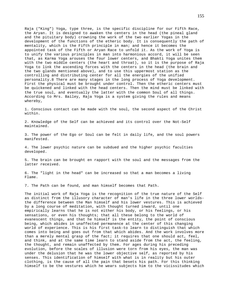Raja ("King") Yoga, type three, is the specific discipline for our Fifth Race, the Aryan. It is designed to awaken the centers in the head (the pineal gland and the pituitary body) crowning the work of the two earlier Yogas in the development of the functions of the etheric body. It is consequently the path of mentality, which is the Fifth principle in man; and hence it becomes the appointed task of the Fifth or Aryan Race to unfold it. As the work of Yoga is to unify the various principles in man into harmonious accord, it will be seen that, as Karma Yoga arouses the four lower centers, and Bhakti Yoga unites them with the two middle centers (the heart and throat), so it is the purpose of Raja Yoga to link the ascending forces with the centers in the head (the brain and the two glands mentioned above), and to use this uppermost station as the controlling and distributing center for all the energies of the unified personality.8 There are many stages in the long process of Yoga development. First the physical must be brought under control. Then the etheric centers must be quickened and linked with the head centers. Then the mind must be linked with the true soul, and eventually the latter with the common Soul of all things. According to Mrs. Bailey, Raja Yoga is a system giving the rules and means whereby,

1. Conscious contact can be made with the soul, the second aspect of the Christ within.

2. Knowledge of the Self can be achieved and its control over the Not-Self maintained.

3. The power of the Ego or Soul can be felt in daily life, and the soul powers manifested.

4. The lower psychic nature can be subdued and the higher psychic faculties developed.

5. The brain can be brought en rapport with the soul and the messages from the latter received.

6. The "light in the head" can be increased so that a man becomes a living Flame.

7. The Path can be found, and man himself becomes that Path.

The initial work of Raja Yoga is the recognition of the true nature of the Self as distinct from the illusory character of man's life in the three lower worldsthe difference between the Man himself and his lower vestures. This is achieved by a long course of meditation, with thought turned inward, until one empirically learns that he is not either his body, or his feelings, or his sensations, or even his thoughts; that all these belong to the world of evanescent things, and that he himself is the entity, the point of conscious being, which abides in unaffected permanence at the center of this changing world of experience. This is his first task-to learn to distinguish that which comes into being and goes out from that which abides. And the work involves more than a merely mental grasp of the fact; it requires that one should act, feel, and think, and at the same time learn to stand aside from the act, the feeling, the thought, and remain unaffected by them. For ages during his preceding evolution, before the scales of illusion were torn from his eyes, the man was under the delusion that he was the lower objective self, as reported by his senses. This identification of himself with what is in reality but his outer clothing, is the cause of all the pain that besets his path. For this thinking himself to be the vestures which he wears subjects him to the vicissitudes which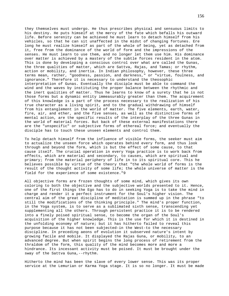they themselves must undergo. He thus prescribes physical and sensuous limits to his destiny. He puts himself at the mercy of the fate which befalls his outward life. Before serenity can be achieved he must learn to detach himself from his vehicles, so that he can sit unaffected in the midst of changing fortunes. Ere long he must realize himself as part of the whole of being, yet as detached from it, free from the dominance of the world of form and the impressions of the senses. He must learn to use them, and no longer let them use him. His dominance over matter is achieved by a mastery of the subtle forces resident in the atom. This is done by developing a conscious control over what are called the Gunas, the three qualities of matter, which are Sattva, Rajas, and Tamas; or rhythm, action or mobility, and inertia. In Indian philosophy, however, these three terms mean, rather, "goodness, passion, and darkness," or "virtue, foulness, and ignorance." Therefore it is necessary to understand the theosophic interpretation of Gunas. Eventually the disciple must be able to command the wind and the waves by instituting the proper balance between the rhythmic and the inert qualities of matter. Thus he learns to know of a surety that he is not those forms but a dynamic entity immeasurably greater than them. The acquirement of this knowledge is a part of the process necessary to the realization of his true character as a living spirit, and to the gradual withdrawing of himself from his entanglement in the world of matter. The five elements, earth, water, fire, air, and ether, and the five senses, as well as the distinctive forms of mental action, are the specific results of the interplay of the three Gunas in the world of material forces. But back of these external manifestations there are the "unspecific" or subjective forms of ethereal force; and eventually the disciple has to touch these unseen elements and control them.

To help detach himself from the influence of visible forms, the seeker must aim to actualize the unseen force which operates behind every form, and thus look through and beyond the form, which is but the effect of some cause, to that cause itself. The crucial operation in every Yoga practice is to work back from effects, which are material and secondary, to causes, which are spiritual and primary; from the material periphery of life in to its spiritual core. This he believes possible by virtue of the theory that "the whole world of forms is the result of the thought activity of some life; the whole universe of matter is the field for the experience of some existence."9

All objective forms are frozen thoughts of some mind, which gives its own coloring to both the objective and the subjective worlds presented to it. Hence, one of the first things the Ego has to do in seeking Yoga is to take the mind in charge and render it a perfect instrument for the Soul's higher vision. The central aim of the great discipline of meditation is summed up in the phrase "to still the modifications of the thinking principle." The mind's proper function, in the Yoga system, is to serve as a sublimated sixth sense, transcending yet supplementing all the others. Through persistent practice it is to be rendered into a finely poised spiritual sense, to become the organ of the Soul's acquisition of the higher knowledge. This is the use for which it is destined in the unfolding economy of nature; but it has hitherto failed to reveal this purpose because it has not been subjected-in the West-to the necessary discipline. In preceding aeons of evolution it subserved nature's intent by growing facile and mobile. It displayed the Rajas Guna, or mobility, to an advanced degree. But when spirit begins the long process of retirement from the thraldom of the form, this quality of the mind becomes more and more a hindrance. Its incessant activity must be poised. It must be brought under the sway of the Sattva Guna,--rhythm.

Hitherto the mind has been the slave of every lower sense. This was its proper service at the Lemurian or Karma Yoga stage. It is so no longer. It must be made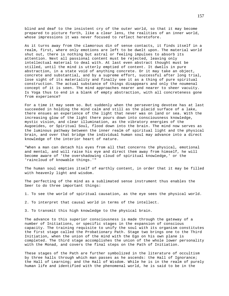blind and deaf to the insistent cry of the outer world, so that it may become prepared to picture forth, like a clear lens, the realities of an inner world, whose impressions it was never focused to reflect heretofore.

As it turns away from the clamorous din of sense contacts, it finds itself in a realm, first, where only emotions are left to be dwelt upon. The material world shut out, there is nothing but astral or feeling impulses to absorb its attention. Next all passional content must be rejected, leaving only intellectual material to deal with. At last even abstract thought must be stilled, until the mind is utterly emptied of content. It dwells in pure abstraction, in a state void of anything concrete. Or it may take an object, concrete and substantial, and by a supreme effort, successful after long trial, lose sight of its materiality and finally see it as a thing of pure spiritual construction. The actual substance of things disappears and only the noumenal concept of it is seen. The mind approaches nearer and nearer to sheer vacuity. Is Yoga thus to end in a blank of empty abstraction, with all concreteness gone from experience?

For a time it may seem so. But suddenly when the persevering devotee has at last succeeded in holding the mind calm and still as the placid surface of a lake, there ensues an experience of the light that never was on land or sea. With the increasing glow of the light there pours down into consciousness knowledge, mystic vision, and clear illumination, as the vibratory energies of the Augoeides, or Spiritual Soul, flood down into the brain. The mind now serves as the luminous pathway between the inner realm of spiritual light and the physical brain, and over that bridge the individual human soul may advance into a direct knowledge of the interior heart of nature.

"When a man can detach his eyes from all that concerns the physical, emotional and mental, and will raise his eye and direct them away from himself, he will become aware of 'the overshadowing cloud of spiritual knowledge,' or the 'raincloud of knowable things.'"

The human soul empties itself of earthly content, in order that it may be filled with heavenly light and wisdom.

The perfecting of the mind as a sublimated sense instrument thus enables the Seer to do three important things:

1. To see the world of spiritual causation, as the eye sees the physical world.

2. To interpret that causal world in terms of the intellect.

3. To transmit this high knowledge to the physical brain.

The advance to this superior consciousness is made through the gateway of a number of Initiations, or specific stages in the expansion of conscious capacity. The training requisite to unify the soul with its organism constitutes the first stage called the Probationary Path. Stage two brings one to the Third Initiation, when the union of the mind with the Ego on his own plane is completed. The third stage accomplishes the union of the whole lower personality with the Monad, and covers the final steps on the Path of Initiation.

These stages of the Path are further symbolized in the literature of occultism by three halls through which man passes as he ascends: the Hall of Ignorance; the Hall of Learning; and the Hall of Wisdom. While he is in the realm of purely human life and identified with the phenomenal world, he is said to be in the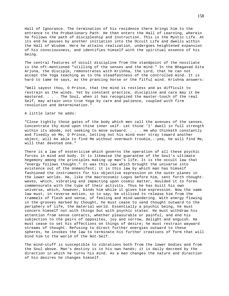Hall of Ignorance. The termination of his residence there brings him to the entrance to the Probationary Path. He then enters the Hall of Learning, wherein he follows the path of discipleship and instruction. This is the Mystic Life. At its end he passes by another initiation into the Occult Life and dwells within the Hall of Wisdom. Here he attains realization, undergoes heightened expansion of his consciousness, and identifies himself with the spiritual essence of his being.

The central features of occult discipline from the standpoint of the novitiate is the oft-mentioned "stilling of the senses and the mind." In the Bhagavad Gita Arjuna, the disciple, remonstrates with Krishna, the Lord, that he can not accept the Yoga teaching as to the steadfastness of the controlled mind. It is hard to tame he says, as the prancing horse or the fitful wind. Krishna answers:

"Well sayest thou, O Prince, that the mind is restless and as difficult to restrain as the winds. Yet by constant practice, discipline and care may it be mastered. . . . The Soul, when it has recognized the master-touch of the real Self, may attain unto true Yoga by care and patience, coupled with firm resolution and determination."

# A little later he adds:

"Close tightly those gates of the body which men call the avenues of the senses. Concentrate thy mind upon thine inner self. Let thine 'I' dwell in full strength within its abode, not seeking to move outward. . . . He who thinketh constantly and fixedly on Me, O Prince, letting not his mind ever stray toward another object, will be able to find Me without overmuch trouble,--yea, he will find Me, will that devoted one."

There is a law of esotericism which governs the operation of all these psychic forces in mind and body. It is likewise the guarantee of the Soul's ultimate hegemony among the principles making up man's life. It is the occult law that "energy follows thought." It was this law which brought the universe into existence out of the Unmanifest; it is this law by which man has himself fashioned the instruments for his objective expression on the outer planes in the lower worlds. He, like the macrocosmic Logos before him, sent forth thoughtwaves, which, vibrating and impacting upon cosmic matter, moulded it to forms commensurate with the type of their activity. Thus he has built his own universe, which, however, binds him while it gives him expression. Now the same law must, in reverse motion, so to say, be utilized to release him from the trammels of flesh and sense, of feeling and mind-wandering. With energy flowing in the grooves marked by thought, he must cease to send thought outward to the periphery of life, the material world. Essentially a psychic being, he must concern himself not with things but with psychic states. He must withdraw his attention from sense contacts, whether pleasurable or painful, and end his subjection to the pairs of opposites, joy and sorrow, delight and anguish. He must cease to set his affections on things of desire; he must restrain wayward streams of thought. Refusing to direct further energies outward to these spheres, he invokes the law to terminate his further creations of form that will bind him to the world of the Not-Self.

The mind-stuff is susceptible to vibrations both from the lower bodies and from the Soul above. Man's destiny is in his own hands; it is daily decreed by the direction in which he turns his mind. As a man changes the nature and direction of his desires he changes himself.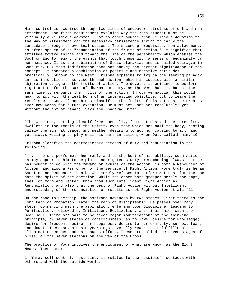Mind-control is acquired through two lines of endeavor: tireless effort and nonattachment. The first requirement explains why the Yoga student must be virtually a religious devotee. From no other source than religious devotion to the Way of Attainment can the necessary persistence spring to carry the candidate through to eventual success. The second prerequisite, non-attachment, is often spoken of as "renunciation of the fruits of action." It signifies that attitude toward things and toward the life of the personality which enables the Soul or Ego to regard the events that touch these with a sense of equanimity or nonchalance. It is the sublimation of Stoic ataraxia, and is called vairagya in Sanskrit. Our term indifference does not convey the correct significance of the concept. It connotes a combination of positive and negative attitudes practically unknown to the West. Krishna explains to Arjuna the seeming paradox in his injunction to service through action, which is coupled with a similar abjuration to ignore the fruits of action. The devotee is enjoined to perform right action for the sake of dharma, or duty, as the West has it, but at the same time to renounce the fruits of the action. In our vernacular this would mean to act with the zeal born of an interesting objective, but to leave the results with God. If one binds himself to the fruits of his actions, he creates ever new Karma for future expiation. He must act, and act resolutely; yet without thought of reward. Says the Bhagavad Gita:

"The wise man, setting himself free, mentally, from actions and their results, dwelleth in the Temple of the Spirit, even that which men call the body, resting calmly therein, at peace, and neither desiring to act nor causing to act, and yet always willing to play well his part in action, when Duty calleth him."10

Krishna clarifies the contradictory demands of duty and renunciation in the following:

". . . he who performeth honorably and to the best of his ability, such Action as may appear to him to be plain and righteous Duty, remembering always that he has nought to do with the reward or fruits of the Action, is both a Renouncer of Action, and also a Performer of the Service of Right Action. More truly is he an Ascetic and Renouncer than he who merely refuses to perform Actions; for the one hath the spirit of the doctrine, while the other hath grasped merely the empty shell of form and letter. Know thou such Intelligent Right Action as Renunciation; and also that the best of Right Action without Intelligent understanding of the renunciation of results is not Right Action at all."11

On the road to Seership, the aspirant advances by two stages. First there is the long Path of Probation; later the Path of Discipleship. He passes over many steps, commencing with the aspiration, entering upon Discipline, leading to Purification, followed by Initiation, Realization, and final union with the Over-soul. There are said to be seven major modifications of the thinking principle, or seven states of consciousness, as follows: desire for knowledge; desire for freedom; desire for happiness; desire to perform duty; sorrow; fear; and doubt. These seven basic yearnings severally reach their fulfillment as illumination ensues upon strenuous effort. These are called the seven stages of bliss, or the seven stations on the Way of the Cross.

The practice of Yoga involves the employment of what are known as the Eight Means. These are:

1. Yama: self-control, restraint; it relates to the disciple's contacts with others and with the outside world.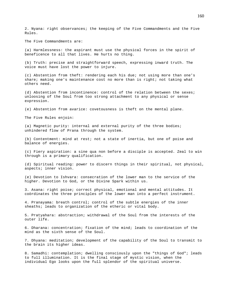2. Nyana: right observances; the keeping of the Five Commandments and the Five Rules.

The Five Commandments are:

(a) Harmlessness: the aspirant must use the physical forces in the spirit of beneficence to all that lives. He hurts no thing.

(b) Truth: precise and straightforward speech, expressing inward truth. The voice must have lost the power to injure.

(c) Abstention from theft: rendering each his due; not using more than one's share; making one's maintenance cost no more than is right; not taking what others need.

(d) Abstention from incontinence: control of the relation between the sexes; unloosing of the Soul from too strong attachment to any physical or sense expression.

(e) Abstention from avarice: covetousness is theft on the mental plane.

The Five Rules enjoin:

(a) Magnetic purity: internal and external purity of the three bodies; unhindered flow of Prana through the system.

(b) Contentment: mind at rest; not a state of inertia, but one of poise and balance of energies.

(c) Fiery aspiration: a sine qua non before a disciple is accepted. Zeal to win through is a primary qualification.

(d) Spiritual reading: power to discern things in their spiritual, not physical, aspects; inner vision.

(e) Devotion to Ishvara: consecration of the lower man to the service of the higher. Devotion to God, or the Divine Spark within us.

3. Asana: right poise; correct physical, emotional and mental attitudes. It coördinates the three principles of the lower man into a perfect instrument.

4. Pranayama: breath control; control of the subtle energies of the inner sheaths; leads to organization of the etheric or vital body.

5. Pratyahara: abstraction; withdrawal of the Soul from the interests of the outer life.

6. Dharana: concentration; fixation of the mind; leads to coordination of the mind as the sixth sense of the Soul.

7. Dhyana: meditation; development of the capability of the Soul to transmit to the brain its higher ideas.

8. Samadhi: contemplation; dwelling consciously upon the "things of God"; leads to full illumination. It is the final stage of mystic vision, when the individual Ego looks upon the full splendor of the spiritual universe.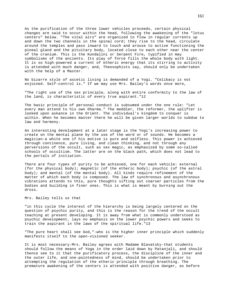As the purification of the three lower vehicles proceeds, certain physical changes are said to occur within the head, following the awakening of the "lotus centers" below. "The vital airs" are organized to flow in regular currents up and down the two channels in the spinal cord; they rise to the head, circulate around the temples and pass inward to touch and arouse to active functioning the pineal gland and the pituitary body, located close to each other near the center of the cranium. This is the Kundalini or Serpent Fire, typified in may symbolisms of the ancients. Its play of force fills the whole body with light. It is so high-powered a current of etheric energy that its stirring to activity is attended with much danger, and, Theosophists say, should only be undertaken with the help of a Master.

No bizarre style of ascetic living is demanded of a Yogi. "Celibacy is not enjoined. Self-control is." If we may use Mrs. Bailey's words once more,

"The right use of the sex principle, along with entire conformity to the law of the land, is characteristic of every true aspirant."12

The basic principle of personal conduct is subsumed under the one rule: "Let every man attend to his own Dharma." The meddler, the reformer, the uplifter is looked upon askance in the Orient. The individual's kingdom to conquer is within. When he becomes master there he will be given larger worlds to subdue to law and harmony.

An interesting development at a later stage is the Yogi's increasing power to create on the mental plane by the use of the word or of sounds. He becomes a magician-a white one if his motive is pure and selfless. This power is achieved through continence, pure living, and clean thinking, and not through any perversions of the occult, such as sex magic, as emphasized by some so-called schools of occultism. The latter are on the black path, which does not lead to the portals of initiation.

There are four types of purity to be achieved, one for each vehicle: external (for the physical body); magnetic (of the etheric body); psychic (of the astral body); and mental (of the mental body). All kinds require refinement of the matter of which each body is composed. The law of synchronous and asynchronous vibrations attends to this, pure thoughts sifting out coarser particles from the bodies and building in finer ones. This is what is meant by burning out the dross.

Mrs. Bailey tells us that

"in this cycle the interest of the hierarchy is being largely centered on the question of psychic purity, and this is the reason for the trend of the occult teaching at present developing. It is away from what is commonly understood as psychic development, lays no emphasis on the lower psychic powers and seeks to train the aspirant in the laws of the spiritual life."13

"The pure heart shall see God,"-who is the higher inner principle which suddenly manifests itself to the open-visioned seeker.

It is most necessary-Mrs. Bailey agrees with Madame Blavatsky-that students should follow the means of Yoga in the order laid down by Patanjali, and should thence see to it that the purificatory process, the discipline of the inner and the outer life, and one-pointedness of mind, should be undertaken prior to attempting the regulation of the etheric principle through breathing. The premature awakening of the centers is attended with positive danger, as before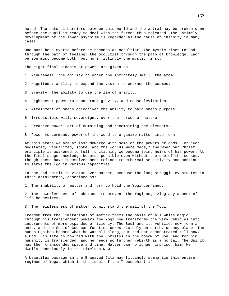noted. The natural barriers between this world and the astral may be broken down before the pupil is ready to deal with the forces thus released. The untimely development of the lower psychism is regarded as the cause of insanity in many cases.

One must be a mystic before he becomes an occultist. The mystic rises to God through the path of feeling; the occultist through the path of knowledge. Each person must become both, but more fittingly the mystic first.

The eight final siddhis or powers are given as:

- 1. Minuteness: the ability to enter the infinitely small, the atom.
- 2. Magnitude: ability to expand the vision to embrace the cosmos.
- 3. Gravity: the ability to use the law of gravity.
- 4. Lightness: power to counteract gravity, and cause levitation.

5. Attainment of one's objective: the ability to gain one's purpose.

6. Irresistible will: sovereignty over the forces of nature.

- 7. Creative power: art of combining and recombining the elements.
- 8. Power to command: power of the word to organize matter into form.

At this stage we are at last dowered with some of the powers of gods. For "God meditated, visualized, spoke, and the worlds were made," and when our Christ principle is awakened to full functioning we become joint heirs of his power. At the final stage knowledge becomes possible even without the use of the senses, though these have themselves been refined to ethereal sensitivity and continue to serve the Ego in various capacities.

In the end spirit is victor over matter, because the long struggle eventuates in three attainments, described as:

1. The inability of matter and form to hold the Yogi confined.

2. The powerlessness of substance to prevent the Yogi cognizing any aspect of life he desires.

3. The helplessness of matter to withstand the will of the Yogi.

Freedom from the limitations of matter forms the basis of all white magic. Through his transcendent powers the Yogi now transforms the very vehicles into instruments of more expanded efficiency. The Soul and its vehicles now form a unit, and the Son of God can function unrestrictedly on earth, on any plane. The human Ego has become what he was all along, but had not demonstrated till now,- a God. His life is now hid with the Christos in the bosom of God, and for him humanity is transcended, and he needs no further rebirth as a mortal. The Spirit has then transcended space and time. Matter can no longer imprison him. He dwells consciously in the timeless Now.

A beautiful passage in the Bhagavad Gita may fittingly summarize this entire regimen of Yoga, which is the ideal of the Theosophist:14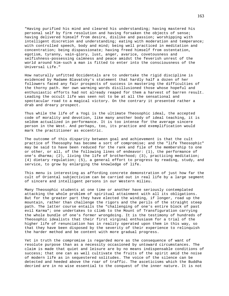"Having purified his mind and cleared his understanding; having mastered his personal self by firm resolution and having forsaken the objects of sense; having delivered himself from desire, dislike and passion; worshipping with intelligent discretion and understanding; eating with moderation and temperance; with controlled speech, body and mind; being well practiced in meditation and concentration; being dispassionate; having freed himself from ostentation, egotism, tyranny, vain-glory, lust, anger, avarice, covetousness and selfishness-possessing calmness and peace amidst the feverish unrest of the world around him-such a man is fitted to enter into the consciousness of the Universal Life."

How naturally unfitted Occidentals are to undertake the rigid discipline is evidenced by Madame Blavatsky's statement that hardly half a dozen of her followers faced any fair prospects of success in mastering the difficulties of the thorny path. Her own warming words disillusioned those whose hopeful and enthusiastic efforts had not already reaped for them a harvest of barren result. Leading the occult life was seen not to be at all the sensational and spectacular road to a magical victory. On the contrary it presented rather a drab and dreary prospect.

Thus while the life of a Yogi is the ultimate Theosophic ideal, the accepted code of morality and devotion, like many another body of ideal teaching, it is seldom actualized in performance. It is too intense for the average sincere person in the West. And perhaps, too, its practice and exemplification would mark the practitioner as eccentric.

The outcome of this disparity between goal and achievement is that the cult practice of Theosophy has become a sort of compromise; and the "life Theosophic" may be said to have been reduced for the rank and file of the membership to one or other, or all, of the following lines of endeavor: (1), the performance of one's dharma; (2), living the life of brotherhood; (3), practicing meditation; (4) dietary regulation; (5), a general effort to progress by reading, study, and service, to grow by enlarging the knowledge of life.

This menu is interesting as affording concrete demonstration of just how far the cult of Oriental subjectivism can be carried out in real life by a large segment of sincere and intelligent persons in our Western milieu.

Many Theosophic students at one time or another have seriously contemplated attacking the whole problem of spiritual attainment with all its obligations. But for the greater part they have elected the winding, if longer, road up the mountain, rather than challenge the rigors and the perils of the straight steep path. The latter course entails the "challenging of one's entire block of past evil Karma"; one undertakes to climb to the Mount of Transfiguration carrying the whole bundle of one's former wrongdoing. It is the testimony of hundreds of Theosophic idealists that their first virginal enthusiasm for a trial of the higher life of renunciation has in reality operated upon them in this way, so that they have been disposed by the severity of their experience to relinquish the harder method and be content with more gradual progress.

Yet in truth the compromise is regarded more as the consequence of want of resolute purpose than as a necessity occasioned by untoward circumstances. The claim is made that quiet and leisure are by no means indispensable conditions of success; that one can as well cultivate the fruits of the spirit amid the noise of modern life as in sequestered solitudes. The voice of the silence can be detected and heeded above the roar of traffic. The asceticisms which the Buddha decried are in no wise essential to the conquest of the inner nature. It is not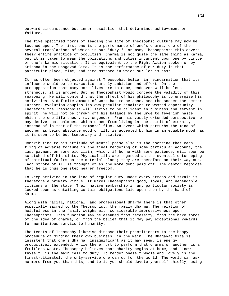outward circumstance but inner resolution that determines achievement or failure.

The five specified forms of leading the life of Theosophic culture may now be touched upon. The first one is the performance of one's dharma, one of the several translations of which is our "duty." For many Theosophists this covers their entire practice of occultism. Dharma is not quite the same thing as Karma, but it is taken to mean the obligations and duties incumbent upon one by virtue of one's karmic situation. It is equivalent to the Right Action spoken of by Krishna in the Bhagavad Gita. It is the performance of our duty in that particular place, time, and circumstance in which our lot is cast.

It has often been objected against Theosophic belief in reincarnation that its influence would be to narcotize earthly ambition and effort. On the presupposition that many more lives are to come, endeavor will be less strenuous, it is argued. But no Theosophist would concede the validity of this reasoning. He will contend that the effect of his philosophy is to energize his activities. A definite amount of work has to be done, and the sooner the better. Further, evolution couples its own peculiar penalties to wasted opportunity. Therefore the Theosophist will strive to be diligent in business and fervent in spirit, he will not be thrown off his balance by the urge to feverish haste which the one-life theory may engender. From his vastly extended perspective he may derive that calmness which comes from living in the spirit of eternity instead of in that of the temporal flux. An event which perturbs the mind of another as being absolute good or ill, is accepted by him in an equable mood, as it is seen to be but temporary and relative.

Contributing to his attitude of mental poise also is the doctrine that each fling of adverse fortune is the final rendering of some particular account, the last payment on some old claim, which, if borne with some patience, will soon be scratched off his slate. Physical ills are regarded as the eventual outcropping of spiritual faults on the material plane; they are therefore on their way out. Each stroke of ill is thought of as one more debt paid off. The debtor rejoices that he is thus one step nearer freedom.

To keep striving in the line of regular duty under every stress and strain is therefore a primary virtue. It makes Theosophists good, loyal, and dependable citizens of the state. Their native membership in any particular society is looked upon as entailing certain obligations laid upon them by the hand of Karma.

Along with racial, national, and professional dharma there is that other, especially sacred to the Theosophist, the family dharma. The relation of helpfulness in the family weighs with considerable impressiveness upon Theosophists. This function may be assumed from necessity, from the bare force of the idea of dharma, or from the belief that it may pay exceptional rewards for meritorious service to humanity.

The tenets of Theosophy likewise dispose their practitioners to the happy procedure of minding their own business, in the main. The Bhagavad Gita is insistent that one's dharma, insignificant as it may seem, is energy productively expended, while the effort to perform that dharma of another is a fruitless waste. Theosophy believes that charity begins at home, and "know thyself" is the main call to duty. To render oneself whole and lovely is the finest-ultimately the only-service one can do for the world. The world can ask no more from you than this, and to it you should devote yourself chiefly, using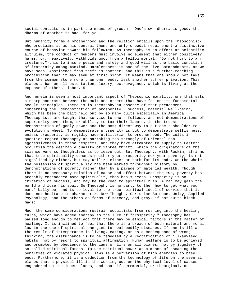social contacts as in part the means of growth. "One's own dharma is good; the dharma of another is bad"-for you.

But humanity forms a brotherhood and the relation entails upon the Theosophistwho proclaims it as his central theme and only creedal requirement-a distinctive course of behavior toward his fellowmen. As Theosophy is an effort at scientific altruism, the conduct of members must involve no element that either positively harms, or, negatively, withholds good from a fellow mortal. "Do not hurt to any creature,"-this to insure peace and safety and good will as the basic condition of fraternity among mankind. Harmlessness is one of the Five Commandments, as we have seen. Abstinence from theft is another; and this is a further-reaching prohibition than it may seem at first sight. It means that one should not take from the common store more than one needs, lest another suffer privation. This places a ban on all ostentation, luxury, extravagance, which is living at the expense of others' labor.15

And herein is seen a most important aspect of Theosophic morality, one that sets a sharp contrast between the cult and others that have fed on its fundamental occult principles. There is in Theosophy an absence of that preachment concerning the "demonstration of prosperity," success, material well-being, which has been the bait held out by so many cults especially in America. Theosophists are taught that service to one's fellows, and not demonstrations of superiority over them, or ability to tax their labors, is the truest demonstration of godly power and the most direct way to put one's shoulder to evolution's wheel. To demonstrate prosperity is but to demonstrate selfishness, unless prosperity is rigidly made utilitarian to brotherhood. The cults in question regard Theosophy as partaking too strongly of Oriental nonaggressiveness in these respects, and they have attempted to supply to Eastern occultism the desirable quality of Yankee thrift, which the originators of the science were so thoughtless as to leave out. But Theosophy, with Ruskin, affirms that true spirituality demands neither your prosperity nor your poverty, is not signalized by either, but may utilize either or both for its ends. On the whole the possession of spirituality has been marked throughout history by demonstrations of poverty rather than by a parade of material wealth. Though there is no necessary relation of cause and effect between the two, poverty has probably engendered more spirituality than has success. Prosperity is no criterion of success, and may be the road to spiritual ruin. A man may gain the world and lose his soul. So Theosophy is no party to the "how to get what you want" ballyhoo, and is so loyal to the true spiritual ideal of service that it does not hesitate to characterize New Thought, Christian Science, Unity, Applied Psychology, and the others as forms of sorcery, and gray, if not quite black, magic.

Much the same considerations restrain occultists from rushing into the healing cults, which have added therapy to the lure of "prosperity." Theosophy has paused long enough to reflect that there may be ethical factors in the matter of healing. It is inclined to feel that there is a breach of both natural and moral law in the use of spiritual energies to heal bodily diseases. If one is ill as the result of intemperance in living, eating, or as a consequence of wrong thinking, the disturbance is to be remedied by a rectification of ill-advised habits, not by resort to spiritual affirmation. Human welfare is to be achieved and promoted by obedience to the laws of life on all planes, not by jugglery of so-called spiritual forces. To use spiritual power as a means of escaping the penalties of violated physical laws is a perversion of high energies to base ends. Furthermore, it is a deduction from the technology of life on the several planes that a physical ill is the working out on the physical level of causes engendered on the inner planes, and that if ceremonial, or theurgical, or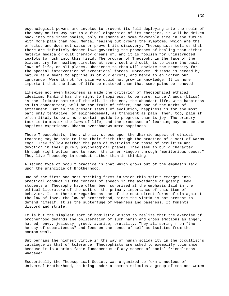psychological powers are invoked to prevent its full deploying into the realm of the body on its way out to a final dispersion of its energies, it will be driven back into the inner bodies, only to emerge at some favorable time in the future with more pain than now. Mental healing but drowns the symptoms, which are the effects, and does not cause or prevent its discovery. Theosophists tell us that there are infinitely deeper laws governing the processes of healing than either materia medica or cult therapy dreams of, and it is foolish for uninstructed zealots to rush into this field. The program of Theosophy in the face of the blatant cry for healing directed at every sect and cult, is to learn the basic laws of life, on all planes. Obedience to them will obviate the necessity for the special intervention of exceptional forces. Moreover, disease is needed by nature as a means to apprise us of our errors, and hence to enlighten our ignorance. Were it not for pain we could not grow in knowledge. It is more important that the laws of life be mastered than that some pains be removed.

Likewise not even happiness is made the criterion of Theosophical ethical idealism. Mankind has the right to happiness, to be sure, since Ananda (bliss) is the ultimate nature of the All. In the end, the abundant life, with happiness as its concomitant, will be the fruit of effort, and one of the marks of attainment. But in the present status of evolution, happiness is for the most part only tentative, or epiphenomenal, as transient as pain. Then, too, pain if often likely to be a more certain guide to progress than is joy. The primary task is to master the laws of life; and the processes of learning may not be the happiest experience. Dharma overshadows mere happiness.

Those Theosophists, then, who lay stress upon the dharmic aspect of ethical teaching may be said to live their faith through the practice of a sort of Karma Yoga. They follow neither the path of mysticism nor those of occultism and devotion in their purely psychological phases. They seek to build character through right action and to reach the inner kingdom through "meritorious deeds." They live Theosophy in conduct rather than in thinking.

A second type of occult practice is that which grows out of the emphasis laid upon the principle of Brotherhood.

One of the first and most striking forms in which this spirit emerges into practical conduct is the control of speech in the avoidance of gossip. New students of Theosophy have often been surprised at the emphasis laid in the ethical literature of the cult on the primary importance of this item of behavior. It is therein regarded as one of the most direct forms of sin against the law of love, the law of brotherhood, since the victim is not present to defend himself. It is the subterfuge of weakness and baseness. It foments discord and strife.

It is but the simplest sort of homiletic wisdom to realize that the exercise of brotherhood demands the obliteration of such harsh and gross emotions as anger, hatred, envy, jealousy, greed, avarice, brutality. They all spring from "the heresy of separateness" and feed on the sense of self as isolated from the common weal.

But perhaps the highest virtue in the way of human solidarity in the occultist's catalogue is that of tolerance. Theosophists are asked to exemplify tolerance because it is a prima facie fundamentum of any scheme of social friendliness whatever.

Esoterically the Theosophical Society was organized to form a nucleus of Universal Brotherhood, to bring under a common stimulus a group of men and women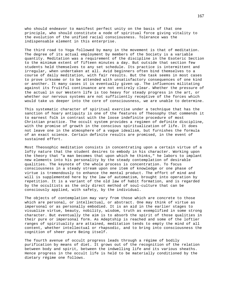who should endeavor to manifest perfect unity on the basis of that one principle, who should constitute a node of spiritual force giving vitality to the evolution of the unified racial consciousness. Tolerance was the indispensable element in this enterprise.

The third road to Yoga followed by many in the movement is that of meditation. The degree of its actual employment by members of the Society is a variable quantity. Meditation was a requirement of the discipline in the Esoteric Section to the minimum extent of fifteen minutes a day. But outside that section few students held themselves to any set schedule. Its practice is intermittent and irregular, when undertaken at all. Avid beginners often bind themselves to a course of daily meditation, with fair results. But the task seems in most cases to prove irksome or to be attended with unsatisfactory consequences of one kind or another. It many cases it is eventually given up. The influences militating against its fruitful continuance are not entirely clear. Whether the pressure of the actual in our Western life is too heavy for steady progress in the art, or whether our nervous systems are not sufficiently receptive of the forces which would take us deeper into the core of consciousness, we are unable to determine.

This systematic character of spiritual exercise under a technique that has the sanction of hoary antiquity is one of the features of Theosophy that commends it to earnest folk in contrast with the loose indefinite procedure of most Christian practice. The occult system provides a regimen of definite discipline, with the promise of growth in the conscious spiritualization of life. It does not leave one in the atmosphere of a vague idealism, but furnishes the formula of an exact science. Certain definite results are promised, in the event of sustained effort.

Most Theosophic meditation consists in concentrating upon a certain virtue of a lofty nature that the student desires to embody in his character. Working upon the theory that "a man becomes that upon which he thinks," he labors to implant new elements into his personality by the steady contemplation of desirable qualities. The keynote of the whole process is concentration. To focus consciousness in a steady stream upon one item of knowledge or one phase of virtue is tremendously to enhance the mental product. The effort of mind and will is supplemented here by the law of automatism, brought into operation by repetition. It is a variant of the old law of habit formation, and is regarded by the occultists as the only direct method of soul-culture that can be consciously applied, with safety, by the individual.

The objects of contemplation may vary from those which are concrete to those which are personal, or intellectual, or abstract. One may think of virtue as impersonal or as personally embodied. It is an aid in the earlier stages to visualize virtue, beauty, nobility, wisdom, truth as exemplified in some strong character. But eventually the aim is to absorb the spirit of those qualities in their pure or impersonal form. As Adeptship is reached and some of the loftier ranges of spirituality are attained, meditation tends to empty the mind of all content, whether intellectual or rhapsodic, and to bring into consciousness the cognition of sheer pure Being itself.

The fourth avenue of occult progress leads through a régime of bodily purification by means of diet. It grows out of the recognition of the relation between body and spirit, between the indwelling life and its various sheaths. Hence progress in the occult life is held to be materially conditioned by the dietary régime one follows.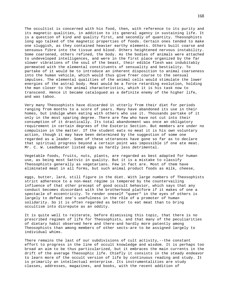The occultist is concerned with his food, then, with reference to its purity and its magnetic qualities, in addition to its general agency in sustaining life. It is a question of kind and quality first, and secondly of quantity. Theosophists long ago talked of the magnetic properties of foods. Certain ones tended to make one sluggish, as they contained heavier earthy elements. Others built coarse and sensuous fibre into the tissue and blood. Others heightened nervous instability. Some coarsened, others refined, the body. As the bodies of animals were attached to undeveloped intelligences, and were in the first place organized by the far slower vibrations of the soul of the beast, their edible flesh was indubitably permeated with the elemental constituents of sensuality and bestiality. To partake of it would be to introduce an inherent disposition to animal coarseness into the human vehicle, which would thus give freer course to the sensual impulses. The elemental qualities of the animal cells would stimulate the lower energies of the astral body. Meat would be a force retarding evolution, holding the man closer to the animal characteristics, which it is his task now to transcend. Hence it became catalogued as a definite enemy of the higher life, and was taboo.

Very many Theosophists have discarded it utterly from their diet for periods ranging from months to a score of years. Many have abandoned its use in their homes, but indulge when eating with others who use it. Thousands partake of it only in the most sparing degree. There are few who have not cut into their consumption of it drastically. Its total abandonment was once an obligatory requirement in certain degrees of the Esoteric Section. But members are under no compulsion in the matter. If the student eats no meat it is his own voluntary action, though it may have been determined by the suggestion of some one regarded as a leader. Some of these utterances have gone so far as to declare that spiritual progress beyond a certain point was impossible if one ate meat. Mr. C. W. Leadbeater listed eggs as hardly less detrimental.

Vegetable foods, fruits, nuts, plants, are regarded as best adapted for human use, as being most Sattvic in quality. But it is a mistake to classify Theosophists generally as vegetarians. Few in fact are. Most of them have eliminated meat in all forms, but such animal product foods as milk, cheese,

eggs, butter, lard, still figure in the diet. With large numbers of Theosophists strict adherence to a non-meat régime is tempered by the countervailing influence of that other precept of good occult behavior, which says that any conduct becomes discordant with the brotherhood platform if it makes of one a spectacle of eccentricity. To render oneself "queer" in the eyes of others is largely to defeat one's usefulness in the rôle of a promoter of human solidarity. So it is often regarded as better to eat meat than to bring occultism into disrepute as an oddity.

It is quite well to reiterate, before dismissing this topic, that there is no prescribed regimen of life for Theosophists, and that many of the peculiarities of dietary habit observed here and there-and hardly more patently among Theosophists than among members of other sects-are to be assigned largely to individual whims.

There remains the last of our subdivisions of cult activity,--the constant effort to progress in the line of occult knowledge and wisdom. It is perhaps too broad an aim to be thus particularized, but it embraces the main currents in the drift of the average Theosophic life. Chiefly it consists in the steady endeavor to learn more of the occult version of life by continuous reading and study. It is primarily an intellectual enterprise. Its instrumentalities are study classes, addresses, magazines, and books, with the recent addition of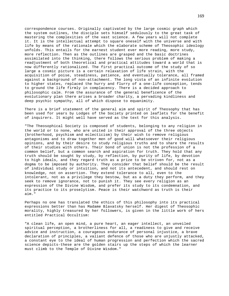correspondence courses. Originally captivated by the large cosmic graph which the system outlines, the disciple sets himself sedulously to the great task of mastering the complexities of the vast science. A few years will not complete it. It is the intellectual attempt to square oneself with the universe and with life by means of the rationale which the elaborate scheme of Theosophic ideology unfolds. This entails for the earnest student ever more reading, more study, more reflection. Then as the outlines are grasped and the basic doctrines assimilated into the thinking, there follows the serious problem of making a readjustment of both theoretical and practical attitudes toward a world that is now differently rationalized. The first practical outcome of the study of so large a cosmic picture is a certain relaxation of life strain, with the acquisition of poise, steadiness, patience, and eventually tolerance, all framed against a background of non-attachment. The long vista of an infinite evolution to higher states, replaced the hurry and flurry of a one-life conception, tends to ground the life firmly in complacency. There is a decided approach to philosophic calm. From the assurance of the general beneficence of the evolutionary plan there arises a broader charity, a pervading kindliness and deep psychic sympathy, all of which dispose to equanimity.

There is a brief statement of the general aim and spirit of Theosophy that has been used for years by Lodges of the Society printed on leaflets for the benefit of inquirers. It might well have served as the text for this analysis.

"The Theosophical Society is composed of students, belonging to any religion in the world or to none, who are united in their approval of the three objects (brotherhood, psychism and eclecticism) by their wish to remove religious antagonisms and to draw together men of good will whatsoever their religious opinions, and by their desire to study religious truths and to share the results of their studies with others. Their bond of union is not the profession of a common belief, but a common search and aspiration for truth. They hold that any truth should be sought by study, by reflection, by purity of life, by devotion to high ideals, and they regard truth as a prize to be striven for, not as a dogma to be imposed by authority. They consider that belief should be the result of individual study or intuition, and not its antecedent, and should rest on knowledge, not on assertion. They extend tolerance to all, even to the intolerant, not as a privilege they bestow, but as a duty they perform, and they seek to remove ignorance, not to punish it. They see every religion as an expression of the Divine Wisdom, and prefer its study to its condemnation, and its practice to its proselytism. Peace is their watchword as truth is their aim."

Perhaps no one has translated the ethics of this philosophy into its practical expressions better than has Madame Blavatsky herself. Her digest of Theosophic morality, highly treasured by her followers, is given in the little work of hers entitled Practical Occultism:

"A clean life, an open mind, a pure heart, an eager intellect, an unveiled spiritual perception, a brotherliness for all, a readiness to give and receive advice and instruction, a courageous endurance of personal injustice, a brave declaration of principles, a valiant defence of those who are unjustly attacked, a constant eye to the ideal of human progression and perfection which the sacred science depicts-these are the golden stairs up the steps of which the learner must climb to the Temple of Divine Wisdom."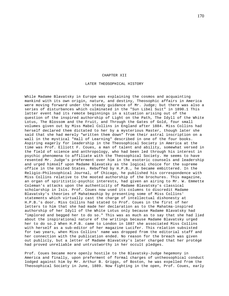#### CHAPTER XII

### LATER THEOSOPHICAL HISTORY

While Madame Blavatsky in Europe was explaining the cosmos and acquainting mankind with its own origin, nature, and destiny, Theosophic affairs in America were moving forward under the steady guidance of Mr. Judge; but there was also a series of disturbances which culminated in the "Sun Libel Suit" in 1890.1 This latter event had its remote beginnings in a situation arising out of the question of the inspired authorship of Light on the Path, The Idyll of the White Lotus, The Blossom and the Fruit, and Through the Gates of Gold, four small volumes given out by Miss Mabel Collins in England after 1884. Miss Collins had herself declared them dictated to her by a mysterious Master, though later she said that she had merely "written them down" from their astral inscription on a wall in the mystical "Hall of Learning" described in one of the four books. Aspiring eagerly for leadership in the Theosophical Society in America at the time was Prof. Elliott F. Coues, a man of talent and ability, somewhat versed in the field of science and anthropology, who had been led through his interest in psychic phenomena to affiliate with the Theosophical Society. He seems to have resented Mr. Judge's preferment over him in the esoteric counsels and leadership and urged himself upon Madame Blavatsky as the logical choice for the supreme office in the United States. Rebuffed by H.P.B., he became embittered. In the Religio-Philosophical Journal, of Chicago, he published his correspondence with Miss Collins relative to the mooted authorship of the brochures. This magazine, an organ of spiritistic-psychic interests, had given an airing to Mr. W. Emmette Coleman's attacks upon the authenticity of Madame Blavatsky's classical scholarship in Isis. Prof. Coues now used its columns to discredit Madame Blavatsky's theories of Mahatmaship by presenting some of Miss Collins' statements which virtually cast the charge of intellectual dishonesty at H.P.B.'s door. Miss Collins had stated to Prof. Coues in the first of her letters to him that she had made her declaration as to the Mahatma-inspired authorship of her Idyll of the White Lotus only because Madame Blavatsky had "implored and begged her to do so." This was as much as to say that she had lied about the inspirational nature of the writings because Madame Blavatsky urged her to do so.2 When H.P.B. came to London in 1887 she associated Miss Collins with herself as a sub-editor of her magazine Lucifer. This relation subsisted for two years, when Miss Collins' name was dropped from the editorial staff and her connection with the publication ended. No reason for the breach was given out publicly, but a letter of Madame Blavatsky's later charged that her protégé had proved unreliable and untrustworthy in her occult pledges.

Prof. Coues became more openly hostile to the Blavatsky-Judge hegemony in America and finally, upon preferment of formal charges of untheosophical conduct lodged against him by Mr. Arthur B. Griggs, of Boston, he was expelled from the Theosophical Society in June, 1889. Now fighting in the open, Prof. Coues, early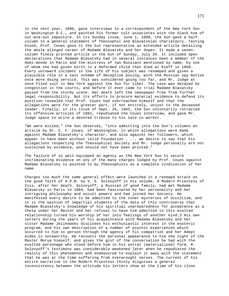in the next year, 1890, gave interviews to a correspondent of the New York Sun in Washington D.C., and painted his former cult-associates with the black hue of out-and-out imposture. In its Sunday issue, June 1, 1890, the Sun gave a halfcolumn to a general statement of Theosophic and Blavatskian charlatanry. Tasting blood, Prof. Coues gave to the Sun representative an extended article detailing the whole alleged career of Madame Blavatsky and her dupes. It made a sevencolumn finely printed article in the Sun of Sunday, July 20. It included open declarations that Madame Blavatsky had in several instances been a member of the demi-monde in Paris and the mistress of two Russians mentioned by name, by one of whom she had given birth to a deformed child that died at Kieff in 1868. Every untoward incident in the life of his subject was revamped and given a plausible rôle in a vast scheme of deceptive posing, with the Russian spy motive once more doing service. This was considered going too far, and Mr. Judge at once filed suit in New York against the Sun for libel. The case was delayed by congestion in the courts, and before it ever came to trial Madame Blavatsky passed from the stormy scene. Her death left the newspaper free from further legal responsibility. But its efforts to procure material evidence to defend its position revealed that Prof. Coues had overreached himself and that the allegations were for the greater part, if not entirely, unjust to the deceased leader. Finally, in its issue of Sept. 26, 1892, the Sun voluntarily retracted its offensive articles of 1891, repudiated the Coues interview, and gave Mr. Judge space to write a devoted tribute to his late co-worker.

"We were misled," the Sun observes, "into admitting into the Sun's columns an article by Dr. E. F. Coues, of Washington, in which allegations were made against Madame Blavatsky's character, and also against her followers, which appear to have been without solid foundation . . . we desire to say that his allegations respecting the Theosophical Society and Mr. Judge personally are not sustained by evidence, and should not have been printed."

The failure of so well-equipped an agency as the New York Sun to secure incriminating evidence on any of the many charges lodged by Prof. Coues against Madame Blavatsky is pointed to by Theosophists as a complete vindication of her name.

Charges too much the same general effect were launched in a renewed attack on the good faith of H.P.B. by V. S. Solovyoff in his volume, A Modern Priestess of Isis, after her death. Solovyoff, a Russian of good family, had met Madame Blavatsky in Paris in 1884, had been fascinated by her personality and her intriguing philosophy and occult powers and had joined her Society. He manifested every desire to be admitted to the inner mysteries of occultism, and it is the opinion of impartial students of the data of this controversy that Madame Blavatsky's knowledge of his spiritual unpreparedness for acceptance as a chela under her Master and her refusal to have him admitted to this exalted relationship turned his worship of her into feelings of another kind.3 His own letters during the years of his acquaintance with Madame Blavatsky and her sister Madame Jelihowsky discloses his enthusiastic interest in the esoteric program, and his own description of a number of psychic experiences which occurred to him in person through the agency of his compatriot and her Adept aides is noteworthy. He recounts the personal appearance to him one night of the Master Morya himself, and gives the gist of the conversation he had with the exalted personage who stood before him in his astral (materialized) form. M. Solovyoff's testimony was considerably weakened later when he repudiated the reality of this phenomenon and endeavored to explain it away with the statement that he was at the time suffering from overwrought nerves. The current of his entire narrative in the Modern Priestess thinly disguises a general inconsistency between the attitude his letters show at the time of his close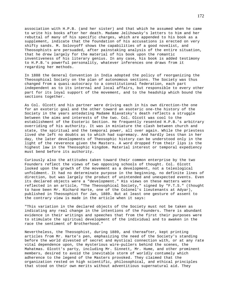association with H.P.B. (and her sister) and that which he assumed when he came to write his books after her death. Madame Jelihowsky's letters to him and her rebuttal of many of his specific charges, which are appended to his book as a supplement, indicate that the foundation of his accusations is erected on very shifty sands. M. Solovyoff shows the capabilities of a good novelist, and Theosophists are persuaded, after painstaking analysis of the entire situation, that he drew largely for the material of his book upon the romantic inventiveness of his literary genius. In any case, his book is added testimony to H.P.B.'s powerful personality, whatever inferences one draws from it regarding her methods.

In 1888 the General Convention in India adopted the policy of reorganizing the Theosophical Society on the plan of autonomous sections. The Society was thus changed from a quasi-autocracy to a constitutional federation, each part independent as to its internal and local affairs, but responsible to every other part for its loyal support of the movement, and to the headship which bound the sections together.

As Col. Olcott and his partner were driving each in his own direction-the one for an exoteric goal and the other toward an esoteric one-the history of the Society in the years antedating Madame Blavatsky's death reflects a struggle between the aims and interests of the two. Col. Olcott was cool to the establishment of the Esoteric Section. He frequently resented H.P.B.'s arbitrary overriding of his authority. It was in miniature the clash between church and state, the spiritual and the temporal power, all over again. While the priestess lived she left no doubts as to which had supremacy. And hardly less than in her day, the later developments of Theosophic history can be understood only in the light of the reverence given the Masters. A word dropped from their lips is the highest law in the Theosophic kingdom. Material interest or temporal expediency must bend before its authority.

Curiously also the attitudes taken toward their common enterprise by the two Founders reflect the views of two opposing schools of thought. Col. Olcott looked upon the growth of the movement as a development, not a teleological unfoldment. It had no determinate purpose in the beginning, no definite lines of direction, but was largely the product of unintended and unexpected events. Even its declared objects were a "development." His views on these matters were reflected in an article, "The Theosophical Society," signed by "F.T.S." (thought to have been Mr. Richard Harte, one of the Colonel's lieutenants at Adyar), published in Theosophist for Jan, 1889. But at least one gesture of assent to the contrary view is made in the article when it says:

"This variation in the declared objects of the Society must not be taken as indicating any real change in the intentions of the Founders. There is abundant evidence in their writings and speeches that from the first their purposes were to stimulate the spiritual development of the individual and to awaken in the race the sentiment of Brotherhood."

Nevertheless, the Theosophist, during 1889, and thereafter, kept printing articles from Mr. Harte's pen, emphasizing the need of the Society's standing before the world divested of secret and mystical connection with, or at any rate vital dependence upon, the mysterious wire-pullers behind the scenes, the Mahatmas. Olcott's party, including Mr. Sinnett, Mr. Hume, and other prominent members, desired to avoid the inevitable storm of worldly contumely which adherence to the legend of the Masters provoked. They claimed that the organization rested on high scientific, philosophical, and ethical principles that stood on their own merits without adventitious supernatural aid. They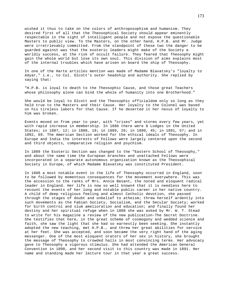wished it thus to take on the colors of anthroposophism and humanism. They desired first of all that the Theosophical Society should appear eminently respectable in the sight of intelligent people and not expose the questionable Masters to public view. To the Masters, on the other hand, H.P.B. and Mr. Judge were irretrievably committed. From the standpoint of these two the danger to be guarded against was that the exoteric leaders might make of the Society a worldly success, at the risk of occult failure. They feared that Theosophy might gain the whole world but lose its own soul. This division of aims explains most of the internal troubles which have arisen on board the ship of Theosophy.

In one of the Harte articles mention was made of Madame Blavatsky's "loyalty to Adyar," i.e., to Col. Olcott's outer headship and authority. She replied by saying that:

"H.P.B. is loyal to death to the Theosophic Cause, and those great Teachers whose philosophy alone can bind the whole of humanity into one Brotherhood."

She would be loyal to Olcott and the Theosophic officialdom only so long as they held true to the Masters and their Cause. Her loyalty to the Colonel was based on his tireless labors for that Cause. If he deserted it her nexus of loyalty to him was broken.

Events moved on from year to year, with "crises" and storms every few years, yet with rapid increase in membership. In 1886 there were 8 Lodges in the United States; in 1887, 12; in 1888, 19; in 1889, 26; in 1890, 45; in 1891, 57; and in 1892, 69. The American Section worked for the ethical ideals of Theosophy. In Europe and India the interests of Fellows were largely centered upon the second and third objects, comparative religion and psychism.

In 1889 the Esoteric Section was changed to the "Eastern School of Theosophy," and about the same time the European branches and unattached Fellows were incorporated in a separate autonomous organization known as the Theosophical Society in Europe, of which Madame Blavatsky was constituted President.

In 1888 a most notable event in the life of Theosophy occurred in England, soon to be followed by momentous consequences for the movement everywhere. This was the accession to the ranks of Mrs. Annie Besant, the noted and eloquent radical leader in England. Her life is now so well known4 that it is needless here to recount the events of her long and notable public career in her native country. A child of deep religious feeling and almost Catholic devotion, she passed through the stages of doubt and unbelief to atheism; threw herself ardently into such movements as the Fabian Society, Socialism, and the Secular Society; worked for birth control and slum amelioration and education; and finally found her destiny and her spiritual refuge when in 1888 she was asked by Mr. W. T. Stead to write for his magazine a review of the new publication-The Secret Doctrine. She testifies that here, in the great scheme of cosmogony and wedded science and faith, she saw the light that she had so earnestly been seeking. She instantly adopted the new teaching, met H.P.B., and threw her great abilities for service at her feet. She was accepted, and soon became the very right hand of the aging messenger. One of the most eloquent orators of her sex in history, she brought the message of Theosophy to crowded halls in most convincing terms. Her advocacy gave to Theosophy a vigorous stimulus. She had attended the American General Convention in 1890, and her second visit to this country was made in 1891. Her name and standing made her lecture tour in that year a great success.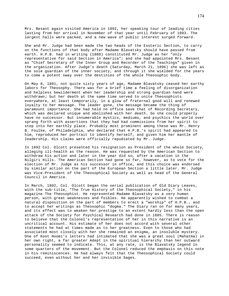Mrs. Besant again visited America in 1892, her speaking tour of leading cities lasting from her arrival in November of that year until February of 1893. The largest halls were packed, and a new wave of public interest surged forward.

She and Mr. Judge had been made the two heads of the Esoteric Section, to carry on the functions of that body after Madame Blavatsky should have passed from earth. H.P.B. had in writing (1888) constituted Mr. Judge as her "only representative for said Section in America"; and she had appointed Mrs. Besant as "Chief Secretary of the Inner Group and Recorder of the Teachings" given in the organization. After Judge's death (Saturday, March 21, 1896) she was left as the sole guardian of the inner society, and through it she wielded for the years to come a potent sway over the destinies of the whole Theosophic body.

On May 8, 1891, not quite sixty years of age, Madame Blavatsky ceased her earthy labors for Theosophy. There was for a brief time a feeling of disorganization and helpless bewilderment when her leadership and strong guardian hand were withdrawn; but her death at the same time served to unite Theosophists everywhere, at least temporarily, in a glow of fraternal good will and renewed loyalty to her message. The leader gone, the message became the thing of paramount importance. She had held no office save that of Recording Secretary, which was declared unique and abolished with her death. So she could properly have no successor. But innumerable mystics, mediums, and psychics the world over sprang forth with assertions that they had had commissions from her spirit to step into her earthly place. Probably most prominent among these was Mr. Henry B. Foulke, of Philadelphia, who declared that H.P.B.'s spirit had appeared to him, reproduced her portrait to identify herself, and given him her mantle of leadership. His claims were officially repudiated by Mr. Judge.

In 1892 Col. Olcott presented his resignation as President of the whole Society, alleging ill-health as the reason. He was requested by the American Section to withdraw his action and later in the year did so, after a vacation in the Nilgiri Hills. The American Section had gone so far, however, as to vote for the election of Mr. Judge as his successor in office, and this choice was endorsed by similar action on the part of the European Section a little later. Mr. Judge was Vice-President of the Theosophical Society as well as head of the General Council in America.

In March, 1892, Col. Olcott began the serial publication of Old Diary Leaves, with the sub-title, "The True History of the Theosophical Society," in his magazine The Theosophist. He represented Madame Blavatsky as a very human person, with great weaknesses and foibles. He apparently wished to combat a natural disposition on the part of members to erect a "worship" of H.P.B., and to accept her writings as Theosophic "dogma." The Diary ran on for many years, and its effect was to weaken her prestige to an extent hardly less than the open attack of the Society for Psychical Research had done in 1885. There is reason to believe that the Colonel's representation of her in this narrative is an uncritical account. His estimate of her does not accord with several other statements he had at times made as to her greatness. Even to those who had associated most closely with her she remained an enigma, an insoluble mystery. One of Koot Hoomi's letters had intimated that she was a great soul (Mahatma) in her own right, a far greater Adept in the spiritual hierarchy than her outward personality seemed to indicate. This, at any rate, is the Blavatsky legend in some quarters of the movement. But the Colonel reduced the emphasis on this note in his reminiscences. He had always felt that the Theosophical Society could succeed, even without her and her invisible Sages.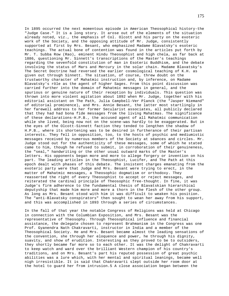In 1895 occurred the next momentous episode in American Theosophical history-the "Judge Case." It is a long story. It arose out of the elements of the situation already noted, viz., the emphasis of Col. Olcott and his party on the exoteric work of the Society, and the opposing attitude of Mr. Judge, consistently supported at first by Mrs. Besant, who emphasized Madame Blavatsky's esoteric teachings. The actual bone of contention was found in the articles put forth by Mr. T. Subba Row (Rao), eminent Hindu Theosophist and high chela, as far back at 1886, questioning Mr. Sinnett's transcriptions of the Master's teachings regarding the sevenfold constitution of man in Esoteric Buddhism, and the debate involving the status of Mars and Mercury in the solar chain. Madame Blavatsky's The Secret Doctrine had reversed the earlier cosmological teaching of K.H. as given out through Sinnett. The situation, of course, threw doubt on the trustworthy character of Mahatmic instruction and, by inference, on Madame Blavatsky's rôle as the agent of higher Sages. From this point discussion was carried further into the domain of Mahatmic messages in general, and the spurious or genuine nature of their reception by individuals. This question was thrown into more violent agitation about 1892 when Mr. Judge, together with his editorial assistant on The Path, Julia Campbell-Ver Planck (the "Jasper Niemand" of editorial prominence), and Mrs. Annie Besant, the latter most startlingly in her farewell address to her former Secularist associates, all publicly declared that they had had bona fide messages from the living Mahatmas. The significance of these declarations-H.P.B., the accused agent of all Mahatmic communication while she lived, being now not on the scene-was hardly to be exaggerated. But in the eyes of the Olcott-Sinnett faction they tended to lengthen the shadow of H.P.B., where its shortening was to be desired in furtherance of their partisan interests. They fell in opposition, too, to the hosts of psychic and mediumistic messages received by numerous members of the Society at séances and circles. Mr. Judge stood out for the authenticity of these messages, some of which he stated came to him, though he refused to submit, in corroboration of their genuineness, the "seal," handwriting or the other usual outward marks of the Master's letters. His opponents began more and more to allege forgery or invention on his part. The leading articles in the Theosophist, Lucifer, and The Path at this epoch dealt with phases of this debate. The insistent charges emanating from the exoteric party were that Judge and Mrs. Besant were trying to erect, in the matter of Mahatmic messages, a Theosophic dogmatism or orthodoxy. They reasserted the right of every Theosophist to accept or reject messages, and reiterated the cardinal principle of Theosophic free-thought. In fine, it was Judge's firm adherence to the fundamental thesis of Blavatskian hierarchical deputyship that made him more and more a thorn in the flesh of the other group. As long as Mrs. Besant stood with him it was difficult to weaken his position. The "anti-Blavatsky conspirators" then sought to wean her away from his support, and this was accomplished in 1893 through a series of circumstances.

In the fall of that year the notable Congress of Religions was held at Chicago in connection with the Columbian Exposition, and Mrs. Besant was the representative of Theosophy. Through Theosophical influence and financial assistance, the delegate chosen to represent Brahmanism in the Congress was one Prof. Gyanendra Nath Chakravarti, instructor in India and a member of the Theosophical Society. He and Mrs. Besant became almost the leading sensations of the convention, she through her eloquence and power, he through his dignity, suavity, and show of erudition. Interesting as they proved to be to outsiders, they shortly became far more so to each other. It was the delight of Chakravarti to keep watch and ward over the brilliant Western champion of his country's traditions, and on Mrs. Besant's part his reputed possession of great psychic abilities was a lure which, with her mental and spiritual leanings, became well nigh irresistible. It is said that Chakravarti slept outside her room door at the hotel to guard her from intrusion.5 A close association began between the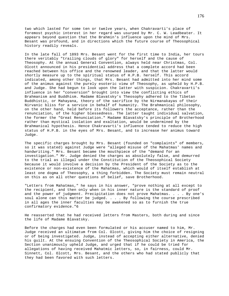two which lasted for some ten or twelve years, when Chakravarti's place of foremost psychic interest in her regard was usurped by Mr. C. W. Leadbeater. It appears beyond question that the Brahmin's influence upon the mind of Mrs. Besant was profound, and in directions which the future course of Theosophical history readily reveals.

In the late fall of 1893 Mrs. Besant went for the first time to India, her tours there veritably "trailing clouds of glory" for herself and the cause of Theosophy. At the annual General Convention, always held near Christmas, Col. Olcott announced in his presidential address that a complete accord had been reached between his office and the renowned leader, and that the latter would shortly measure up to the spiritual status of H.P.B. herself. This accord indicated, among other things, that Mrs. Besant had admitted into her mind some of the animus against the purely esoteric view of Theosophy, as upheld by H.P.B. and Judge. She had begun to look upon the latter with suspicion. Chakravarti's influence in her "conversion" brought into view the conflicting ethics of Brahmanism and Buddhism. Madame Blavatsky's Theosophy adhered to the Tibetan Buddhistic, or Mahayana, theory of the sacrifice by the Nirmanakayas of their Nirvanic bliss for a service in behalf of humanity. The Brahmanical philosophy, on the other hand, held before its followers the acceptance, rather than the renunciation, of the higher blessedness. The latter taught individual salvation, the former the "Great Renunciation." Madame Blavatsky's principle of Brotherhood rather than mystical isolation and exaltation, would be undermined by the Brahmanical hypothesis. Hence Chakravarti's influence tended to reduce the high status of H.P.B. in the eyes of Mrs. Besant, and to increase her animus toward Judge.

The specific charges brought by Mrs. Besant (founded on "complaints" of members, so it was stated) against Judge were "alleged misuse of the Mahatmas' names and handwriting." Mrs. Besant became the mouthpiece of the "demand for an investigation." Mr. Judge denied the charges as absolutely false, and demurred to the trial as illegal under the Constitution of the Theosophical Society because it would involve a decision by the President of the Society as to the existence or non-existence of the Mahatmas, which would of itself establish at least one dogma of Theosophy, a thing forbidden. The Society must remain neutral on this as on all other questions of belief, save Brotherhood.

"Letters from Mahatmas," he says in his answer, "prove nothing at all except to the recipient, and then only when in his inner nature is the standard of proof and the power of judgment. Precipitation does not prove Mahatmas. . . . By one's soul alone can this matter be judged. . . . By following the course prescribed in all ages the inner faculties may be awakened so as to furnish the true confirmatory evidence."6

He reasserted that he had received letters from Masters, both during and since the life of Madame Blavatsky.

Before the charges had even been formulated or his accuser named to him, Mr. Judge received an ultimatum from Col. Olcott, giving him the choice of resigning or of being investigated. Judge, instead of accepting either alternative, denied his guilt. At the ensuing Convention of the Theosophical Society in America, the Section unanimously upheld Judge, and urged that if he could be tried for allegations of having received Mahatmic letters, so, in fairness, could Mr. Sinnett, Col. Olcott, Mrs. Besant, and the others who had stated publicly that they had been favored with such letters.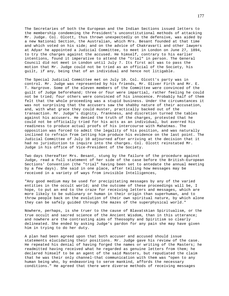The Secretaries of both the European and the Indian Sections issued letters to the membership condemning the President's unconstitutional methods of attacking Mr. Judge. Col. Olcott, thus thrown unexpectedly on the defensive, was aided by a new National Section, the Australian, which Mrs. Besant founded at that time and which voted on his side; and on the advice of Chakravarti and other lawyers at Adyar he appointed a Judicial Committee, to meet in London on June 27, 1894, to try the charges against the accused. He himself, contrary to his earlier intentions, found it imperative to attend the "trial" in person. The General Council did not meet in London until July 7. Its first act was to pass the motion that Mr. Judge could not be tried as an official of the Society, his guilt, if any, being that of an individual and hence not litigable.

The Special Judicial Committee met on July 10. Col. Olcott's party was in control. Mr. Judge was represented by his friends, Mr. Oliver Firth and Mr. E. T. Hargrove. Some of the eleven members of the Committee were convinced of the guilt of Judge beforehand; three or four were impartial, rather feeling he could not be tried; four others were convinced of his innocence. Probably half of them felt that the whole proceeding was a stupid business. Under the circumstances it was not surprising that the accusers saw the shabby nature of their accusation, and, with what grace they could muster, practically backed out of the transaction. Mr. Judge's dignity, frankness, and discretion turned the tables against his accusers. He denied the truth of the charges, protested that he could not be officially tried for his acts as an individual, but averred his readiness to produce actual proofs of his intercourse with Mahatmas. The opposition was forced to admit the legality of his position, and was naturally inclined to refrain from letting him produce his evidence on the last point. The Judicial Committee of July 10 adjourned after arriving at the decision that it had no jurisdiction to inquire into the charges. Col. Olcott reinstated Mr. Judge in his office of Vice-President of the Society.

Two days thereafter Mrs. Besant, stung by the failure of the procedure against Judge, read a full statement of her side of the case before the British-European Sections' Convention (the "trial" having been set to antedate the annual meeting by a few days). She said in one place, after telling how messages may be received in a variety of ways from invisible Intelligences,

"Any good medium may be used for precipitating messages by any of the varied entities in the occult world; and the outcome of these proceedings will be, I hope, to put an end to the craze for receiving letters and messages, which are more likely to be sublunary or human in their origin than superhuman, and to throw people back on the evolution of their own spiritual nature, by which alone they can be safely guided through the mazes of the superphysical world."

Nowhere, perhaps, is she truer to the cause of Blavatskian Spiritualism, or the true occult and sacred science of the Ancient Wisdom, than in this utterance; and nowhere are the contrasting aims of Theosophy and Spiritism so clearly delineated. She ended by asking Judge's pardon for any pain she may have given him in trying to do her duty.

A plan had been agreed upon that both accuser and accused should issue statements elucidating their positions. Mr. Judge gave his review of the case. He repeated his denial of having forged the names or writing of the Masters; he readmitted having received what he regarded as genuine letters from them; he declared himself to be an agent of the said Masters, but repudiated the claim that he was their only channel-that communication with them was "open to any human being who, by endeavoring to serve mankind, affords the necessary conditions." He agreed that there were diverse methods of receiving messages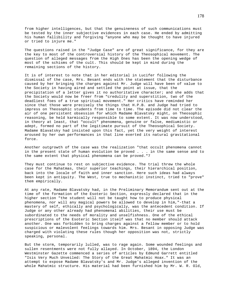from higher intelligences, but that the genuineness of such communications must be tested by the inner subjective evidences in each case. He ended by admitting his human fallibility and forgiving "anyone who may be thought to have injured or tried to injure me."

The questions raised in the "Judge Case" are of great significance, for they are the key to most of the controversial history of the Theosophical movement. The question of alleged messages from the High Ones has been the opening wedge of most of the schisms of the cult. This should be kept in mind during the remaining sections of the history.

It is of interest to note that in her editorial in Lucifer following the dismissal of the case, Mrs. Besant ends with the statement that the disturbance caused by her bringing the charges against Mr. Judge will have been of value to the Society in having aired and settled the point at issue, that the precipitation of a letter gives it no authoritative character; and she adds that the Society would now be freer from "credulity and superstition, two of the deadliest foes of a true spiritual movement." Her critics have reminded her since that those were precisely the things that H.P.B. and Judge had tried to impress on Theosophic students from time to time. The episode did not clear the air of one persistent obsession for which Madame Blavatsky might, on Theosophic reasoning, be held karmically responsible to some extent. It was now understood, in theory at least, that "occult" phenomena, genuine or false, mediumistic or adept, formed no part of the legitimate pursuit of the Theosophical Society. Madame Blavatsky had insisted upon this fact, yet the very weight of interest aroused by her own performances in that line exerted its natural gravitational force.

Another outgrowth of the case was the realization "that occult phenomena cannot in the present state of human evolution be proved . . . in the same sense and to the same extent that physical phenomena can be proved."7

They must continue to rest on subjective evidence. The trial threw the whole case for the Mahatmas, their superior teachings, their hierarchical position, back into the locale of faith and inner sanction. Here such ideas had always been kept in antiquity. The West, true to mechanistic instinct, tried to "prove" them empirically.

At any rate, Madame Blavatsky had, in the Preliminary Memorandum sent out at the time of the formation of the Esoteric Section, expressly declared that in the higher section "the student will not be taught how to produce physical phenomena, nor will any magical powers be allowed to develop in him,"-that a mastery of self, ethically and psychologically, was the antecedent condition. If Judge or any other already had phenomenal abilities, their use must be subordinated to the needs of morality and unselfishness. One of the ethical prescriptions of the Esoteric Section itself was that no member should attack another. One was forbidden to bring charges against a fellow member or to hold suspicious or malevolent feelings towards him. Mrs. Besant in opposing Judge was charged with violating these rules though her opposition was not, strictly speaking, personal.

But the storm, temporarily lulled, was to rage again. Some wounded feelings and sullen resentments were not fully allayed. In October, 1894, the London Westminster Gazette commenced a series of articles by Edmund Garrett entitled "Isis Very Much Unveiled: The Story of the Great Mahatmic Hoax." It was an attempt to expose Madame Blavatsky's and Mr. Judge's alleged invention of the whole Mahatmic structure. His material had been furnished him by Mr. W. R. Old,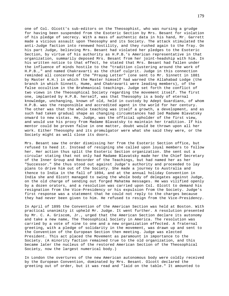one of Col. Olcott's sub-editors on the Theosophist, who was nursing a grudge for having been suspended from the Esoteric Section by Mrs. Besant for violation of his pledge of secrecy. With a mass of authentic data in his hand, Mr. Garrett made a vicious assault upon Theosophy and its Society. The attack stimulated the anti-Judge faction into renewed hostility, and they rushed again to the fray. On his part Judge, believing Mrs. Besant had violated her pledges to the Esoteric Section, by virtue of his authority as H.P.B.'s American representative in that organization, summarily deposed Mrs. Besant from her joint-headship with him. In his written notice to that effect, he stated that Mrs. Besant had fallen under the influence of minds hostile to the "tradition clustering around the work of H.P.B.," and named Chakravarti as the chief culprit. Judge in this connection reminded all concerned of the "Prayag Letter" (one sent to Mr. Sinnett in 1881 by Master K.H.) in which the Master himself had warned the Allahabad Lodge (the branch in which Sinnett, Hume, and Chakravarti were leading members), of the false occultism in the Brahmanical teachings. Judge set forth the conflict of two views in the Theosophical Society regarding the movement itself. The first one, implanted by H.P.B. herself, was that Theosophy is a body of eternal knowledge, unchanging, known of old, held in custody by Adept Guardians, of whom H.P.B. was the responsible and accredited agent in the world for her century. The other was that the whole teaching was itself a growth, a development, and as such had taken gradual shape as changing circumstances had led Madame Blavatsky onward to new vistas. He, Judge, was the official upholder of the first view, and would use his proxy from Madame Blavatsky to maintain her tradition. If his mentor could be proven false in one matter, doubt would be thrown upon all her work. Either Theosophy and its promulgator were what she said they were, or the Society might as well close its doors.

Mrs. Besant saw the order dismissing her from the Esoteric Section office, but refused to heed it. Instead of resigning she called upon loyal members to follow her. Her action thus split the Esoteric Section organization. She sent out a circular stating that not only had Madame Blavatsky made her the Chief Secretary of the Inner Group and Recorder of the Teachings, but had named her as her "Successor." She thus stood out against Judge's authority and proceeded to lay plans to drive him out of the Society. She made a journey to Australia and thence to India in the fall of 1894, and at the annual holiday Convention in India she and Olcott managed to swing the whole body of delegates against Judge, on the old charge of sending out forged Mahatma messages. He was vilified openly by a dozen orators, and a resolution was carried upon Col. Olcott to demand his resignation from the Vice-Presidency or his expulsion from the Society. Judge's first response was a statement that he could not reply to the charges because they had never been given to him. He refused to resign from the Vice-Presidency.

In April of 1895 the Convention of the American Section was held at Boston. With practical unanimity it upheld Mr. Judge. It went further. A resolution presented by Mr. C. A. Griscom, Jr., urged that the American Section declare its autonomy and take a new name, The Theosophical Society in America. The resolution was carried by a vote of nine to one and a new organization effected. A fraternal greeting, with a pledge of solidarity in the movement, was drawn up and sent to the Convention of the European Section then meeting. Judge was elected President. This act placed the Movement as paramount in importance to the Society. (A minority faction remained true to the old organization, and this became later the nucleus of the restored American Section of the Theosophical Society, now the largest numerical body.)

In London the overtures of the new American autonomous body were coldly received by the European Convention, dominated by Mrs. Besant. Olcott declared the greeting out of order, but it was read and "laid on the table." It amounted to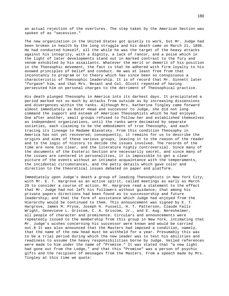an actual rejection of the overtures. The step taken by the American Section was spoken of as "secession."

The new organization in the United States got quietly to work, but Mr. Judge had been broken in health by the long struggle and his death came on March 21, 1896. He had conducted himself, all the while he was the target of the heavy attacks against his integrity, with a dignity, a lack of rancor, and a poise which in the light of later developments stand out in marked contrast to the fury and venom exhibited by his assailants. Whatever the merit or demerit of his position in the Theosophic movement, the fact is that he adhered with firm loyalty to his avowed principles of belief and conduct. He was at least free from that inconstancy to program or to theory which has since been so conspicuous a characteristic of Theosophic leadership. It is of record that Mr. Sinnett later "forgave" him, and that Mrs. Besant and Col. Olcott repented of having persecuted him on personal charges to the detriment of Theosophical practice.

His death plunged Theosophy in America into its darkest days. It precipitated a period marked not so much by attacks from outside as by increasing dissensions and divergences within the ranks. Although Mrs. Katherine Tingley came forward almost immediately as Outer Head and successor to Judge, she did not long command the support and esteem of American Theosophists which he had enjoyed. One after another, small groups refused to follow her and established themselves as independent organizations, until the ranks were decimated by separate societies, each claiming to be the embodiment of true Theosophy, and each tracing its lineage to Madame Blavatsky. From this condition Theosophy in America has not yet recovered; consequently, it remains for us to describe the origins and aims of these various groups, leaving it to the reason of the reader and to the logic of history to decide the issues involved. The records of the time are none too clear, and the literature highly controversial. Since many of the documents of the Esoteric Section are necessarily secret, and since many of the issues are centered in personalities, it is impossible to get a clear picture of the events without an intimate acquaintance with the temperaments, the incidental circumstances, and the petty details which gave color and direction to the theoretical issues debated on paper and platform.

Immediately upon Judge's death a group of leading Theosophists in New York City, with Mr. E. T. Hargrove as an active spirit, called meetings as early as March 29 to consider a course of action. Mr. Hargrove read a statement to the effect that Mr. Judge had not left his followers without guidance; that among his private papers directions had been found as to successorship and future leadership; and that the form of assistance which Judge had enjoyed from the Hierarchy would be continued to them. This announcement was signed by E. T. Hargrove, James M. Pryse, Joseph H. Fussell, H. T. Patterson, Claude Falls Wright, Genevieve L. Griscom, C. A. Griscom, Jr., and E. Aug. Neresheimer, all people of character and prominence. Circulars and announcements were repeatedly issued to the membership from this group in New York, intimating that Mr. Judge's wishes concerning his successor were known and would be carried out.8 It was also announced that the Masters had imposed a condition, namely, that the name of the new head must be withheld for a year. Presumably this was to be a trial period during which the new leader was to test his abilities and readiness to assume the heavy responsibilities borne by Judge. Veiled references were made to him under the name of "Promise." It was stated that "a new light had gone out from the Lodge," and that this "Promise" was a person of psychic gifts and the recipient of messages from the Masters. From a speech made by Mrs. Tingley at this time we quote: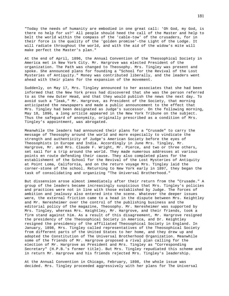"Today the needs of humanity are embodied in one great call: 'Oh God, my God, is there no help for us?' All people should heed the call of the Master and help to belt the world within the compass of the 'cable-tow' of the crusaders, for in their force is the quality of the 'golden promise'-the Light of the Lodge. It will radiate throughout the world, and with the aid of the widow's mite will make perfect the Master's plan."

At the end of April, 1896, the Annual Convention of the Theosophical Society in America met in New York City. Mr. Hargrove was elected President of the organization. The Path was changed to Theosophy. Mrs. Tingley was present and spoke. She announced plans for founding a "School for the Revival of the Lost Mysteries of Antiquity." Money was contributed liberally, and the leaders went ahead with their plans for the expansion of the movement.

Suddenly, on May 17, Mrs. Tingley announced to her associates that she had been informed that the New York press had discovered that she was the person referred to as the new Outer Head, and that they would publish the news the next day. To avoid such a "leak," Mr. Hargrove, as President of the Society, that morning anticipated the newspapers and made a public announcement to the effect that Mrs. Tingley had been designated as Judge's successor. On the following morning, May 18, 1896, a long article appeared in the New York Tribune on the subject. Thus the safeguard of anonymity, originally prescribed as a condition of Mrs. Tingley's appointment, was abrogated.

Meanwhile the leaders had announced their plans for a "Crusade" to carry the message of Theosophy around the world and more especially to vindicate the strength and authenticity of Judge's American Society before the eyes of Theosophists in Europe and India. Accordingly in June Mrs. Tingley, Mr. Hargrove, Mr. and Mrs. Claude F. Wright, Mr. Pierce, and two or three others, set sail for a trip around the world. They made numerous addresses at various points en route defending their cause. They also completed plans for the establishment of the School for the Revival of the Lost Mysteries of Antiquity at Point Loma, California, and on the return voyage Mrs. Tingley laid the corner-stone of the school. Returning to New York early in 1897, they began the task of consolidating and organizing "The Universal Brotherhood."

But dissension arose almost immediately after their return from the "Crusade." A group of the leaders became increasingly suspicious that Mrs. Tingley's policies and practices were not in line with those established by Judge. The forces of ambition and jealousy also entered into the scene. Whatever the deeper issues were, the external friction came to a head in the dispute between Mrs. Keightley and Mr. Neresheimer over the control of the publishing business and the editorial policy of the magazine, Theosophy. Mr. Neresheimer was supported by Mrs. Tingley, whereas Mrs. Keightley, Mr. Hargrove, and their friends, took a firm stand against him. As a result of this disagreement, Mr. Hargrove resigned the presidency of the Theosophical Society in America, and Dr. Keightley resigned the presidency of the affiliated Theosophical Society in England. In January, 1898, Mrs. Tingley called representatives of the Theosophical Society from different parts of the United States to her home, and they drew up and adopted the Constitution of The Universal Brotherhood Organization. Meanwhile some of the friends of Mr. Hargrove proposed a rival plan calling for the election of Mr. Hargrove as President and Mrs. Tingley as "Corresponding Secretary" (H.P.B.'s former title). But Mrs. Tingley repudiated this scheme and in return Mr. Hargrove and his friends rejected Mrs. Tingley's leadership.

At the Annual Convention in Chicago, February, 1898, the whole issue was decided. Mrs. Tingley proceeded aggressively with her plans for The Universal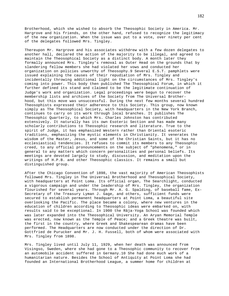Brotherhood, which she wished to absorb the Theosophic Society in America. Mr. Hargrove and his friends, on the other hand, refused to recognize the legitimacy of the new organization. When the issue was put to a vote, over ninety per cent of the delegates followed Mrs. Tingley.

Thereupon Mr. Hargrove and his associates withdrew with a few dozen delegates to another hall, declared the action of the majority to be illegal, and agreed to maintain the Theosophical Society as a distinct body. A month later they formally announced Mrs. Tingley's removal as Outer Head on the grounds that by slandering fellow members she had violated her vows and conducted her organization on policies unworthy of Theosophy.9 Several E.S.T. pamphlets were issued explaining the causes of their repudiation of Mrs. Tingley and incidentally throwing additional light on the circumstances of Mrs. Tingley's coming into power. This body then published The Theosophical Forum, in which it further defined its stand and claimed to be the legitimate continuation of Judge's work and organization. Legal proceedings were begun to recover the membership lists and archives of the Society from The Universal Brotherhood, but this move was unsuccessful. During the next few months several hundred Theosophists expressed their adherence to this Society. This group, now known simply as The Theosophical Society, with headquarters in the New York Branch, continues to carry on its work through local branches. It publishes The Theosophic Quarterly, to which Mrs. Charles Johnston has contributed extensively. It naturally has its own Esoteric Section and has made many scholarly contributions to Theosophic research and literature. True to the spirit of Judge, it has emphasized Western rather than Oriental esoteric traditions, emphasizing the mystic elements in Christianity. It venerates the wisdom of the Master, Jesus, and some of the Christian Saints, but it has no ecclesiastical tendencies. It refuses to commit its members to any Theosophic creed, to any official pronouncements on the subject of "phenomena," or in general to any matters which concern personalities and personal beliefs. Its meetings are devoted largely to study, discussion, and meditation upon the writings of H.P.B. and other Theosophic classics. It remains a small but distinguished group.

After the Chicago Convention of 1898, the vast majority of American Theosophists followed Mrs. Tingley in The Universal Brotherhood and Theosophical Society, with headquarters at Point Loma. Its official organ, The Searchlight, conducted a vigorous campaign and under the leadership of Mrs. Tingley, the organization flourished for several years. Through Mr. A. G. Spalding, of baseball fame, Ex-Secretary of the Treasury Lyman J. Gage, and others, sufficient funds were secured to establish permanent headquarters at Point Loma, a beautiful site overlooking the Pacific. The place became a colony, where new ventures in the education of children according to Theosophic ideas were embarked on, with results said to be exceptional. In 1900 the Râja-Yoga School was founded which was later expanded into the Theosophical University. An Aryan Memorial Temple was erected, now known as the Temple of Peace; and a Greek theatre was built, the first in the country, where Greek and Shakespearean dramas have been performed. The Headquarters are now conducted under the direction of Dr. Gottfried de Purucker and Mr. J. H. Fussell, both of whom were associated with Mrs. Tingley from 1898.

Mrs. Tingley lived until July 11, 1929, when her death was announced from Visingso, Sweden, where she had gone to a Theosophic community to recover from an automobile accident suffered in Germany.10 She had done much work of a humanitarian nature. Besides the School of Antiquity at Point Loma she had founded an International Brotherhood League, a summer home for children at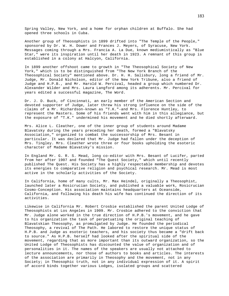Spring Valley, New York, and a home for orphan children at Buffalo. She had opened three schools in Cuba.

Another group of Theosophists in 1899 drifted into "The Temple of the People," sponsored by Dr. W. H. Dower and Frances J. Meyers, of Syracuse, New York. Messages coming through a Mrs. Francia A. La Due, known mediumistically as "Blue Star," were its inspiration until her death in 1923. A remnant of this group is established in a colony at Halcyon, California.

In 1899 another offshoot came to growth in "The Theosophical Society of New York," which is to be distinguished from "The New York Branch of the Theosophical Society" mentioned above. Dr. H. H. Salisbury, long a friend of Mr. Judge, Mr. Donald Nicholson, editor of the New York Tribune, also a friend of Judge and H.P.B., and Mr. Harold W. Percival, headed a group which numbered Dr. Alexander Wilder and Mrs. Laura Langford among its adherents. Mr. Percival for years edited a successful magazine, The Word.

Dr. J. D. Buck, of Cincinnati, an early member of the American Section and devoted supporter of Judge, later threw his strong influence on the side of the claims of a Mr. Richardson-known as "T.K."-and Mrs. Florence Huntley, to represent the Masters. Some of his friends went with him in this allegiance, but the exposure of "T.K." undermined his movement and he died shortly afterward.

Mrs. Alice L. Cleather, one of the inner group of students around Madame Blavatsky during the years preceding her death, formed a "Blavatsky Association," organized to combat the successorship of Mrs. Besant in particular. It was declared that Mr. Judge had fallen under the deception of Mrs. Tingley. Mrs. Cleather wrote three or four books upholding the esoteric character of Madame Blavatsky's mission.

In England Mr. G. R. S. Mead, long co-editor with Mrs. Besant of Lucifer, parted from her after 1907 and founded "The Quest Society," which until recently published The Quest. His Society has a highly respectable membership and devotes its energies to comparative religion and psychical research. Mr. Mead is most active in the scholarly activities of the Society.

In California, home of many cults, Mr. Max Heindel, originally a Theosophist, launched later a Rosicrucian Society, and published a valuable work, Rosicrucian Cosmo-Conception. His association maintains headquarters at Oceanside, California, and following his death his wife has continued the direction of its activities.

Likewise in California Mr. Robert Crosbie established the parent United Lodge of Theosophists at Los Angeles in 1909. Mr. Crosbie adhered to the conviction that Mr. Judge alone worked in the true direction of H.P.B.'s movement, and he gave to his organization the task of perpetuating the original teaching of Blavatskian Theosophy, as promulgated by Judge. He founded the periodical Theosophy, a revival of The Path. He labored to restore the unique status of H.P.B. and Judge as esoteric teachers, and his society thus became a "drift back to source." As H.P.B. herself had looked after the spiritual side of the movement, regarding that as more important than its outward organization, so the United Lodge of Theosophists has discounted the value of organization and of personalities in it. The names of the speakers are usually not attached to lecture announcements, nor those of authors to books and articles. The interests of the association are primarily in Theosophy and the movement, not in any Society; in Theosophic truth, not in any individual expression of it. A spirit of accord binds together various Lodges, isolated groups and scattered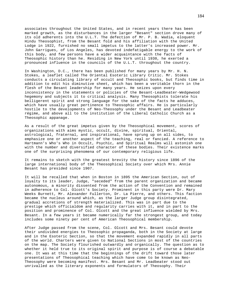associates throughout the United States, and in recent years there has been marked growth, as the disturbances in the larger "Besant" section drove many of its old adherents into the U.L.T. The defection of Mr. P. B. Wadia, eloquent Hindu Theosophist, from the Besant fold and his affiliation with the United Lodge in 1922, furnished no small impetus to the latter's increased power. Mr. John Garrigues, of Los Angeles, has devoted indefatigable energy to the work of this body, and few persons have a wider acquaintance with the facts of Theosophic history than he. Residing in New York until 1930, he exerted a pronounced influence in the councils of the U.L.T. throughout the country.

In Washington, D.C., there has been published for many years by Mr. H. N. Stokes, a leaflet called The Oriental Esoteric Library Critic. Mr. Stokes conducts a circulating library of occult and Theosophic books, but finds time in addition to edit his diminutive sheet, which has been a veritable thorn in the flesh of the Besant leadership for many years. He seizes upon every inconsistency in the statements or policies of the Besant-Leadbeater-Wedgewood hegemony and subjects it to critical analysis. Many Theosophists tolerate his belligerent spirit and strong language for the sake of the facts he adduces, which have usually great pertinence to Theosophic affairs. He is particularly hostile to the developments of Neo-Theosophy under the Besant and Leadbeater régime, and above all to the institution of the Liberal Catholic Church as a Theosophic appanage.

As a result of the great impetus given by the Theosophical movement, scores of organizations with aims mystic, occult, divine, spiritual, Oriental, astrological, fraternal, and inspirational, have sprung up on all sides, to emphasize one or another aspect of the teaching, real or fancied. A reference to Hartmann's Who's Who in Occult, Psychic, and Spiritual Realms will astonish one with the number and diversified character of these bodies. Their existence marks one of the surprising phenomena of our contemporary religious life.

It remains to sketch with the greatest brevity the history since 1896 of the large international body of the Theosophical Society over which Mrs. Annie Besant has presided since 1907.

It will be recalled that when in Boston in 1895 the American Section, out of loyalty to its leader, Judge, "seceded" from the parent organization and became autonomous, a minority dissented from the action of the Convention and remained in adherence to Col. Olcott's Society. Prominent in this party were Dr. Mary Weeks Burnett, Mr. Alexander Fullerton, Dr. La Pierre, and others. This faction became the nucleus around which, as the larger Judge group disintegrated, gradual accretions of strength materialized. This was in part due to the prestige which officialdom and regularity carries with it, and in part to the position and prominence of Col. Olcott and the great influence wielded by Mrs. Besant. In a few years it became numerically far the strongest group, and today includes some ninety per cent of American Theosophical membership.

After Judge passed from the scene, Col. Olcott and Mrs. Besant could devote their undivided energies to Theosophic propaganda, both in the Society at large and in the Esoteric Section, so that the movement expanded rapidly in all parts of the world. Charters were given to National Sections in most of the countries on the map. The Society flourished outwardly and organically. The question as to whether it held true to its original spirit and purpose is of course a debatable one. It was at this time that the beginnings of the drift toward those later presentations of Theosophical teaching which have come to be known as Neo-Theosophy were becoming manifest. Mrs. Besant and Mr. Leadbeater stood out unrivalled as the literary exponents and formulators of Theosophy. Their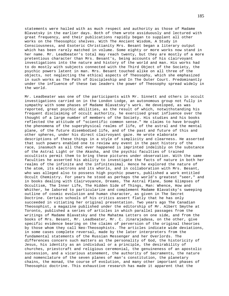statements were hailed with as much respect and authority as those of Madame Blavatsky in the earlier days. Both of them wrote assiduously and lectured with great frequency, and their publications rapidly began to supplant all other works on the Theosophic shelves. With The Ancient Wisdom, A Study in Consciousness, and Esoteric Christianity Mrs. Besant began a literary output which has been rarely matched in volume. Some eighty or more works now stand in her name. Mr. Leadbeater's total may reach twenty, but they are mostly of a more pretentious character than Mrs. Besant's, being accounts of his clairvoyant investigations into the nature and history of the world and man. His works had to do mostly with subjects connected with the Third Object of the Society, the psychic powers latent in man. Mrs. Besant touched alike on all three of the objects, not neglecting the ethical aspects of Theosophy, which she emphasized in such works as The Path of Discipleship and In The Outer Court. Predominantly under the influence of these two leaders the power of Theosophy spread widely in the world.

Mr. Leadbeater was one of the participants with Mr. Sinnett and others in occult investigations carried on in the London Lodge, an autonomous group not fully in sympathy with some phases of Madame Blavatsky's work. He developed, as was reported, great psychic abilities, as the result of which, notwithstanding his frequent disclaiming of occult authority, he exercised great influence over the thought of a large number of members of the Society. His studies and his books reflected the attitude of "scientific common sense." He claims to have brought the phenomena of the superphysical realms of life, of the astral and the mental plane, of the future disembodied life, and of the past and future of this and other spheres, under his direct clairvoyant gaze. He wrote elaborate descriptions of these things in a style of simplicity and clearness. He asserted that such powers enabled one to review any event in the past history of the race, inasmuch as all that ever happened is imprinted indelibly on the substance of the Astral Light or the Akasha, and the psychic faculties of trained occultists permit them to bring these pictures under observation. With the same faculties he asserted his ability to investigate the facts of nature in both her realms of the infinite and the infinitesimal. Hence he explored the nature of the atom, its electrons and its whorls, and in collaboration with Mrs. Besant, who was alleged also to possess high psychic powers, published a work entitled Occult Chemistry. For years he stood as perhaps the world's greatest "seer," and in books dealing with Clairvoyance, Dreams, The Astral Plane, Some Glimpses of Occultism, The Inner Life, The Hidden Side of Things, Man: Whence, How and Whither, he labored to particularize and complement Madame Blavatsky's sweeping outline of cosmic evolution and human character, as given in The Secret Doctrine. Certain schools of his critics assert flatly that he has only succeeded in vitiating her original presentation. Two years ago The Canadian Theosophist, a magazine published under the editorship of Mr. Albert Smythe at Toronto, published a series of articles in which parallel passages from the writings of Madame Blavatsky and the Mahatma Letters on one side, and from the books of Mrs. Besant, Mr. Leadbeater, Mr. C. Jinarajadasa, on the other, give specific evidence bearing on the claims of perversion of the original theories by those whom they call Neo-Theosophists. The articles indicate wide deviations, in some cases complete reversal, made by the later interpreters from the fundamental statements of the Russian Messenger and her Overlords. The differences concern such matters as the personality of God, the historicity of Jesus, his identity as an individual or a principle, the desirability of churches, priestcraft and religious ceremonial, the genuineness of an apostolic succession, and a vicarious atonement, the authority of Sacraments, the nature and nomenclature of the seven planes of man's constitution, the planetary chains, the monad, the course of evolution, and many other important phases of Theosophic doctrine. This exhaustive research has made it apparent that the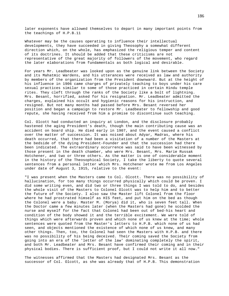later exponents have allowed themselves to depart in many important points from the teachings of H.P.B.11

Whatever may be the causes operating to influence their intellectual developments, they have succeeded in giving Theosophy a somewhat different direction which, on the whole, has emphasized the religious temper and content of its doctrines. It should be added that these criticisms are not representative of the great majority of followers of the movement, who regard the later elaborations from fundamentals as both logical and desirable.

For years Mr. Leadbeater was looked upon as the genuine link between the Society and its Mahatmic Wardens, and his utterances were received as law and authority by members of the organization from the President downward. But at the height of his influence in 1906 came charges of privately teaching to boys under his care sexual practices similar to some of those practiced in certain Hindu temple rites. They cleft through the ranks of the Society like a bolt of lightning. Mrs. Besant, horrified, asked for his resignation. Mr. Leadbeater admitted the charges, explained his occult and hygienic reasons for his instruction, and resigned. But not many months had passed before Mrs. Besant reversed her position and began a campaign to restore Mr. Leadbeater to fellowship and good repute, she having received from him a promise to discontinue such teaching.

Col. Olcott had conducted an inquiry at London, and the disclosure probably hastened the aging President's death, though the main contributing cause was an accident on board ship. He died early in 1907, and the event caused a conflict over the matter of succession. It was noised about Adyar, Madras, where his death occurred, that there had been a visitation of a number of the Masters at the bedside of the dying President-Founder and that the succession had there been indicated. The extraordinary occurrence was said to have been witnessed by those present in the death chamber, who were Mrs. Besant, Mrs. Marie Russak Hotchener, and two or three others. As the matter is one of considerable moment in the history of the Theosophical Society, I take the liberty to quote several sentences from a personal letter which Mrs. Hotchener wrote me from Los Angeles under date of August 3, 1915, relative to the event:

"I was present when the Masters came to Col. Olcott. There was no possibility of hallucination, for too many things occurred physically which could be proven. I did some writing even, and did two or three things I was told to do, and besides the whole visit of the Masters to Colonel Olcott was to help him and to better the future of the Society. I also saw the Master lift Colonel from the floor where he had prostrated himself as HIS feet, and put him on the bed as though the Colonel were a baby. Master M. (Morya) did it, who is seven feet tall. When the Doctor came a few minutes later (when the Masters had gone) he scolded the nurse and myself for the fact that Colonel had been out of bed-his heart and condition of the body showed it and the terrible excitement. We were told of things which were afterwards proven and which none of us knew at the time; whole sentences were quoted from the Master's letters to H.P.B. which none of us had seen, and objects mentioned the existence of which none of us knew, and many other things. Then, too, the Colonel had seen the Masters with H.P.B. and there was no possibility of his being deceived. Their coming saved the Society from going into an era of the 'letter of the law' dominating completely the spirit, and both Mr. Leadbeater and Mrs. Besant have confirmed their coming and in their physical bodies. There is sufficient proof, but I could not write it all now."

The witnesses affirmed that the Masters had designated Mrs. Besant as the successor of Col. Olcott, as she was already that of H.P.B. This demonstration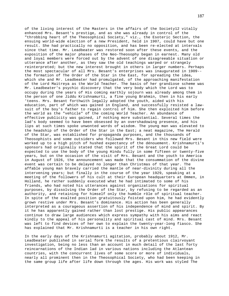of the living interest of the Masters in the affairs of the Society12 vitally enhanced Mrs. Besant's prestige, and as she was already in control of the "throbbing heart of the Theosophical Society," viz., the Esoteric Section, the ensuing world-wide election of a new President, held in 1907, could have but one result. She had practically no opposition, and has been re-elected at intervals since that time. Mr. Leadbeater was restored soon after these events, and the exposition of the major phases of the Neo-Theosophy began in earnest. Many old and loyal members were forced out by the advent of one disagreeable situation or utterance after another, as they saw the old teachings warped or strangely reinterpreted; but the new interest brought in others in larger numbers. Perhaps the most spectacular of all Mrs. Besant's enterprises was inaugurated in 1909- the formation of The Order of the Star in the East, for spreading the idea, which she and Mr. Leadbeater had promulgated, of the approaching manifestation of the Lord Maitreya as the World Teacher. The basis of her grandiose scheme was Mr. Leadbeater's psychic discovery that the very body which the Lord was to occupy during the years of His coming earthly sojourn was already among them in the person of one Jiddu Krishnamurti, a fine young Brahmin, then in his early 'teens. Mrs. Besant forthwith legally adopted the youth, aided with his education, part of which was gained in England, and successfully resisted a lawsuit of the boy's father to regain control of him. She then exploited him before the world as the "vehicle" of the coming World Teacher. An abundance of effective publicity was gained, if nothing more substantial. Several times the lad's body seemed to have been obsessed by an overshadowing presence, and his lips at such times spoke unwonted words of wisdom. The young man was elevated to the headship of the Order of the Star in the East; a neat magazine, The Herald of the Star, was established for propaganda purposes, and the thousands of Theosophists and some outsiders who followed Mrs. Besant in this new field were worked up to a high pitch of hushed expectancy of the dénouement. Krishnamurti's sponsors had originally stated that the spirit of the Great Lord could be expected to use the body of the young Hindu fully in some fifteen or twenty-five years, but on the occasion of the visit of Mrs. Besant and the youth to America in August of 1926, the announcement was made that the consummation of the divine event was certain to be delayed no longer than Christmas of that year. The affable young man bravely carried the mantle of near-divinity during all the intervening years; but finally in the course of the year 1929, speaking at a meeting of the followers of his cult at their European headquarters at Ommen, in Holland, he rather suddenly executed what he had intimated to some of his friends, who had noted his utterances against organizations for spiritual purposes, by dissolving the Order of the Star, by refusing to be regarded as an authority, and retaining for himself only the humble rôle of spiritual teacher. In spite of the exalted position gratuitously foisted upon him, he had evidently grown restive under Mrs. Besant's dominance. His action has been generally interpreted as a courageous assertion of his independence of mind and spirit. By it he has apparently gained rather than lost prestige. His public appearances continue to draw large audiences which express sympathy with his aims and react kindly to the appeal of his personality and spiritual cast of mind. Mrs. Besant was left to find devices of her own to explain the twenty-year-long fiasco. She has explained that Mr. Krishnamurti is a teacher in his own right.

In the early days of the Krishnamurti agitation, probably about 1912, Mr. Leadbeater published in serial form the results of a pretentious clairvoyant investigation, being no less than an account in much detail of the last forty reincarnations of the Indian lad in various nations including the Atlantean countries, with the concurrent lives of some score or more of individuals, nearly all prominent then in the Theosophical Society, who had been keeping in the same group life after life down through the ages. His work was styled The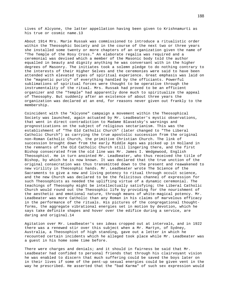Lives of Alcyone, the latter appellation having been given to Krishnamurti as his true or cosmic name.13

About 1914 Mrs. Marie Russak was commissioned to introduce a ritualistic order within the Theosophic Society and in the course of the next two or three years she installed some twenty or more chapters of an organization given the name of "The Temple of the Rosy Cross." An elaborate regalia was required and a ceremonial was devised which a member of the Masonic body told the author equalled in beauty and dignity anything he was conversant with in the higher degrees of Masonry. The initiates took a solemn pledge to do nothing contrary to the interests of their Higher Selves and the ceremonies were said to have been attended with elevated types of spiritual experience. Great emphasis was laid on the "magnetic purity" of everything handled by the officiants. Powerful sublimations of spiritual forces were thought to be operative through the instrumentality of the ritual. Mrs. Russak had proved to be an efficient organizer and the "Temple" had apparently done much to spiritualize the appeal of Theosophy. But suddenly after an existence of about three years the organization was declared at an end, for reasons never given out frankly to the membership.

Coincident with the "Alcyone" campaign a movement within the Theosophical Society was launched, again actuated by Mr. Leadbeater's mystic observations, that went in direct contradiction to Madame Blavatsky's warnings and prognostications on the subject of religious sectarianism. This was the establishment of "The Old Catholic Church" (later changed to "The Liberal Catholic Church") as carrying the true apostolic succession from the original non-Roman Catholic Church, the primitive Christian Church. The link of succession brought down from the early Middle Ages was picked up in Holland in the remnants of the Old Catholic Church still lingering there, and the first Bishop consecrated from the old line was Mr. James I. Wedgewood, English Theosophist. He in turn anointed Mr. Leadbeater, who thus received the title of Bishop, by which he is now known. It was declared that the true unction of the original consecration was thus transmitted down to the present and reawakened to new virility in Theosophic hands. Mr. Leadbeater wrote The Science of the Sacraments to give a new and living potency to ritual through occult science, and the new Church was declared to be the felicitous channel of expression for such Theosophists as needed the uplifting virtue of a dynamic ceremonial. The teachings of Theosophy might be intellectually satisfying; the Liberal Catholic Church would round out the Theosophic life by providing for the nourishment of the aesthetic and emotional nature, through means of white-magical potency. Mr. Leadbeater was more Catholic than any Roman in his claims of marvelous efficacy in the performance of the rituals. His pictures of the congregational thoughtforms, the aggregate vibrational energies set in motion by devotion, which he says take definite shapes and hover over the edifice during a service, are daring and original.14

Agitation over Mr. Leadbeater's sex ideas cropped out at intervals, and in 1922 there was a renewed stir over this subject when a Mr. Martyn, of Sydney, Australia, a Theosophist of high standing, gave out a letter in which he recounted certain incidents which he alleged took place while Mr. Leadbeater was a guest in his home some time before.

There were charges and denials; and it should in fairness be said that Mr. Leadbeater had confided to personal friends that through his clairvoyant vision he was enabled to discern that much suffering could be saved the boys later on in their lives if some of the pent-up sexual energies could be given vent in the way he prescribed. He asserted that the "bad Karma" of such sex expression would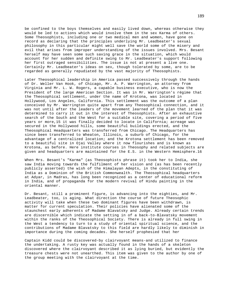be confined to the boys themselves and easily lived down, whereas otherwise they would be led to actions which would involve them in the sex Karma of others. Some Theosophists, including one or two medical men and women, have gone on record as declaring that the principles underlying Mr. Leadbeater's sexual philosophy in this particular might well save the world some of the misery and evil that arises from improper understanding of the issues involved. Mrs. Besant herself may have seen some such saving grace in the situation, which would account for her sudden and definite swing to Mr. Leadbeater's support following her first outraged sensibilities. The issue is not at present a live one. Certainly Mr. Leadbeater's ideas on sex, though tolerated by some, are to be regarded as generally repudiated by the vast majority of Theosophists.

Later Theosophical leadership in America passed successively through the hands of Dr. Weller Van Hook, of Chicago, Mr. A. P. Warrington, an attorney from Virginia and Mr. L. W. Rogers, a capable business executive, who is now the President of the large American Section. It was in Mr. Warrington's régime that the Theosophical settlement, under the name of Krotona, was located in Hollywood, Los Angeles, California. This settlement was the outcome of a plan conceived by Mr. Warrington quite apart from any Theosophical connection, and it was not until after the leaders of the movement learned of the plan that it was determined to carry it out in the interest of Theosophists. After an exhaustive search of the South and the West for a suitable site, covering a period of five years or more,15 it was finally decided to locate in California; acreage was secured in the Hollywood hills, some beautiful buildings erected, and the Theosophical Headquarters was transferred from Chicago. The Headquarters has since been transferred to Wheaton, Illinois, a suburb of Chicago, for the advantage of a centralized location; and the Krotona settlement has been removed to a beautiful site in Ojai Valley where it now flourishes and is known as Krotona, as before. Here institute courses in Theosophy and related subjects are given and headquarters are maintained for the E.S. in the Western Hemisphere.16

When Mrs. Besant's "Karma" (as Theosophists phrase it) took her to India, she saw India moving towards the fulfilment of her vision and (as has been recently publicly asserted) the wish of the Himalayan Adepts, in the constituting of India as a Dominion of the British Commonwealth. The Theosophical headquarters at Adyar, in Madras, has long been recognized as a center of educational reform in India, and of propaganda for the modern revival of Hindu painting in the oriental manner.

Dr. Besant, still a prominent figure, is advancing into the eighties, and Mr. Leadbeater, too, is aging. What direction the course of future Theosophic activity will take when these two dominant figures have been withdrawn, is matter for current speculation. Their policies have alienated some of the staunchest early adherents of Madame Blavatsky and Judge. Already certain trends are discernible which indicate the setting in of a back-to-Blavatsky movement within the ranks of the Theosophical Society. There is already in full swing in the West a tendency to turn to a study of oriental spiritual science, and the contributions of Madame Blavatsky to this field are hardly likely to diminish in importance during the coming decades. She herself prophesied that her

Captain Kidd could be discovered-by clairvoyant means-and utilized to finance the undertaking. A rusty key was actually found in the hands of a skeleton discovered where the clairvoyant described it as lying buried, but evidently the treasure chests were not unearthed. This item was given to the author by one of the group meeting with the clairvoyant at the time.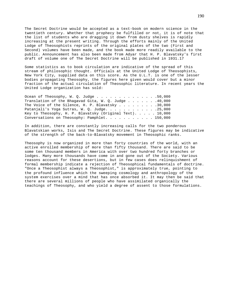The Secret Doctrine would be accepted as a text-book on modern science in the twentieth century. Whether that prophecy be fulfilled or not, it is of note that the list of students who are dragging it down from dusty shelves is rapidly increasing at the present writing. Through the efforts mainly of the United Lodge of Theosophists reprints of the original plates of the two (First and Second) volumes have been made, and the book made more readily available to the public. Announcement has also been made from Adyar that H. P. Blavatsky's first draft of volume one of The Secret Doctrine will be published in 1931.17

Some statistics as to book circulation are indicative of the spread of this stream of philosophic thought. Officials at the United Lodge of Theosophists, New York City, supplied data on this score. As the U.L.T. is one of the lesser bodies propagating Theosophy, the figures here given would cover but a minor fraction of the actual circulation of Theosophic literature. In recent years the United Lodge organization has sold:

| Ocean of Theosophy, W. Q. Judge 50,000                               |  |
|----------------------------------------------------------------------|--|
| Translation of the Bhagavad Gita, W. Q. Judge 40,000                 |  |
| The Voice of the Silence, H. P. Blavatsky 30,000                     |  |
| Patanjali's Yoga Sutras, W. Q. Judge. 25,000                         |  |
| Key to Theosophy, H. P. Blavatsky (Original Text). $\ldots$ . 10,000 |  |
| Conversations on Theosophy: Pamphlet. 150,000                        |  |

In addition, there are constantly increasing calls for the two ponderous Blavatskian works, Isis and The Secret Doctrine. These figures may be indicative of the strength of the back-to-Blavatsky movement in Theosophic ranks.

Theosophy is now organized in more than forty countries of the world, with an active enrolled membership of more than fifty thousand. There are said to be some ten thousand members in America with over two hundred forty branches or lodges. Many more thousands have come in and gone out of the Society. Various reasons account for these desertions, but in few cases does relinquishment of formal membership indicate a rejection of Theosophical fundamentals of doctrine. "Once a Theosophist always a Theosophist," is approximately true, pointing to the profound influence which the sweeping cosmology and anthropology of the system exercises over a mind that has once absorbed it. It may then be said that there are several millions of people who have assimilated organically the teachings of Theosophy, and who yield a degree of assent to those formulations.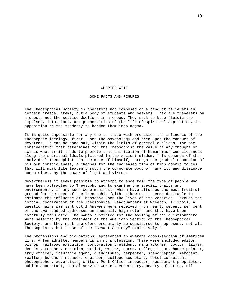## CHAPTER XIII

## SOME FACTS AND FIGURES

The Theosophical Society is therefore not composed of a band of believers in certain creedal items, but a body of students and seekers. They are travelers on a quest, not the settled dwellers in a creed. They seek to keep fluidic the impulses, intuitions, and propensities of the life of spiritual aspiration, in opposition to the tendency to harden them into dogma.

It is quite impossible for any one to trace with precision the influence of the Theosophic ideology, first, upon the psychology and then upon the conduct of devotees. It can be done only within the limits of general outlines. The one consideration that determines for the Theosophist the value of any thought or act is whether it tends to promote that unification of human mass consciousness along the spiritual ideals pictured in the Ancient Wisdom. This demands of the individual Theosophist that he make of himself, through the gradual expansion of his own consciousness, a channel for the increased flow of high cosmic forces that will work like leaven through the corporate body of humanity and dissipate human misery by the power of light and virtue.

Nevertheless it seems possible to attempt to ascertain the type of people who have been attracted to Theosophy and to examine the special traits and environments, if any such were manifest, which have afforded the most fruitful ground for the seed of the Theosophic faith. Likewise it seems desirable to estimate the influence of Theosophy upon the lives of its votaries. Through the cordial coöperation of the Theosophical Headquarters at Wheaton, Illinois, a questionnaire was sent out.1 Answers were received from nearly seventy per cent of the two hundred addresses-an unusually high return-and they have been carefully tabulated. The names submitted for the mailing of the questionnaire were selected by the President of the American Section of the Theosophical Society, and they must therefore presumably be considered to represent, not all Theosophists, but those of the "Besant Society" exclusively.2

The professions and occupations represented an average cross-section of American life. A few admitted membership in no profession. There were included editor, bishop, railroad executive, corporation president, manufacturer, doctor, lawyer, dentist, teacher, musician, artist, writer, nurse, college tutor, house painter, army officer, insurance agent, draughtsman, carpenter, stenographer, merchant, realtor, business manager, engineer, college secretary, hotel consultant, photographer, advertising writer, Post Office inspector, restaurant proprietor, public accountant, social service worker, veterinary, beauty culturist, oil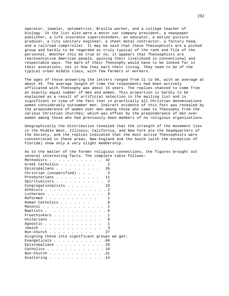operator, jeweler, optometrist, Braille worker, and a college teacher of biology. In the list also were a motor car company president, a newspaper publisher, a life insurance superintendent, an educator, a motion picture producer, a city sanitary engineer, a sheet metal contractor, a factory head, and a railroad comptroller. It may be said that these Theosophists are a picked group and hardly to be regarded as truly typical of the rank and file of the personnel. Whether this be true or no, it appears that Theosophists are representative American people, gaining their livelihood in conventional and respectable ways. The mark of their Theosophy would have to be looked for in their avocations, not in how they earn their living. They seem to be of the typical urban middle class, with few farmers or workers.

The ages of those answering the letters ranged from 21 to 86, with an average at about 45. The average length of time the respondents had been actively affiliated with Theosophy was about 15 years. The replies chanced to come from an exactly equal number of men and women. This proportion is hardly to be explained as a result of artificial selection in the mailing list and is significant in view of the fact that in practically all Christian denominations women considerably outnumber men. Indirect evidence of this fact was revealed by the preponderance of women over men among those who came to Theosophy from the various Christian churches; which was offset by the preponderance of men over women among those who had previously been members of no religious organizations.

Geographically the distribution revealed that the strength of the movement lies in the Middle West. Illinois, California, and New York are the headquarters of the Society, and the replies indicated that the most active Theosophists were concentrated in these areas. New England and the South (with the exception of Florida) show only a very slight membership.

| As to the matter of the former religious connections, the figures brought out<br>several interesting facts. The complete table follows: |
|-----------------------------------------------------------------------------------------------------------------------------------------|
|                                                                                                                                         |
| Methodists 32                                                                                                                           |
| Greek Catholics                                                                                                                         |
| Episcopalians $\ldots$ 26                                                                                                               |
| Christian (unspecified)                                                                                                                 |
| Presbyterians 11                                                                                                                        |
| Spiritualists 2                                                                                                                         |
| Congregationalists<br>10                                                                                                                |
| Atheists 2                                                                                                                              |
| Lutherans 9                                                                                                                             |
| Reformed                                                                                                                                |
| Roman Catholics<br>8                                                                                                                    |
| Masonic 1                                                                                                                               |
| Baptists 6                                                                                                                              |
| Freethinkers 1                                                                                                                          |
| Unitarians<br>-6                                                                                                                        |
| Agnostic<br>1                                                                                                                           |
| Jewish                                                                                                                                  |
| 27                                                                                                                                      |
| Aligning these into significant groups we get:                                                                                          |
| Evangelicals $\ldots$ 69                                                                                                                |
| Episcopalians 26                                                                                                                        |
|                                                                                                                                         |
| Catholics 10                                                                                                                            |
| Non-Church 31                                                                                                                           |
| Scattering 14                                                                                                                           |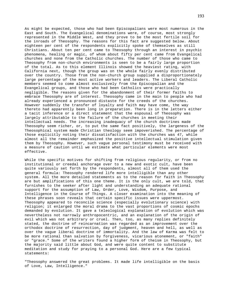As might be expected, those who had been Episcopalians were most numerous in the East and South. The Evangelical denominations were, of course, most strongly represented in the Middle West, and they prove to be the most fertile soil for the inroads of Theosophy. The reasons for this fact are suggested below. About eighteen per cent of the respondents explicitly spoke of themselves as still Christians. About ten per cent came to Theosophy through an interest in psychic phenomena, healing or magic, of whom about fifty per cent came from Evangelical churches and none from the Catholic churches. The number of those who came to Theosophy from non-church environments is seen to be a fairly large proportion of the total. As to this element Illinois showed the heaviest rating, with California next, though the group was on the whole fairly evenly distributed over the country. Those from the non-church group supplied a disproportionately large percentage of the most active workers and leaders. The Liberal Catholic members seemed to come almost exclusively from the Episcopalian and the Evangelical groups, and those who had been Catholics were practically negligible. The reasons given for the abandonment of their former faiths to embrace Theosophy are of interest. Theosophy came in the main to people who had already experienced a pronounced distaste for the creeds of the churches. However suddenly the transfer of loyalty and faith may have come, the way thereto had apparently been long in preparation. There is in the letters either a tacit inference or a direct statement that the espousal of Theosophy was largely attributable to the failure of the churches in meeting their intellectual needs. The increasing inadequacy of the church doctrines made Theosophy seem richer, or, to put the same fact positively, the largeness of the Theosophical system made Christian theology seem impoverished. The percentage of those explicitly noting their dissatisfaction with the churches was 47, while almost all the remainder emphasized the positive intellectual stimulation given them by Theosophy. However, such vague personal testimony must be received with a measure of caution until we estimate what particular elements were most effective.

While the specific motives for shifting from religious regularity, or from no institutional or creedal anchorage over to a new and exotic cult, have been quite variously set forth by the respondents, almost all of them used the general formula: Theosophy rendered life more intelligible than any other system. All the more detailed statements as to the reason for faith in Theosophy are but amplifications of this one theme. It is the only cult, we are told, that furnishes to the seeker after light and understanding an adequate rational support for the assumption of Law, Order, Love, Wisdom, Purpose, and Intelligence in the Course of Things. A closer examination into the meaning of these phrases soon reveals that certain specific issues were uppermost. Theosophy appeared to reconcile science (especially evolutionary science) with religion; it enlarged the moral drama to the vast proportions of cosmic epochs demanded by evolution. It gave a teleological explanation of evolution which was nevertheless not narrowly anthropocentric, and an explanation of the origin of evil which was not arbitrary or cruel. Then, too, as many replies definitely stated, the doctrine of reincarnation was regarded as an improvement over the orthodox doctrine of resurrection, day of judgment, heaven and hell, as well as over the vague liberal doctrine of immortality. And the law of Karma was felt to be more rational than salvation by forgiveness, vicarious atonement, or "faith" or "grace." Some of the writers found a higher form of theism in Theosophy, but the majority said little about God, and were quite content to substitute meditation and study for praying to a personal God. Here are a few typical statements:

"Theosophy answered the great problems. It made life intelligible on the basis of Love, Law, Intelligence."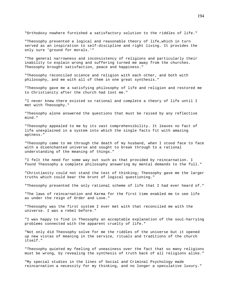"Orthodoxy nowhere furnished a satisfactory solution to the riddles of life."

"Theosophy presented a logical and reasonable theory of life,which in turn served as an inspiration to self-discipline and right living. It provides the only sure 'ground for morals.'"

"The general narrowness and inconsistency of religions and particularly their inability to explain wrong and suffering turned me away from the churches. Theosophy brought satisfaction, peace and happiness."

"Theosophy reconciled science and religion with each other, and both with philosophy, and me with all of them in one great synthesis."

"Theosophy gave me a satisfying philosophy of life and religion and restored me to Christianity after the church had lost me."

"I never knew there existed so rational and complete a theory of life until I met with Theosophy."

"Theosophy alone answered the questions that must be raised by any reflective mind."

"Theosophy appealed to me by its vast comprehensibility. It leaves no fact of life unexplained in a system into which the single facts fit with amazing aptness."

"Theosophy came to me through the death of my husband, when I stood face to face with a disenchanted universe and sought to break through to a rational understanding of the meaning of things."

"I felt the need for some way out such as that provided by reincarnation. I found Theosophy a complete philosophy answering my mental demands to the full."

"Christianity could not stand the test of thinking; Theosophy gave me the larger truths which could bear the brunt of logical questioning."

"Theosophy presented the only rational scheme of life that I had ever heard of."

"The laws of reincarnation and Karma for the first time enabled me to see life as under the reign of Order and Love."

"Theosophy was the first system I ever met with that reconciled me with the universe. I was a rebel before."

"I was happy to find in Theosophy an acceptable explanation of the soul-harrying problems connected with the apparent cruelty of life."

"Not only did Theosophy solve for me the riddles of the universe but it opened up new vistas of meaning in the service, rituals and traditions of the church itself."

"Theosophy quieted my feeling of uneasiness over the fact that so many religions must be wrong, by revealing the synthesis of truth back of all religions alike."

"My special studies in the lines of Social and Criminal Psychology made reincarnation a necessity for my thinking, and no longer a speculative luxury."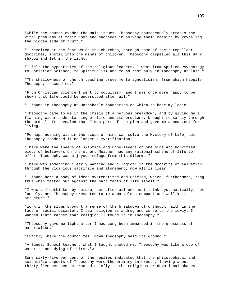"While the church evades the main issues, Theosophy courageously attacks the vital problems at their root and succeeds in solving their meaning by revealing the hidden side of truth."

"I revolted at the fear which the churches, through some of their repellent doctrines, instil into the minds of children. Theosophy dispelled all this dark shadow and let in the light."

"I felt the hypocrisies of the religious leaders. I went from Applied Psychology to Christian Science, to Spiritualism and found rest only in Theosophy at last."

"The shallowness of church teaching drove me to agnosticism, from which happily Theosophy rescued me."

"From Christian Science I went to occultism, and I was once more happy to be shown that life could be understood after all."

"I found in Theosophy an unshakable foundation on which to base my logic."

"Theosophy came to me in the crisis of a nervous breakdown, and by giving me a flashing clear understanding of life and its problems, brought me safely through the ordeal. It revealed that I was part of the plan and gave me a new zest for living."

"Perhaps nothing within the scope of mind can solve the Mystery of Life, but Theosophy rendered it no longer a mystification."

"There were the sneers of skeptics and unbelievers on one side and horrified piety of believers on the other. Neither had any rational scheme of life to offer. Theosophy was a joyous refuge from this dilemma."

"There was something clearly wanting and illogical in the doctrine of salvation through the vicarious sacrifice and atonement; now all is clear."

"I found here a body of ideas systematized and unified, which, furthermore, rang true when tested out against the hard facts of life itself."

"I was a freethinker by nature, but after all one must think systematically, not loosely, and Theosophy presented to me a marvelous compact and well-knit structure."

"Work in the slums brought a sense of the breakdown of orthodox faith in the face of social disaster. I saw religion as a drug and curse to the lowly. I wanted Truth rather than religion. I found it in Theosophy."

"Theosophy gave me light after I had long been immersed in the grossness of materialism."

"Exactly where the church fell down Theosophy held its ground."

"A Sunday School teacher, what I taught choked me. Theosophy was like a cup of water to one dying of thirst."3

Some sixty-five per cent of the replies indicated that the philosophical and scientific aspects of Theosophy were the primary interests, leaving about thirty-five per cent attracted chiefly to the religious or devotional phases.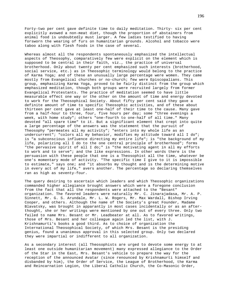Forty-two per cent gave definite time to daily meditation. Thirty- six per cent explicitly avowed a non-meat diet, though the proportion of abstainers from animal food is undoubtedly must larger. A few ladies testified to having forsworn the wearing of furs on humanitarian grounds. Alcohol and tobacco were taboo along with flesh foods in the case of several.

Whereas almost all the respondents spontaneously emphasized the intellectual aspects of Theosophy, comparatively few were explicit on the element which is supposed to be central in their faith, viz., the practice of universal brotherhood. Only about twenty per cent emphasized such interests (brotherhood, social service, etc.) as in Theosophic terminology would belong to the practice of Karma Yoga; and of these an unusually large percentage were women. They came mostly from Evangelical churches or no-church; few were Episcopalians. This group, emphasizing Karma Yoga, proved to be fairly distinct from the group which emphasized meditation, though both groups were recruited largely from former Evangelical Protestants. The practice of meditation seemed to have little measurable effect one way or the other on the amount of time and energy devoted to work for the Theosophical Society. About fifty per cent said they gave a definite amount of time to specific Theosophic activities, and of these about thirteen per cent gave at least one-half of their time to the cause. Many gave from a half-hour to three, four, five hours per day; some "three evenings a week, with home study"; others "one-fourth to one-half of all time." Many devoted "all spare time" to it. But a significant element that crept into quite a large percentage of the answers was the statement that the pursuit of Theosophy "permeates all my activity"; "enters into my whole life as an undercurrent"; "colors all my behavior, modifies my attitude toward all I do"; is "a subconscious influence directing my entire life"; is "the background of my life, polarizing all I do to the one central principle of brotherhood"; forms "the pervasive spirit of all I do;" is "the motivating agent in all my efforts to work and to serve"; and the like expressions. In other words there is the persuasion with these people that one is a Theosophist all the time, whatever be one's momentary mode of activity. "The specific time I give to it is impossible to estimate," says one; and "it absorbs my thought and is the determining motive in every act of my life," avers another. The percentage so declaring themselves ran as high as seventy-four.

The query desiring to ascertain which leaders and which Theosophic organizations commanded higher allegiance brought answers which were a foregone conclusion from the fact that all the respondents were attached to the "Besant" organization. The favored leaders were naturally Mr. C. Jinarajadasa, Mr. A. P. Sinnett, Mr. G. S. Arundale, Mr. L. W. Rogers, Mr. Max Wardall, Bishop Irving Cooper, and others. Although the name of the Society's great Founder, Madame Blavatsky, was brought in apparantly in most cases incidentally or as an afterthought, she or her writings were mentioned by one out of every three. Only two failed to name Mrs. Besant or Mr. Leadbeater at all. As to favored writings, those of Mrs. Besant and her colleague again led the list, with J. Krishnamurti's books a good third. As to choice of organization the International Theosophical Society, of which Mrs. Besant is the presiding genius, found a unanimous approval in this selected group. Only two declared they were impartial or indifferent to all organization.

As a secondary interest (all Theosophists are urged to devote some energy to at least one outside humanitarian movement) many expressed allegiance to the Order of the Star in the East, Mrs. Besant's vehicle to prepare the way for the reception of the announced Avatar (since renounced by Krishnamurti himself and disbanded by him), the Order of Service, the League of Brotherhood, the Karma and Reincarnation Legion, the Liberal Catholic Church, the Co-Masonic Order,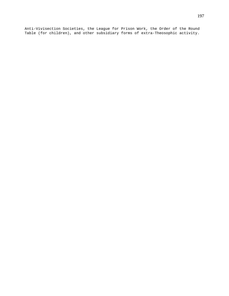Anti-Vivisection Societies, the League for Prison Work, the Order of the Round Table (for children), and other subsidiary forms of extra-Theosophic activity.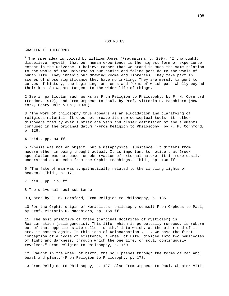## FOOTNOTES

## CHAPTER I THEOSOPHY

<sup>1</sup> The same idea is voiced by William James (Pragmatism, p. 299): "I thoroughly disbelieve, myself, that our human experience is the highest form of experience extant in the universe. I believe rather that we stand in much the same relation to the whole of the universe as our canine and feline pets do to the whole of human life. They inhabit our drawing rooms and libraries. They take part in scenes of whose significance they have no inkling. They are merely tangent to curves of history, the beginnings and ends and forms of which pass wholly beyond their ken. So we are tangent to the wider life of things."

2 See in particular such works as From Religion to Philosophy, by F. M. Cornford (London, 1912), and From Orpheus to Paul, by Prof. Vittorio D. Macchioro (New York, Henry Holt & Co., 1930).

3 "The work of philosophy thus appears as an elucidation and clarifying of religious material. It does not create its new conceptual tools; it rather discovers them by ever subtler analysis and closer definition of the elements confused in the original datum."-From Religion to Philosophy, by F. M. Cornford, p. 126.

4 Ibid., pp. 94 ff.

5 "Physis was not an object, but a metaphysical substance. It differs from modern ether in being thought actual. It is important to notice that Greek speculation was not based on observation of external nature. It is more easily understood as an echo from the Orphic teachings."-Ibid., pp. 136 ff.

6 "The fate of man was sympathetically related to the circling lights of heaven."-Ibid., p. 171.

7 Ibid., pp. 176 ff

8 The universal soul substance.

9 Quoted by F. M. Cornford, From Religion to Philosophy, p. 185.

10 For the Orphic origin of Heraclitus' philosophy consult From Orpheus to Paul, by Prof. Vittorio D. Macchioro, pp. 169 ff.

11 "The most primitive of these (cardinal doctrines of mysticism) is Reincarnation (palingenesis). This life, which is perpetually renewed, is reborn out of that opposite state called 'death,' into which, at the other end of its arc, it passes again. In this idea of Reincarnation . . . we have the first conception of a cycle of existence, a Wheel of Life, divided into two hemicycles of light and darkness, through which the one life, or soul, continuously revolves."-From Religion to Philosophy, p. 160.

12 "Caught in the wheel of birth, the soul passes through the forms of man and beast and plant."-From Religion to Philosophy, p. 178.

13 From Religion to Philosophy, p. 197. Also From Orpheus to Paul, Chapter VIII.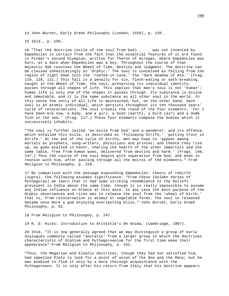14 John Burnet, Early Greek Philosophy (London, 1920), p. 138.

15 Ibid., p. 156.

16 "That the doctrine (exile of the soul from God) . . . was not invented by Empedocles is certain from the fact that the essential features of it are found in Pindar's second Olympian, written for Theron of Acragas, where Empedocles was born, at a date when Empedocles was a boy. Throughout the course of that majestic Ode revolves the Wheel of Time, Destiny and Judgment. The doctrine can be classed unhesitatingly as 'Orphic.' The soul is conceived as falling from the region of light down into the 'roofed-in cave,' the 'dark meadow of Ate.' (Frag. 119, 120, 121.) This fall is a penalty for sin, flesh-eating or oath-breaking. Caught in the Wheel of Time, the soul, preserving its individual identity, passes through all shapes of life. This implies that man's soul is not 'human'; human life is only one of the shapes it passes through. Its substance is divine and immutable, and it is the same substance as all other soul in the world. In this sense the unity of all life is maintained; but, on the other hand, each soul is an atomic individual, which persists throughout its ten thousand years' cycle of reincarnations. The soul travels the round of the four elements: 'For I have been ere now, a body, and a girl, a bush (earth), a bird (air) and a dumb fish in the sea.' (Frag. 117.) These four elements compose the bodies which it successively inhabits.

"The soul is further called 'an exile from God' and a wanderer, and its offence, which entailed this exile, is described as 'following Strife,' 'putting trust in Strife.' At the end of the cycle of births, men may hope to 'appear among mortals as prophets, song-writers, physicians and princes; and thence they rise up, as gods exalted in honor, sharing the hearth of the other immortals and the same table, free from human woes, delivered from destiny and harm.' (Frags. 146, 147.) Thus the course of the soul begins with separation from God, and ends in reunion with him, after passing through all the moirai of the elements."-From Religion to Philosophy, p. 228.

17 By comparison with the passage expounding Empedocles' theory of rebirth (supra), the following assumes significance: "From these (Golden Verses of Pythagoras) we learn that it had some striking resemblance to the beliefs prevalent in India about the same time, though it is really impossible to assume any Indian influence on Greece at this date. In any case the main purpose of the Orphic observances and rites was to release the soul from the 'wheel of birth,' that is, from reincarnation in animal or vegetable forms. The soul so released became once more a god enjoying everlasting bliss."-John Burnet, Early Greek Philosophy, p. 82.

18 From Religion to Philosophy, p. 247.

19 R. D. Hicks: Introduction to Aristotle's De Anima, (Cambridge, 1907).

20 Ibid. "It is now generally agreed that we may distinguish a group of early dialogues commonly called 'Socratic' from a larger group in which the doctrines characteristic of Orphism and Pythagoreanism for the first time make their appearance"-From Religion to Philosophy, p. 242.

"Thus, the Megarian and Eleatic doctrines, though they had not satisfied him, had impelled Plato to look for a point of union of the One and the Many; but he was enabled to find it only by a more thorough acquaintance with the Pythagoreans. It is only after his return from Italy that his doctrine appears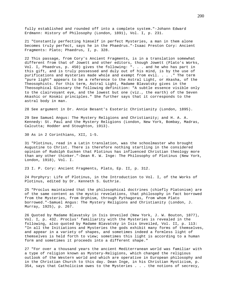fully established and rounded off into a complete system."-Johann Edward Erdmann: History of Philosophy (London, 1891), Vol. I, p. 231.

21 "Constantly perfecting himself in perfect Mysteries, a man in them alone becomes truly perfect, says he in the Phaedrus."-Isaac Preston Cory: Ancient Fragments: Plato; Phaedrus, I, p. 328.

22 This passage, from Cory's Ancient Fragments, is in a translation somewhat different from that of Jowett and other editors, though Jowett (Plato's Works, Vol. I, Phaedrus, p. 450) gives the following: ". . . and he who has part in this gift, and is truly possessed and duly out of his mind, is by the use of purifications and mysteries made whole and exempt from evil. . . ." The term "pure light" appears to be a reference to the Astral Light, or Akasha, of the Theosophists. For this term, Astral Light, Madame Blavatsky gives in the Theosophical Glossary the following definition: "A subtle essence visible only to the clairvoyant eye, and the lowest but one (viz., the earth) of the Seven Akashic or Kosmic principles." She further says that it corresponds to the astral body in man.

28 See argument in Dr. Annie Besant's Esoteric Christianity (London, 1895).

29 See Samuel Angus: The Mystery Religions and Christianity; and H. A. A. Kennedy: St. Paul and the Mystery Religions (London, New York, Bombay, Madras, Calcutta; Hodder and Stoughton, 1913).

30 As in 2 Corinthians, XII, 1-5.

31 "Plotinus, read in a Latin translation, was the schoolmaster who brought Augustine to Christ. There is therefore nothing startling in the considered opinion of Rudolph Eucken that Plotinus has influenced Christian theology more than any other thinker."-Dean R. W. Inge: The Philosophy of Plotinus (New York, London, 1918), Vol. I.

23 I. P. Cory: Ancient Fragments, Plato, Ep. II, p. 312.

24 Porphyry: Life of Plotinus, in the Introduction to Vol. I, of the Works of Plotinus, edited by Dr. Kenneth S. Guthrie.

25 "Proclus maintained that the philosophical doctrines (chiefly Platonism) are of the same content as the mystic revelations, that philosophy in fact borrowed from the Mysteries, from Orphism, through Pythagoras, from whom Plato borrowed."-Samuel Angus: The Mystery Religions and Christianity (London, J. Murray, 1925), p. 267.

26 Quoted by Madame Blavatsky in Isis Unveiled (New York, J. W. Bouton, 1877), Vol. I, p. 432. Proclus' familiarity with the Mysteries is revealed in the following, also quoted by Madame Blavatsky in Isis Unveiled, Vol. II, p. 113: "In all the Initiations and Mysteries the gods exhibit many forms of themselves, and appear in a variety of shapes, and sometimes indeed a formless light of themselves is held forth to view; sometimes this light is according to a human form and sometimes it proceeds into a different shape."

27 "For over a thousand years the ancient Mediterranean world was familiar with a type of religion known as Mystery-Religions, which changed the religious outlook of the Western world and which are operative in European philosophy and in the Christian Church to this day. Dean Inge, in his Christian Mysticism, p. 354, says that Catholicism owes to the Mysteries . . . the notions of secrecy,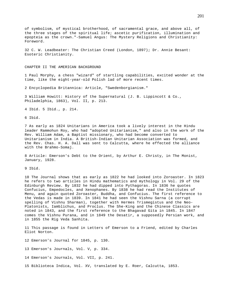of symbolism, of mystical brotherhood, of sacramental grace, and above all, of the three stages of the spiritual life; ascetic purification, illumination and epopteia as the crown."-Samuel Angus: The Mystery Religions and Christianity: Foreword.

32 C. W. Leadbeater: The Christian Creed (London, 1897); Dr. Annie Besant: Esoteric Christianity.

CHAPTER II THE AMERICAN BACKGROUND

1 Paul Morphy, a chess "wizard" of startling capabilities, excited wonder at the time, like the eight-year-old Polish lad of more recent times.

2 Encyclopedia Britannica: Article, "Swedenborgianism."

3 William Howitt: History of the Supernatural (J. B. Lippincott & Co., Philadelphia, 1863), Vol. II, p. 213.

4 Ibid. 5 Ibid., p. 214.

6 Ibid.

7 As early as 1824 Unitarians in America took a lively interest in the Hindu leader Rammohun Roy, who had "adopted Unitarianism," and also in the work of the Rev. William Adam, a Baptist missionary, who had become converted to Unitarianism in India. A British-Indian Unitarian Association was formed, and the Rev. Chas. H. A. Dall was sent to Calcutta, where he effected the alliance with the Brahmo-Somaj.

8 Article: Emerson's Debt to the Orient, by Arthur E. Christy, in The Monist, January, 1928.

9 Ibid.

10 The Journal shows that as early as 1822 he had looked into Zoroaster. In 1823 he refers to two articles in Hindu mathematics and mythology in Vol. 29 of the Edinburgh Review. By 1832 he had dipped into Pythagoras. In 1836 he quotes Confucius, Empedocles, and Xenophanes. By 1838 he had read the Institutes of Menu, and again quoted Zoroaster, Buddha, and Confucius. The first reference to the Vedas is made in 1839. In 1841 he had seen the Vishnu Sarna (a corrupt spelling of Vishnu Sharman), together with Hermes Trismegistus and the Neo-Platonists, Iamblichus, and Proclus. The She-King and the Chinese Classics are noted in 1843, and the first reference to the Bhagavad Gita in 1845. In 1847 comes the Vishnu Purana, and in 1849 the Desatir, a supposedly Persian work, and in 1855 the Rig Veda Sanhita.

11 This passage is found in Letters of Emerson to a Friend, edited by Charles Eliot Norton.

12 Emerson's Journal for 1845, p. 130.

13 Emerson's Journals, Vol. V, p. 334.

14 Emerson's Journals, Vol. VII, p. 241.

15 Biblioteca Indica, Vol. XV, translated by E. Roer, Calcutta, 1853.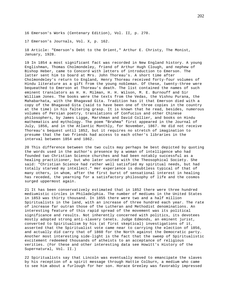16 Emerson's Works (Centenary Edition), Vol. II, p. 270.

17 Emerson's Journals, Vol. X, p. 162.

18 Article: "Emerson's Debt to the Orient," Arthur E. Christy, The Monist, January, 1928.

19 In 1854 a most significant fact was recorded in New England history. A young Englishman, Thomas Cholmondeley, friend of Arthur Hugh Clough, and nephew of Bishop Heber, came to Concord with letters of introduction to Emerson. The latter sent him to board at Mrs. John Thoreau's. A short time after Cholmondeley's return to England, Henry Thoreau received forty-four volumes of Hindu literature as a gift from the young nobleman. Of these, twenty-three were bequeathed to Emerson at Thoreau's death. The list contained the names of such eminent translators as H. H. Milman, H. H. Wilson, M. E. Burnouff and Sir William Jones. The books were the texts from the Vedas, the Vishnu Purana, the Mahabarhata, with the Bhagavad Gita. Tradition has it that Emerson died with a copy of the Bhagavad Gita (said to have been one of three copies in the country at the time) in his faltering grasp. It is known that he read, besides, numerous volumes of Persian poetry, translations of Confucius and other Chinese philosophers, by James Ligge, Marshman and David Collier, and books on Hindu mathematics and mythology. The poem "Brahma" first appeared in the Journal of July, 1856, and in the Atlantic Monthly, for November, 1867. He did not receive Thoreau's bequest until 1852, but it requires no stretch of imagination to presume that the two friends had access to each other's libraries in the interval between 1854 and 1862.

20 This difference between the two cults may perhaps be best depicted by quoting the words used in the author's presence by a woman of intelligence who had founded two Christian Science churches and had been notably successful as a healing practitioner, but who later united with the Theosophical Society. She said: "Christian Science had rather well satisfied my spiritual needs, but had totally starved my intellect." Her experience is doubtless typical of that of many others, in whom, after the first burst of sensational interest in healing has receded, the yearning for a satisfactory philosophy of life and the cosmos surged uppermost again.

21 It has been conservatively estimated that in 1852 there were three hundred mediumistic circles in Philadelphia. The number of mediums in the United States in 1853 was thirty thousand. In 1855 there were two and a half million Spiritualists in the land, with an increase of three hundred each year. The rate of increase far outran those of the Lutheran and Methodist denominations. An interesting feature of this rapid spread of the movement was its political significance and results. Not inherently concerned with politics, its devotees mostly adopted strong anti-slavery tenets. Judge Edmonds, an eminent jurist, converted to Spiritualism by his (at first skeptical) investigations of it, asserted that the Spiritualist vote came near to carrying the election of 1856, and actually did carry that of 1860 for the North against the Democratic party. Another most interesting side-light is the fact that the sweep of Spiritualistic excitement redeemed thousands of atheists to an acceptance of religious verities. (For these and other interesting data see Howitt's History of the Supernatural, Vol. II.)

22 Spiritualists say that Lincoln was eventually moved to emancipate the slaves by his reception of a spirit message through Hattie Colburn, a medium who came to see him about a furlough for her son. Horace Greeley was favorably impressed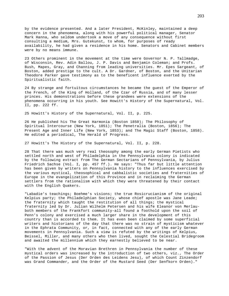by the evidence presented. And a later President, McKinley, maintained a deep concern in the phenomena, along with his powerful political manager, Senator Mark Hanna, who seldom undertook a move of any consequence without first consulting a medium, Mrs. Gutekunst, to whom, for purposes of ready availability, he had given a residence in his home. Senators and Cabinet members were by no means immune.

23 Others prominent in the movement at the time were Governor N. P. Tallmadge, of Wisconsin, Rev. Adin Ballou, J. P. Davis and Benjamin Coleman; and Profs. Bush, Mapes, Gray, and Channing from leading universities. Mr. Epes Sargeant, of Boston, added prestige to the cult. A Dr. Gardner, of Boston, and the Unitarian Theodore Parker gave testimony as to the beneficent influence exerted by the Spiritualistic faith.

24 By strange and fortuitous circumstances he became the guest of the Emperor of the French, of the King of Holland, of the Czar of Russia, and of many lesser princes. His demonstrations before these grandees were extensions of the phenomena occurring in his youth. See Howitt's History of the Supernatural, Vol. II, pp. 222 ff.

25 Howitt's History of the Supernatural, Vol. II, p. 225.

26 He published his The Great Harmonia (Boston 1850); The Philosophy of Spiritual Intercourse (New York, 1851); The Penetralia (Boston, 1856); The Present Age and Inner Life (New York, 1853); and The Magic Staff (Boston, 1858). He edited a periodical, The Herald of Progress.

27 Howitt's The History of the Supernatural, Vol. II, p. 228.

28 That there was much very real theosophy among the early German Pietists who settled north and west of Philadelphia in the Pennsylvania colony is indicated by the following extract from The German Sectarians of Pennsylvania, by Julius Friedrich Sachse (Vol. I, pp. 457 ff.). He says: "Thus far but little attention has been given by writers on Pennsylvania history to the influences exercised by the various mystical, theosophical and cabbalistic societies and fraternities of Europe in the evangelization of this Province and in reclaiming the German settlers from the rationalism with which they were threatened by their contact with the English Quakers.

"Labadie's teachings; Boehme's visions; the true Rosicrucianism of the original Kelpius party; the Philadelphian Society, whose chief apostle was Jane Leade; the fraternity which taught the restitution of all things; the mystical fraternity led by Dr. Julian Wilhelm Petersen and his wife Eleanor von Merlauboth members of the Frankfort community-all found a foothold upon the soil of Penn's colony and exercised a much larger share in the development of this country than is accorded to them. It has even been claimed by some superficial writers and historians of the day that there was no strain of mysticism whatever in the Ephrata Community, or, in fact, connected with any of the early German movements in Pennsylvania. Such a view is refuted by the writings of Kelpius, Beissel, Miller, and many others who then lived, sought the Celestial Bridegroom and awaited the millennium which they earnestly believed to be near.

"With the advent of the Moravian Brethren in Pennsylvania the number of these mystical orders was increased by the introduction of two others, viz., The Order of the Passion of Jesus (Der Orden des Leidens Jesu), of which Count Zinzendorf was Grand Commander, and the Order of the Mustard Seed (Der Senfkorn Orden)."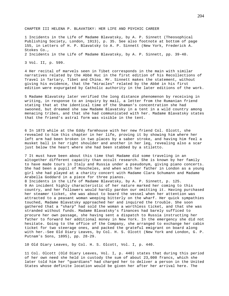CHAPTER III HELENA P. BLAVATSKY: HER LIFE AND PSYCHIC CAREER

1 Incidents in the Life of Madame Blavatsky, by A. P. Sinnett (Theosophical Publishing Society, London, 1913), p. 35. See also footnote at bottom of page 155, in Letters of H. P. Blavatsky to A. P. Sinnett (New York, Frederick A. Stokes Co., 2 Incidents in the Life of Madame Blavatsky, by A. P. Sinnett, pp. 39-40.

3 Vol. II, p. 599.

4 Her recital of marvels seen in Tibet corresponds in the main with similar narratives related by the Abbé Huc in the first edition of his Recollections of Travel in Tartary, Tibet and China. Mr. Sinnett makes the statement, without giving his evidence, that the "miracles" related by the Abbé in his first edition were expurgated by Catholic authority in the later editions of the work.

5 Madame Blavatsky later verified the long distance phenomenon by receiving in writing, in response to an inquiry by mail, a letter from the Rumanian friend stating that at the identical time of the Shaman's concentration she had swooned, but dreamed she saw Madame Blavatsky in a tent in a wild country among menacing tribes, and that she had communicated with her. Madame Blavatsky states that the friend's astral form was visible in the tent.

6 In 1873 while at the Eddy farmhouse with her new friend Col. Olcott, she revealed to him this chapter in her life, proving it by showing him where her left arm had been broken in two places by a saber stroke, and having him feel a musket ball in her right shoulder and another in her leg, revealing also a scar just below the heart where she had been stabbed by a stiletto.

7 It must have been about this time that Madame did some traveling in an altogether different capacity than occult research. She is known by her family to have made tours in Italy and Russia under a pseudonym, giving piano concerts. She had been a pupil of Moscheles, and when with her father in London as a young girl she had played at a charity concert with Madame Clara Schumann and Madame Arabella Goddard in a piece for three pianos.

8 Incidents in the Life of Madame Blavatsky, by A. P. Sinnett, p. 125. 9 An incident highly characteristic of her nature marked her coming to this country, and her followers would hardly pardon our omitting it. Having purchased her steamer ticket, she was about to board the vessel when her attention was attracted to a peasant woman weeping bitterly on the wharf. Her quick sympathies touched, Madame Blavatsky approached her and inquired the trouble. She soon gathered that a "sharp" had sold the woman a worthless ticket, and that she was stranded without funds. Madame Blavatsky's finances had barely sufficed to procure her own passage, she having sent a dispatch to Russia instructing her father to forward her additional money in New York. In the emergency she did not hesitate. Going to the office of the Company, she arranged to exchange her cabin ticket for two steerage ones, and packed the grateful emigrant on board along with her.-See Old Diary Leaves, by Col. H. S. Olcott (New York and London, G. P. Putnam's Sons, 1895), pp. 28-29.

10 Old Diary Leaves, by Col. H. S. Olcott, Vol. I, p. 440.

11 Col. Olcott (Old Diary Leaves, Vol. I, p. 440) states that during this period of her own need she held in custody the sum of about 23,000 francs, which she later told him her "guardians" had charged her to deliver a person in the United States whose definite location would be given her after her arrival here. The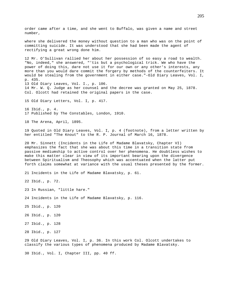order came after a time, and she went to Buffalo, was given a name and street number, where she delivered the money without question to a man who was on the point of committing suicide. It was understood that she had been made the agent of rectifying a great wrong done him. 12 Mr. O'Sullivan rallied her about her possession of so easy a road to wealth. "No, indeed," she answered, "'tis but a psychological trick. We who have the power of doing this, dare not use it for our own or any other's interests, any more than you would dare commit the forgery by methods of the counterfeiters. It would be stealing from the government in either case."-Old Diary Leaves, Vol. I, p. 435. 13 Old Diary Leaves, Vol. I., p. 106. 14 Mr. W. Q. Judge as her counsel and the decree was granted on May 25, 1878. Col. Olcott had retained the original papers in the case. 15 Old Diary Letters, Vol. I, p. 417. 16 Ibid., p. 4. 17 Published by The Constables, London, 1910. 18 The Arena, April, 1895. 19 Quoted in Old Diary Leaves, Vol. I, p. 4 (footnote), from a letter written by her entitled "The Knout" to the R. P. Journal of March 16, 1878. 20 Mr. Sinnett (Incidents in the Life of Madame Blavatsky, Chapter VI) emphasizes the fact that she was about this time in a transition state from passive mediumship to active control over her phenomena. He doubtless wishes to make this matter clear in view of its important bearing upon the divergence between Spiritualism and Theosophy which was accentuated when the latter put forth claims somewhat at variance with the usual theses presented by the former. 21 Incidents in the Life of Madame Blavatsky, p. 61. 22 Ibid., p. 72. 23 In Russian, "little hare." 24 Incidents in the Life of Madame Blavatsky, p. 116. 25 Ibid., p. 120 26 Ibid., p. 120 27 Ibid., p. 128 28 Ibid., p. 127 29 Old Diary Leaves, Vol. I, p. 36. In this work Col. Olcott undertakes to classify the various types of phenomena produced by Madame Blavatsky. 30 Ibid., Vol. I, Chapter III, pp. 40 ff.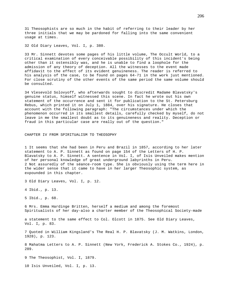31 Theosophists are so much in the habit of referring to their leader by her three initials that we may be pardoned for falling into the same convenient usage at times.

32 Old Diary Leaves, Vol. I, p. 380.

33 Mr. Sinnett devotes some pages of his little volume, The Occult World, to a critical examination of every conceivable possibility of this incident's being other than it ostensibly was, and he is unable to find a loophole for the admission of any theory of deception. All the witnesses to the event made affidavit to the effect of its evident genuineness. The reader is referred to his analysis of the case, to be found on pages 64-71 in the work just mentioned. For close scrutiny of the other events of the same period the same volume should be consulted.

34 Vlesevold Solovyoff, who afterwards sought to discredit Madame Blavatsky's genuine status, himself witnessed this scene. In fact he wrote out his own statement of the occurrence and sent it for publication to the St. Petersburg Rebus, which printed it on July 1, 1884, over his signature. He closes that account with the following paragraph: "The circumstances under which the phenomenon occurred in its smallest details, carefully checked by myself, do not leave in me the smallest doubt as to its genuineness and reality. Deception or fraud in this particular case are really out of the question."

CHAPTER IV FROM SPIRITUALISM TO THEOSOPHY

1 It seems that she had been in Peru and Brazil in 1857, according to her later statement to A. P. Sinnett as found on page 154 of the Letters of H. P. Blavatsky to A. P. Sinnett. A sentence in Vol. I, of Isis Unveiled makes mention of her personal knowledge of great underground labyrinths in Peru. 2 Not assuredly of the séance-room type. She is obviously using the term here in the wider sense that it came to have in her larger Theosophic system, as expounded in this chapter.

3 Old Diary Leaves, Vol. I, p. 12.

4 Ibid., p. 13.

5 Ibid., p. 68.

6 Mrs. Emma Hardinge Britten, herself a medium and among the foremost Spiritualists of her day-also a charter member of the Theosophical Society-made

a statement to the same effect to Col. Olcott in 1875. See Old Diary Leaves, Vol. I, p. 83.

7 Quoted in William Kingsland's The Real H. P. Blavatsky (J. M. Watkins, London, 1928), p. 123.

8 Mahatma Letters to A. P. Sinnett (New York, Frederick A. Stokes Co., 1924), p. 289.

9 The Theosophist, Vol. I, 1879.

10 Isis Unveiled, Vol. I, p. 13.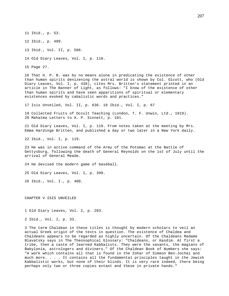11 Ibid., p. 53.

12 Ibid., p. 489.

13 Ibid., Vol. II, p. 586.

14 Old Diary Leaves, Vol. I, p. 110.

15 Page 27.

16 That H. P. B. was by no means alone in predicating the existence of other than human spirits denizening the astral world is shown by Col. Olcott, who (Old Diary Leaves, Vol. I, p. 438), cites Mrs. Britten's statement printed in an article in The Banner of Light, as follows: "I know of the existence of other than human spirits and have seen apparitions of spiritual or elementary existences evoked by cabalistic words and practices."

17 Isis Unveiled, Vol. II, p. 636. 18 Ibid., Vol. I, p. 67

19 Collected Fruits of Occult Teaching (London, T. F. Unwin, Ltd., 1919). 20 Mahatma Letters to A. P. Sinnett, p. 101.

21 Old Diary Leaves, Vol. I, p. 119. From notes taken at the meeting by Mrs. Emma Hardinge Britten, and published a day or two later in a New York daily.

22 Ibid., Vol. I, p. 119.

23 He was in active command of the Army of the Potomac at the Battle of Gettysburg, following the death of General Reynolds on the 1st of July until the arrival of General Meade.

24 He devised the modern game of baseball.

25 Old Diary Leaves, Vol. I, p. 399.

26 Ibid., Vol. I., p. 400.

CHAPTER V ISIS UNVEILED

1 Old Diary Leaves, Vol. I, p. 203.

2 Ibid., Vol. I, p. 33.

3 The term Chaldean in these titles is thought by modern scholars to veil an actual Greek origin of the texts in question. The existence of Chaldea and Chaldeans appears to be regarded as highly uncertain. Of the Chaldeans Madame Blavatsky says in The Theosophical Glossary: "Chaldeans, or Kasdim. At first a tribe, then a caste of learned Kabbalists. They were the savants, the magians of Babylonia, astrologers and diviners." Of the Chaldean Book of Numbers she says: "A work which contains all that is found in the Zohar of Simeon Ben-Jochai and much more. . . . It contains all the fundamental principles taught in the Jewish Kabbalistic works, but none of their blinds. It is very rare indeed, there being perhaps only two or three copies extant and these in private hands."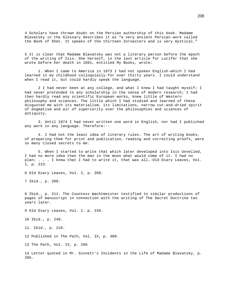4 Scholars have thrown doubt on the Persian authorship of this book. Madame Blavatsky in the Glossary describes it as "a very ancient Persian work called the Book of Shet. It speaks of the thirteen Zoroasters and is very mystical."

5 It is clear that Madame Blavatsky was not a literary person before the epoch of the writing of Isis. She herself, in the last article for Lucifer that she wrote before her death in 1891, entitled My Books, wrote:

1. When I came to America in 1873 I had not spoken English-which I had learned in my childhood colloquially-for over thirty years. I could understand when I read it, but could hardly speak the language.

2 I had never been at any college, and what I knew I had taught myself; I had never pretended to any scholarship in the sense of modern research; I had then hardly read any scientific European works, knew little of Western philosophy and sciences. The little which I had studied and learned of these disgusted me with its materialism, its limitations, narrow cut-and-dried spirit of dogmatism and air of superiority over the philosophies and sciences of antiquity.

3. Until 1874 I had never written one word in English, nor had I published any work in any language. Therefore:--

4. I had not the least idea of literary rules. The art of writing books, of preparing them for print and publication, reading and correcting proofs, were so many closed secrets to me.

5. When I started to write that which later developed into Isis Unveiled, I had no more idea than the man in the moon what would come of it. I had no plan; . . . I knew that I had to write it, that was all.-Old Diary Leaves, Vol. I, p. 223.

6 Old Diary Leaves, Vol. I, p. 208.

7 Ibid., p. 208.

8 Ibid., p. 211. The Countess Wachtmeister testified to similar productions of pages of manuscript in connection with the writing of The Secret Doctrine ten years later.

9 Old Diary Leaves, Vol. I. p. 239.

10 Ibid., p. 240.

11. Ibid., p. 210.

12 Published in The Path, Vol. IX, p. 300.

13 The Path, Vol. IX, p. 266

14 Letter quoted in Mr. Sinnett's Incidents in the Life of Madame Blavatsky, p. 205.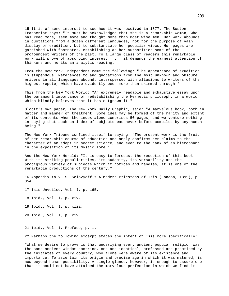15 It is of some interest to see how it was received in 1877. The Boston Transcript says: "It must be acknowledged that she is a remarkable woman, who has read more, seen more and thought more than most wise men. Her work abounds in quotations from a dozen different languages, not for the purpose of vain display of erudition, but to substantiate her peculiar views. Her pages are garnished with footnotes, establishing as her authorities some of the profoundest writers of the past. To a large class of readers this remarkable work will prove of absorbing interest . . . it demands the earnest attention of thinkers and merits an analytic reading."

From the New York Independent came the following: "The appearance of erudition is stupendous. References to and quotations from the most unknown and obscure writers in all languages abound; interspersed with allusions to writers of the highest repute, which have evidently been more than skimmed through."

This from the New York World: "An extremely readable and exhaustive essay upon the paramount importance of reëstablishing the Hermetic philosophy in a world which blindly believes that it has outgrown it."

Olcott's own paper, The New York Daily Graphic, said: "A marvelous book, both in matter and manner of treatment. Some idea may be formed of the rarity and extent of its contents when the index alone comprises 50 pages, and we venture nothing in saying that such an index of subjects was never before compiled by any human being."

The New York Tribune confined itself to saying: "The present work is the fruit of her remarkable course of education and amply confirms her claims to the character of an adept in secret science, and even to the rank of an hierophant in the exposition of its mystic lore."

And the New York Herald: "It is easy to forecast the reception of this book. With its striking peculiarities, its audacity, its versatility and the prodigious variety of subjects which it notices and handles, it is one of the remarkable productions of the century."

16 Appendix to V. S. Solovyoff's A Modern Priestess of Isis (London, 1895), p. 354.

17 Isis Unveiled, Vol. I, p. 165.

18 Ibid., Vol. I, p. xiv.

19 Ibid., Vol. I, p. xlii.

20 Ibid., Vol. I, p. xiv.

21 Ibid., Vol. I, Preface, p. 1.

22 Perhaps the following excerpt states the intent of Isis more specifically:

"What we desire to prove is that underlying every ancient popular religion was the same ancient wisdom-doctrine, one and identical, professed and practiced by the initiates of every country, who alone were aware of its existence and importance. To ascertain its origin and precise age in which it was matured, is now beyond human possibility. A single glance, however, is enough to assure one that it could not have attained the marvelous perfection in which we find it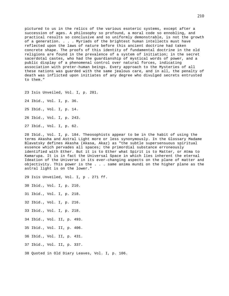pictured to us in the relics of the various esoteric systems, except after a succession of ages. A philosophy so profound, a moral code so ennobling, and practical results so conclusive and so uniformly demonstrable, is not the growth of a generation. . . . Myriads of the brightest human intellects must have reflected upon the laws of nature before this ancient doctrine had taken concrete shape. The proofs of this identity of fundamental doctrine in the old religions are found in the prevalence of a system of initiation; in the secret sacerdotal castes, who had the guardianship of mystical words of power, and a public display of a phenomenal control over natural forces, indicating association with preter-human beings. Every approach to the Mysteries of all these nations was guarded with the same jealous care, and in all, the penalty of death was inflicted upon initiates of any degree who divulged secrets entrusted to them."

23 Isis Unveiled, Vol. I, p. 281.

24 Ibid., Vol. I, p. 36.

25 Ibid., Vol. I, p. 14.

26 Ibid., Vol. I, p. 243.

27 Ibid., Vol. I, p. 62.

28 Ibid., Vol. I, p. 184. Theosophists appear to be in the habit of using the terms Akasha and Astral Light more or less synonymously. In the Glossary Madame Blavatsky defines Akasha (Akasa, Akaz) as "the subtle supersensuous spiritual essence which pervades all spaces; the primordial substance erroneously identified with Ether. But it is to Ether what Spirit is to Matter, or Atma to Kamarupa. It is in fact the Universal Space in which lies inherent the eternal Ideation of the Universe in its ever-changing aspects on the plane of matter and objectivity. This power is the . . . same anima mundi on the higher plane as the astral light is on the lower."

29 Isis Unveiled, Vol. I, p . 271 ff.

30 Ibid., Vol. I, p. 210.

31 Ibid., Vol. I, p. 218.

32 Ibid., Vol. I, p. 216.

33 Ibid., Vol. I, p. 218.

34 Ibid., Vol. II, p. 493.

35 Ibid., Vol. II, p. 406.

36 Ibid., Vol. II, p. 431.

37 Ibid., Vol. II, p. 337.

38 Quoted in Old Diary Leaves, Vol. I, p. 106.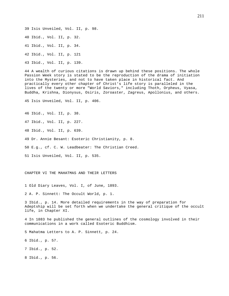39 Isis Unveiled, Vol. II, p. 98.

40 Ibid., Vol. II, p. 32.

41 Ibid., Vol. II, p. 34.

42 Ibid., Vol. II, p. 121

43 Ibid., Vol. II, p. 139.

44 A wealth of curious citations is drawn up behind these positions. The whole Passion Week story is stated to be the reproduction of the drama of initiation into the Mysteries, and not to have taken place in historical fact. And practically every other chapter of Christ's life story is paralleled in the lives of the twenty or more "World Saviors," including Thoth, Orpheus, Vyasa, Buddha, Krishna, Dionysus, Osiris, Zoroaster, Zagreus, Apollonius, and others.

45 Isis Unveiled, Vol. II, p. 406.

46 Ibid., Vol. II, p. 38.

47 Ibid., Vol. II, p. 227.

48 Ibid., Vol. II, p. 639.

49 Dr. Annie Besant: Esoteric Christianity, p. 8.

50 E.g., cf. C. W. Leadbeater: The Christian Creed.

51 Isis Unveiled, Vol. II, p. 535.

CHAPTER VI THE MAHATMAS AND THEIR LETTERS

1 Old Diary Leaves, Vol. I, of June, 1893.

2 A. P. Sinnett: The Occult World, p. 1.

3 Ibid., p. 14. More detailed requirements in the way of preparation for Adeptship will be set forth when we undertake the general critique of the occult life, in Chapter XI.

4 In 1883 he published the general outlines of the cosmology involved in their communications in a work called Esoteric Buddhism.

5 Mahatma Letters to A. P. Sinnett, p. 24.

6 Ibid., p. 57.

7 Ibid., p. 52.

8 Ibid., p. 56.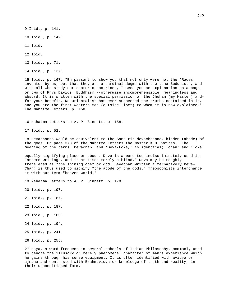9 Ibid., p. 141.

10 Ibid., p. 142.

11 Ibid.

12 Ibid.

13 Ibid., p. 71.

14 Ibid., p. 137.

15 Ibid., p. 167. "En passant to show you that not only were not the 'Races' invented by us, but that they are a cardinal dogma with the Lama Buddhists, and with all who study our esoteric doctrines, I send you an explanation on a page or two of Rhys Davids' Buddhism,--otherwise incomprehensible, meaningless and absurd. It is written with the special permission of the Chohan (my Master) andfor your benefit. No Orientalist has ever suspected the truths contained in it, and-you are the first Western man (outside Tibet) to whom it is now explained."- The Mahatma Letters, p. 158.

16 Mahatma Letters to A. P. Sinnett, p. 158.

17 Ibid., p. 52.

18 Devachanna would be equivalent to the Sanskrit devachhanna, hidden (abode) of the gods. On page 373 of the Mahatma Letters the Master K.H. writes: "The meaning of the terms 'Devachan' and 'Deva-Loka,' is identical; 'chan' and 'loka'

equally signifying place or abode. Deva is a word too indiscriminately used in Eastern writings, and is at times merely a blind." Deva may be roughly translated as "the shining one" or god. Devachan written alternatively Deva-Chan) is thus used to signify "the abode of the gods." Theosophists interchange it with our term "heaven-world."

19 Mahatma Letters to A. P. Sinnett, p. 179.

20 Ibid., p. 197.

- 21 Ibid., p. 187.
- 22 Ibid., p. 187.
- 23 Ibid., p. 183.
- 24 Ibid., p. 194.
- 25 Ibid., p. 241
- 26 Ibid., p. 255.

27 Maya, a word frequent in several schools of Indian Philosophy, commonly used to denote the illusory or merely phenomenal character of man's experience which he gains through his sense equipment. It is often identified with avidya or ajnana and contrasted with Brahmavidya or knowledge of truth and reality, in their unconditioned form.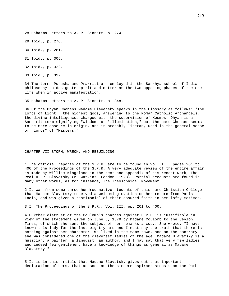28 Mahatma Letters to A. P. Sinnett, p. 274.

29 Ibid., p. 276.

30 Ibid., p. 281.

31 Ibid., p. 305.

32 Ibid., p. 322.

33 Ibid., p. 337

34 The terms Purusha and Prakriti are employed in the Sankhya school of Indian philosophy to designate spirit and matter as the two opposing phases of the one life when in active manifestation.

35 Mahatma Letters to A. P. Sinnett, p. 348.

36 Of the Dhyan Chohans Madame Blavatsky speaks in the Glossary as follows: "The Lords of Light," the highest gods, answering to the Roman Catholic Archangels, the divine intelligences charged with the supervision of Kosmos. Dhyan is a Sanskrit term signifying "wisdom" or "illumination," but the name Chohans seems to be more obscure in origin, and is probably Tibetan, used in the general sense of "Lords" of "Masters."

CHAPTER VII STORM, WRECK, AND REBUILDING

1 The official reports of the S.P.R. are to be found in Vol. III, pages 201 to 400 of the Proceedings of the S.P.R. A very adequate review of the entire affair is made by William Kingsland in the text and appendix of his recent work, The Real H. P. Blavatsky (M. Watkins, London, 1928). Partial accounts are found in many other works, as for instance, The Theosophical Movement.

2 It was from some three hundred native students of this same Christian College that Madame Blavatsky received a welcoming ovation on her return from Paris to India, and was given a testimonial of their assured faith in her lofty motives.

3 In The Proceedings of the S.P.R., Vol. III, pp. 201 to 400.

4 Further distrust of the Coulomb's charges against H.P.B. is justifiable in view of the statement given on June 5, 1879 by Madame Coulomb to the Ceylon Times, of which she sent the subject of her remarks a copy. She wrote: "I have known this lady for the last eight years and I must say the truth that there is nothing against her character. We lived in the same town, and on the contrary she was considered one of the cleverest ladies of the age. Madame Blavatsky is a musician, a painter, a linguist, an author, and I may say that very few ladies and indeed few gentlemen, have a knowledge of things as general as Madame Blavatsky."

5 It is in this article that Madame Blavatsky gives out that important declaration of hers, that as soon as the sincere aspirant steps upon the Path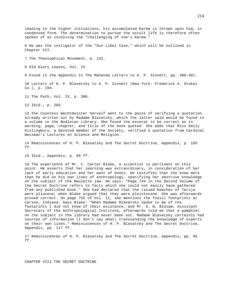leading to the higher initiations, his accumulated Karma is thrown upon him, in condensed form. The determination to pursue the occult life is therefore often spoken of as involving the "challenging of one's Karma."

6 He was the instigator of the "Sun Libel Case," which will be outlined in Chapter XII.

7 The Theosophical Movement, p. 132.

8 Old Diary Leaves, Vol. IV.

9 Found in the Appendix to The Mahatma Letters to A. P. Sinnett, pp. 480-481.

10 Letters of H. P. Blavatsky to A. P. Sinnett (New York: Frederick A. Stokes Co.), p. 194.

11 The Path, Vol. IX, p. 300.

12 Ibid., p. 266.

13 The Countess Wachtmeister herself went to the pains of verifying a quotation already written out by Madame Blavatsky, which the latter said would be found in a volume in the Bodleian Library. She found the excerpt to be correct as to wording, page, chapter, and title of the book quoted. She adds that Miss Emily Kislingbury, a devoted member of the Society, verified a quotation from Cardinal Weisman's Lectures on Science and Religion.

14 Reminiscences of H. P. Blavatsky and The Secret Doctrine, Appendix, p. 105 ff.

15 Ibid., Appendix, p. 89 ff.

16 The experience of Mr. C. Carter Blake, a scientist is pertinent on this point. He asserts that her learning was extraordinary, in consideration of her lack of early education and her want of books. He testifies that she knew more than he did on his own lines of anthropology, specifying her abstruse knowledge on the subject of the Naulette jaw. He says: "Page 744 in the Second Volume of the Secret Doctrine refers to facts which she could not easily have gathered from any published book." She had declared that the raised beaches of Tarija were pliocene, when Blake argued that they were pleistocene. She was afterwards proved correct. On page 755 of Vol. II, she mentions the fossil footprints at Carson, Indiana. Says Blake: "When Madame Blavatsky spoke to me of the footprints I did not know of their existence, and Mr. G. W. Bloxam, Assistant Secretary of the Anthropological Institute, afterwards told me that a pamphlet on the subject in the library had never been out. Madame Blavatsky certainly had sources of information (I don't say what) transcending the knowledge of experts on their own lines."-Reminiscences of H. P. Blavatsky and The Secret Doctrine, Appendix, pp. 117 ff.

17 Reminiscences of H. P. Blavatsky and The Secret Doctrine, Appendix, pp. 96 ff.

CHAPTER VIII THE SECRET DOCTRINE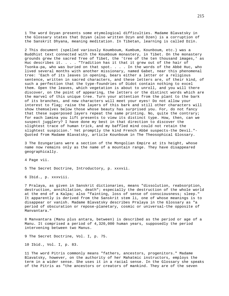1 The word Dzyan presents some etymological difficulties. Madame Blavatsky in the Glossary states that Dzyan (also written Dzyn and Dzen) is a corruption of the Sanskrit Dhyana, meaning meditation. In Tibetan, learning is called Dzin.

2 This document (spelled variously Koumboum, Kumbum, Kounboum, etc.) was a Buddhist text connected with the Koumboum monastery, in Tibet. On the monastery grounds grew the sacred Tree of Tibet, the 'tree of the ten thousand images,' as Huc describes it. . . . "Tradition has it that it grew out of the hair of Tsonka-pa, who was buried on that spot. . . . In the words of the Abbé Huc, who lived several months with another missionary, named Gabet, near this phenomenal tree: 'Each of its leaves in opening, bears either a letter or a religious sentence, written in sacred characters, and these letters are, of their kind, of such a perfection that the type-foundries of Didot contain nothing to excel them. Open the leaves, which vegetation is about to unroll, and you will there discover, on the point of appearing, the letters or the distinct words which are the marvel of this unique tree. Turn your attention from the plant to the bark of its branches, and new characters will meet your eyes! Do not allow your interest to flag; raise the layers of this bark and still other characters will show themselves below those whose beauty has surprised you. For, do not fancy that these superposed layers repeat the same printing. No, quite the contrary; for each lamina you lift presents to view its distinct type. How, then, can we suspect jugglery? I have done my best in that direction to discover the slightest trace of human trick, and my baffled mind could not retain the slightest suspicion.' Yet promptly the kind French Abbé suspects-the Devil."- Quoted from Madame Blavatsky, article Kounboum in The Theosophical Glossary.

3 The Dzungarians were a section of the Mongolian Empire at its height, whose name now remains only as the name of a mountain range. They have disappeared geographically.

4 Page vii.

5 The Secret Doctrine, Introductory, p. xxxvii.

6 Ibid., p. xxxviii.

7 Pralaya, as given in Sanskrit dictionaries, means "dissolution, reabsorption, destruction, annihilation, death"; especially the destruction of the whole world at the end of a Kalpa; also "fainting, loss of sense of consciousness; sleep." It apparently is derived from the Sanskrit stem li, one of whose meanings is to disappear or vanish. Madame Blavatsky describes Pralaya in the Glossary as "a period of obscuration or repose-planetary, cosmic or universal-the opposite of Manvantara."

8 Manvantara (Manu plus antara, between) is described as the period or age of a Manu. It comprised a period of 4,320,000 human years, supposedly the period intervening between two Manus.

9 The Secret Doctrine, Vol. I, p. 75.

10 Ibid., Vol. I, p. 83.

11 The word Pitris commonly means "fathers, ancestors, progenitors." Madame Blavatsky, however, on the authority of her Mahatmic instructors, employs the term in a wider sense. She uses it in a racial sense. In the Glossary she speaks of the Pitris as "the ancestors or creators of mankind. They are of the seven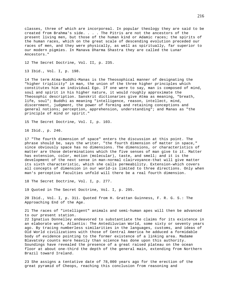classes, three of which are incorporeal. In popular theology they are said to be created from Brahma's side. . . . The Pitris are not the ancestors of the present living men, but those of the human kind or Adamic races; the spirits of the human races, which on the great scale of descending evolution preceded our races of men, and they were physically, as well as spiritually, far superior to our modern pigmies. In Manava Dharma Shastra they are called the Lunar Ancestors."

12 The Secret Doctrine, Vol. II, p. 235.

13 Ibid., Vol. I, p. 198.

14 The term Atma-Buddhi-Manas is the Theosophical manner of designating the "higher triplicity" in man, the union of the three higher principles which constitutes him an individual Ego. If one were to say, man is composed of mind, soul and spirit in his higher nature, it would roughly approximate the Theosophic description. Sanskrit dictionaries give Atma as meaning, "breath, life, soul"; Buddhi as meaning "intelligence, reason, intellect, mind, discernment, judgment, the power of forming and retaining conceptions and general notions; perception, apprehension, understanding"; and Manas as "the principle of mind or spirit."

15 The Secret Doctrine, Vol. I, p. 103.

16 Ibid., p. 246.

Brazil toward Ireland.

17 "The fourth dimension of space" enters the discussion at this point. The phrase should be, says the writer, "the fourth dimension of matter in space," since obviously space has no dimensions. The dimensions, or characteristics of matter are those determinations which the five senses of man give to it. Matter has extension, color, motion (molecular), taste, and smell; and it is the development of the next sense in man-normal clairvoyance-that will give matter its sixth characteristic, which she calls permeability. Extension-which covers all concepts of dimension in our world-is limited to three directions. Only when man's perceptive faculties unfold will there be a real fourth dimension.

18 The Secret Doctrine, Vol. I, p. 277.

19 Quoted in The Secret Doctrine, Vol. I, p. 295.

20 Ibid., Vol. I, p. 311. Quoted from H. Grattan Guinness, F. R. G. S.: The Approaching End of the Age.

21 The races of "intelligent" animals and semi-human apes will then be advanced to our present station. 22 Ignatius Donnelley endeavored to substantiate the claims for its existence in an elaborate work, Atlantis: The Antediluvian World, some sixty or seventy years ago. By tracing numberless similarities in the languages, customs, and ideas of Old World civilizations with those of Central America he adduced a formidable body of evidence pointing to the former existence of a linking area. Madame Blavatsky counts more heavily than science has done upon this authority. Soundings have revealed the presence of a great raised plateau on the ocean floor at about one-third the depth of the general main, extending from Northern

23 She assigns a tentative date of 78,000 years ago for the erection of the great pyramid of Cheops, reaching this conclusion from reasoning and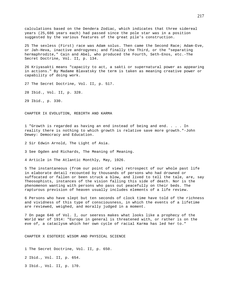calculations based on the Dendera Zodiac, which indicates that three sidereal years (25,686 years each) had passed since the pole star was in a position suggested by the various features of the great pile's construction.

25 The sexless (First) race was Adam solus. Then came the Second Race; Adam-Eve, or Jah-Heva, inactive androgynes; and finally the Third, or the "separating hermaphrodite," Cain and Abel, who produced the Fourth, Seth-Enos, etc.-The Secret Doctrine, Vol. II, p. 134.

26 Kriyasakti means "capacity to act, a sakti or supernatural power as appearing in actions." By Madame Blavatsky the term is taken as meaning creative power or capability of doing work.

27 The Secret Doctrine, Vol. II, p. 517.

28 Ibid., Vol. II, p. 328.

29 Ibid., p. 330.

CHAPTER IX EVOLUTION, REBIRTH AND KARMA

1 "Growth is regarded as having an end instead of being and end. . . . In reality there is nothing to which growth is relative save more growth."-John Dewey: Democracy and Education.

2 Sir Edwin Arnold, The Light of Asia.

3 See Ogden and Richards, The Meaning of Meaning.

4 Article in The Atlantic Monthly, May, 1926.

5 The instantaneous (from our point of view) retrospect of our whole past life in elaborate detail recounted by thousands of persons who had drowned or suffocated or fallen or been struck a blow, and lived to tell the tale, are, say Theosophists, instances of the vision falling this side of death. Nor is the phenomenon wanting with persons who pass out peacefully on their beds. The rapturous prevision of heaven usually includes elements of a life review.

6 Persons who have slept but ten seconds of clock time have told of the richness and vividness of this type of consciousness, in which the events of a lifetime are reviewed, weighed, and morally judged in a moment.

7 On page 646 of Vol. I, our seeress makes what looks like a prophecy of the World War of 1914: "Europe in general is threatened with, or rather is on the eve of, a cataclysm which her own cycle of racial Karma has led her to."

CHAPTER X ESOTERIC WISOM AND PHYSICAL SCIENCE

1 The Secret Doctrine, Vol. II, p. 650.

2 Ibid., Vol. II, p. 654.

3 Ibid., Vol. II, p. 170.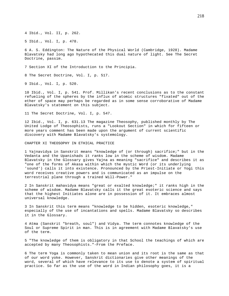4 Ibid., Vol. II, p. 262.

5 Ibid., Vol. I, p. 478.

6 A. S. Eddington: The Nature of the Physical World (Cambridge, 1928). Madame Blavatsky had long ago hypothecated this dual nature of light. See The Secret Doctrine, passim.

7 Section XI of the Introduction to the Principia.

8 The Secret Doctrine, Vol. I, p. 517.

9 Ibid., Vol. I, p. 520.

10 Ibid., Vol. I, p. 541. Prof. Millikan's recent conclusions as to the constant refueling of the spheres by the influx of atomic structures "fixated" out of the ether of space may perhaps be regarded as in some sense corroborative of Madame Blavatsky's statement on this subject.

11 The Secret Doctrine, Vol. I, p. 547.

12 Ibid., Vol. I, p. 631.13 The magazine Theosophy, published monthly by The United Lodge of Theosophists, runs a "Lookout Section" in which for fifteen or more years comment has been made upon the argument of current scientific discovery with Madame Blavatsky's systemology.

CHAPTER XI THEOSOPHY IN ETHICAL PRACTICE

1 Yajnavidya in Sanskrit means "knowledge of (or through) sacrifice;" but in the Vedanta and the Upanishads it ranks low in the scheme of wisdom. Madame Blavatsky in the Glossary gives Yajna as meaning "sacrifice" and describes it as "one of the forms of Akasa within which the mystic Word (or its underlying 'sound') calls it into existence. Pronounced by the Priest-Initiate or Yogi this word receives creative powers and is communicated as an impulse on the terrestrial plane through a trained Will-Power."

2 In Sanskrit mahavidya means "great or exalted knowledge;" it ranks high in the scheme of wisdom. Madame Blavatsky calls it the great esoteric science and says that the highest Initiates alone are in possession of it. It embraces almost universal knowledge.

3 In Sanskrit this term means "knowledge to be hidden, esoteric knowledge," especially of the use of incantations and spells. Madame Blavatsky so describes it in the Glossary.

4 Atma (Sanskrit "breath, soul") and Vidya. The term connotes knowledge of the Soul or Supreme Spirit in man. This is in agreement with Madame Blavatsky's use of the term.

5 "The knowledge of them is obligatory in that School the teachings of which are accepted by many Theosophists."-From the Preface.

6 The term Yoga is commonly taken to mean union and its root is the same as that of our word yoke. However, Sanskrit dictionaries give other meanings of the word, several of which have relevance to its use to denote a system of spiritual practice. So far as the use of the word in Indian philosophy goes, it is a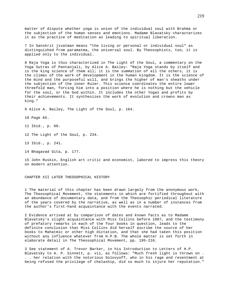matter of dispute whether yoga is union of the individual soul with Brahma or the subjection of the human senses and emotions. Madame Blavatsky characterizes it as the practice of meditation as leading to spiritual liberation.

7 In Sanskrit jivatman means "the living or personal or individual soul" as distinguished from paramatma, the universal soul. By Theosophists, too, it is applied only to the individual.

8 Raja Yoga is thus characterized in The Light of the Soul, a commentary on the Yoga Sutras of Pantanjali, by Alice A. Bailey: "Raja Yoga stands by itself and is the king science of them all; it is the summation of all the others, it is the climax of the work of development in the human kingdom. It is the science of the mind and the purposeful will, and brings the higher of man's sheaths under the subjection of the inner Ruler. This science coördinates the entire lower threefold man, forcing him into a position where he is nothing but the vehicle for the soul, or the God within. It includes the other Yogas and profits by their achievements. It synthesizes the work of evolution and crowns man as king."

9 Alice A. Bailey, The Light of the Soul, p. 164.

10 Page 65.

11 Ibid., p. 60.

12 The Light of the Soul, p. 234.

13 Ibid., p. 241.

14 Bhagavad Gita, p. 177.

15 John Ruskin, English art critic and economist, labored to impress this theory on modern attention.

CHAPTER XII LATER THEOSOPHICAL HISTORY

1 The material of this chapter has been drawn largely from the anonymous work, The Theosophical Movement, the statements in which are fortified throughout with an abundance of documentary data, and from the Theosophic periodical literature of the years covered by the narrative, as well as in a number of instances from the author's first-hand acquaintance with the events narrated.

2 Evidence arrived at by comparison of dates and known facts as to Madame Blavatsky's slight acquaintance with Miss Collins before 1887, and the testimony of prefatory remarks in each of the four books in question, leads to the definite conclusion that Miss Collins did herself ascribe the source of her books to Mahatmic or other high dictation, and that she had taken this position without any influence whatever from H.P.B. The whole matter is set forth in elaborate detail in The Theosophical Movement, pp. 195-210.

3 See statement of A. Trevor Barker, in his Introduction to Letters of H.P. Blavatsky to A. P. Sinnett, p. vii, as follows: "Much fresh light is thrown on . . . her relation with the notorious Solovyoff, who in his rage and resentment at being refused the privilege of chelaship, did so much to injure her reputation."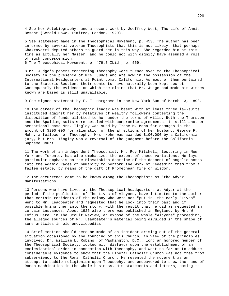4 See her Autobiography, and a recent work by Jeoffrey West, The Life of Annie Besant (Gerald Howe, Limited, London, 1929).

5 See statement made in The Theosophical Movement, p. 453. The author has been informed by several veteran Theosophists that this is not likely, that perhaps Chakravarti deputed others to guard her in this way. She regarded him at this time as actually her Master, and he could not with dignity have assumed a rôle of such condescension.

6 The Theosophical Movement, p. 479.7 Ibid., p. 559.

8 Mr. Judge's papers concerning Theosophy were turned over to the Theosophical Society in the presence of Mrs. Judge and are now in the possession of the International Headquarters at Point Loma, California. As most of them pertained to the Esoteric Section, their contents have naturally been kept secret. Consequently the evidence on which the claims that Mr. Judge had made his wishes known are based is still unavailable.

9 See signed statement by E. T. Hargrove in the New York Sun of March 13, 1898.

10 The career of the Theosophic leader was beset with at least three law-suits instituted against her by relatives of wealthy followers contesting the disposition of funds allotted to her under the terms of wills. Both the Thurston and the Spalding suits were settled with compromise agreements. In still another sensational case Mrs. Tingley was sued by Irene M. Mohn for damages in the amount of \$200,000 for alienation of the affections of her husband, George F. Mohn, a follower of Theosophy. Mrs. Mohn was awarded \$100,000 by a California jury, but Mrs. Tingley won a reversal of the judgment before the California Supreme Court.

11 The work of an independent Theosophist, Mr. Roy Mitchell, lecturing in New York and Toronto, has also emphasized the extent of these variations. He lays particular emphasis on the Blavatskian doctrine of the descent of angelic hosts into the Adamic races of humanity to perform the work of redeeming them from a fallen estate, by means of the gift of Promethean fire or wisdom.

12 The occurrence came to be known among the Theosophists as "the Adyar Manifestations."

13 Persons who have lived at the Theosophical headquarters at Adyar at the period of the publication of The Lives of Alcyone, have intimated to the author that certain residents of the colony who were not "put in" the early "Lives" went to Mr. Leadbeater and requested that he look into their past and if possible bring them into the story, with the result that he did as requested in certain instances. About 1925 also there was published in England, by Mr. W. Loftus Hare, in The Occult Review, an exposé of the whole "Alcyone" proceeding, the alleged sources of Mr. Leadbeater's material being divulged in the shape of some articles in old encyclopedias.

14 Brief mention should here be made of an incident arising out of the general situation occasioned by the founding of this Church, in view of the principles involved. Dr. William L. Robins, of Washington, D.C., long an honored member of the Theosophical Society, looked with disfavor upon the establishment of an ecclesiastical order in connection with Theosophy, and went so far as to adduce considerable evidence to show that the Liberal Catholic Church was not free from subserviency to the Roman Catholic Church. He resented the movement as an attempt to saddle religionism upon Theosophy, and endeavored to show the hand of Roman machination in the whole business. His statements and letters, coming to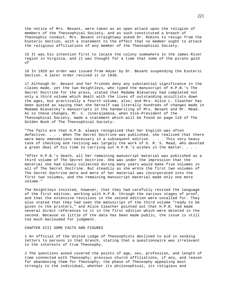the notice of Mrs. Besant, were taken as an open attack upon the religion of members of the Theosophical Society, and as such constituted a breach of Theosophic conduct. Mrs. Besant straightway asked Dr. Robins to resign from the Esoteric Section, with a statement to the effect that no member ought to attack the religious affiliations of any member of the Theosophical Society.

15 It was his intention first to locate the colony somewhere in the James River region in Virginia, and it was thought for a time that some of the pirate gold of

16 In 1929 an order was issued from Adyar by Dr. Besant suspending the Esoteric Section. A later order revived it in 1930.

17 Although Dr. Besant and her friends deny any substantial significance in the claims made, yet the two Keightleys, who typed the manuscript of H.P.B.'s The Secret Doctrine for the press, stated that Madame Blavatsky had completed not only a third volume which dealt with the lives of outstanding occultists down the ages, but practically a fourth volume, also; and Mrs. Alice L. Cleather has been quoted as saying that she herself saw literally hundreds of changes made in Madame Blavatsky's manuscripts in the handwriting of Mrs. Besant and Mr. Mead. As to these changes, Mr. C. Jinarajadasa, when Vice-President of the Theosophical Society, made a statement which will be found on page 110 of The Golden Book of The Theosophical Society:

"The facts are that H.P.B. always recognized that her English was often defective. . . . When The Secret Doctrine was published, she realized that there were many emendations necessary in a subsequent edition.  $\ldots$  . This very heavy task of checking and revising was largely the work of G. R. S. Mead, who devoted a great deal of his time to carrying out H.P.B.'s wishes in the matter. . . .

"After H.P.B.'s death, all her remaining manuscript material was published as a third volume of The Secret Doctrine. She was under the impression that the material she had slowly collected during many years would make five volumes in all of The Secret Doctrine. But steadily as she wrote the first two volumes of The Secret Doctrine more and more of her material was incorporated into the first two volumes, and the remaining manuscript material made only one more volume."

The Keightleys insisted, however, that they had carefully revised the language of the first edition, working with H.P.B. through the various stages of proof, and that the extensive revisions in the second edition were uncalled for. They also stated that they had seen the manuscript of the third volume "ready to be given to the printers," and Alice Cleather pointed out that H.P.B. had made several direct references to it in the first edition which were deleted in the second. Because so little of the data has been made public, the issue is still too much beclouded for judgment.

## CHAPTER XIII SOME FACTS AND FIGURES

1 An official of the United Lodge of Theosophists declined to aid in sending letters to persons in that branch, stating that a questionnaire was irrelevant to the interests of true Theosophy.

2 The questions asked covered the points of age, sex, profession, and length of time connected with Theosophy; previous church affiliations, if any, and reason for abandoning them for Theosophy; the phase of Theosophy appealing most strongly to the individual, whether its philosophical, its religious and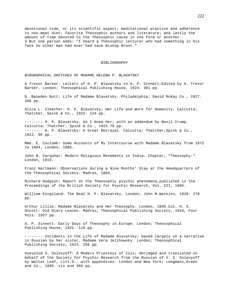devotional side, or its scientific aspect; meditational practice and adherence to non-meat diet; favorite Theosophic authors and literature; and lastly the amount of time devoted to the Theosophic cause in one form or another. 3 But one person adds: "I heard a Theosophic lecturer who had something in his face no other man had ever had save Bishop Brent."

## BIBLIOGRAPHY

BIOGRAPHICAL SKETCHES OF MADAME HELENA P. BLAVATSKY

A Trevor Barker: Letters of H. P. Blavatsky to A. P. Sinnett,Edited by A. Trevor Barker. London; Theosophical Publishing House, 1924. 381 pp.

G. Baseden Butt: Life of Madame Blavatsky. Philadelphia; David McKay Co., 1927. 268 pp.

Alice L. Cleather: H. P. Blavatsky; Her Life and Work for Humanity. Calcutta; Thatcher, Spink & Co., 1922. 124 pp.

-------- H. P. Blavatsky, As I Knew Her; with an addendum by Basil Crump. Calcutta; Thatcher, Spink & Co., 1923.76 pp. -------- H. P. Blavatsky: A Great Betrayal. Calcutta; Thatcher, Spink & Co., 1922. 96 pp.

Mme. E. Coulomb: Some Accounts of My Intercourse with Madame Blavatsky from 1872 to 1884. London, 1885.

John N. Farquhar: Modern Religious Movements in India. Chapter, "Theosophy." London, 1915.

Franz Hartmann: Observations during a Nine Months' Stay at the Headquarters of the Theosophical Society. Madras, 1884.

Richard Hodgson: Report on the Theosophic psychic phenomena,published in the Proceedings of the British Society for Psychic Research, Vol. III, 1885.

William Kingsland: The Real H. P. Blavatsky. London; John M.Watkins, 1928. 278 pp.

Arthur Lillie: Madame Blavatsky and Her Theosophy. London, 1895.Col. H. S. Olcott: Old Diary Leaves. Madras; Theosophical Publishing Society, 1910, Four Vols. 1927 pp.

A. P. Sinnett: Early Days of Theosophy in Europe. London; Theosophical Publishing House, 1922. 118 pp.

-------- Incidents in the Life of Madame Blavatsky; based largely on a narrative in Russian by her sister, Madame Vera Jelihowsky. London; Theosophical Publishing Society, 1913. 256 pp.

Vsevolod S. Solovyoff: A Modern Priestess of Isis; Abridged and translated on behalf of the Society for Psychic Research from the Russian of V. S. Solovyoff by Walter Leaf, Litt.D., with appendices. London and New York; Longmans, Green and Co., 1895. xix and 366 pp.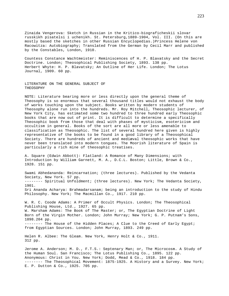Zinaida Vengerova: Sketch in Russian in the Kritico-biograficheskii slovar russkikh pisatelsi i uchenikh. St. Petersburg,1889-1904, Vol. III. (On this are mostly based the sketches in other Russian Encyclopedias.)Princess Helene von Racowitza: Autobiography; Translated from the German by Cecil Marr and published by the Constables, London, 1910.

Countess Constance Wachtmeister: Reminiscences of H. P. Blavatsky and the Secret Doctrine. London; Theosophical Publishing Society, 1893. 138 pp. Herbert Whyte: H. P. Blavatsky; An Outline of Her Life. London; The Lotus Journal, 1909. 60 pp.

LITERATURE ON THE GENERAL SUBJECT OF THEOSOPHY

NOTE: Literature bearing more or less directly upon the general theme of Theosophy is so enormous that several thousand titles would not exhaust the body of works touching upon the subject. Books written by modern students of Theosophy alone run into the hundreds. Mr. Roy Mitchell, Theosophic lecturer, of New York City, has estimated some two hundred to three hundred early Theosophic books that are now out of print. It is difficult to determine a specifically Theosophic book from those that deal with phases of mysticism, esotericism and occultism in general. Books of the sort are all more or less amenable to classification as Theosophic. The list of several hundred here given is highly representative of the books to be found in a good library of a Theosophical Society. There are hundreds of ancient and mediæval theosophic works that have never been translated into modern tongues. The Moorish literature of Spain is particularly a rich mine of theosophic treatises.

A. Square (Edwin Abbott): Flatland: A Romance of Many Dimensions; with Introduction by William Garnett, M. A., D.C.L. Boston; Little, Brown & Co., 1928. 151 pp.

Swami Abhedananda: Reincarnation; (three lectures). Published by the Vedanta Society, New York. 57 pp. -------- Spiritual Unfoldment; (three lectures). New York; The Vedanta Society, 1901. Sri Ananda Acharya: Brahmadarsanam; being an introduction to the study of Hindu Philosophy. New York; The Macmillan Co., 1917. 210 pp.

W. R. C. Coode Adams: A Primer of Occult Physics. London; The Theosophical Publishing House, Ltd., 1927. 65 pp. W. Marsham Adams: The Book of The Master; or, The Egyptian Doctrine of Light Born of the Virgin Mother. London; John Murray; New York; G. P. Putnam's Sons, 1898.204 pp. -------- The House of the Hidden Places; A Clue to the Creed of Early Egypt; from Egyptian Sources. London; John Murray, 1893. 249 pp.

Helen R. Albee: The Gleam. New York, Henry Holt & Co., 1911. 312 pp.

Jerome A. Anderson; M. D., F.T.S.: Septenary Man; or, The Microcosm. A Study of the Human Soul. San Francisco; The Lotus Publishing Co., 1895. 122 pp. Anonymous: Christ in You. New York; Dodd, Mead & Co., 1918. 184 pp. -------- The Theosophical Movement: 1875-1925. A History and a Survey. New York; E. P. Dutton & Co., 1925. 705 pp.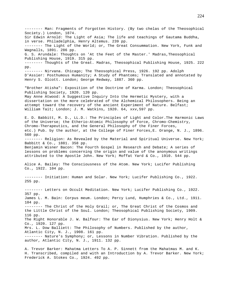-------- Man: Fragments of Forgotten History. (By two chelas of the Theosophical Society.) London, 1874. Sir Edwin Arnold: The Light of Asia; The life and teachings of Gautama Buddha, in verse. Philadelphia, Henry Altemus. 239 pp. -------- The Light of the World; or, The Great Consummation. New York, Funk and Wagnalls, 1891. 286 pp. G. S. Arundale: Thoughts on 'At the Feet of the Master.' Madras,Theosophical Publishing House, 1919. 315 pp. -------- Thoughts of the Great. Madras, Theosophical Publishing House, 1925. 222 pp. -------- Nirvana. Chicago; The Theosophical Press, 1926. 192 pp. Adolph D'Assier: Posthumous Humanity; A Study of Phantoms; Translated and annotated by Henry S. Olcott. London; George Redway, 1887. 360 pp. "Brother Atisha": Exposition of the Doctrine of Karma. London; Theosophical Publishing Society, 1920. 120 pp. May Anne Atwood: A Suggestive Inquiry Into the Hermetic Mystery, with a dissertation on the more celebrated of the Alchemical Philosophers. Being an attempt toward the recovery of the ancient Experiment of Nature. Belfast; William Tait; London; J. M. Watkins, 1920. 64, xxv,597 pp. E. D. Babbitt, M. D., LL.D.: The Principles of Light and Color.The Harmonic Laws of the Universe; the Etherio-Atomic Philosophy of Force, Chromo-Chemistry, Chromo-Therapeutics, and the General Philosophy of the Finer Forces, etc.) Pub. by the author, at the College of Finer Forces,E. Orange, N. J., 1896. 560 pp. -------- Religion: As Revealed by the Material and Spiritual Universe. New York; Babbitt & Co., 1881. 358 pp. Benjamin Wisner Bacon: The Fourth Gospel in Research and Debate; A series of lessons on problems concerning the origin and value of the anonymous writings attributed to the Apostle John. New York; Moffat Yard & Co., 1910. 544 pp. Alice A. Bailey: The Consciousness of the Atom. New York; Lucifer Publishing Co., 1922. 104 pp. -------- Initiation: Human and Solar. New York; Lucifer Publishing Co., 1922. 255 pp. -------- Letters on Occult Meditation. New York; Lucifer Publishing Co., 1922. 357 pp. James L. M. Bain: Corpus meum. London; Percy Lund, Humphries & Co., Ltd., 1911. 104 pp. -------- The Christ of the Holy Grail; or, The Great Christ of the Cosmos and the Little Christ of the Soul. London; Theosophical Publishing Society, 1909. 116 pp. The Right Honorable J. W. Balfour: The Ear of Dionysius. New York; Henry Holt & Co., 1920. 127 pp. Mrs. L. Dow Balliett: The Philosophy of Numbers. Published by the author, Atlantic City, N. J., 1908. 161 pp. -------- Nature's Symphony; or, Lessons in Number Vibration. Published by the author, Atlantic City, N. J., 1911. 132 pp.

A. Trevor Barker: Mahatma Letters To A. P. Sinnett from the Mahatmas M. and K. H. Transcribed, compiled and with an Introduction by A. Trevor Barker. New York; Frederick A. Stokes Co., 1924. 492 pp.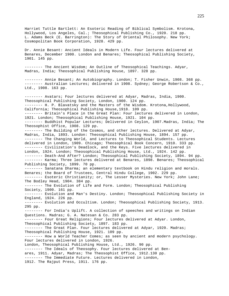Harriet Tuttle Bartlett: An Esoteric Reading of Biblical Symbolism. Krotona, Hollywood, Los Angeles, Cal.; Theosophical Publishing Co., 1920. 218 pp. L. Adams Beck (E. Barrington): The Story of Oriental Philosophy. New York; Cosmopolitan Book Corporation, 1928. 429 pp. Dr. Annie Besant: Ancient Ideals in Modern Life. Four lectures delivered at Benares, December 1900. London and Benares; Theosophical Publishing Society, 1901. 145 pp. -------- The Ancient Wisdom; An Outline of Theosophical Teachings. Adyar, Madras, India; Theosophical Publishing House, 1897. 328 pp. -------- Annie Besant; An Autobiography. London; T. Fisher Unwin, 1908. 368 pp. -------- Australian Lectures; delivered in 1908. Sydney; George Robertson & Co., Ltd., 1908. 163 pp. -------- Avatars; Four lectures delivered at Adyar, Madras, India, 1900. Theosophical Publishing Society, London, 1900. 124 pp. -------- H. P. Blavatsky and the Masters of the Wisdom. Krotona,Hollywood, California; Theosophical Publishing House, 1918. 109 pp. -------- Britain's Place in the Great Plan: Four lectures delivered in London, 1921. London; Theosophical Publishing House, 1921. 104 pp. -------- Buddhist Popular Lectures; Delivered in Ceylon, 1907.Madras, India; The Theosophist Office, 1908. 129 pp. -------- The Building of the Cosmos, and other lectures. Delivered at Adyar, Madras, India, 1893. London: Theosophical Publishing House, 1894. 157 pp. -------- The Changing World, and Lectures to Theosophical Students. Lectures delivered in London, 1909. Chicago; Theosophical Book Concern, 1910. 333 pp. -------- Civilization's Deadlock, and the Keys. Five lectures delivered in London, 1924. London; Theosophical Publishing House, Ltd., 1924. 142 pp. -------- Death-And After? London; Theosophical Publishing Society, 1894. 94 pp. -------- Karma; Three lectures delivered at Benares, 1898. Benares; Theosophical Publishing Society, 1899. 70 pp. -------- Sanatana Dharma; an elementary textbook on Hindu religion and morals. Benares; the Board of Trustees, Central Hindu College, 1902. 229 pp. -------- Esoteric Christianity; or, The Lesser Mysteries. New York; John Lane; The Bodley Head, 1904. 384 pp. -------- The Evolution of Life and Form. London; Theosophical Publishing Society, 1900. 161 pp. -------- Evolution and Man's Destiny. London; Theosophical Publishing Society in England, 1924. 226 pp. -------- Evolution and Occultism. London; Theosophical Publishing Society, 1913. 295 pp. -------- For India's Uplift. A collection of speeches and writings on Indian Questions. Madras; G. A. Natesan & Co. 283 pp. -------- Four Great Religions; Four lectures delivered at Adyar. London, Theosophical Publishing Society, 1897. 183 pp. -------- The Great Plan. Four lectures delivered at Adyar, 1920. Madras; Theosophical Publishing House, 1921. 109 pp. -------- How a World Teacher Comes; as seen by ancient and modern psychology. Four lectures delivered in London, 1926. London, Theosophical Publishing House, Ltd., 1926. 90 pp. -------- The Ideals of Theosophy. Four lectures delivered at Benares, 1911. Adyar, Madras; The Theosophist Office, 1912.130 pp. -------- The Immediate Future. Lectures delivered in London, 1912. The Rajput Press, 1911. 176 pp.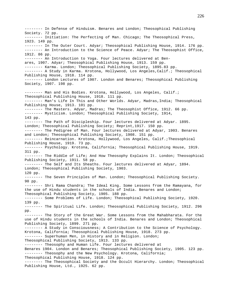-------- In Defense of Hinduism. Benares and London; Theosophical Publishing Society. 72 pp. -------- Initiation: The Perfecting of Man. Chicago; The Theosophical Press, 1923. 149 pp. -------- In The Outer Court. Adyar; Theosophical Publishing House, 1914. 176 pp. -------- An Introduction to the Science of Peace. Adyar; The Theosophist Office, 1912. 86 pp. -------- An Introduction to Yoga. Four lectures delivered at Benares, 1907. Adyar; Theosophical Publishing House, 1913. 159 pp. -------- Karma. London; Theosophical Publishing Society, 1895.83 pp. -------- A Study in Karma. Krotona, Hollywood, Los Angeles, Calif.; Theosophical Publishing House, 1918. 114 pp. -------- London Lectures of 1907. London and Benares; Theosophical Publishing Society, 1907. 198 pp. -------- Man and His Bodies. Krotona, Hollywood, Los Angeles, Calif.; Theosophical Publishing House, 1918. 111 pp. -------- Man's Life In This and Other Worlds. Adyar, Madras, India; Theosophical Publishing House, 1913. 101 pp. -------- The Masters. Adyar, Madras; The Theosophist Office, 1912. 66 pp. -------- Mysticism. London; Theosophical Publishing Society, 1914, 143 pp. -------- The Path of Discipleship. Four lectures delivered at Adyar. 1895. London; Theosophical Publishing Society; Reprint,1917. 150 pp. -------- The Pedigree of Man. Four lectures delivered at Adyar, 1903. Benares and London; Theosophical Publishing Society, 1908. 151 pp. -------- Reincarnation. Krotona, Hollywood, Los Angeles, Calif.;Theosophical Publishing House, 1919. 73 pp. -------- Psychology. Krotona, California; Theosophical Publishing House, 1919. 311 pp. -------- The Riddle of Life; And How Theosophy Explains It. London; Theosophical Publishing Society, 1911. 58 pp. -------- The Self and Its Sheaths. Four lectures delivered at Adyar, 1894. London; Theosophical Publishing Society, 1903. 120 pp. -------- The Seven Principles of Man. London; Theosophical Publishing Society. 90 pp. -------- Shri Rama Chandra; The Ideal King. Some Lessons from the Ramayana, for the use of Hindu students in the schools of India. Benares and London; Theosophical Publishing Society, 1905. 188 pp. -------- Some Problems of Life. London; Theosophical Publishing Society, 1920. 139 pp. -------- The Spiritual Life. London; Theosophical Publishing Society, 1912. 296 pp. -------- The Story of the Great War. Some Lessons from the Mahabharata. For the use of Hindu students in the schools of India. Benares and London; Theosophical Publishing Society, 1899. 271 pp. -------- A Study in Consciousness; A Contribution to the Science of Psychology. Krotona, California; Theosophical Publishing House, 1918. 273 pp. -------- Superhuman Men, in History and in Religion. London; Theosophical Publishing Society, 1913. 133 pp. -------- Theosophy and Human Life. Four lectures delivered at Benares 1904. London and Benares; Theosophical Publishing Society, 1905. 123 pp. -------- Theosophy and the New Psychology. Krotona, California; Theosophical Publishing House, 1918. 124 pp. -------- The Theosophical Society and the Occult Hierarchy. London; Theosophical Publishing House, Ltd., 1925. 62 pp.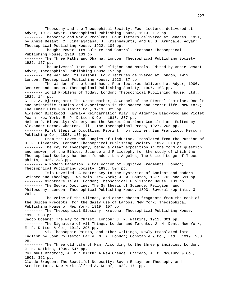-------- Theosophy and the Theosophical Society. Four lectures delivered at Adyar, 1912. Adyar; Theosophical Publishing House, 1913. 112 pp. -------- Theosophy and World Problems. Four letters delivered at Benares, 1921, by Annie Besant, C. Jinarajadasa, J. Krishnamurti, and G. S. Arundale. Adyar; Theosophical Publishing House, 1922. 104 pp. -------- Thought Power: Its Culture and Control. Krotona: Theosophical Publishing House, 1918. 133 pp. -------- The Three Paths and Dharma. London; Theosophical Publishing Society, 1922. 157 pp. -------- The Universal Text Book of Religion and Morals. Edited by Annie Besant. Adyar; Theosophical Publishing House.157 pp. -------- The War and Its Lessons. Four lectures delivered at London, 1919. London; Theosophical Publishing House, 1920. 87 pp. -------- The Wisdom of the Upanishads. Four lectures delivered at Adyar, 1906. Benares and London; Theosophical Publishing Society, 1907. 103 pp. -------- World Problems of Today. London; Theosophical Publishing House, Ltd., 1925. 144 pp. C. H. A. Bjerregaard: The Great Mother; A Gospel of the Eternal Feminine. Occult and scientific studies and experiences in the sacred and secret life. New York; The Inner Life Publishing Co., 1913. 325 pp. Algernon Blackwood: Karma-A Reincarnation Play. By Algernon Blackwood and Violet Pearn. New York; E. P. Dutton & Co., 1918. 207 pp. Helena P. Blavatsky: Alchemy and the Secret Doctrine; Compiled and Edited by Alexander Horne. Wheaton, Ill.; The Theosophical Press, 1927. 205 pp. -------- First Steps in Occultism; Reprint from Lucifer. San Francisco; Mercury Publishing Co., 1898. 135 pp. -------- From the Caves and Jungles of Hindustan. Translated from the Russian of H. P. Blavatsky. London; Theosophical Publishing Society, 1892. 318 pp. -------- The Key to Theosophy; being a clear exposition in the form of question and answer, of the Ethics, Science and Philosophy for the study of which the Theosophical Society has been founded. Los Angeles; The United Lodge of Theosophists, 1920. 243 pp. -------- A Modern Panarion; A Collection of Fugitive Fragments. London; Theosophical Publishing Society, 1895. 504 pp. -------- Isis Unveiled; A Master Key to the Mysteries of Ancient and Modern Science and Theology. Two Vols. New York; J. W. Bouton, 1877. 705 and 691 pp. -------- Nightmare Tales. London; Theosophical Publishing House. 133 pp. -------- The Secret Doctrine; The Synthesis of Science, Religion, and Philosophy. London; Theosophical Publishing House, 1893. Several reprints, 3 Vols. -------- The Voice of the Silence, and other chosen fragments from the Book of the Golden Precepts, for the daily use of Lanoos. New York; Theosophical Publishing House of New York, 1919. 107 pp. -------- The Theosophical Glossary. Krotona; Theosophical Publishing House, 1918. 360 pp. Jacob Boehme: The Way to Christ. London; J. M. Watkins, 1911. 301 pp. -------- The Signature of All Things. London and Toronto; J. M. Dent; New York; E. P. Dutton & Co., 1912. 295 pp. -------- Six Theosophic Points, and other writings; Newly translated into English by John Rolleston Earle, M. A. London; Constable & Co., Ltd., 1919. 208 pp. -------- The Threefold Life of Man; According to the three principles. London; J. M. Watkins, 1909. 547 pp. Columbus Bradford, A. M.: Birth: A New Chance. Chicago; A. C. McClurg & Co., 1901. 362 pp. Claude Bragdon: The Beautiful Necessity; Seven Essays on Theosophy and Architecture. New York; Alfred A. Knopf, 1922. 171 pp.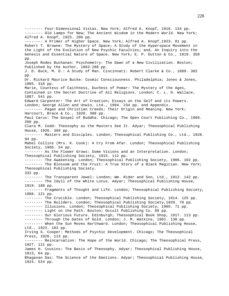-------- Four-Dimensional Vistas. New York; Alfred A. Knopf, 1916. 134 pp. -------- Old Lamps for New; The Ancient Wisdom in the Modern World. New York; Alfred A. Knopf, 1925. 206 pp. -------- A Primer of Higher Space. New York; Alfred A. Knopf,1923. 81 pp. Robert T. Browne: The Mystery of Space; A Study of the Hyperspace Movement in the Light of the Evolution of New Psychic Faculties; and, An Inquiry into the Genesis and Essential Nature of Space. New York; E. P. Dutton & Co., 1919. 358 pp. Joseph Rodes Buchanan: Psychometry: The Dawn of a New Civilization. Boston; Published by the Author, 1883.288 pp. J. D. Buck, M. D.: A Study of Man. Cincinnati: Robert Clarke & Co., 1889. 302 pp. Dr. Rickard Maurice Bucke: Cosmic Consciousness. Philadelphia; Jones & Jones, 1905. 318 pp. Marie, Countess of Caithness, Duchess of Pomar: The Mystery of the Ages, Contained in the Secret Doctrine of All Religions. London; C. L. H. Wallace, 1887. 541 pp. Edward Carpenter: The Art of Creation; Essays on the Self and its Powers. London; George Allen and Unwin, Ltd., 1904. 234 pp. and Appendix. -------- Pagan and Christian Creeds; Their Origin and Meaning. New York; Harcourt, Brace & Co., 1920. 308 pp. Paul Carus: The Gospel of Buddha. Chicago; The Open Court Publishing Co., 1909. 260 pp. Clara M. Codd: Theosophy as the Masters See It. Adyar; Theosophical Publishing House, 1926. 369 pp. -------- Masters and Disciples. London; Theosophical Publishing Co., Ltd., 1928. 94 pp. Mabel Collins (Mrs. K. Cook): A Cry From Afar. London; Theosophical Publishing Society, 1905. 54 pp. -------- As the Flower Grows: Some Visions and an Interpretation. London; Theosophical Publishing Society, 1915. 112 pp. -------- The Awakening. London; Theosophical Publishing Society, 1906. 102 pp. -------- The Blossom and the Fruit: A True Story of a Black Magician. New York; Theosophical Publishing Society. 332 pp. -------- The Transparent Jewel: London; Wm. Rider and Son, Ltd., 1912. 142 pp. -------- The Idyll of the White Lotus. Adyar; Theosophical Publishing House, 1919. 168 pp. -------- Fragments of Thought and Life. London; Theosophical Publishing Society, 1908. 121 pp. -------- The Crucible. London; Theosophical Publishing Society, 1914. 125 pp. -------- The Builders. London; Theosophical Publishing Society,1920. 70 pp. -------- Illusions. London; Theosophical Publishing Society, 1905. 71 pp. -------- Light on the Path. Boston; Occult Publishing Co. 89 pp. -------- Our Glorious Future. Edinburgh; Theosophical Book Shop, 1917. 113 pp. -------- Through the Gates of Gold. London; J. M. Watkins, 1901. 138 pp. -------- When the Sun Moves Northward. London; Theosophical Publishing House, Ltd., 1923. 183 pp. Irving S. Cooper: Methods of Psychic Development. Chicago; The Theosophical Press, 1926. 113 pp. -------- Reincarnation: The Hope of the World. Chicago; The Theosophical Press, 1927. 121 pp. James H. Cousins: The Basis of Theosophy. Adyar; Theosophical Publishing House, 1913, 64 pp. Bhagavan Das: The Science of the Emotions. Adyar; Theosophical Publishing House, 1924. 524 pp.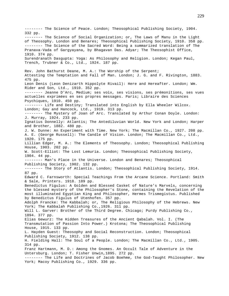-------- The Science of Peace. London; Theosophical Publishing Society, 1904. 332 pp. -------- The Science of Social Organization; or, The Laws of Manu in the Light of Theosophy. London and Benares; Theosophical Publishing Society, 1910. 358 pp. -------- The Science of the Sacred Word: Being a summarized translation of The Pranava-Vada of Gargyayana, by Bhagavan Das. Adyar; The Theosophist Office, 1910. 374 pp. Surendranath Dasgupta: Yoga: As Philosophy and Religion. London; Kegan Paul, Trench, Trubner & Co., Ltd., 1924. 187 pp. Rev. John Bathurst Deane, M. A.: The Worship of the Serpent; Attesting the Temptation and Fall of Man. London; J. G. and F. Rivington, 1883. 475 pp. Leon Denis (Leon Denizarth Hippolyte Rivail): Here and Hereafter. London; Wm. Rider and Son, Ltd., 1910. 352 pp. -------- Jeanne D'Arc, Medium; ses voix, ses visions, ses prémonitions, ses vues actuelles exprimées en ses propres messages. Paris; Libraire des Sciences Psychiques, 1910. 450 pp. -------- Life and Destiny; Translated into English by Ella Wheeler Wilcox. London; Gay and Hancock, Ltd., 1919. 313 pp. -------- The Mystery of Joan of Arc. Translated by Arthur Conan Doyle. London: J. Murray, 1924. 233 pp. Ignatius Donnelly: Atlantis; The Antediluvian World. New York and London; Harper and Brother, 1882. 480 pp. J. W. Dunne: An Experiment with Time. New York; The Macmillan Co., 1927. 208 pp. A. E. (George Russell): The Candle of Vision. London; The Macmillan Co., Ltd., 1920. 175 pp. Lillian Edger, M. A.: The Elements of Theosophy. London; Theosophical Publishing House, 1903. 202 pp. W. Scott-Elliot: The Lost Lemuria. London; Theosophical Publishing Society, 1904. 44 pp. -------- Man's Place in the Universe. London and Benares; Theosophical Publishing Society, 1902. 132 pp. -------- The Story of Atlantis. London; Theosophical Publishing Society, 1914. 87 pp. Edward C. Farnsworth: Special Teachings From the Arcane Science. Portland: Smith & Sale, Printers. 1918. 189 pp. Benedictus Figulus: A Golden and Blessed Casket of Nature's Marvels, concerning the blessed mystery of the Philosopher's Stone, containing the Revelation of the most illuminated Egyptian King and Philosopher, Hermes Trismegistus. Published by Benedictus Figulus of Utenhofen. 357 pp. Adolph Francke: The Kabbalah; or, The Religious Philosophy of the Hebrews. New York; The Kabbalah Publishing Co.,1926. 311 pp. Will L. Garver: Brother of the Third Degree. Chicago; Purdy Publishing Co., 1894. 377 pp. Elias Gewurz: The Hidden Treasures of the Ancient Qabalah. Vol. I. (The Transmutation of Passion Into Power.) Krotona; The Theosophical Publishing House, 1915. 133 pp. L. Hayden Guest: Theosophy and Social Reconstruction. London; Theosophical Publishing Society, 1912. 138 pp. H. Fielding Hall: The Soul of a People. London; The Macmillan Co., Ltd., 1905. 314 pp. Franz Hartmann, M. D.: Among the Gnomes. An Occult Tale of Adventure in the Untersburg. London; T. Fisher Unwin,1895. 272 pp. -------- The Life and Doctrines of Jacob Boehme, the God-Taught Philosopher. New York; Macoy Publishing Co., 1929. 336 pp.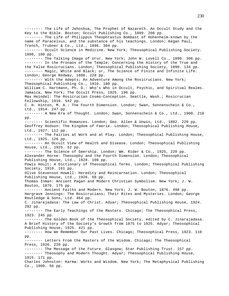-------- The Life of Jehoshua, The Prophet of Nazareth. An Occult Study and the Key to the Bible. Boston; Occult Publishing Co., 1889. 208 pp. -------- The Life of Philippus Theophrastus Bombast of Hohenheim-known by the name of Paracelsus, and the substance of his teachings. London; Kegan Paul, Trench, Trubner & Co., Ltd., 1896. 304 pp. -------- Occult Science in Medicine. New York; Theosophical Publishing Society. 1890, 100 pp. -------- The Talking Image of Urur. New York; John W. Lovell Co., 1890. 306 pp. -------- In the Pronaos of the Temple; Concerning the History of the True and the False Rosicrucians. London; Theosophical Publishing Society, 1890. 134 pp. -------- Magic, White and Black; or, The Science of Finite and Infinite Life. London; George Redway, 1886. 228 pp. -------- With the Adepts; An Adventure Among the Rosicrucians. New York; Theosophical Publishing Co., 1910. 180 pp. William C. Hartmann, Ph. D.: Who's Who in Occult, Psychic, and Spiritual Realms. Jamaica, New York; The Occult Press, 1925. 196 pp. Max Heindel: The Rosicrucian Cosmo-Conception. Seattle, Wash.; Rosicrucian Fellowship, 1910. 542 pp. C. H. Hinton, M. A.: The Fourth Dimension. London; Swan, Sonnenschein & Co., Ltd., 1914. 247 pp. -------- A New Era of Thought. London; Swan, Sonnenschein & Co., Ltd., 1900. 210 pp. -------- Scientific Romances. London; Geo. Allen & Unwin, Ltd., 1882. 229 pp. Geoffrey Hodson: The Kingdom of Faerie. London; Theosophical Publishing House, Ltd., 1927. 112 pp. -------- The Fairies at Work and at Play. London; Theosophical Publishing House, Ltd., 1925. 126 pp. -------- An Occult View of Health and Disease. London; Theosophical Publishing House, Ltd., 1925. 52 pp. -------- The Science of Seership. London; Wm. Rider & Co., 1925, 220 pp. Alexander Horne: Theosophy and the Fourth Dimension. London; Theosophical Publishing House, Ltd., 1928. 108 pp. Powis Hoult: A Dictionary of Theosophical Terms. London; Theosophical Publishing Society, 1910. 161 pp. Olive Stevenson Howell: Heredity and Reincarnation. London; Theosophical Publishing House, Ltd., 1926. 68 pp. Thomas Inman: Ancient Pagan and Modern Christian Symbolism. New York; J. W. Bouton, 1876. 175 pp. ------- Ancient Faiths and Modern. New York; J. W. Bouton, 1876. 498 pp. Hargrave Jennings: The Rosicrucians; Their Rites and Mysteries. London; George Routledge & Sons, Ltd. 464 pp. C. Jinarajadasa: The Law of Christ. Adyar; Theosophical Publishing House, 1924. 292 pp. -------- The Early Teachings of the Masters. Chicago; The Theosophical Press, 1923. 245 pp. -------- The Golden Book of the Theosophical Society, edited by C. Jinarajadasa. A Brief History of the Society's Growth from 1875 to 1925. Adyar; Theosophical Publishing House, 1925. 421 pp. -------- How We Remember Our Past Lives. Chicago; Theosophical Press, 1923. 110 pp. -------- Letters From the Masters of the Wisdom. Chicago; The Theosophical Press, 1926. 220 pp. -------- The Message of the Future. Glasgow; Star Publishing Trust. 157 pp. -------- Theosophy and Modern Thought. Adyar; Theosophical Publishing House, 1915. 171 pp. Charles Johnston: Karma: Works and Wisdom. New York; The Metaphysical Publishing Co., 1900. 56 pp.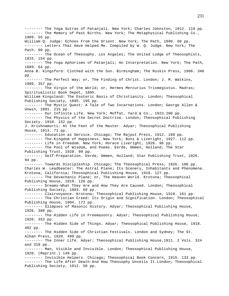-------- The Yoga Sutras of Patanjali. New York; Charles Johnston, 1912. 119 pp. -------- The Memory of Past Births. New York; The Metaphysical Publishing Co., 1909. 55 pp. William Q. Judge: Echoes From the Orient. New York; The Path, 1890. 68 pp. -------- Letters That Have Helped Me. Compiled by W. Q. Judge. New York; The Path. 90 pp. -------- The Ocean of Theosophy. Los Angeles; The United Lodge of Theosophists, 1915. 154 pp. -------- The Yoga Aphorisms of Patanjali; An Interpretation. New York; The Path, 1889. 64 pp. Anna B. Kingsford: Clothed with the Sun. Birmingham; The Ruskin Press, 1906. 340 pp. -------- The Perfect Way; or, The Finding of Christ. London; J. M. Watkins, 1909. 357 pp. -------- The Virgin of the World; or, Hermes Mercurius Trismegistus. Madras; Spiritualistic Book Depot, 1895. William Kingsland: The Esoteric Basis of Christianity. London; Theosophical Publishing Society, 1895. 195 pp. -------- The Mystic Quest; A Tale of Two Incarnations. London; George Allen & Unwin, 1891. 215 pp. -------- Our Infinite Life. New York; Moffat, Yard & Co., 1923.200 pp. -------- The Physics of the Secret Doctrine. London; Theosophical Publishing Society. 1910. 152 pp. J. Krishnamurti: At the Feet of the Master. Adyar; Theosophical Publishing House, 1913. 71 pp. -------- Education as Service. Chicago; The Rajput Press, 1912. 160 pp. -------- The Kingdom of Happiness. New York; Boni & Liveright, 1927. 112 pp. -------- Life in Freedom. New York; Horace Liveright, 1928. 96 pp. -------- The Pool of Wisdom, and Poems. Eerde, Ommen, Holland; The Star Publishing Trust, 1928. 99 pp. -------- Self-Preparation. Eerde, Ommen, Holland; Star Publishing Trust, 1926. 94 pp. -------- Towards Discipleship. Chicago; The Theosophical Press, 1926. 106 pp. Charles W. Leadbeater: The Astral Plane; Its Scenery, Inhabitants and Phenomena. Krotona, California; Theosophical Publishing House, 1918. 127 pp. -------- The Devachanic Plane; or, The Heaven World. Krotona; Theosophical Publishing House, 1919. 120 pp. -------- Dreams-What They Are and How They Are Caused. London; Theosophical Publishing Society, 1903. 69 pp. -------- Clairvoyance. Krotona; Theosophical Publishing House, 1918. 161 pp. -------- The Christian Creed: Its Origin and Signification. London; Theosophical Publishing House, 1904. 172 pp. -------- Glimpses of Masonic History. Adyar; Theosophical Publishing House, 1926. 380 pp. -------- The Hidden Life in Freemasonry. Adyar; Theosophical Publishing House, 1926. 352 pp. -------- The Hidden Side of Things. Adyar; Theosophical Publishing House, 1918. 482 pp. -------- The Hidden Side of Christian Festivals. London and Sydney; The St. Alban Press, 1920. 499 pp. -------- The Inner Life. Adyar; Theosophical Publishing House,1911. 2 Vols. 324 and 318 pp. -------- Man, Visible and Invisible. London; Theosophical Publishing House, 1920. (Reprint.) 149 pp. -------- Invisible Helpers. Chicago; Theosophical Book Concern, 1915. 133 pp. -------- The Life After Death-And How Theosophy Unveils It.London; Theosophical Publishing Society, 1912. 58 pp.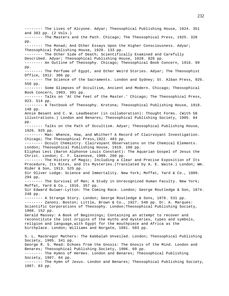-------- The Lives of Alcyone. Adyar; Theosophical Publishing House, 1924. 351 and 383 pp. (2 Vols.) -------- The Masters and the Path. Chicago; The Theosophical Press, 1925. 328 pp. -------- The Monad; And Other Essays Upon the Higher Consciousness. Adyar; Theosophical Publishing House, 1920. 133 pp. -------- The Other Side of Death; Scientifically Examined and Carefully Described. Adyar; Theosophical Publishing House, 1928. 826 pp. -------- An Outline of Theosophy. Chicago; Theosophical Book Concern, 1916. 99 pp. -------- The Perfume of Egypt, and Other Weird Stories. Adyar; The Theosophist Office, 1912. 306 pp. -------- The Science of the Sacraments. London and Sydney; St. Alban Press, 920. 550 pp. -------- Some Glimpses of Occultism, Ancient and Modern. Chicago; Theosophical Book Concern, 1903. 391 pp. -------- Talks on 'At the Feet of the Master.' Chicago; The Theosophical Press, 923. 514 pp. -------- A Textbook of Theosophy. Krotona; Theosophical Publishing House, 1918. 148 pp. Annie Besant and C. W. Leadbeater (in collaboration): Thought Forms. (With 58 illustrations.) London and Benares; Theosophical Publishing Society, 1905. 84 pp. -------- Talks on the Path of Occultism. Adyar; Theosophical Publishing House, 1926. 925 pp. -------- Man: Whence, How, and Whither? A Record of Clairvoyant Investigation. Chicago; The Theosophical Press,1922. 483 pp. -------- Occult Chemistry. Clairvoyant Observations on the Chemical Elements. London; Theosophical Publishing House, 1919. 108 pp. Eliphas Levi (Baron Alphonse Louis Constant): The Aquarian Gospel of Jesus the Christ. London; C. F. Cazenove, 1909. 260 pp. -------- The History of Magic; Including a Clear and Precise Exposition of Its Procedure, Its Rites, and Its Mysteries.(Translated by A. E. Waite.) London; Wm. Rider & Son, 1913. 525 pp. Sir Oliver Lodge: Science and Immortality. New York; Moffat, Yard & Co., 1909. 294 pp. -------- The Survival of Man; A Study in Unrecognized Human Faculty. New York; Moffat, Yard & Co., 1916. 357 pp. Sir Edward Bulwer-Lytton: The Coming Race. London; George Routledge & Son, 1874. 248 pp. -------- A Strange Story. London; George Routledge & Sons, 1876. 531 pp. ------- Zanoni. Boston; Little, Brown & Co., 1927. 540 pp. Dr. A. Marques: Scientific Corporations of Theosophy. London;Theosophical Publishing Society, 1908. 152 pp. Gerald Massey: A Book of Beginnings; Containing an attempt to recover and reconstitute the lost origins of the myths and mysteries, types and symbols, religion and language,with Egypt for the mouthpiece and Africa as the birthplace. London; Williams and Norgate, 1881. 503 pp. S. L. MacGregor Mathers: The Kabbalah Unveiled. London; Theosophical Publishing Society, 1905. 341 pp. George R. S. Mead: Echoes from the Gnosis: The Gnosis of the Mind. London and Benares; Theosophical Publishing Society, 1906. 69 pp. -------- The Hymns of Hermes. London and Benares; Theosophical Publishing Society, 1907. 84 pp. -------- The Hymn of Jesus. London and Benares; Theosophical Publishing Society, 1907. 83 pp.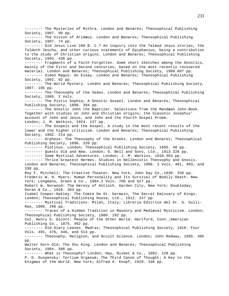-------- The Mysteries of Mithra. London and Benares; Theosophical Publishing Society, 1907. 90 pp. -------- The Vision of Aridæus. London and Benares; Theosophical Publishing Society, 1907. 74 pp. -------- Did Jesus Live 100 B. C.? An inquiry into the Talmud Jesus stories, the Toldoth Jeschu, and other curious statements of Epiphanius, being a contribution to the study of Christian origins. London and Benares; Theosophical Publishing Society, 1903. 436 pp. -------- Fragments of a Faith Forgotten. Some short sketches among the Gnostics, mainly of the First and Second centuries, based on the most recently recovered material. London and Benares; Theosophical Publishing Society, 1900.607 pp. -------- Simon Magus: An Essay. London and Benares; Theosophical Publishing Society, 1902. 92 pp. -------- The World Mystery. London and Benares; Theosophical Publishing Society, 1907. 185 pp. -------- The Theosophy of the Vedas. London and Benares; Theosophical Publishing Society, 1905. 2 Vols. -------- The Pistis Sophia; A Gnostic Gospel. London and Benares; Theosophical Publishing Society, 1898. 394 pp. -------- The Gnostic John the Baptizer. Selections from the Mandæan John-Book. Together with studies on John and Christian origins; the Slavonic Josephus' account of John and Jesus, and John and the Fourth Gospel Proem. London; J. M. Watkins, 1924. 137 pp. -------- The Gospels and the Gospel. A study in the most recent results of the lower and the higher criticism. London and Benares; Theosophical Publishing Society, 1902. 214 pp. -------- Orpheus: The Theosophy of the Greeks. London and Benares; Theosophical Publishing Society, 1896. 320 pp. -------- Plotinus. London; Theosophical Publishing Society, 1895. 48 pp. -------- Quests Old and New. London; G. Bell and Sons, Ltd., 1913.328 pp. -------- Some Mystical Adventures. London; J. M. Watkins, 1910.303 pp. -------- Thrice Greatest Hermes. Studies in Hellenistic Theosophy and Gnosis. London and Benares; Theosophical Publishing Society, 1906. 3 Vols. 481, 403, and 330 pp. Roy F. Mitchell: The Creative Theater. New York, John Day Co.,1930. 256 pp. Frederic W. H. Myers: Human Personality and Its Survival of Bodily Death. New York; Longmans, Green & Co., 1904.2 Vols. 700 and 627 pp. Robert W. Norwood: The Heresy of Antioch. Garden City, New York; Doubleday, Doran & Co., 1928. 303 pp. Isabel Cooper-Oakley: The Comte De St. Germain, The Secret Emissary of Kings. London; Theosophical Publishing House, Ltd., 1912. 247 pp. -------- Mystical Traditions. Milan, Italy; Libreria Editrice del Dr. G. Sulli-Rao, 1909. 296 pp. -------- Traces of a Hidden Tradition in Masonry and Mediæval Mysticism. London; Theosophical Publishing Society, 1900. 192 pp. Col. Henry S. Olcott: People of the Other World. Hartford, Conn.;American Publishing Co., 1875. 492 pp. -------- Old Diary Leaves. Madras; Theosophical Publishing Society, 1910. Four Vols. 491, 476, 446, and 514 pp. -------- Theosophy, Religion, and Occult Science. London; John Redway, 1885. 385 pp. Walter Gorn Old: The Shu King. London and Benares; Theosophical Publishing Society, 1904. 306 pp. -------- What is Theosophy? London; Hay, Nisbet & Co., 1892. 128 pp. P. D. Ouspensky: Tertium Organum: The Third Canon of Thought; A Key to the Enigmas of the World. New York; Alfred A. Knopf, 1929. 336 pp.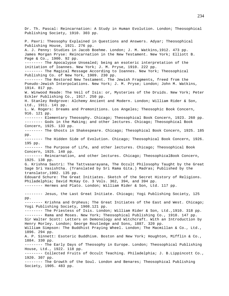Dr. Th. Pascal: Reincarnation: A Study in Human Evolution. London; Theosophical Publishing Society, 1910. 303 pp. P. Pavri: Theosophy Explained in Questions and Answers. Adyar; Theosophical Publishing House, 1921. 276 pp. A. J. Penny: Studies in Jacob Boehme. London; J. M. Watkins,1912. 473 pp. James Morgan Pryse: Reincarnation in the New Testament. New York; Elliott B. Page & Co., 1900. 92 pp. -------- The Apocalypse Unsealed; being an esoteric interpretation of the initiation of Ioannes. New York; J. M. Pryse, 1910. 222 pp. -------- The Magical Message According to Ioannes. New York; Theosophical Publishing Co. of New York, 1909. 230 pp. -------- The Restored New Testament. The Jewish Fragments, freed from the Pseudo-Jewish Interpolations. New York; J. M. Pryse; London; John M. Watkins, 1914. 817 pp. W. Winwood Reade: The Veil of Isis: or, Mysteries of the Druids. New York; Peter Eckler Publishing Co., 1917. 250 pp. H. Stanley Redgrove: Alchemy Ancient and Modern. London; William Rider & Son, Ltd., 1911. 141 pp. L. W. Rogers: Dreams and Premonitions. Los Angeles; Theosophic Book Concern, 916. 121 pp. -------- Elementary Theosophy. Chicago; Theosophical Book Concern, 1923. 260 pp. -------- Gods in the Making; and other lectures. Chicago; Theosophical Book Concern, 1925. 133 pp. -------- The Ghosts in Shakespeare. Chicago; Thesophical Book Concern, 1925. 185 pp. -------- The Hidden Side of Evolution. Chicago; Theosophical Book Concern, 1926. 195 pp. -------- The Purpose of Life, and other lectures. Chicago; Theosophical Book Concern, 1925. 140 pp. -------- Reincarnation, and other lectures. Chicago; TheosophicalBook Concern, 1925. 138 pp. G. Krishna Sastri: The Tattvasarayana, The Occult Philosophy Taught by the Great Sage Sri Vasishtha. (Translated by Sri Rama Gita.) Madras; Published by the translator,1902. 135 pp. Edouard Schure: The Great Initiates. Sketch of the Secret History of Religions. Philadelphia; David McKay Co. 3 Vols. 362, 394, and 394 pp. -------- Hermes and Plato. London; William Rider & Son, Ltd. 117 pp. -------- Jesus, the Last Great Initiate. Chicago; Yogi Publishing Society, 125 pp. -------- Krishna and Orpheus; The Great Initiates of the East and West. Chicago; Yogi Publishing Society, 1908.121 pp. -------- The Priestess of Isis. London; William Rider & Son, Ltd.,1910. 318 pp. -------- Rama and Moses. New York; Theosophical Publishing Co., 1910. 147 pp. Sir Walter Scott: Letters on Demonology and Witchcraft. With an Introduction by Henry Morley. London; George Routledge and Sons, 1887. 320 pp. William Simpson: The Buddhist Praying Wheel. London; The Macmillan & Co., Ltd., 1896. 294 pp. A. P. Sinnett: Esoteric Buddhism. Boston and New York; Houghton, Mifflin & Co., 1884. 330 pp. -------- The Early Days of Theosophy in Europe. London; Theosophical Publishing House, Ltd., 1922. 118 pp. -------- Collected Fruits of Occult Teaching. Philadelphia; J. B.Lippincott Co., 1920. 307 pp. -------- The Growth of the Soul. London and Benares; Theosophical Publishing Society, 1905. 483 pp.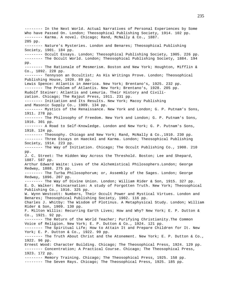-------- In the Next World. Actual Narratives of Personal Experiences by Some Who have Passed On. London; Theosophical Publishing Society, 1914. 102 pp. -------- Karma. A novel. Chicago; Rand, McNally & Co., 1887. 285 pp. -------- Nature's Mysteries. London and Benares; Theosophical Publishing Society, 1901. 184 pp. -------- Occult Essays. London; Theosophical Publishing Society, 1905. 226 pp. -------- The Occult World. London; Theosophical Publishing Society, 1884. 194 pp. -------- The Rationale of Mesmerism. Boston and New York; Houghton, Mifflin & Co., 1892. 228 pp. -------- Tennyson an Occultist; As His Writings Prove. London; Theosophical Publishing House, 1920. 89 pp. Lewis Spence: Atlantis in America. New York; Brentano's, 1925. 232 pp. -------- The Problem of Atlantis. New York; Brentano's, 1928. 205 pp. Rudolf Steiner: Atlantis and Lemuria. Their History and Civilization. Chicago; The Rajput Press, 1911. 231 pp. -------- Initiation and Its Results. New York; Macoy Publishing and Masonic Supply Co., 1909. 134 pp. -------- Mystics of the Renaissance. New York and London; G. P. Putnam's Sons, 1911. 278 pp. -------- The Philosophy of Freedom. New York and London; G. P. Putnam's Sons, 1916. 301 pp. -------- A Road to Self-Knowledge. London and New York; G. P. Putnam's Sons, 1918. 124 pp. -------- Theosophy. Chicago and New York; Rand, McNally & Co.,1910. 230 pp. -------- Three Essays on Haeckel and Karma. London; Theosophical Publishing Society, 1914. 223 pp. -------- The Way of Initiation. Chicago; The Occult Publishing Co., 1908. 210 pp. J. C. Street: The Hidden Way Across the Threshold. Boston; Lee and Shepard, 1887. 587 pp. Arthur Edward Waite: Lives of the Alchemistical Philosophers.London; George Redway, 1888. 275 pp. -------- The Turba Philosophorum; or, Assembly of the Sages. London; George Redway, 1896. 207 pp. -------- The Way of Divine Union. London; William Rider & Son, 1915. 327 pp. E. D. Walker: Reincarnation: A study of Forgotten Truth. New York; Theosophical Publishing Co., 1916. 325 pp. W. Wynn Westcott: Numbers, Their Occult Power and Mystical Virtues. London and Benares; Theosophical Publishing Society, 1902. 116 pp. Charles J. Whitby: The Wisdom of Plotinus. A Metaphysical Study. London; William Rider & Son, 1909. 130 pp. F. Milton Willis: Recurring Earth Lives; How and Why? New York; E. P. Dutton & Co., 1921. 92 pp. -------- The Return of the World Teacher; Purifying Christianity.The Common Voice of Religion. New York; E. P. Dutton & Co., 1924. 121 pp. -------- The Spiritual Life; How to Attain It and Prepare Children for It. New York; E. P. Dutton & Co., 1922. 99 pp. -------- The Truth About Christ and the Atonement. New York; E. P. Dutton & Co., 1922. 96 pp. Ernest Wood: Character Building. Chicago; The Theosophical Press, 1924. 129 pp. -------- Concentration; A Practical Course. Chicago; The Theosophical Press, 1923. 172 pp. -------- Memory Training. Chicago; The Theosophical Press, 1925. 158 pp. -------- The Seven Rays. Chicago; The Theosophical Press, 1925. 185 pp.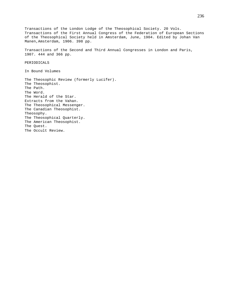Transactions of the London Lodge of the Theosophical Society. 20 Vols. Transactions of the First Annual Congress of the Federation of European Sections of the Theosophical Society held in Amsterdam, June, 1904. Edited by Johan Van Manen,Amsterdam, 1906. 398 pp. Transactions of the Second and Third Annual Congresses in London and Paris, 1907. 444 and 366 pp. PERIODICALS In Bound Volumes The Theosophic Review (formerly Lucifer). The Theosophist. The Path. The Word. The Herald of the Star. Extracts from the Vahan. The Theosophical Messenger. The Canadian Theosophist. Theosophy. The Theosophical Quarterly. The American Theosophist. The Quest. The Occult Review.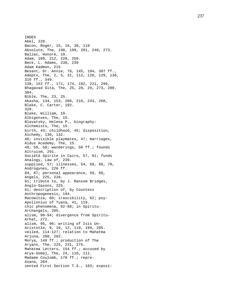INDEX Abel, 228. Bacon, Roger, 15, 16, 39, 119 Absolute, The, 198, 199, 201, 240, 273. Balzac, Honoré, 19. Adam, 189, 212, 228, 256. Beck, L. Adams, 238, 239 Adam Kadmon, 215 Besant, Dr. Annie, 76, 145, 194, 307 ff., Adepts, The, 2, 5, 31, 112, 120, 129, 136, 310 ff., 349. 138, 152 ff., 171, 174, 182, 221, 296, Bhagavad Gita, The, 25, 28, 29, 273, 280. 304. Bible, The, 23, 25. Akasha, 134, 153, 206, 216, 243, 260, Blake, C. Carter, 192. 329. Blake, William, 19. Albigenses, The, 15. Blavatsky, Helena P., biography: Alchemists, The, 15. birth, 43; childhood, 45; disposition, Alchemy, 130, 132. 46; invisible playmates, 47; marriages, Aldus Academy, The, 15. 49, 50, 58; wanderings, 50 ff.; founds Altruism, 291. Société Spirite in Cairo, 57, 91; funds Analogy, Law of, 239. supplied, 57; illnesses, 54, 58, 68, 70, Androgynes, 226 ff. 84, 87; personal appearance, 59, 60, Angels, 225, 228. 61; tribute to, by J. Ransom Bridges, Anglo -Saxons, 225. 61; description of, by Countess Anthropogenesis, 194. Racowitza, 60; irascibility, 62; psy - Apollonius of Tyana, 41, 119. chic phenomena, 62-88; in Spiritu-Archangels, 205. alism, 90 -94; divergence from Spiritu - Arhat, 272. alism, 95, 96; writing of Isis Un - Aristotle, 9, 10, 12, 119, 199, 205. veiled, 114 -127; relation to Mahatma Arjuna, 280, 282. Morya, 149 ff.; production of The Aryans, The, 225, 231, 275. Mahatma Letters, 154 ff.; accused by Arya -Somaj, The, 24, 110, 111. Madame Coulomb, 178 ff.; repre-Asana, 284. sented First Section T.S., 183; exposi -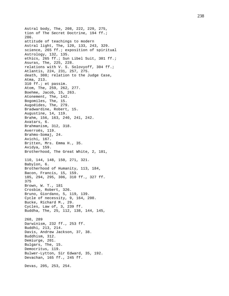Astral body, The, 208, 222, 229, 275, tion of The Secret Doctrine, 194 ff.; 286. attitude of teachings to modern Astral light, The, 120, 133, 243, 329. science, 265 ff.; exposition of spiritual Astrology, 132, 135. ethics, 265 ff.; Sun Libel Suit, 301 ff.; Asuras, The, 225, 228. relations with V. S. Solovyoff, 304 ff.; Atlantis, 224, 231, 257, 275. death, 308; relation to the Judge Case, Atma, 213. 310 ff.; et passim. Atom, The, 259, 262, 277. Boehme, Jacob, 15, 263. Atonement, The, 142. Bogomiles, The, 15. Augoëides, The, 279. Bradwardine, Robert, 15. Augustine, 14, 119. Brahm, 156, 163, 240, 241, 242. Avatars, 6. Brahmanism, 312, 318. Averroës, 119. Brahmo -Somaj, 24. Avichi, 167. Britten, Mrs. Emma H., 35. Avidya, 159 . Brotherhood, The Great White, 2, 101, 110, 144, 148, 150, 271, 321. Babylon, 6. Brotherhood of Humanity, 113, 184, Bacon, Francis, 15, 159. 185, 294, 295, 306, 310 ff., 327 ff. 375 Brown, W. T., 181 Crosbie, Robert, 326. Bruno, Giordano, 5, 119, 139. Cycle of necessity, 9, 164, 200. Bucke, Richard M., 29. Cycles, Law of, 3, 239 ff. Buddha, The, 25, 112, 138, 144, 145, 268, 289 Darwinism, 232 ff., 253 ff. Buddhi, 213, 214. Davis, Andrew Jackson, 37, 38. Buddhism, 312. Demiurge, 201. Bulgars, The, 15. Democritus, 119. Bulwer -Lytton, Sir Edward, 35, 192. Devachan, 165 ff., 245 ff. Devas, 205, 253, 254.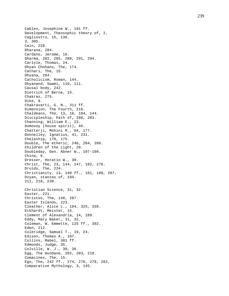Cables, Josephine W., 181 ff. Development, Theosophic theory of, 2, Cagliostro, 15, 136. 3, 305. Cain, 228. Dharana, 284. Cardano, Jerome, 16. Dharma, 282, 285, 288, 291, 294. Carlyle, Thomas, 24. Dhyan Chohans, The, 174. Cathari, The, 15. Dhyana, 284. Catholicism, Roman, 144. Dhyanand, Swami, 110, 111. Causal body, 242. Dietrich of Berne, 15. Chakras, 275. Dike, 8. Chakravarti, G. N., 311 ff. Dimension, The Fourth, 216. Chaldeans, The, 13, 16, 104, 144. Discipleship, Path of, 280, 283. Channing, William E., 23. Domovoy (house spirit), 45. Chatterji, Mohini M., 84, 177. Donnelley, Ignatius, 41, 231. Chelaship, 170, 175. Double, The etheric, 246, 284, 286. Children of the Light, 20. Doubleday, Gen. Abner W., 107-109. China, 6. Dresser, Horatio W., 30. Christ, The, 23, 144, 147, 182, 276. Druids, The, 224. Christianity, 13, 140 ff., 181, 188, 207, Dzyan, stanzas of, 194. 211, 218, 239. Christian Science, 31, 32. Easter, 221. Christos, The, 148, 287. Easter Islands, 223. Cleather, Alice L., 194, 325, 339. Eckhardt, Meister, 15. Clement of Alexandria, 14, 189. Eddy, Mary Baker, 31, 32. Coleman, W. Emmette, 125 ff., 302. Eden, 212. Coleridge, Samuel T., 19, 24. Edison, Thomas A., 107. Collins, Mabel, 301 ff. Edmonds, Judge, 35. Colville, W. J., 30, 36. Egg, The mundane, 202, 203, 218. Comacines, The, 15. Ego, The, 242 ff., 274, 276, 278, 282, Comparative Mythology, 3, 145.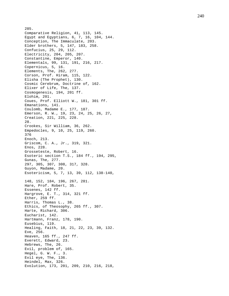285. Comparative Religion, 41, 113, 145. Egypt and Egyptians, 6, 7, 16, 104, 144. Conception, The Immaculate, 203. Elder brothers, 5, 147, 183, 258. Confucius, 25, 29, 112. Electricity, 204, 205, 207. Constantine, Emperor, 140. Elementals, 99, 131, 191, 216, 217. Copernicus, 5, 16. Elements, The, 262, 277. Corson, Prof. Hiram, 115, 122. Elisha (The Prophet), 130. Cosmic Cerebrum, Doctrine of, 162. Elixer of Life, The, 137. Cosmogenesis, 194, 201 ff. Elohim, 201. Coues, Prof. Elliott W., 181, 301 ff. Emanations, 141. Coulomb, Madame E., 177, 187. Emerson, R. W., 19, 23, 24, 25, 26, 27, Creation, 221, 225, 228. 28. Crookes, Sir William, 36, 262. Empedocles, 9, 10, 25, 119, 260. 376 Enoch, 213. Griscom, C. A., Jr., 319, 321. Enos, 228. Grosseteste, Robert, 16. Esoteric section T.S., 184 ff., 194, 295 , Gunas, The, 277. 297, 305, 307, 308, 317, 328. Guyon, Madame, 20. Esotericism, 5, 7, 13, 39, 112, 138 -140, 148, 152, 184, 196, 267, 281. Hare, Prof. Robert, 35. Essenes, 142 ff. Hargrove, E. T., 314, 321 ff. Ether, 259 ff. Harris, Thomas L., 38. Ethics, of Theosophy, 265 ff., 307. Harte, Richard, 306. Eucharist, 142. Hartmann, Franz, 178, 190. Eusebius, 119. Healing, Faith, 18, 21, 22, 23, 39, 132. Eve, 256. Heaven, 165 ff., 247 ff. Everett, Edward, 23. Hebrews, The, 26. Evil, problem of, 165. Hegel, G. W. F., 3. Evil eye, The, 136. Heindel, Max, 326. Evolution, 173, 201, 209, 210, 216, 218,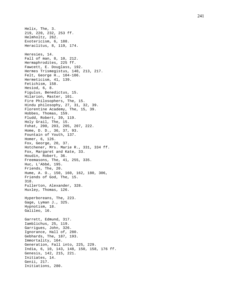Helix, The, 3. 219, 220, 232, 253 ff. Helmholtz, 262. Exotericism, 6, 188. Heraclitus, 8, 119, 174. Heresies, 14. Fall of man, 8, 10, 212. Hermaphrodites, 225 ff. Fawcett, E. Douglass, 192. Hermes Trismegistus, 140, 213, 217. Felt, George H., 104 -106. Hermeticism, 41, 139. Fetichism, 158. Hesiod, 6, 8. Figulus, Benedictus, 15. Hilarion, Master, 101. Fire Philosophers, The, 15. Hindu philosophy, 27, 31, 32, 39. Florentine Academy, The, 15, 39. Hobbes, Thomas, 159. Fludd, Robert, 39, 119. Holy Grail, The, 15. Fohat, 200, 203, 205, 207, 222. Home, D. D., 36, 37, 93. Fountain of Youth, 137. Homer, 6, 126. Fox, George, 20, 37. Hotchener, Mrs. Marie R., 331, 334 ff. Fox, Margaret and Kate, 33. Houdin, Robert, 36. Freemasons, The, 41, 255, 335. Huc, L'Abbé, 195. Friends, The, 20. Hume, A. O., 150, 160, 162, 180, 306, Friends of God, The, 15. 318. Fullerton, Alexander, 328. Huxley, Thomas, 126. Hyperboreans, The, 223. Gage, Lyman J., 325. Hypnotism, 18. Galileo, 16. Garrett, Edmund, 317. Iamblichus, 25, 119. Garrigues, John, 326. Ignorance, Hall of, 280. Gebhards, The, 187, 193. Immortality, 164. Generation, Fall into, 225, 229. India, 6, 10, 143, 148, 150, 158, 176 ff. Genesis, 142, 215, 221. Initiates, 14. Genii, 217. Initiations, 280.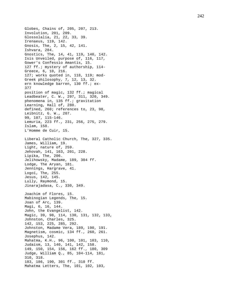```
Globes, Chains of, 205, 207, 213.
Involution, 201, 209.
Glossolalia, 21, 22, 33, 39.
Irenaeus, 119, 142.
Gnosis, The, 2, 15, 42, 141.
Ishvara, 284.
Gnostics, The, 14, 41, 119, 140, 142.
Isis Unveiled, purpose of, 116, 117,
Gower's Confessio Amantis, 15.
127 ff.; mystery of authorship, 114
-
Greece, 6, 10, 216.
127; works quoted in, 118, 119; mod
-
Greek philosophy, 7, 12, 13, 32.
ern knowledge barren, 130 ff.; ex-
377
position of magic, 132 ff.; magical
Leadbeater, C. W., 297, 311, 320, 349.
phenomena in, 135 ff.; gravitation
Learning, Hall of, 280.
defined, 260; references to, 23, 98,
Leibnitz, G. W., 207.
99, 107, 115
-146.
Lemuria, 223 ff., 231, 256, 275, 279.
Islam, 158.
L'Homme de Cuir, 15.
Liberal Catholic Church, The, 327, 335.
James, William, 19.
Light, nature of, 259.
Jehovah, 141, 163, 201, 228.
Lipika, The, 206.
Jelihowsky, Madame, 189, 304 ff.
Lodge, The Aryan, 181.
Jennings, Hargrave, 41.
Logoi, The, 255.
Jesus, 142, 145.
Lully, Raymond, 15.
Jinarajadasa, C., 330, 349.
Joachim of Flores, 15.
Mabinogian Legends, The, 15.
Joan of Arc, 139.
Magi, 6, 16, 144.
John, the Evangelist, 142.
Magic, 39, 98, 114, 130, 131, 132, 133,
Johnston, Charles, 325.
142, 153, 225, 285, 292.
Johnston, Madame Vera, 189, 190, 191.
Magnetism, cosmic, 134 ff., 260, 261.
Josephus, 142.
Mahatma, K.H., 96, 100, 101, 103, 110,
Judaism, 13, 140, 141, 142, 158.
149, 150, 154, 156, 162 ff., 180, 309
Judge, William Q., 85, 104
-114, 181,
310, 318.
183, 186, 190, 301 ff., 310 ff.
Mahatma Letters, The, 101, 102, 103,
```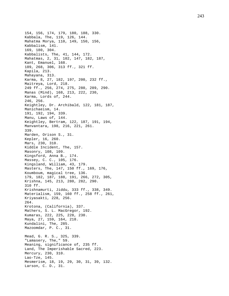154, 156, 174, 179, 180, 188, 330. Kabbala, The, 119, 126, 144. Mahatma Morya, 110, 149, 150, 156, Kabbalism, 141. 169, 180, 304. Kabbalists, The, 41, 144, 172. Mahatmas, 2, 31, 102, 147, 182, 187, Kant, Emanuel, 168. 189, 268, 306, 313 ff., 321 ff. Kapila, 213. Mahayana, 313. Karma, 8, 27, 182, 197, 200, 232 ff., Maitreya, Lord, 218. 249 ff., 256, 274, 275, 280, 289, 290. Manas (Mind), 168, 213, 222, 230, Karma, Lords of, 244. 246, 256. Keightley, Dr. Archibald, 122, 181, 187, Manichaeism, 14. 191, 192, 194, 339. Manu, Laws of, 144. Keightley, Bertram, 122, 187, 191, 194, Manvantara, 198, 216, 221, 261. 339. Marden, Orison S., 31. Kepler, 16, 260. Mars, 230, 310. Kiddle Incident, The, 157. Masonry, 108, 109. Kingsford, Anna B., 174. Massey, C. C., 105, 176. Kingsland, William, 43, 179. Masters, The, 147, 150 ff., 169, 176, Koumboum, magical tree, 136. 179, 182, 187, 188, 191, 266, 272, 305, Krishna, 145, 213, 280, 282, 290. 310 ff. Krishnamurti, Jiddu, 333 ff., 338, 349. Materialism, 159, 160 ff., 258 ff., 261, Kriyasakti, 228, 256. 264. Krotona, (California), 337. Mathers, S. L. MacGregor, 192. Kumaras, 222, 225, 228, 230. Maya, 27, 159, 164, 218. Kundalini, The, 285. Mazoomdar, P. C., 31. Mead, G. R. S., 325, 339. "Lamasery, The," 59. Meaning, significance of, 235 ff. Land, The Imperishable Sacred, 223. Mercury, 230, 310. Lao -Tze, 145. Mesmerism, 18, 19, 29, 30, 31, 39, 132. Larson, C. D., 31.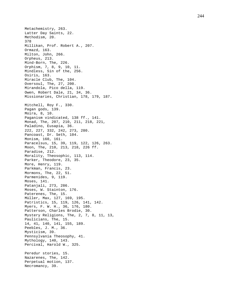Metachemistry, 263. Latter Day Saints, 22. Methodism, 20. 378 Millikan, Prof. Robert A., 207. Ormazd, 163. Milton, John, 266. Orpheus, 213. Mind -Born, The, 226. Orphism, 7, 8, 9, 10, 11. Mindless, Sin of the, 256. Osiris, 163. Miracle Club, The, 104. Oversoul, The, 27, 200. Mirandola, Pico della, 119. Owen, Robert Dale, 21, 34, 36. Missionaries, Christian, 178, 179, 187. Mitchell, Roy F., 330. Pagan gods, 139. Moira, 8, 10. Paganism vindicated, 138 ff., 141. Monad, The, 207, 210, 211, 218, 221, Paladino, Eusapia, 36. 222, 227, 332, 242, 273, 280. Pancoast, Dr. Seth, 104. Monism, 160, 161. Paracelsus, 15, 39, 119, 122, 126, 263. Moon, The, 210, 213, 218, 226 ff. Paradise, 212. Morality, Theosophic, 113, 114. Parker, Theodore, 23, 35. More, Henry, 119. Parkman, Francis, 23. Mormons, The, 22, 51. Parmenides, 9, 119. Moses, 141. Patanjali, 273, 286. Moses, W. Stainton, 176. Paterenes, The, 15. Müller, Max, 127, 169, 195. Patristics, 15, 119, 126, 141, 142. Myers, F. W. H., 36, 176, 180. Patterson, Charles Brodie, 30. Mystery Religions, The, 2, 7, 8, 11, 13, Paulicians, The, 15. 14, 41, 140, 141, 155, 189. Peebles, J. M., 36. Mysticism, 39. Pennsylvania Theosophy, 41. Mythology, 140, 143. Percival, Harold W., 325. Peredur stories, 15. Nazarenes, The, 142. Perpetual motion, 137. Necromancy, 39.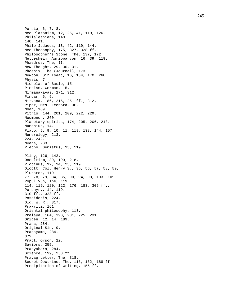Persia, 6, 7, 8. Neo -Platonism, 12, 25, 41, 119, 126, Philalethians, 140. 140, 141. Philo Judaeus, 13, 42, 119, 144. Neo -Theosophy, 175, 327, 328 ff. Philosopher's Stone, The, 137, 172. Nettesheim, Agrippa von, 16, 39, 119. Phaedrus, The, II. New Thought, 29, 30, 31. Phoenix, The (Journal), 173. Newton, Sir Isaac, 16, 134, 170, 260. Physis, 7. Nicholas of Basle, 15. Pietism, German, 15. Nirmanakayas, 271, 312. Pindar, 6, 9. Nirvana, 186, 215, 251 ff., 312. Piper, Mrs. Leonora, 36. Noah, 189. Pitris, 144, 201, 209, 222, 229. Noumenon, 260. Planetary spirits, 174, 205, 206, 213. Numenius, 14. Plato, 5, 9, 10, 11, 119, 138, 144, 157, Numerology, 213. 224, 242. Nyana, 283. Pletho, Gemistus, 15, 119. Pliny, 126, 142. Occultism, 39, 199, 218. Plotinus, 12, 14, 25, 119. Olcott, Col. Henry S., 35, 56, 57, 58, 59, Plutarch, 119. 77, 78, 79, 84, 85, 90, 94, 98, 103, 105 - Popul Vuh, The, 119. 114, 119, 120, 122, 176, 183, 305 ff., Porphyry, 14, 119. 310 ff., 328 ff. Poseidonis, 224. Old, W. R., 317. Prakriti, 161. Oriental philosophy, 113. Pralaya, 164, 198, 201, 225, 231. Origen, 12, 14, 189. Prana, 284. Original Sin, 9. Pranayama, 284. 379 Pratt, Orson, 22. Saviors, 255. Pratyahara, 284. Science, 199, 253 ff. Prayag Letter, The, 318. Secret Doctrine, The, 116, 162, 188 ff. Precipitation of writing, 156 ff.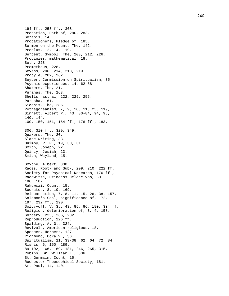194 ff., 253 ff., 308. Probation, Path of, 280, 283. Serapis, 14. Probationers, Pledge of, 185. Sermon on the Mount, The, 142. Proclus, 12, 14, 119. Serpent, Symbol, The, 203, 212, 226. Prodigies, mathematical, 18. Seth, 228. Prometheus, 228. Sevens, 206, 214, 218, 219. Protyle, 202, 262. Seybert Commission on Spiritualism, 35. Psychic experiences, 14, 62 -88. Shakers, The, 21. Puranas, The, 263. Shells, astral, 222, 229, 255. Purusha, 161. Siddhis, The, 286. Pythagoreanism, 7, 9, 10, 11, 25, 119, Sinnett, Albert P., 43, 80 -84, 94, 96, 140, 144. 100, 150, 151, 154 ff., 176 ff., 183, 306, 310 ff., 329, 349. Quakers, The, 20. Slate writing, 33. Quimby, P. P., 19, 30, 31. Smith, Joseph, 22. Quincy, Josiah, 23. Smith, Wayland, 15. Smythe, Albert, 330. Races, Root- and Sub-, 209, 210, 222 ff. Society for Psychical Research, 176 ff., Racowitza, Princess Helene von, 60. 186, 187. Rakowczi, Count, 15. Socrates, 8, 10, 169. Reincarnation, 7, 8, 11, 15, 26, 38, 157, Solomon's Seal, significance of, 172. 197, 232 ff., 290. Solovyoff, V. S., 43, 85, 86, 180, 304 ff. Religion, deterioration of, 3, 4, 158. Sorcery, 225, 266, 282. Reproduction, 226 ff. Spalding, A. G., 324. Revivals, American religious, 18. Spencer, Herbert, 127. Richmond, Cora V., 36. Spiritualism, 21, 33 -38, 62, 64, 72, 84, Rishis, 6, 150, 189. 89 -102, 166, 169, 181, 246, 265, 315. Robins, Dr. William L., 336. St. Germain, Count, 15. Rochester Theosophical Society, 181. St. Paul, 14, 140.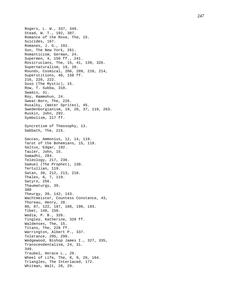Rogers, L. W., 337, 349. Stead, W. T., 192, 307. Romance of the Rose, The, 15. Suicides, 167. Romanes, J. G., 192. Sun, The New York, 261. Romanticism, German, 24. Supermen, 4, 150 ff., 241. Rosicrucians, The, 15, 41, 139, 326. Supernaturalism, 19, 20. Rounds, Cosmical, 206, 209, 210, 214, Superstitions, 40, 158 ff. 216, 220, 222. Suso (The Mystic), 15. Row, T. Subba, 310. Swamis, 31. Roy, Rammohun, 24. Sweat -Born, The, 226. Rusalky, (Water Sprites), 45. Swedenborgianism, 19, 20, 37, 119, 263. Ruskin, John, 292. Symbolism, 217 ff. Syncretism of Theosophy, 13. Sabbath, The, 215. Saccas, Ammonius, 12, 14, 119. Tarot of the Bohemians, 15, 119. Saltus, Edgar, 192. Tauler, John, 15. Samadhi, 284. Teleology, 217, 236. Samuel (The Prophet), 130. Tertullian, 119. Satan, 39, 212, 213, 218. Thales, 6, 7, 119. Satyrs, 256. Thaumaturgy, 39. 380 Theurgy, 39, 142, 143. Wachtmeister, Countess Constance, 43, Thoreau, Henry, 28. 86, 87, 122, 187, 188, 190, 193. Tibet, 148, 150. Wadia, P. B., 326. Tingley, Katherine, 320 ff. Waldenses, The, 15. Titans, The, 228 ff. Warrington, Albert P., 337. Tolerance, 295, 299. Wedgewood, Bishop James I., 327, 335, Transcendentalism, 24, 31. 349. Traubel, Horace L., 29. Wheel of Life, The, 8, 9, 26, 164. Triangles, The Interlaced, 172. Whitman, Walt, 28, 29.